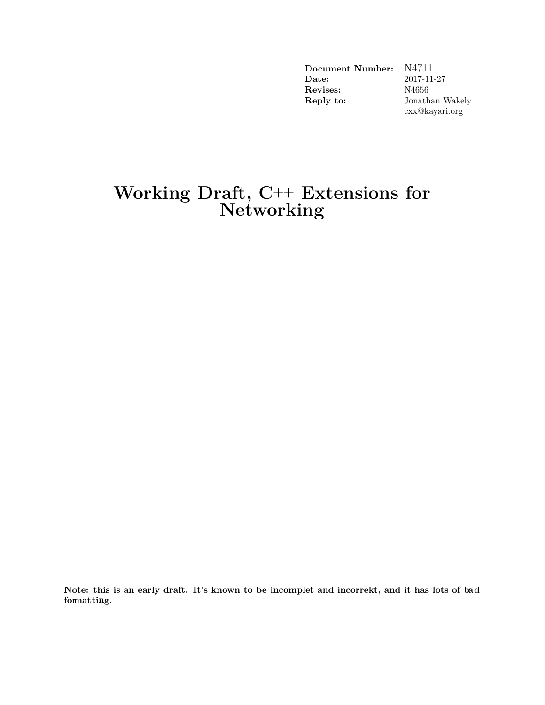| Document Number:      | N4711           |
|-----------------------|-----------------|
| $\rm{\textbf{Date}:}$ | 2017-11-27      |
| Revises:              | N4656           |
| Reply to:             | Jonathan Wakely |
|                       | cxx@kayari.org  |

## **Working Draft, C++ Extensions for Networking**

**Note: this is an early draft. It's known to be incomplet and incorrekt, and it has lots of bad formatting.**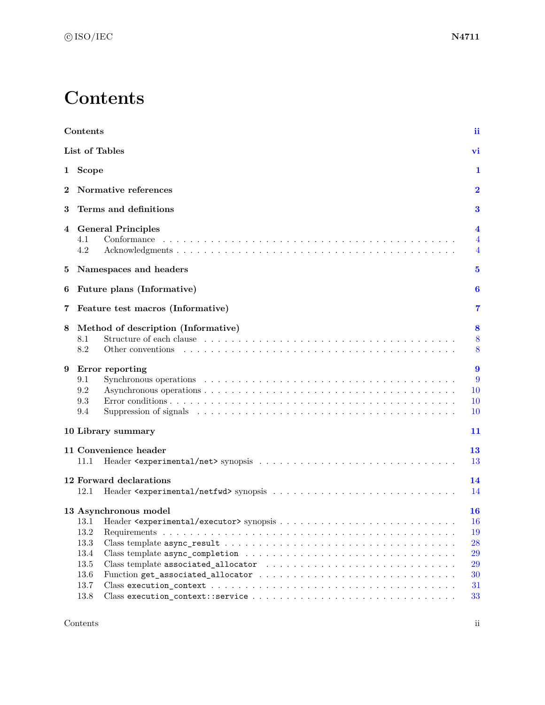# **Contents**

<span id="page-1-0"></span>

|          | Contents                                                                              | ii                                                 |
|----------|---------------------------------------------------------------------------------------|----------------------------------------------------|
|          | List of Tables                                                                        | vi                                                 |
| 1        | Scope                                                                                 | 1                                                  |
| $\bf{2}$ | Normative references                                                                  | $\bf{2}$                                           |
| 3        | Terms and definitions                                                                 | 3                                                  |
| 4        | <b>General Principles</b><br>4.1<br>Conformance<br>4.2                                | $\overline{\mathbf{4}}$<br>$\overline{4}$<br>4     |
| 5        | Namespaces and headers                                                                | $\bf{5}$                                           |
| 6        | Future plans (Informative)                                                            | 6                                                  |
| 7        | Feature test macros (Informative)                                                     | 7                                                  |
| 8        | Method of description (Informative)<br>8.1<br>8.2<br>Other conventions                | 8<br>8<br>8                                        |
| 9        | Error reporting<br>9.1<br>9.2<br>9.3<br>9.4                                           | $\boldsymbol{9}$<br>9<br>10<br>10<br>10            |
|          | 10 Library summary                                                                    | 11                                                 |
|          | 11 Convenience header<br>11.1                                                         | 13<br>13                                           |
|          | 12 Forward declarations<br>12.1                                                       | 14<br>14                                           |
|          | 13 Asynchronous model<br>13.2<br>$13.3\,$<br>13.4<br>$13.5\,$<br>13.6<br>13.7<br>13.8 | 16<br>16<br>19<br>28<br>29<br>29<br>30<br>31<br>33 |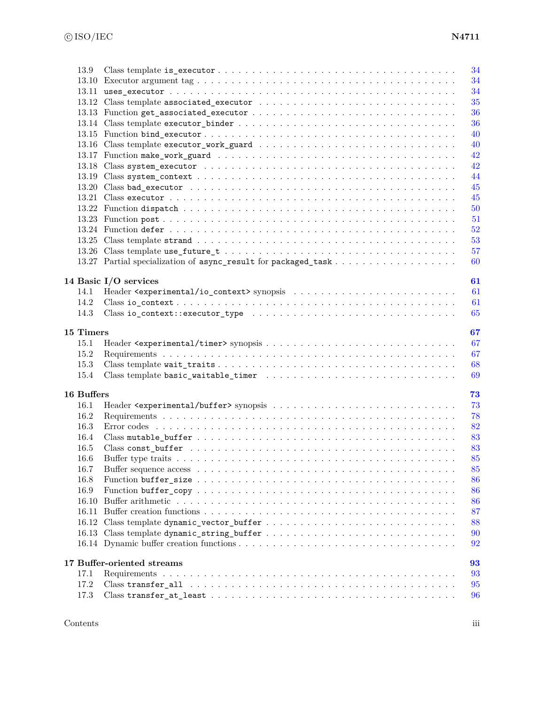|            |                                                                                                                                                                                                                                                                                                                                                                                                                                     | 34 |
|------------|-------------------------------------------------------------------------------------------------------------------------------------------------------------------------------------------------------------------------------------------------------------------------------------------------------------------------------------------------------------------------------------------------------------------------------------|----|
|            |                                                                                                                                                                                                                                                                                                                                                                                                                                     | 34 |
|            |                                                                                                                                                                                                                                                                                                                                                                                                                                     | 34 |
|            |                                                                                                                                                                                                                                                                                                                                                                                                                                     | 35 |
|            |                                                                                                                                                                                                                                                                                                                                                                                                                                     | 36 |
|            |                                                                                                                                                                                                                                                                                                                                                                                                                                     | 36 |
|            |                                                                                                                                                                                                                                                                                                                                                                                                                                     | 40 |
|            |                                                                                                                                                                                                                                                                                                                                                                                                                                     | 40 |
|            |                                                                                                                                                                                                                                                                                                                                                                                                                                     | 42 |
|            |                                                                                                                                                                                                                                                                                                                                                                                                                                     | 42 |
|            |                                                                                                                                                                                                                                                                                                                                                                                                                                     | 44 |
|            |                                                                                                                                                                                                                                                                                                                                                                                                                                     | 45 |
|            |                                                                                                                                                                                                                                                                                                                                                                                                                                     | 45 |
|            |                                                                                                                                                                                                                                                                                                                                                                                                                                     | 50 |
|            |                                                                                                                                                                                                                                                                                                                                                                                                                                     | 51 |
|            |                                                                                                                                                                                                                                                                                                                                                                                                                                     | 52 |
|            |                                                                                                                                                                                                                                                                                                                                                                                                                                     | 53 |
|            |                                                                                                                                                                                                                                                                                                                                                                                                                                     | 57 |
|            |                                                                                                                                                                                                                                                                                                                                                                                                                                     | 60 |
|            |                                                                                                                                                                                                                                                                                                                                                                                                                                     |    |
|            | 14 Basic I/O services                                                                                                                                                                                                                                                                                                                                                                                                               | 61 |
| 14.1       |                                                                                                                                                                                                                                                                                                                                                                                                                                     | 61 |
| 14.2       |                                                                                                                                                                                                                                                                                                                                                                                                                                     | 61 |
| 14.3       |                                                                                                                                                                                                                                                                                                                                                                                                                                     | 65 |
|            |                                                                                                                                                                                                                                                                                                                                                                                                                                     |    |
| 15 Timers  |                                                                                                                                                                                                                                                                                                                                                                                                                                     | 67 |
| 15.1       |                                                                                                                                                                                                                                                                                                                                                                                                                                     | 67 |
| 15.2       |                                                                                                                                                                                                                                                                                                                                                                                                                                     | 67 |
| 15.3       |                                                                                                                                                                                                                                                                                                                                                                                                                                     | 68 |
| 15.4       |                                                                                                                                                                                                                                                                                                                                                                                                                                     | 69 |
|            |                                                                                                                                                                                                                                                                                                                                                                                                                                     |    |
| 16 Buffers |                                                                                                                                                                                                                                                                                                                                                                                                                                     | 73 |
| 16.1       |                                                                                                                                                                                                                                                                                                                                                                                                                                     | 73 |
| 16.2       |                                                                                                                                                                                                                                                                                                                                                                                                                                     | 78 |
| 16.3       |                                                                                                                                                                                                                                                                                                                                                                                                                                     | 82 |
| 16.4       |                                                                                                                                                                                                                                                                                                                                                                                                                                     | 83 |
| 16.5       |                                                                                                                                                                                                                                                                                                                                                                                                                                     | 83 |
| 16.6       |                                                                                                                                                                                                                                                                                                                                                                                                                                     | 85 |
| 16.7       |                                                                                                                                                                                                                                                                                                                                                                                                                                     | 85 |
| 16.8       |                                                                                                                                                                                                                                                                                                                                                                                                                                     | 86 |
| 16.9       |                                                                                                                                                                                                                                                                                                                                                                                                                                     | 86 |
| 16.10      |                                                                                                                                                                                                                                                                                                                                                                                                                                     | 86 |
|            |                                                                                                                                                                                                                                                                                                                                                                                                                                     | 87 |
|            |                                                                                                                                                                                                                                                                                                                                                                                                                                     | 88 |
|            |                                                                                                                                                                                                                                                                                                                                                                                                                                     | 90 |
|            |                                                                                                                                                                                                                                                                                                                                                                                                                                     | 92 |
|            |                                                                                                                                                                                                                                                                                                                                                                                                                                     |    |
|            | 17 Buffer-oriented streams                                                                                                                                                                                                                                                                                                                                                                                                          | 93 |
| 17.1       |                                                                                                                                                                                                                                                                                                                                                                                                                                     | 93 |
| 17.2       |                                                                                                                                                                                                                                                                                                                                                                                                                                     | 95 |
|            | $\text{Class transfer\_at\_least} \texttt{.} \texttt{.} \texttt{.} \texttt{.} \texttt{.} \texttt{.} \texttt{.} \texttt{.} \texttt{.} \texttt{.} \texttt{.} \texttt{.} \texttt{.} \texttt{.} \texttt{.} \texttt{.} \texttt{.} \texttt{.} \texttt{.} \texttt{.} \texttt{.} \texttt{.} \texttt{.} \texttt{.} \texttt{.} \texttt{.} \texttt{.} \texttt{.} \texttt{.} \texttt{.} \texttt{.} \texttt{.} \texttt{.} \texttt{.} \texttt{.}$ |    |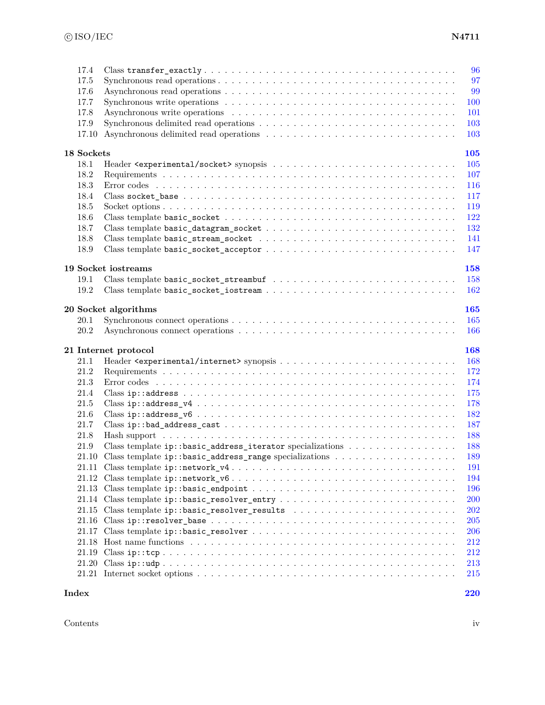| 17.4<br>17.5<br>17.6<br>17.7<br>17.8<br>17.9<br>17.10 | Synchronous delimited read operations $\dots \dots \dots \dots \dots \dots \dots \dots \dots \dots \dots \dots$                                  | 96<br>97<br>99<br>100<br>101<br>103<br>103 |
|-------------------------------------------------------|--------------------------------------------------------------------------------------------------------------------------------------------------|--------------------------------------------|
| 18 Sockets                                            |                                                                                                                                                  | <b>105</b>                                 |
| 18.1                                                  |                                                                                                                                                  | 105                                        |
| 18.2                                                  |                                                                                                                                                  | 107                                        |
| 18.3                                                  |                                                                                                                                                  | <b>116</b>                                 |
| 18.4                                                  |                                                                                                                                                  | 117                                        |
| 18.5                                                  |                                                                                                                                                  | 119                                        |
| 18.6                                                  |                                                                                                                                                  | 122                                        |
| 18.7                                                  | $\label{thm:main} \text{Class template basic\_datagram\_socket}\ \dots\ \dots\ \dots\ \dots\ \dots\ \dots\ \dots\ \dots\ \dots\ \dots\ \dots\ .$ | 132                                        |
| 18.8                                                  |                                                                                                                                                  | 141                                        |
| 18.9                                                  |                                                                                                                                                  | 147                                        |
|                                                       | 19 Socket iostreams                                                                                                                              | 158                                        |
| 19.1                                                  |                                                                                                                                                  | 158                                        |
| 19.2                                                  |                                                                                                                                                  | 162                                        |
|                                                       |                                                                                                                                                  |                                            |
|                                                       | 20 Socket algorithms                                                                                                                             | <b>165</b>                                 |
| 20.1                                                  |                                                                                                                                                  | 165                                        |
| 20.2                                                  |                                                                                                                                                  | 166                                        |
|                                                       | 21 Internet protocol                                                                                                                             | 168                                        |
| 21.1                                                  |                                                                                                                                                  | 168                                        |
| 21.2                                                  |                                                                                                                                                  | 172                                        |
| 21.3                                                  |                                                                                                                                                  | 174                                        |
| 21.4                                                  |                                                                                                                                                  | 175                                        |
| 21.5                                                  |                                                                                                                                                  | 178                                        |
| 21.6                                                  |                                                                                                                                                  | 182                                        |
| 21.7                                                  |                                                                                                                                                  | 187                                        |
| 21.8                                                  |                                                                                                                                                  | 188                                        |
| 21.9                                                  | Class template ip::basic_address_iterator specializations                                                                                        | 188                                        |
| 21.10                                                 |                                                                                                                                                  | 189                                        |
|                                                       | 21.11 Class template $ip::network_y4 \ldots \ldots \ldots \ldots \ldots \ldots \ldots \ldots \ldots \ldots \ldots$                               | 191                                        |
|                                                       |                                                                                                                                                  | 194                                        |
|                                                       |                                                                                                                                                  | 196                                        |
|                                                       |                                                                                                                                                  | <b>200</b>                                 |
|                                                       | 21.15 Class template ip::basic_resolver_results                                                                                                  | 202                                        |
|                                                       |                                                                                                                                                  | <b>205</b>                                 |
|                                                       |                                                                                                                                                  | 206                                        |
|                                                       |                                                                                                                                                  | 212                                        |
|                                                       |                                                                                                                                                  | 212                                        |
|                                                       |                                                                                                                                                  | 213                                        |
|                                                       |                                                                                                                                                  | 215                                        |
| Index                                                 |                                                                                                                                                  | 220                                        |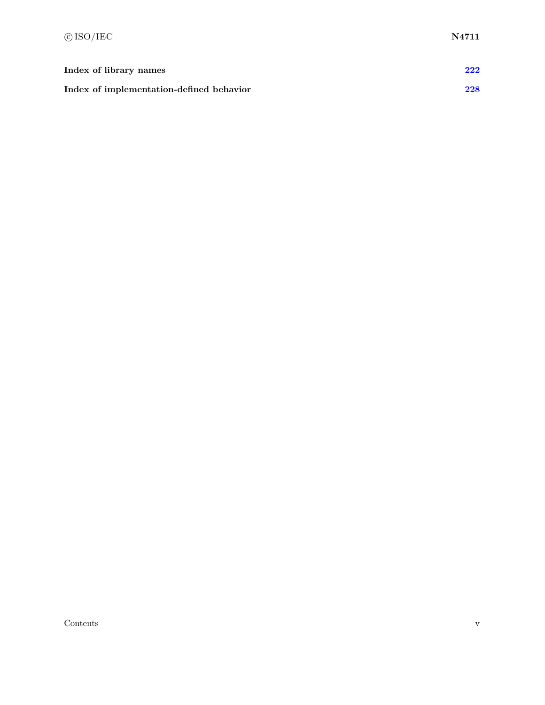| Index of library names                   | 222 |
|------------------------------------------|-----|
| Index of implementation-defined behavior | 228 |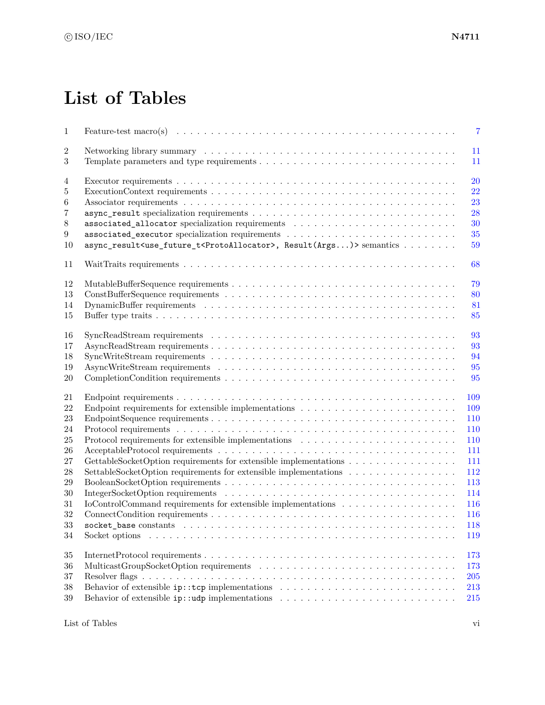# **List of Tables**

<span id="page-5-0"></span>

| $\,1$          | $\overline{7}$                                                                                                                                  |
|----------------|-------------------------------------------------------------------------------------------------------------------------------------------------|
| $\overline{2}$ | 11                                                                                                                                              |
| 3              | 11                                                                                                                                              |
| 4              | 20                                                                                                                                              |
| 5              | 22                                                                                                                                              |
| 6              | 23                                                                                                                                              |
| $\overline{7}$ | 28                                                                                                                                              |
| $8\,$          | 30                                                                                                                                              |
| 9              | 35                                                                                                                                              |
| 10             | async_result <use_future_t<protoallocator>, Result(Args)&gt; semantics <br/>59</use_future_t<protoallocator>                                    |
| 11             | 68                                                                                                                                              |
| 12             | 79                                                                                                                                              |
| 13             | 80                                                                                                                                              |
| 14             | 81                                                                                                                                              |
| 15             | 85                                                                                                                                              |
|                |                                                                                                                                                 |
| 16             | 93                                                                                                                                              |
| 17             | 93                                                                                                                                              |
| 18             | 94                                                                                                                                              |
| 19             | 95                                                                                                                                              |
| 20             | 95                                                                                                                                              |
| 21             | 109                                                                                                                                             |
| 22             | Endpoint requirements for extensible implementations $\dots \dots \dots \dots \dots \dots \dots \dots \dots$<br>109                             |
| 23             | 110                                                                                                                                             |
| 24             | 110                                                                                                                                             |
| 25             | Protocol requirements for extensible implementations<br>$\hfill\ldots\ldots\ldots\ldots\ldots\ldots\ldots\ldots\ldots\ldots\ldots\ldots$<br>110 |
| 26             | 111                                                                                                                                             |
| 27             | GettableSocketOption requirements for extensible implementations<br>111                                                                         |
| 28             | SettableSocketOption requirements for extensible implementations<br>112                                                                         |
| 29             | 113                                                                                                                                             |
| 30             | 114                                                                                                                                             |
| 31             | IoControlCommand requirements for extensible implementations<br>116                                                                             |
| 32             | 116                                                                                                                                             |
| $33\,$         | 118                                                                                                                                             |
| 34             | 119                                                                                                                                             |
|                |                                                                                                                                                 |
| $35\,$         | 173                                                                                                                                             |
| 36             | 173                                                                                                                                             |
| $37\,$         | $\,205$                                                                                                                                         |
| 38             | 213                                                                                                                                             |
| $39\,$         | Behavior of extensible $ip: udp$ implementations $\ldots \ldots \ldots \ldots \ldots \ldots \ldots \ldots \ldots$<br>215                        |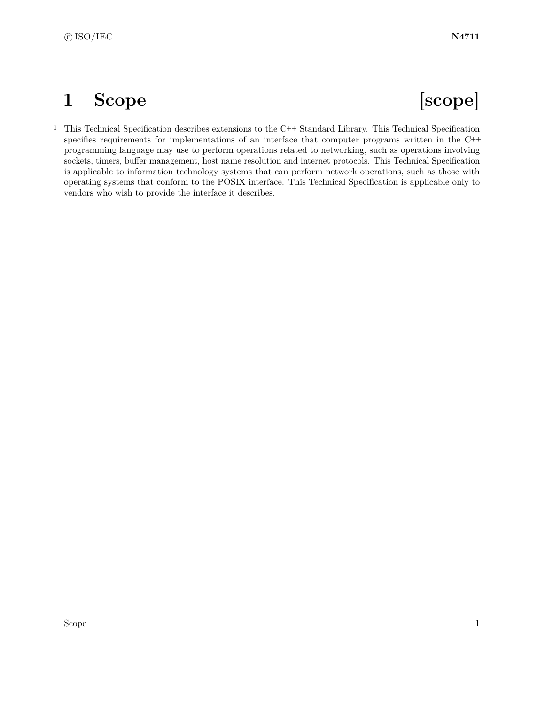# <span id="page-7-0"></span>**1 Scope [scope]**

<sup>1</sup> This Technical Specification describes extensions to the C++ Standard Library. This Technical Specification specifies requirements for implementations of an interface that computer programs written in the C++ programming language may use to perform operations related to networking, such as operations involving sockets, timers, buffer management, host name resolution and internet protocols. This Technical Specification is applicable to information technology systems that can perform network operations, such as those with operating systems that conform to the POSIX interface. This Technical Specification is applicable only to vendors who wish to provide the interface it describes.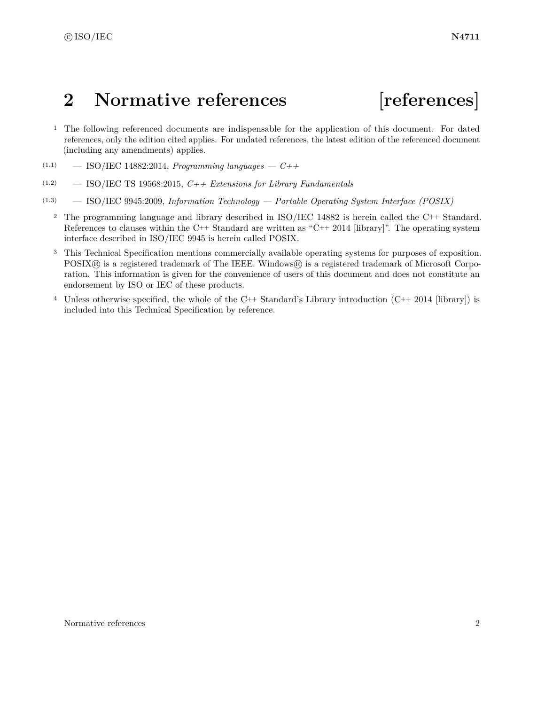# <span id="page-8-0"></span>**2 Normative references [references]**

- <sup>1</sup> The following referenced documents are indispensable for the application of this document. For dated references, only the edition cited applies. For undated references, the latest edition of the referenced document (including any amendments) applies.
- (1.1) ISO/IEC 14882:2014, *Programming languages C++*
- (1.2) ISO/IEC TS 19568:2015, *C++ Extensions for Library Fundamentals*
- (1.3) ISO/IEC 9945:2009, *Information Technology Portable Operating System Interface (POSIX)*
	- <sup>2</sup> The programming language and library described in ISO/IEC 14882 is herein called the C++ Standard. References to clauses within the C++ Standard are written as "C++ 2014 [library]". The operating system interface described in ISO/IEC 9945 is herein called POSIX.
	- <sup>3</sup> This Technical Specification mentions commercially available operating systems for purposes of exposition. POSIX® is a registered trademark of The IEEE. Windows® is a registered trademark of Microsoft Corporation. This information is given for the convenience of users of this document and does not constitute an endorsement by ISO or IEC of these products.
	- <sup>4</sup> Unless otherwise specified, the whole of the C++ Standard's Library introduction  $(C^{++} 2014$  [library]) is included into this Technical Specification by reference.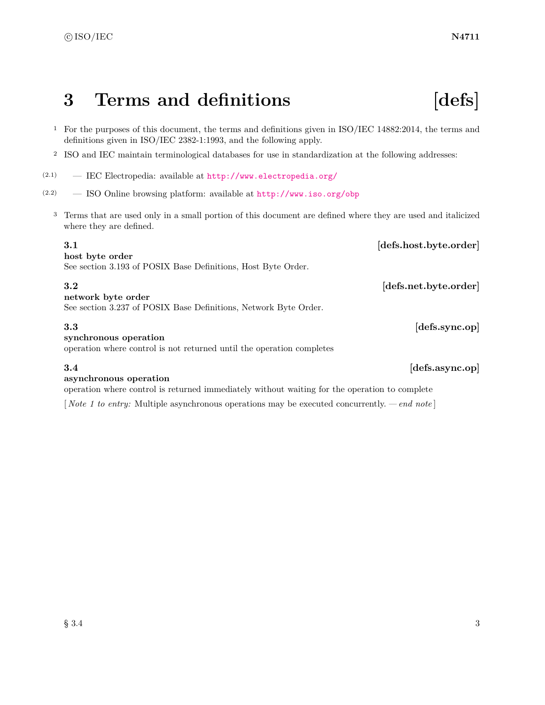# <span id="page-9-0"></span>**3 Terms and definitions [defs]**

- <sup>1</sup> For the purposes of this document, the terms and definitions given in ISO/IEC 14882:2014, the terms and definitions given in ISO/IEC 2382-1:1993, and the following apply.
- <sup>2</sup> ISO and IEC maintain terminological databases for use in standardization at the following addresses:
- $(2.1)$  IEC Electropedia: available at <http://www.electropedia.org/>
- (2.2) ISO Online browsing platform: available at <http://www.iso.org/obp>
	- <sup>3</sup> Terms that are used only in a small portion of this document are defined where they are used and italicized where they are defined.

### **3.1** *defs.host.byte.order* **host byte order** See section 3.193 of POSIX Base Definitions, Host Byte Order. **3.2** *defs.net.byte.order* **network byte order** See section 3.237 of POSIX Base Definitions, Network Byte Order. **3.3 [defs.sync.op] synchronous operation** operation where control is not returned until the operation completes **3.4 [defs.async.op] asynchronous operation**

operation where control is returned immediately without waiting for the operation to complete

[ *Note 1 to entry:* Multiple asynchronous operations may be executed concurrently. *— end note* ]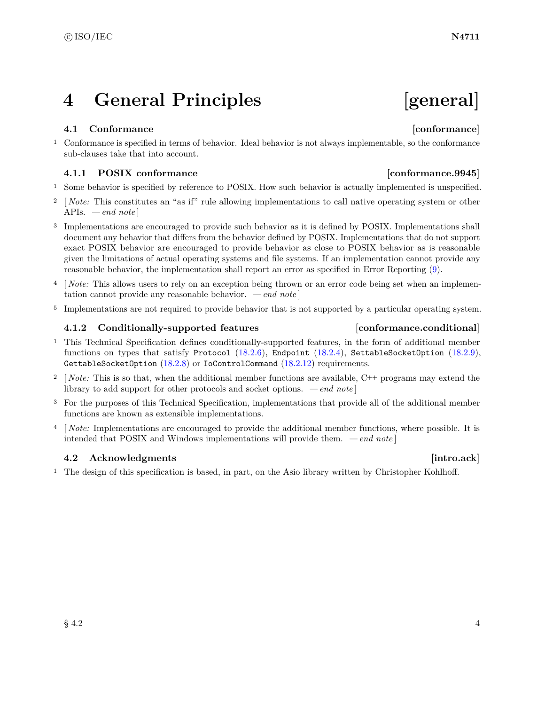## <span id="page-10-0"></span>**4 General Principles [general]**

### <span id="page-10-1"></span>**4.1 Conformance [conformance]**

<sup>1</sup> Conformance is specified in terms of behavior. Ideal behavior is not always implementable, so the conformance sub-clauses take that into account.

### **4.1.1 POSIX conformance [conformance.9945]**

- <sup>1</sup> Some behavior is specified by reference to POSIX. How such behavior is actually implemented is unspecified.
- <sup>2</sup> [*Note:* This constitutes an "as if" rule allowing implementations to call native operating system or other APIs. *— end note* ]
- <sup>3</sup> Implementations are encouraged to provide such behavior as it is defined by POSIX. Implementations shall document any behavior that differs from the behavior defined by POSIX. Implementations that do not support exact POSIX behavior are encouraged to provide behavior as close to POSIX behavior as is reasonable given the limitations of actual operating systems and file systems. If an implementation cannot provide any reasonable behavior, the implementation shall report an error as specified in Error Reporting [\(9\)](#page-15-0).
- <sup>4</sup> [*Note:* This allows users to rely on an exception being thrown or an error code being set when an implementation cannot provide any reasonable behavior. *— end note* ]
- <sup>5</sup> Implementations are not required to provide behavior that is not supported by a particular operating system.

### <span id="page-10-3"></span>**4.1.2 Conditionally-supported features [conformance.conditional]**

- <sup>1</sup> This Technical Specification defines conditionally-supported features, in the form of additional member functions on types that satisfy Protocol  $(18.2.6)$ , Endpoint  $(18.2.4)$ , SettableSocketOption  $(18.2.9)$ , GettableSocketOption [\(18.2.8\)](#page-117-2) or IoControlCommand [\(18.2.12\)](#page-122-3) requirements.
- <sup>2</sup> [*Note:* This is so that, when the additional member functions are available, C<sup>++</sup> programs may extend the library to add support for other protocols and socket options. *— end note* ]
- <sup>3</sup> For the purposes of this Technical Specification, implementations that provide all of the additional member functions are known as extensible implementations.
- <sup>4</sup> [ *Note:* Implementations are encouraged to provide the additional member functions, where possible. It is intended that POSIX and Windows implementations will provide them. *— end note* ]

### <span id="page-10-2"></span>**4.2** Acknowledgments **intro.ack**

<sup>1</sup> The design of this specification is based, in part, on the Asio library written by Christopher Kohlhoff.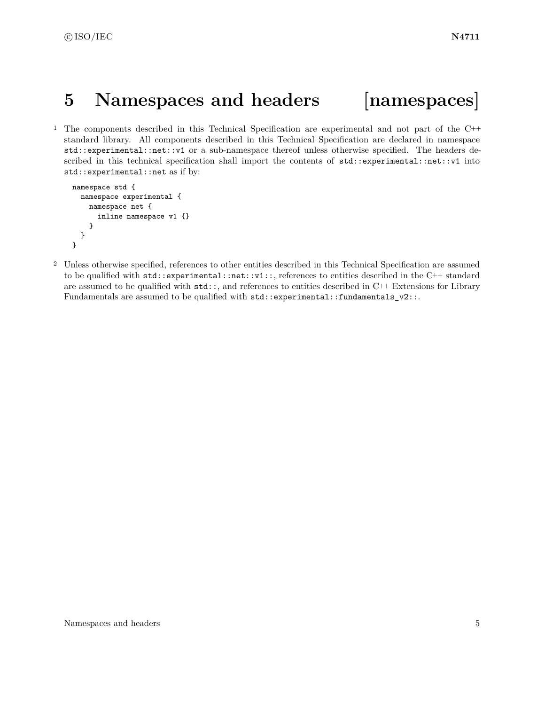## <span id="page-11-0"></span>**5 Namespaces and headers [namespaces]**

<sup>1</sup> The components described in this Technical Specification are experimental and not part of the C++ standard library. All components described in this Technical Specification are declared in namespace std::experimental::net::v1 or a sub-namespace thereof unless otherwise specified. The headers described in this technical specification shall import the contents of  $std::experimental::net::v1$  into std::experimental::net as if by:

```
namespace std {
  namespace experimental {
   namespace net {
      inline namespace v1 {}
    }
 }
}
```
<sup>2</sup> Unless otherwise specified, references to other entities described in this Technical Specification are assumed to be qualified with std::experimental::net::v1::, references to entities described in the C++ standard are assumed to be qualified with  $\text{std}$ :; and references to entities described in C++ Extensions for Library Fundamentals are assumed to be qualified with  $\text{std::experimental::fundamentals_v2::.}$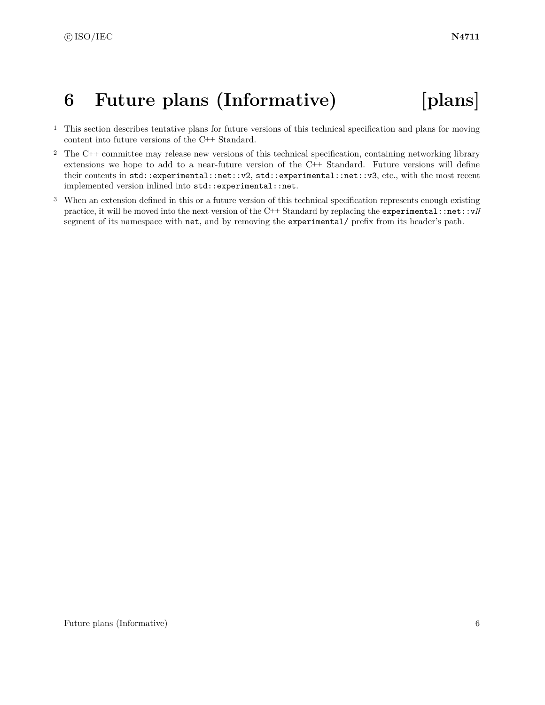# <span id="page-12-0"></span>**6 Future plans (Informative) [plans]**

- <sup>1</sup> This section describes tentative plans for future versions of this technical specification and plans for moving content into future versions of the C++ Standard.
- <sup>2</sup> The C++ committee may release new versions of this technical specification, containing networking library extensions we hope to add to a near-future version of the C++ Standard. Future versions will define their contents in std::experimental::net::v2, std::experimental::net::v3, etc., with the most recent implemented version inlined into std::experimental::net.
- <sup>3</sup> When an extension defined in this or a future version of this technical specification represents enough existing practice, it will be moved into the next version of the C++ Standard by replacing the experimental::net::v*N* segment of its namespace with net, and by removing the experimental/ prefix from its header's path.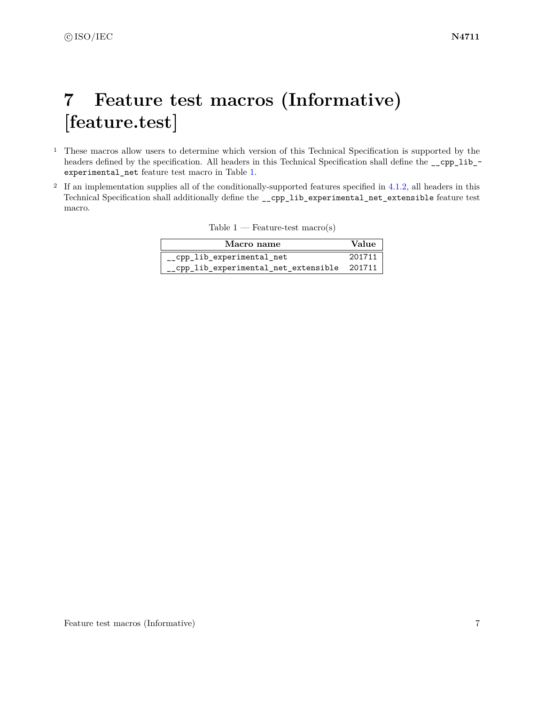# <span id="page-13-0"></span>**7 Feature test macros (Informative) [feature.test]**

- <sup>1</sup> These macros allow users to determine which version of this Technical Specification is supported by the headers defined by the specification. All headers in this Technical Specification shall define the \_\_cpp\_lib\_ experimental\_net feature test macro in Table [1.](#page-13-1)
- <sup>2</sup> If an implementation supplies all of the conditionally-supported features specified in [4.1.2,](#page-10-3) all headers in this Technical Specification shall additionally define the \_\_cpp\_lib\_experimental\_net\_extensible feature test macro.

<span id="page-13-1"></span>

| Table 1 | Feature-test $macro(s)$ |  |  |
|---------|-------------------------|--|--|
|         |                         |  |  |

| Macro name                                   | Value  |
|----------------------------------------------|--------|
| cpp lib experimental net                     | 201711 |
| __cpp_lib_experimental_net_extensible 201711 |        |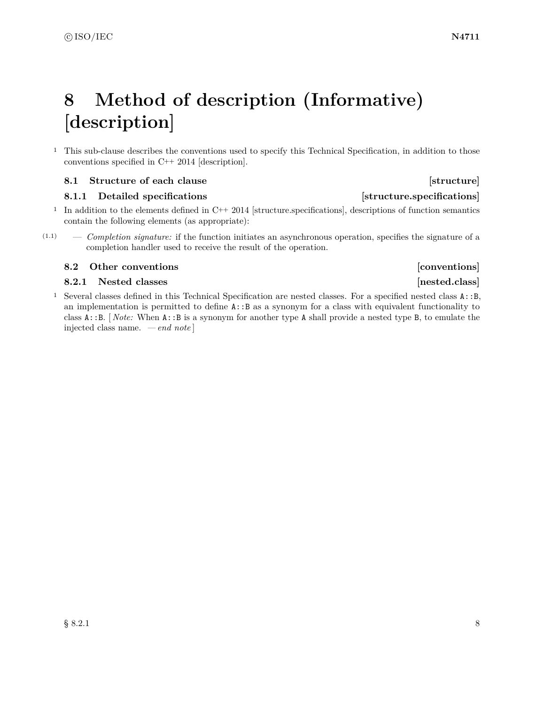# <span id="page-14-0"></span>**8 Method of description (Informative) [description]**

<sup>1</sup> This sub-clause describes the conventions used to specify this Technical Specification, in addition to those conventions specified in C++ 2014 [description].

### <span id="page-14-1"></span>**8.1 Structure of each clause [structure] [structure]**

### **8.1.1** Detailed specifications **and intervals** [structure.specifications]

- <sup>1</sup> In addition to the elements defined in C++ 2014 [structure.specifications], descriptions of function semantics contain the following elements (as appropriate):
- (1.1) *Completion signature:* if the function initiates an asynchronous operation, specifies the signature of a completion handler used to receive the result of the operation.

### <span id="page-14-2"></span>**8.2 Other conventions b 1 b 1 conventions [conventions**]

### **8.2.1** Nested classes **and a set of the set of the set of the set of the set of the set of the set of the set of the set of the set of the set of the set of the set of the set of the set of the set of the set of the set o**

<sup>1</sup> Several classes defined in this Technical Specification are nested classes. For a specified nested class A::B, an implementation is permitted to define A::B as a synonym for a class with equivalent functionality to class A::B. [ *Note:* When A::B is a synonym for another type A shall provide a nested type B, to emulate the injected class name. *— end note* ]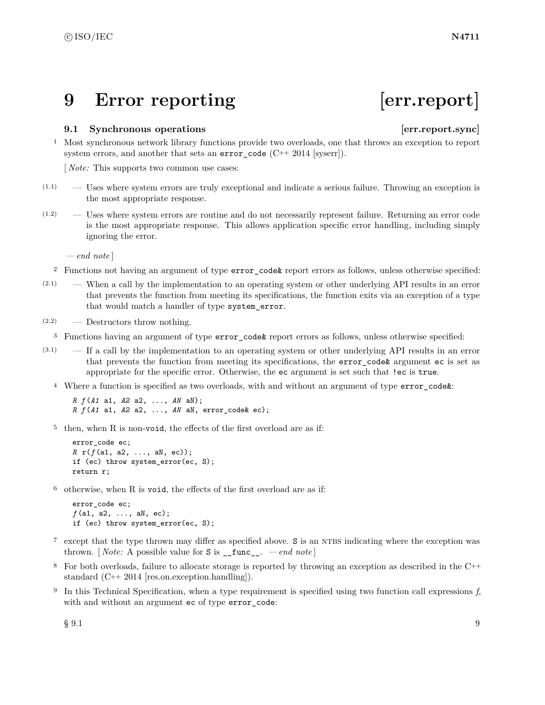## <span id="page-15-0"></span>**9 Error reporting [err.report]**

### <span id="page-15-1"></span>**9.1 Synchronous operations [err.report.sync]**

<sup>1</sup> Most synchronous network library functions provide two overloads, one that throws an exception to report system errors, and another that sets an  $error\_code$  (C++ 2014 [syserr]).

[ *Note:* This supports two common use cases:

- $(1.1)$  Uses where system errors are truly exceptional and indicate a serious failure. Throwing an exception is the most appropriate response.
- (1.2) Uses where system errors are routine and do not necessarily represent failure. Returning an error code is the most appropriate response. This allows application specific error handling, including simply ignoring the error.

*— end note* ]

- <sup>2</sup> Functions not having an argument of type error\_code& report errors as follows, unless otherwise specified:
- (2.1) When a call by the implementation to an operating system or other underlying API results in an error that prevents the function from meeting its specifications, the function exits via an exception of a type that would match a handler of type system\_error.
- (2.2) Destructors throw nothing.
- <sup>3</sup> Functions having an argument of type error\_code& report errors as follows, unless otherwise specified:
- (3.1) If a call by the implementation to an operating system or other underlying API results in an error that prevents the function from meeting its specifications, the error\_code& argument ec is set as appropriate for the specific error. Otherwise, the ec argument is set such that !ec is true.
	- <sup>4</sup> Where a function is specified as two overloads, with and without an argument of type error\_code&:

*R f* (*A1* a1, *A2* a2, ..., *AN* aN); *R f* (*A1* a1, *A2* a2, ..., *AN* aN, error\_code& ec);

<sup>5</sup> then, when R is non-void, the effects of the first overload are as if:

```
error code ec;
R r(f (a1, a2, ..., aN, ec));
if (ec) throw system_error(ec, S);
return r;
```
<sup>6</sup> otherwise, when R is void, the effects of the first overload are as if:

```
error_code ec;
f (a1, a2, ..., aN, ec);
if (ec) throw system_error(ec, S);
```
- <sup>7</sup> except that the type thrown may differ as specified above. S is an NTBS indicating where the exception was thrown. [*Note:* A possible value for  $S$  is  $\text{__func__}.$  *— end note*]
- <sup>8</sup> For both overloads, failure to allocate storage is reported by throwing an exception as described in the C++ standard (C++ 2014 [res.on.exception.handling]).
- <sup>9</sup> In this Technical Specification, when a type requirement is specified using two function call expressions *f*, with and without an argument ec of type error\_code:

 $\S~9.1$  9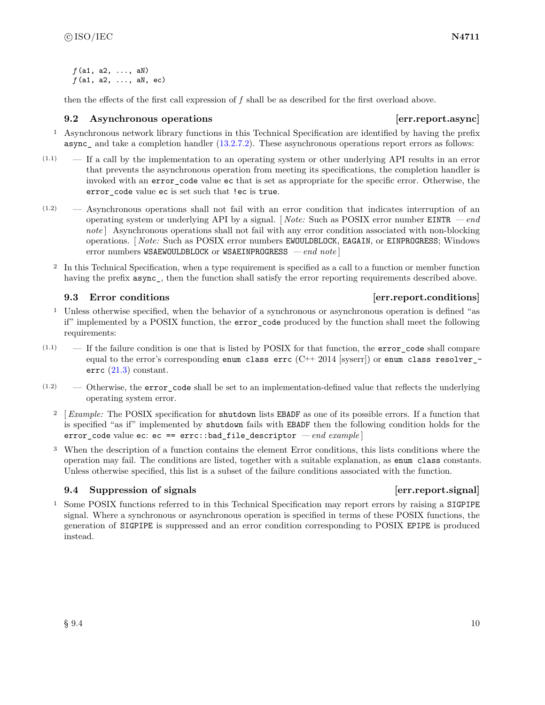*f* (a1, a2, ..., aN) *f* (a1, a2, ..., aN, ec)

then the effects of the first call expression of *f* shall be as described for the first overload above.

### <span id="page-16-0"></span>**9.2** Asynchronous operations **because the example of the example of the example of the example of the example of the example of the example of the example of the example of the example of the example of the example of the**

- <sup>1</sup> Asynchronous network library functions in this Technical Specification are identified by having the prefix async— and take a completion handler  $(13.2.7.2)$ . These asynchronous operations report errors as follows:
- $(1.1)$  If a call by the implementation to an operating system or other underlying API results in an error that prevents the asynchronous operation from meeting its specifications, the completion handler is invoked with an error code value ec that is set as appropriate for the specific error. Otherwise, the error\_code value ec is set such that !ec is true.
- (1.2) Asynchronous operations shall not fail with an error condition that indicates interruption of an operating system or underlying API by a signal. [ *Note:* Such as POSIX error number EINTR *— end* note | Asynchronous operations shall not fail with any error condition associated with non-blocking operations. [ *Note:* Such as POSIX error numbers EWOULDBLOCK, EAGAIN, or EINPROGRESS; Windows error numbers WSAEWOULDBLOCK or WSAEINPROGRESS *— end note* ]
	- <sup>2</sup> In this Technical Specification, when a type requirement is specified as a call to a function or member function having the prefix  $\text{async}$ , then the function shall satisfy the error reporting requirements described above.

- <sup>1</sup> Unless otherwise specified, when the behavior of a synchronous or asynchronous operation is defined "as if" implemented by a POSIX function, the error\_code produced by the function shall meet the following requirements:
- $(1.1)$  If the failure condition is one that is listed by POSIX for that function, the error\_code shall compare equal to the error's corresponding enum class errc  $(C_{++} 2014$  [syserr]) or enum class resolver errc [\(21.3\)](#page-180-0) constant.
- $(1.2)$  Otherwise, the error code shall be set to an implementation-defined value that reflects the underlying operating system error.
	- <sup>2</sup> [ *Example:* The POSIX specification for shutdown lists EBADF as one of its possible errors. If a function that is specified "as if" implemented by shutdown fails with EBADF then the following condition holds for the error\_code value ec: ec == errc::bad\_file\_descriptor *— end example* ]
	- <sup>3</sup> When the description of a function contains the element Error conditions, this lists conditions where the operation may fail. The conditions are listed, together with a suitable explanation, as enum class constants. Unless otherwise specified, this list is a subset of the failure conditions associated with the function.

### <span id="page-16-2"></span>**9.4 Suppression of signals example 1 example 1 example 1 example 1 example 1 example 1 example 1 example 1 example 1 example 1 example 1 example 1 example 1 example 1 example 1 example 1**

<sup>1</sup> Some POSIX functions referred to in this Technical Specification may report errors by raising a SIGPIPE signal. Where a synchronous or asynchronous operation is specified in terms of these POSIX functions, the generation of SIGPIPE is suppressed and an error condition corresponding to POSIX EPIPE is produced instead.

### <span id="page-16-1"></span>**9.3 Error conditions example 1 example 1 example 1 example 1 example 1 example 1 example 1 example 1 example 1 example 1 example 1 example 1 example 1 example 1 example 1 example 1 exampl**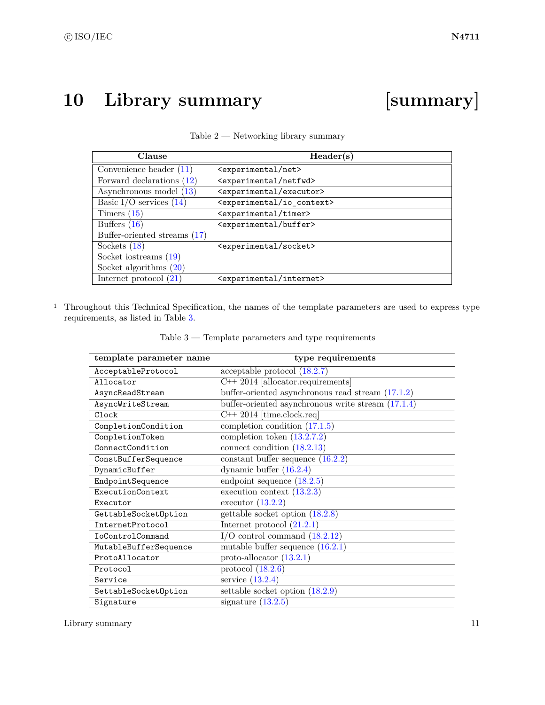# <span id="page-17-0"></span>**10 Library summary [summary]**

<span id="page-17-1"></span>

| Clause                       | Header(s)                                   |
|------------------------------|---------------------------------------------|
| Convenience header $(11)$    | <experimental net=""></experimental>        |
| Forward declarations (12)    | <experimental netfwd=""></experimental>     |
| Asynchronous model (13)      | <experimental executor=""></experimental>   |
| Basic I/O services $(14)$    | <experimental io_context=""></experimental> |
| Timers $(15)$                | <experimental timer=""></experimental>      |
| Buffers $(16)$               | <experimental buffer=""></experimental>     |
| Buffer-oriented streams (17) |                                             |
| Sockets $(18)$               | <experimental socket=""></experimental>     |
| Socket iostreams $(19)$      |                                             |
| Socket algorithms $(20)$     |                                             |
| Internet protocol $(21)$     | <experimental internet=""></experimental>   |

| Table $2$ — Networking library summary |  |  |
|----------------------------------------|--|--|
|----------------------------------------|--|--|

<sup>1</sup> Throughout this Technical Specification, the names of the template parameters are used to express type requirements, as listed in Table [3.](#page-17-2)

<span id="page-17-2"></span>

| template parameter name | type requirements                                    |
|-------------------------|------------------------------------------------------|
| AcceptableProtocol      | acceptable protocol $(18.2.7)$                       |
| Allocator               | $C++ 2014$ [allocator.requirements]                  |
| AsyncReadStream         | buffer-oriented asynchronous read stream $(17.1.2)$  |
| AsyncWriteStream        | buffer-oriented asynchronous write stream $(17.1.4)$ |
| Clock                   | $C++ 2014$ [time.clock.req]                          |
| CompletionCondition     | completion condition $(17.1.5)$                      |
| CompletionToken         | completion token $(13.2.7.2)$                        |
| ConnectCondition        | connect condition $(18.2.13)$                        |
| ConstBufferSequence     | constant buffer sequence $(16.2.2)$                  |
| DynamicBuffer           | dynamic buffer $(16.2.4)$                            |
| EndpointSequence        | endpoint sequence $(18.2.5)$                         |
| ExecutionContext        | execution context $(13.2.3)$                         |
| Executor                | executor $(13.2.2)$                                  |
| GettableSocketOption    | gettable socket option $(18.2.8)$                    |
| InternetProtocol        | Internet protocol $(21.2.1)$                         |
| IoControlCommand        | $I/O$ control command $(18.2.12)$                    |
| MutableBufferSequence   | mutable buffer sequence $(16.2.1)$                   |
| ProtoAllocator          | proto-allocator $(13.2.1)$                           |
| Protocol                | protocol $(18.2.6)$                                  |
| Service                 | service $(13.2.4)$                                   |
| SettableSocketOption    | settable socket option $(18.2.9)$                    |
| Signature               | signature $(13.2.5)$                                 |

Table 3 — Template parameters and type requirements

Library summary 11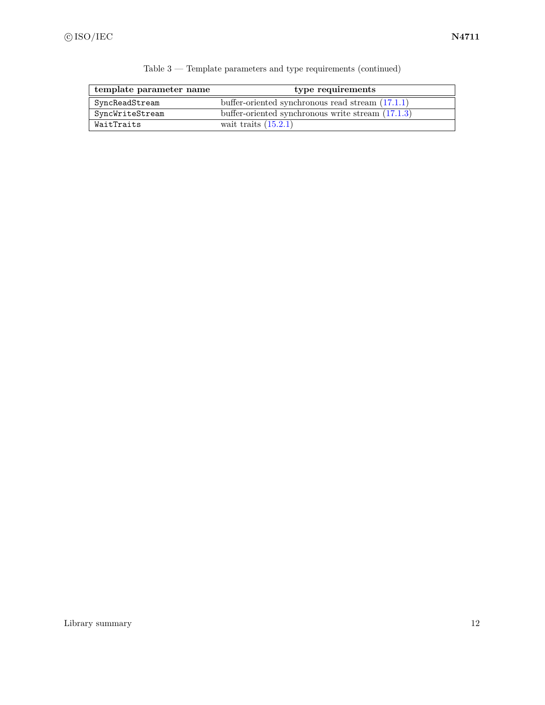| template parameter name | type requirements                                   |  |
|-------------------------|-----------------------------------------------------|--|
| SyncReadStream          | buffer-oriented synchronous read stream $(17.1.1)$  |  |
| SyncWriteStream         | buffer-oriented synchronous write stream $(17.1.3)$ |  |
| WaitTraits              | wait traits $(15.2.1)$                              |  |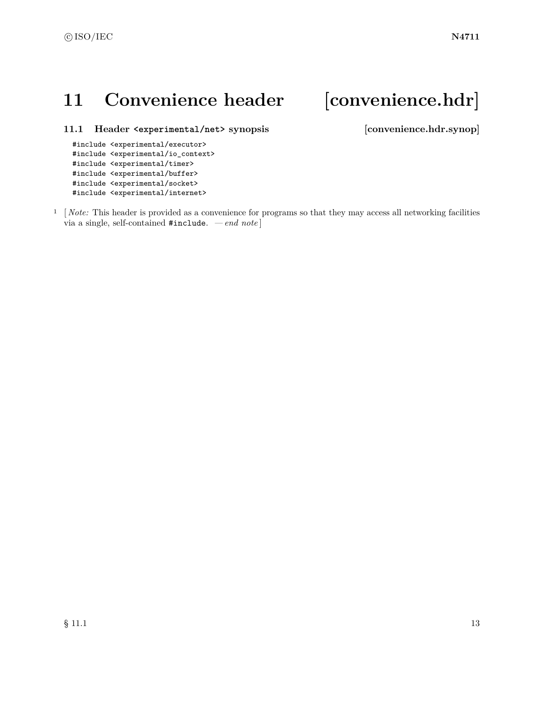## <span id="page-19-0"></span>11 Convenience header [convenience.hdr]

<span id="page-19-1"></span>**11.1 Header <experimental/net> synopsis [convenience.hdr.synop]**

```
#include <experimental/executor>
#include <experimental/io_context>
#include <experimental/timer>
#include <experimental/buffer>
#include <experimental/socket>
#include <experimental/internet>
```
<sup>1</sup> [*Note:* This header is provided as a convenience for programs so that they may access all networking facilities via a single, self-contained #include. *— end note* ]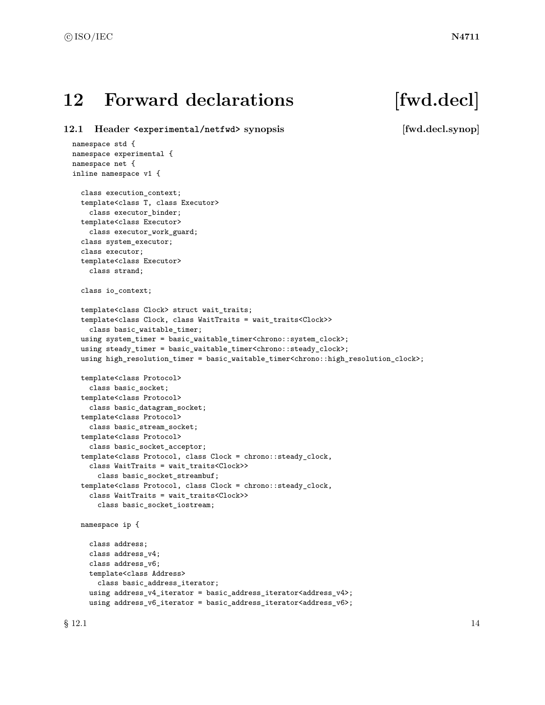## <span id="page-20-0"></span>12 Forward declarations [fwd.decl]

<span id="page-20-1"></span>**12.1 Header <experimental/netfwd> synopsis [fwd.decl.synop]**

```
namespace std {
namespace experimental {
namespace net {
inline namespace v1 {
  class execution_context;
  template<class T, class Executor>
    class executor_binder;
  template<class Executor>
    class executor_work_guard;
  class system_executor;
  class executor;
  template<class Executor>
    class strand;
  class io_context;
  template<class Clock> struct wait_traits;
  template<class Clock, class WaitTraits = wait_traits<Clock>>
    class basic_waitable_timer;
  using system_timer = basic_waitable_timer<chrono::system_clock>;
  using steady_timer = basic_waitable_timer<chrono::steady_clock>;
  using high_resolution_timer = basic_waitable_timer<chrono::high_resolution_clock>;
  template<class Protocol>
    class basic_socket;
  template<class Protocol>
    class basic_datagram_socket;
  template<class Protocol>
    class basic_stream_socket;
  template<class Protocol>
    class basic_socket_acceptor;
  template<class Protocol, class Clock = chrono::steady_clock,
    class WaitTraits = wait_traits<Clock>>
      class basic_socket_streambuf;
  template<class Protocol, class Clock = chrono::steady_clock,
    class WaitTraits = wait_traits<Clock>>
      class basic_socket_iostream;
  namespace ip {
    class address;
    class address_v4;
    class address_v6;
    template<class Address>
      class basic_address_iterator;
    using address_v4_iterator = basic_address_iterator<address_v4>;
```
using address\_v6\_iterator = basic\_address\_iterator<address\_v6>;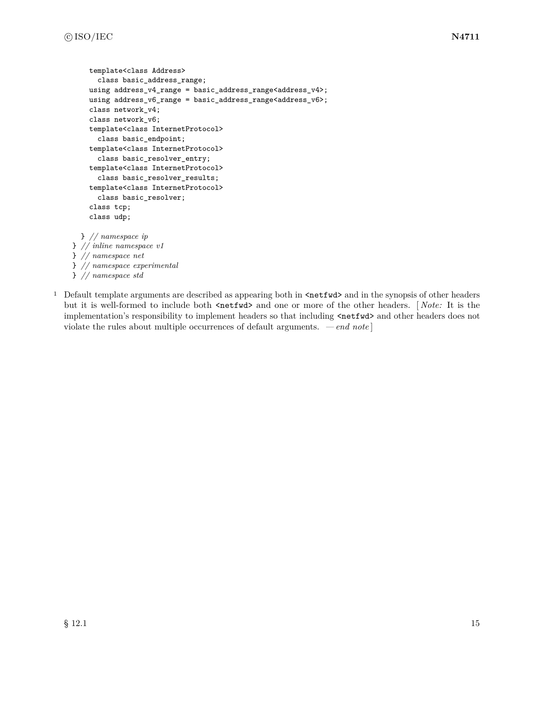```
template<class Address>
      class basic_address_range;
    using address_v4_range = basic_address_range<address_v4>;
    using address_v6_range = basic_address_range<address_v6>;
    class network_v4;
    class network_v6;
    template<class InternetProtocol>
      class basic_endpoint;
    template<class InternetProtocol>
      class basic_resolver_entry;
    template<class InternetProtocol>
      class basic_resolver_results;
    template<class InternetProtocol>
      class basic_resolver;
    class tcp;
    class udp;
 } // namespace ip
} // inline namespace v1
} // namespace net
} // namespace experimental
} // namespace std
```
<sup>1</sup> Default template arguments are described as appearing both in  $\text{Setwd}\geq$  and in the synopsis of other headers but it is well-formed to include both  $\langle \text{netfwd} \rangle$  and one or more of the other headers. [*Note:* It is the implementation's responsibility to implement headers so that including  $\langle \text{netfwd} \rangle$  and other headers does not violate the rules about multiple occurrences of default arguments. *— end note* ]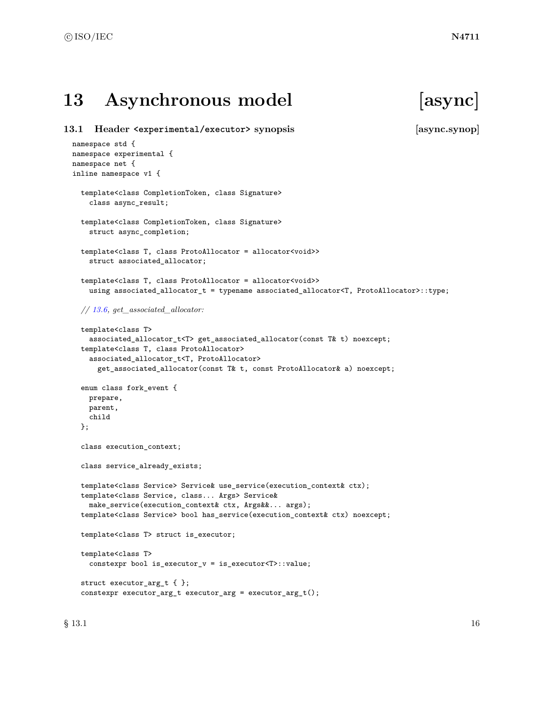## <span id="page-22-0"></span>**13 Asynchronous model [async]**

<span id="page-22-1"></span>**13.1 Header <experimental/executor> synopsis [async.synop]** namespace std { namespace experimental { namespace net { inline namespace v1 { template<class CompletionToken, class Signature> class async\_result; template<class CompletionToken, class Signature> struct async\_completion; template<class T, class ProtoAllocator = allocator<void>> struct associated\_allocator; template<class T, class ProtoAllocator = allocator<void>> using associated\_allocator\_t = typename associated\_allocator<T, ProtoAllocator>::type; *// [13.6,](#page-36-0) get\_associated\_allocator:* template<class T> associated\_allocator\_t<T> get\_associated\_allocator(const T& t) noexcept; template<class T, class ProtoAllocator> associated\_allocator\_t<T, ProtoAllocator> get\_associated\_allocator(const T& t, const ProtoAllocator& a) noexcept; enum class fork\_event { prepare, parent, child }; class execution\_context; class service\_already\_exists; template<class Service> Service& use\_service(execution\_context& ctx); template<class Service, class... Args> Service& make\_service(execution\_context& ctx, Args&&... args); template<class Service> bool has\_service(execution\_context& ctx) noexcept; template<class T> struct is\_executor; template<class T> constexpr bool is\_executor\_v = is\_executor<T>::value; struct executor\_arg\_t { }; constexpr executor\_arg\_t executor\_arg = executor\_arg\_t();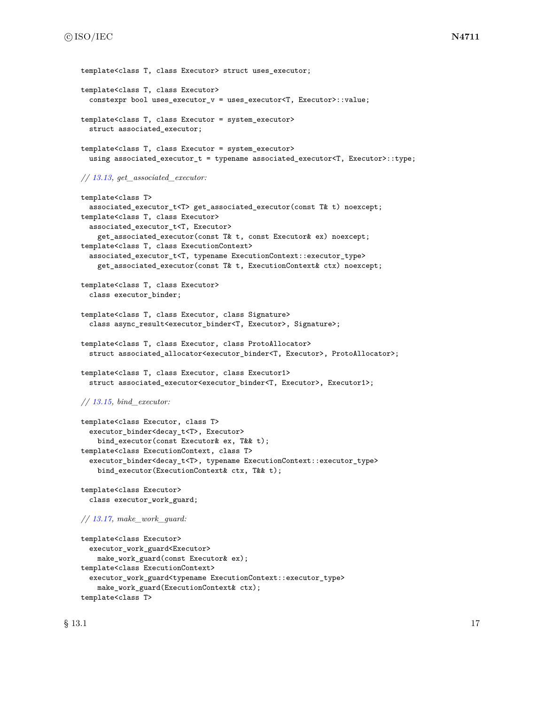```
template<class T, class Executor> struct uses executor;
template<class T, class Executor>
  constexpr bool uses_executor_v = uses_executor<T, Executor>::value;
template<class T, class Executor = system_executor>
  struct associated_executor;
template<class T, class Executor = system_executor>
  using associated_executor_t = typename associated_executor<T, Executor>::type;
// 13.13, get_associated_executor:
template<class T>
  associated_executor_t<T> get_associated_executor(const T& t) noexcept;
template<class T, class Executor>
  associated_executor_t<T, Executor>
    get_associated_executor(const T& t, const Executor& ex) noexcept;
template<class T, class ExecutionContext>
  associated_executor_t<T, typename ExecutionContext::executor_type>
    get_associated_executor(const T& t, ExecutionContext& ctx) noexcept;
template<class T, class Executor>
  class executor_binder;
template<class T, class Executor, class Signature>
  class async_result<executor_binder<T, Executor>, Signature>;
template<class T, class Executor, class ProtoAllocator>
  struct associated_allocator<executor_binder<T, Executor>, ProtoAllocator>;
template<class T, class Executor, class Executor1>
  struct associated_executor<executor_binder<T, Executor>, Executor1>;
// 13.15, bind_executor:
template<class Executor, class T>
  executor_binder<decay_t<T>, Executor>
    bind_executor(const Executor& ex, T&& t);
template<class ExecutionContext, class T>
  executor_binder<decay_t<T>, typename ExecutionContext::executor_type>
    bind_executor(ExecutionContext& ctx, T&& t);
template<class Executor>
  class executor_work_guard;
// 13.17, make_work_guard:
template<class Executor>
  executor_work_guard<Executor>
    make_work_guard(const Executor& ex);
template<class ExecutionContext>
  executor_work_guard<typename ExecutionContext::executor_type>
    make_work_guard(ExecutionContext& ctx);
```
template<class T>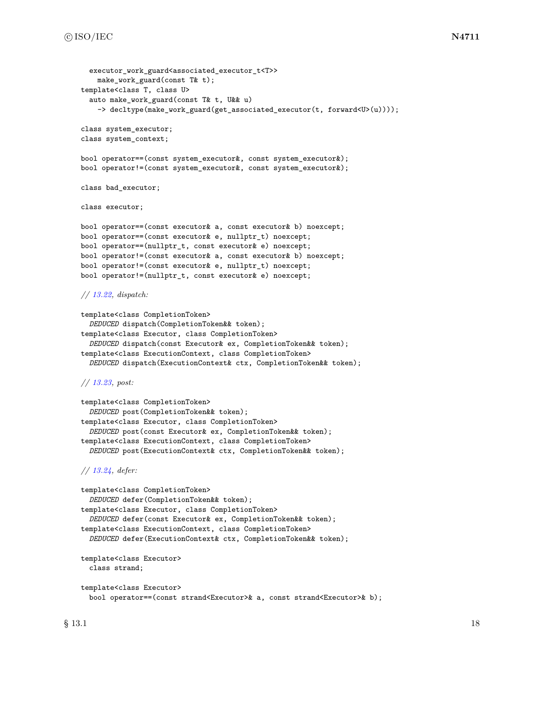```
executor work guard<associated executor t<T>>
    make_work_guard(const T& t);
template<class T, class U>
  auto make_work_guard(const T& t, U&& u)
    -> decltype(make_work_guard(get_associated_executor(t, forward<U>(u))));
class system_executor;
class system_context;
bool operator==(const system_executor&, const system_executor&);
bool operator!=(const system_executor&, const system_executor&);
class bad_executor;
class executor;
bool operator==(const executor& a, const executor& b) noexcept;
bool operator==(const executor& e, nullptr_t) noexcept;
bool operator==(nullptr_t, const executor& e) noexcept;
bool operator!=(const executor& a, const executor& b) noexcept;
bool operator!=(const executor& e, nullptr_t) noexcept;
bool operator!=(nullptr_t, const executor& e) noexcept;
// 13.22, dispatch:
template<class CompletionToken>
  DEDUCED dispatch(CompletionToken&& token);
template<class Executor, class CompletionToken>
  DEDUCED dispatch(const Executor& ex, CompletionToken&& token);
template<class ExecutionContext, class CompletionToken>
  DEDUCED dispatch(ExecutionContext& ctx, CompletionToken&& token);
// 13.23, post:
template<class CompletionToken>
  DEDUCED post(CompletionToken&& token);
template<class Executor, class CompletionToken>
  DEDUCED post(const Executor& ex, CompletionToken&& token);
template<class ExecutionContext, class CompletionToken>
  DEDUCED post(ExecutionContext& ctx, CompletionToken&& token);
// 13.24, defer:
template<class CompletionToken>
  DEDUCED defer(CompletionToken&& token);
template<class Executor, class CompletionToken>
  DEDUCED defer(const Executor& ex, CompletionToken&& token);
template<class ExecutionContext, class CompletionToken>
  DEDUCED defer(ExecutionContext& ctx, CompletionToken&& token);
template<class Executor>
  class strand;
template<class Executor>
```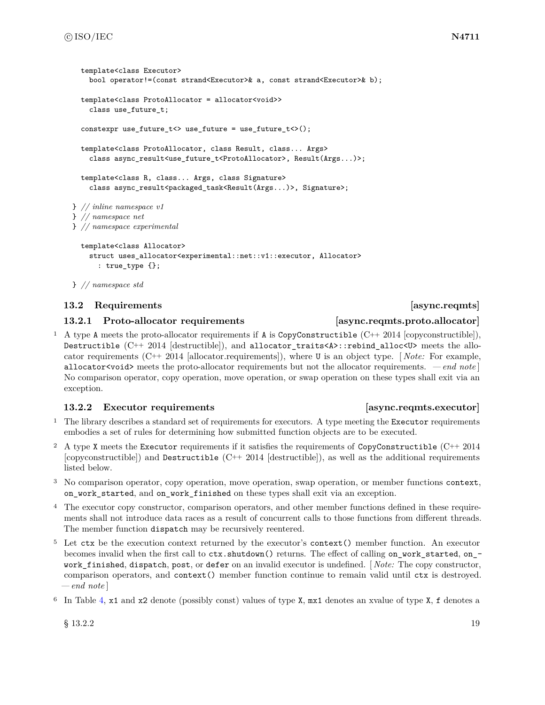```
template<class Executor>
    bool operator!=(const strand<Executor>& a, const strand<Executor>& b);
  template<class ProtoAllocator = allocator<void>>
    class use_future_t;
  constexpr use_future_t<> use_future = use_future_t<>();
  template<class ProtoAllocator, class Result, class... Args>
    class async_result<use_future_t<ProtoAllocator>, Result(Args...)>;
 template<class R, class... Args, class Signature>
    class async_result<packaged_task<Result(Args...)>, Signature>;
} // inline namespace v1
} // namespace net
} // namespace experimental
  template<class Allocator>
```

```
struct uses_allocator<experimental::net::v1::executor, Allocator>
  : true_type {};
```

```
} // namespace std
```
### <span id="page-25-0"></span>**13.2 Requirements [async.reqmts]**

### <span id="page-25-2"></span>**13.2.1 Proto-allocator requirements [async.reqmts.proto.allocator]**

<sup>1</sup> A type A meets the proto-allocator requirements if A is CopyConstructible (C++ 2014 [copyconstructible]), Destructible  $(C^{++} 2014$  [destructible]), and allocator\_traits<A>::rebind\_alloc<U> meets the allocator requirements (C++ 2014 [allocator.requirements]), where U is an object type. [ *Note:* For example, allocator<void> meets the proto-allocator requirements but not the allocator requirements. *— end note* ] No comparison operator, copy operation, move operation, or swap operation on these types shall exit via an exception.

### <span id="page-25-1"></span>**13.2.2** Executor requirements *async.reqmts.executor*

- <sup>1</sup> The library describes a standard set of requirements for executors. A type meeting the Executor requirements embodies a set of rules for determining how submitted function objects are to be executed.
- <sup>2</sup> A type X meets the Executor requirements if it satisfies the requirements of CopyConstructible (C++ 2014  $[copyconstructible]$  and Destructible  $(C++ 2014$   $[destructible]$ , as well as the additional requirements listed below.
- <sup>3</sup> No comparison operator, copy operation, move operation, swap operation, or member functions context, on\_work\_started, and on\_work\_finished on these types shall exit via an exception.
- <sup>4</sup> The executor copy constructor, comparison operators, and other member functions defined in these requirements shall not introduce data races as a result of concurrent calls to those functions from different threads. The member function dispatch may be recursively reentered.
- <sup>5</sup> Let ctx be the execution context returned by the executor's context() member function. An executor becomes invalid when the first call to  $\text{ctx}$ .shutdown() returns. The effect of calling on\_work\_started, on\_work\_finished, dispatch, post, or defer on an invalid executor is undefined. [ *Note:* The copy constructor, comparison operators, and context() member function continue to remain valid until ctx is destroyed. *— end note* ]
- <sup>6</sup> In Table [4,](#page-26-0) x1 and x2 denote (possibly const) values of type X, mx1 denotes an xvalue of type X, f denotes a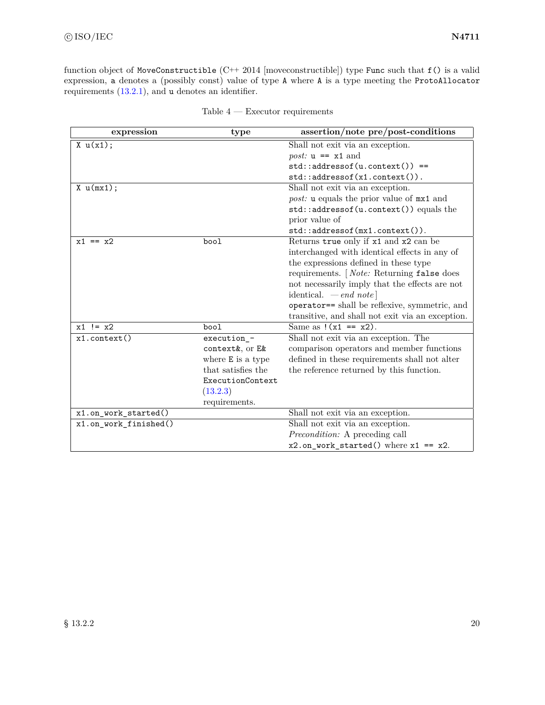function object of MoveConstructible (C++ 2014 [moveconstructible]) type Func such that f() is a valid expression, a denotes a (possibly const) value of type A where A is a type meeting the ProtoAllocator requirements [\(13.2.1\)](#page-25-2), and u denotes an identifier.

<span id="page-26-0"></span>

| expression            | type               | assertion/note pre/post-conditions                        |
|-----------------------|--------------------|-----------------------------------------------------------|
| X u(x1);              |                    | Shall not exit via an exception.                          |
|                       |                    | <i>post:</i> $u == x1$ and                                |
|                       |                    | $std::addressof(u.contrib) ==$                            |
|                       |                    | $std::addressof(x1.context())$ .                          |
| X u(mx1);             |                    | Shall not exit via an exception.                          |
|                       |                    | <i>post:</i> <b>u</b> equals the prior value of $mx1$ and |
|                       |                    | std::addressof(u.context()) equals the                    |
|                       |                    | prior value of                                            |
|                       |                    | $std::addressof(mx1.contrib)$ .                           |
| $x1 == x2$            | bool               | Returns true only if x1 and x2 can be                     |
|                       |                    | interchanged with identical effects in any of             |
|                       |                    | the expressions defined in these type                     |
|                       |                    | requirements. [ <i>Note:</i> Returning false does         |
|                       |                    | not necessarily imply that the effects are not            |
|                       |                    | identical. $-\text{end note}$                             |
|                       |                    | operator== shall be reflexive, symmetric, and             |
|                       |                    | transitive, and shall not exit via an exception.          |
| $x1$ != $x2$          | bool               | Same as $!(x1 == x2)$ .                                   |
| $x1$ . $context()$    | execution -        | Shall not exit via an exception. The                      |
|                       | context&, or E&    | comparison operators and member functions                 |
|                       | where E is a type  | defined in these requirements shall not alter             |
|                       | that satisfies the | the reference returned by this function.                  |
|                       | ExecutionContext   |                                                           |
|                       | (13.2.3)           |                                                           |
|                       | requirements.      |                                                           |
| x1.on_work_started()  |                    | Shall not exit via an exception.                          |
| x1.on_work_finished() |                    | Shall not exit via an exception.                          |
|                       |                    | <i>Precondition:</i> A preceding call                     |
|                       |                    | $x2.$ on_work_started() where $x1 == x2$ .                |

| Table 4<br>Executor requirements |  |
|----------------------------------|--|
|----------------------------------|--|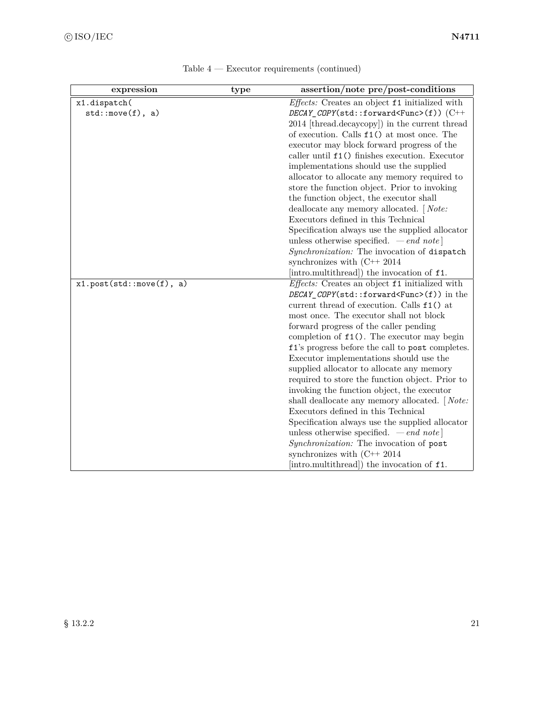| expression               | type | assertion/note pre/post-conditions                                                          |
|--------------------------|------|---------------------------------------------------------------------------------------------|
| x1.dispatch(             |      | Effects: Creates an object f1 initialized with                                              |
| std::move(f), a)         |      | $DECAY$ _COPY(std::forward <func>(f))(C++</func>                                            |
|                          |      | 2014 [thread.decaycopy]) in the current thread                                              |
|                          |      | of execution. Calls $f1()$ at most once. The                                                |
|                          |      | executor may block forward progress of the                                                  |
|                          |      | caller until $f1()$ finishes execution. Executor                                            |
|                          |      | implementations should use the supplied                                                     |
|                          |      | allocator to allocate any memory required to                                                |
|                          |      | store the function object. Prior to invoking                                                |
|                          |      | the function object, the executor shall                                                     |
|                          |      | deallocate any memory allocated. [Note:                                                     |
|                          |      | Executors defined in this Technical                                                         |
|                          |      | Specification always use the supplied allocator                                             |
|                          |      | unless otherwise specified. $\,-\,end\,note$                                                |
|                          |      | Synchronization: The invocation of dispatch                                                 |
|                          |      | synchronizes with $(C++ 2014)$                                                              |
|                          |      | [intro.multithread]) the invocation of f1.                                                  |
| x1.post(std::move(f), a) |      | Effects: Creates an object f1 initialized with                                              |
|                          |      | $DECAY\_COPY(\text{std}::forward\leq Func>(f))$ in the                                      |
|                          |      | current thread of execution. Calls $f1()$ at                                                |
|                          |      | most once. The executor shall not block                                                     |
|                          |      | forward progress of the caller pending                                                      |
|                          |      | completion of $f1()$ . The executor may begin                                               |
|                          |      | f1's progress before the call to post completes.<br>Executor implementations should use the |
|                          |      | supplied allocator to allocate any memory                                                   |
|                          |      | required to store the function object. Prior to                                             |
|                          |      | invoking the function object, the executor                                                  |
|                          |      | shall deallocate any memory allocated. [Note:                                               |
|                          |      | Executors defined in this Technical                                                         |
|                          |      | Specification always use the supplied allocator                                             |
|                          |      | unless otherwise specified. $\,-\,end\,note\]$                                              |
|                          |      | Synchronization: The invocation of post                                                     |
|                          |      | synchronizes with $(C++ 2014)$                                                              |
|                          |      | [intro.multithread]) the invocation of f1.                                                  |
|                          |      |                                                                                             |

Table 4 — Executor requirements (continued)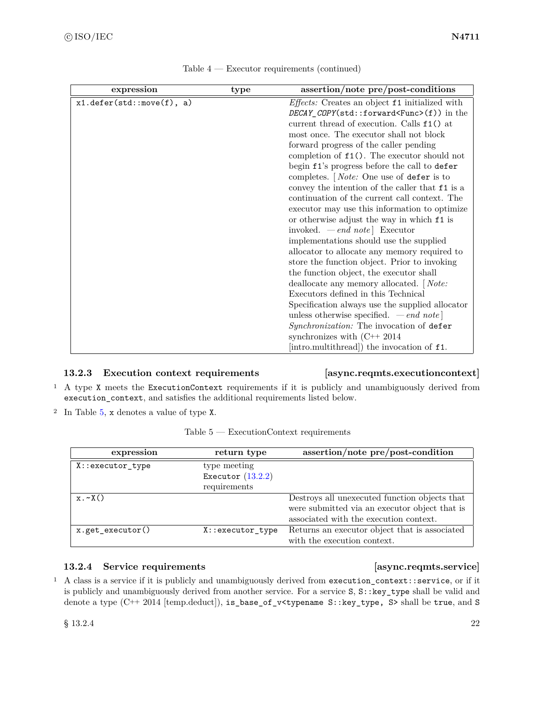| expression                   | type | assertion/note pre/post-conditions                                                                                                                                                                                                                                                                                                                                                                                                                                                                                                                                                                                                                                                                                                                                                                                                                                                                                                                                                                                                                                                                                                                                                                                                                        |
|------------------------------|------|-----------------------------------------------------------------------------------------------------------------------------------------------------------------------------------------------------------------------------------------------------------------------------------------------------------------------------------------------------------------------------------------------------------------------------------------------------------------------------------------------------------------------------------------------------------------------------------------------------------------------------------------------------------------------------------------------------------------------------------------------------------------------------------------------------------------------------------------------------------------------------------------------------------------------------------------------------------------------------------------------------------------------------------------------------------------------------------------------------------------------------------------------------------------------------------------------------------------------------------------------------------|
| $x1.$ defer(std::move(f), a) |      | <i>Effects:</i> Creates an object f1 initialized with<br>$DECAY$ _COPY(std::forward <func>(f)) in the<br/>current thread of execution. Calls <math>f1()</math> at<br/>most once. The executor shall not block<br/>forward progress of the caller pending<br/>completion of <math>f1()</math>. The executor should not<br/>begin f1's progress before the call to defer<br/>completes. [<i>Note:</i> One use of defer is to<br/>convey the intention of the caller that <math>f1</math> is a<br/>continuation of the current call context. The<br/>executor may use this information to optimize<br/>or otherwise adjust the way in which <math>f1</math> is<br/>invoked. <math>\ -end note</math> Executor<br/>implementations should use the supplied<br/>allocator to allocate any memory required to<br/>store the function object. Prior to invoking<br/>the function object, the executor shall<br/>deallocate any memory allocated. [Note:<br/>Executors defined in this Technical<br/>Specification always use the supplied allocator<br/>unless otherwise specified. <math>\,-\,end\,note</math><br/>Synchronization: The invocation of defer<br/>synchronizes with <math>(C++ 2014)</math><br/>[intro.multithread]) the invocation of f1.</func> |

### <span id="page-28-1"></span>**13.2.3 Execution context requirements [async.reqmts.executioncontext]**

<sup>1</sup> A type X meets the ExecutionContext requirements if it is publicly and unambiguously derived from execution\_context, and satisfies the additional requirements listed below.

<sup>2</sup> In Table [5,](#page-28-0) x denotes a value of type X.

| Table 5 -<br>- ExecutionContext requirements |
|----------------------------------------------|
|----------------------------------------------|

<span id="page-28-0"></span>

| expression         | return type         | $assertion/note pre/post-condition$           |
|--------------------|---------------------|-----------------------------------------------|
| X::executor_type   | type meeting        |                                               |
|                    | Executor $(13.2.2)$ |                                               |
|                    | requirements        |                                               |
| $x \cdot \sim X()$ |                     | Destroys all unexecuted function objects that |
|                    |                     | were submitted via an executor object that is |
|                    |                     | associated with the execution context.        |
| x.get_executor()   | X::executor_type    | Returns an executor object that is associated |
|                    |                     | with the execution context.                   |

### <span id="page-28-2"></span>**13.2.4 Service requirements [async.reqmts.service]**

<sup>1</sup> A class is a service if it is publicly and unambiguously derived from execution\_context::service, or if it is publicly and unambiguously derived from another service. For a service S, S::key\_type shall be valid and denote a type (C++ 2014 [temp.deduct]), is\_base\_of\_v<typename S::key\_type, S> shall be true, and S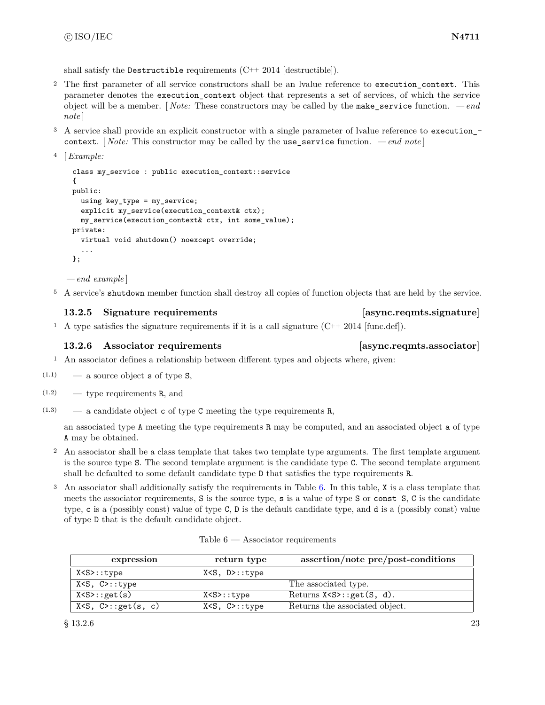shall satisfy the Destructible requirements  $(C^{++} 2014$  [destructible]).

- <sup>2</sup> The first parameter of all service constructors shall be an lyalue reference to execution context. This parameter denotes the execution\_context object that represents a set of services, of which the service object will be a member. [ *Note:* These constructors may be called by the make\_service function. *— end note* ]
- <sup>3</sup> A service shall provide an explicit constructor with a single parameter of lvalue reference to execution\_ context. [ *Note:* This constructor may be called by the use\_service function. *— end note* ]

```
4 [Example:
```

```
class my_service : public execution_context::service
{
public:
  using key_type = my_service;
  explicit my_service(execution_context& ctx);
  my_service(execution_context& ctx, int some_value);
private:
  virtual void shutdown() noexcept override;
  ...
};
```
*— end example* ]

<sup>5</sup> A service's shutdown member function shall destroy all copies of function objects that are held by the service.

### <span id="page-29-1"></span>**13.2.5 Signature requirements [async.reqmts.signature]**

<sup>1</sup> A type satisfies the signature requirements if it is a call signature  $(C^{++} 2014 \text{ [func def]}).$ 

### <span id="page-29-2"></span>**13.2.6 Associator requirements [async.reqmts.associator]**

- <sup>1</sup> An associator defines a relationship between different types and objects where, given:
- $(1.1)$  a source object **s** of type **S**,
- $(1.2)$  type requirements R, and
- $(1.3)$  a candidate object c of type C meeting the type requirements R,

an associated type A meeting the type requirements R may be computed, and an associated object a of type A may be obtained.

- <sup>2</sup> An associator shall be a class template that takes two template type arguments. The first template argument is the source type S. The second template argument is the candidate type C. The second template argument shall be defaulted to some default candidate type D that satisfies the type requirements R.
- <sup>3</sup> An associator shall additionally satisfy the requirements in Table [6.](#page-29-0) In this table, X is a class template that meets the associator requirements, S is the source type, s is a value of type S or const S, C is the candidate type, c is a (possibly const) value of type C, D is the default candidate type, and d is a (possibly const) value of type D that is the default candidate object.

| Table 6 | Associator requirements |
|---------|-------------------------|
|---------|-------------------------|

<span id="page-29-0"></span>

| expression                  | return type              | assertion/note pre/post-conditions |
|-----------------------------|--------------------------|------------------------------------|
| X <s>::type</s>             | $X < S$ , $D > : : type$ |                                    |
| X <s, c="">::type</s,>      |                          | The associated type.               |
| X < S > : get(s)            | X <s>::type</s>          | Returns $X < S > : get(S, d)$ .    |
| $X < S$ , $C > : get(s, c)$ | $X < S$ , $C > : : type$ | Returns the associated object.     |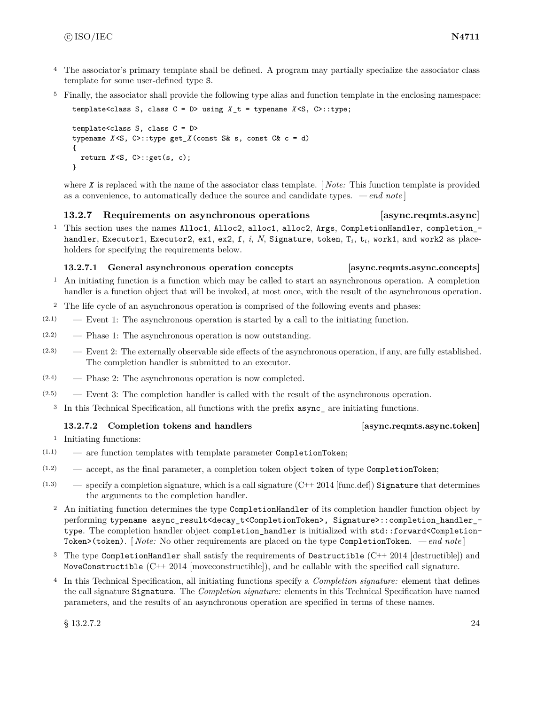- <sup>4</sup> The associator's primary template shall be defined. A program may partially specialize the associator class template for some user-defined type S.
- <sup>5</sup> Finally, the associator shall provide the following type alias and function template in the enclosing namespace:

template<class S, class C = D> using *X* \_t = typename *X* <S, C>::type;

template<class S, class C = D> typename *X* <S, C>::type get\_*X* (const S& s, const C& c = d) { return *X* <S, C>::get(s, c); }

where *X* is replaced with the name of the associator class template. [ *Note:* This function template is provided as a convenience, to automatically deduce the source and candidate types. *— end note* ]

### **13.2.7 Requirements on asynchronous operations [async.reqmts.async]**

<sup>1</sup> This section uses the names Alloc1, Alloc2, alloc1, alloc2, Args, CompletionHandler, completion\_handler, Executor1, Executor2, ex1, ex2, f, *i*, *N*, Signature, token, T<sub>*i*</sub>, t<sub>*i*</sub>, work1, and work2 as placeholders for specifying the requirements below.

### **13.2.7.1 General asynchronous operation concepts [async.reqmts.async.concepts]**

- <sup>1</sup> An initiating function is a function which may be called to start an asynchronous operation. A completion handler is a function object that will be invoked, at most once, with the result of the asynchronous operation.
- <sup>2</sup> The life cycle of an asynchronous operation is comprised of the following events and phases:
- $(2.1)$  Event 1: The asynchronous operation is started by a call to the initiating function.
- $(2.2)$  Phase 1: The asynchronous operation is now outstanding.
- (2.3) Event 2: The externally observable side effects of the asynchronous operation, if any, are fully established. The completion handler is submitted to an executor.
- $(2.4)$  Phase 2: The asynchronous operation is now completed.
- $(2.5)$  Event 3: The completion handler is called with the result of the asynchronous operation.
	- <sup>3</sup> In this Technical Specification, all functions with the prefix async\_ are initiating functions.

### <span id="page-30-0"></span>**13.2.7.2 Completion tokens and handlers [async.reqmts.async.token]**

<sup>1</sup> Initiating functions:

- $(1.1)$  are function templates with template parameter CompletionToken;
- $(1.2)$  accept, as the final parameter, a completion token object token of type CompletionToken;
- $(1.3)$  specify a completion signature, which is a call signature  $(C++ 2014$  [func.def]) Signature that determines the arguments to the completion handler.
	- <sup>2</sup> An initiating function determines the type CompletionHandler of its completion handler function object by performing typename async\_result<decay\_t<CompletionToken>, Signature>::completion\_handler\_ type. The completion handler object completion handler is initialized with  $std::forward$ Token>(token). [ *Note:* No other requirements are placed on the type CompletionToken. *— end note* ]
	- <sup>3</sup> The type CompletionHandler shall satisfy the requirements of Destructible (C++ 2014 [destructible]) and MoveConstructible  $(C^{++} 2014$  [moveconstructible]), and be callable with the specified call signature.
	- <sup>4</sup> In this Technical Specification, all initiating functions specify a *Completion signature:* element that defines the call signature Signature. The *Completion signature:* elements in this Technical Specification have named parameters, and the results of an asynchronous operation are specified in terms of these names.

 $\S$  13.2.7.2 24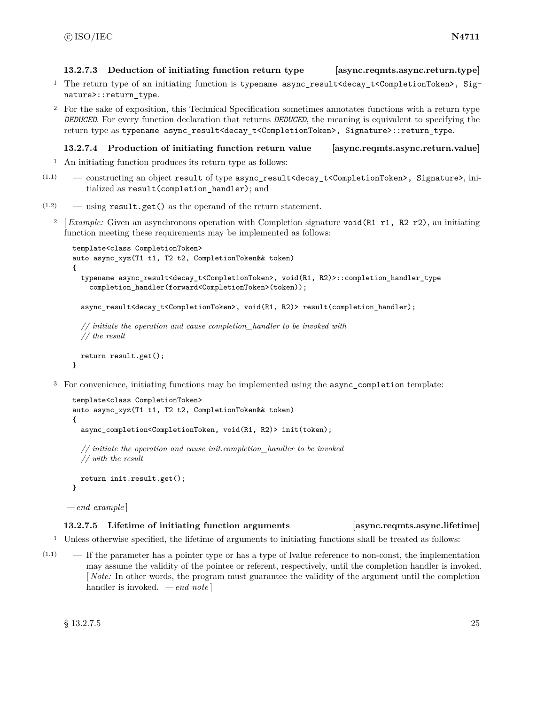**13.2.7.3 Deduction of initiating function return type [async.reqmts.async.return.type]**

- <sup>1</sup> The return type of an initiating function is typename async\_result<decay\_t<CompletionToken>, Signature>::return\_type.
- <sup>2</sup> For the sake of exposition, this Technical Specification sometimes annotates functions with a return type *DEDUCED*. For every function declaration that returns *DEDUCED*, the meaning is equivalent to specifying the return type as typename async\_result<decay\_t<CompletionToken>, Signature>::return\_type.

```
13.2.7.4 Production of initiating function return value [async.reqmts.async.return.value]
```
- <sup>1</sup> An initiating function produces its return type as follows:
- $(1.1)$  constructing an object result of type async result<decay t<CompletionToken>, Signature>, initialized as result(completion\_handler); and
- $(1.2)$  using result.get() as the operand of the return statement.
	- <sup>2</sup> [ *Example:* Given an asynchronous operation with Completion signature void(R1 r1, R2 r2), an initiating function meeting these requirements may be implemented as follows:

```
template<class CompletionToken>
auto async_xyz(T1 t1, T2 t2, CompletionToken&& token)
{
 typename async_result<decay_t<CompletionToken>, void(R1, R2)>::completion_handler_type
   completion_handler(forward<CompletionToken>(token));
```
async\_result<decay\_t<CompletionToken>, void(R1, R2)> result(completion\_handler);

```
// initiate the operation and cause completion_handler to be invoked with
// the result
```

```
return result.get();
```
}

<sup>3</sup> For convenience, initiating functions may be implemented using the async\_completion template:

```
template<class CompletionToken>
auto async_xyz(T1 t1, T2 t2, CompletionToken&& token)
{
  async_completion<CompletionToken, void(R1, R2)> init(token);
  // initiate the operation and cause init.completion_handler to be invoked
  // with the result
  return init.result.get();
}
```
*— end example* ]

### **13.2.7.5 Lifetime of initiating function arguments [async.reqmts.async.lifetime]**

- <sup>1</sup> Unless otherwise specified, the lifetime of arguments to initiating functions shall be treated as follows:
- $(1.1)$  If the parameter has a pointer type or has a type of lvalue reference to non-const, the implementation may assume the validity of the pointee or referent, respectively, until the completion handler is invoked. [ *Note:* In other words, the program must guarantee the validity of the argument until the completion handler is invoked. *— end note* ]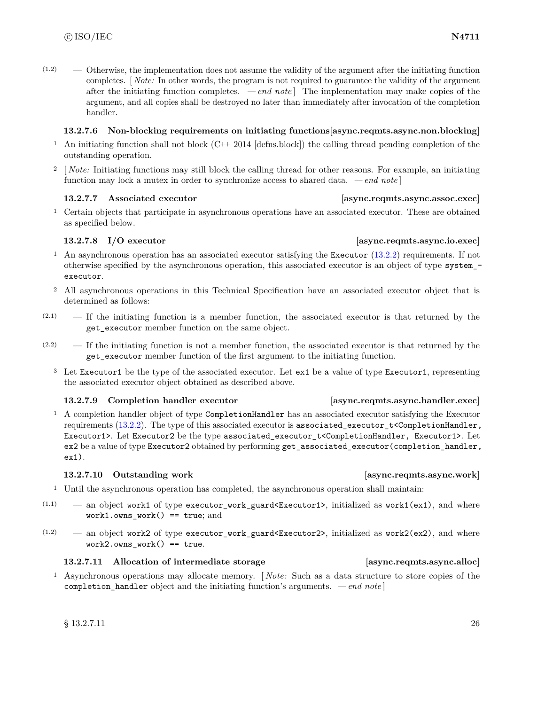$(1.2)$  — Otherwise, the implementation does not assume the validity of the argument after the initiating function completes. [ *Note:* In other words, the program is not required to guarantee the validity of the argument after the initiating function completes.  $\,-\,end\,note$  The implementation may make copies of the argument, and all copies shall be destroyed no later than immediately after invocation of the completion handler.

### **13.2.7.6 Non-blocking requirements on initiating functions[async.reqmts.async.non.blocking]**

- <sup>1</sup> An initiating function shall not block (C++ 2014 [defns.block]) the calling thread pending completion of the outstanding operation.
- <sup>2</sup> [*Note:* Initiating functions may still block the calling thread for other reasons. For example, an initiating function may lock a mutex in order to synchronize access to shared data. *— end note* ]

### **13.2.7.7** Associated executor *assumed executor async.reqmts.async.assoc.exec*

<sup>1</sup> Certain objects that participate in asynchronous operations have an associated executor. These are obtained as specified below.

### **13.2.7.8 I/O executor [async.reqmts.async.io.exec]**

- <sup>1</sup> An asynchronous operation has an associated executor satisfying the Executor [\(13.2.2\)](#page-25-1) requirements. If not otherwise specified by the asynchronous operation, this associated executor is an object of type system\_ executor.
- <sup>2</sup> All asynchronous operations in this Technical Specification have an associated executor object that is determined as follows:
- $(2.1)$  If the initiating function is a member function, the associated executor is that returned by the get\_executor member function on the same object.
- (2.2) If the initiating function is not a member function, the associated executor is that returned by the get\_executor member function of the first argument to the initiating function.
	- <sup>3</sup> Let Executor1 be the type of the associated executor. Let ex1 be a value of type Executor1, representing the associated executor object obtained as described above.

### **13.2.7.9 Completion handler executor [async.reqmts.async.handler.exec]**

<sup>1</sup> A completion handler object of type CompletionHandler has an associated executor satisfying the Executor requirements [\(13.2.2\)](#page-25-1). The type of this associated executor is associated executor  $t$ <CompletionHandler, Executor1>. Let Executor2 be the type associated\_executor\_t<CompletionHandler, Executor1>. Let ex2 be a value of type Executor2 obtained by performing get associated executor(completion handler, ex1).

### **13.2.7.10 Outstanding work [async.reqmts.async.work]**

- <sup>1</sup> Until the asynchronous operation has completed, the asynchronous operation shall maintain:
- $(1.1)$  an object work1 of type executor\_work\_guard<Executor1>, initialized as work1(ex1), and where work1.owns work() == true; and
- $(1.2)$  an object work2 of type executor\_work\_guard<Executor2>, initialized as work2(ex2), and where  $work2.owns\_work() == true.$

### **13.2.7.11 Allocation of intermediate storage [async.reqmts.async.alloc]**

<sup>1</sup> Asynchronous operations may allocate memory. [ *Note:* Such as a data structure to store copies of the completion\_handler object and the initiating function's arguments. *— end note* ]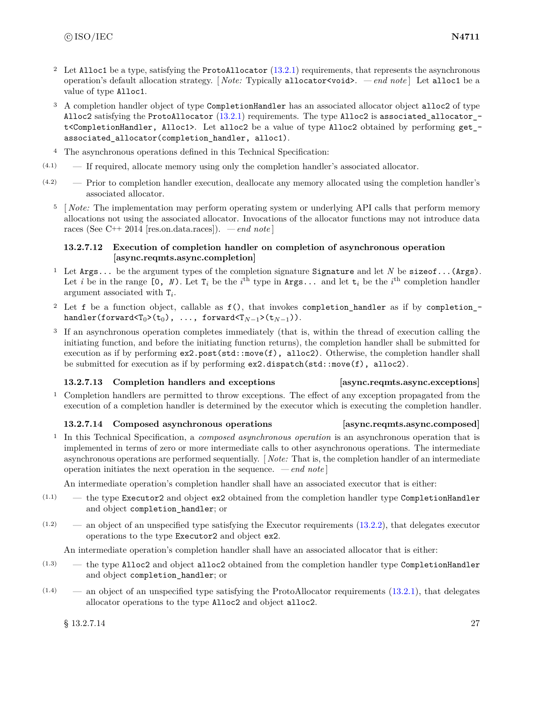- <sup>2</sup> Let Alloc1 be a type, satisfying the ProtoAllocator [\(13.2.1\)](#page-25-2) requirements, that represents the asynchronous operation's default allocation strategy. [ *Note:* Typically allocator<void>. *— end note* ] Let alloc1 be a value of type Alloc1.
- <sup>3</sup> A completion handler object of type CompletionHandler has an associated allocator object alloc2 of type Alloc2 satisfying the ProtoAllocator [\(13.2.1\)](#page-25-2) requirements. The type Alloc2 is associated\_allocator\_ t<CompletionHandler, Alloc1>. Let alloc2 be a value of type Alloc2 obtained by performing get\_ associated\_allocator(completion\_handler, alloc1).
- <sup>4</sup> The asynchronous operations defined in this Technical Specification:
- (4.1) If required, allocate memory using only the completion handler's associated allocator.
- (4.2) Prior to completion handler execution, deallocate any memory allocated using the completion handler's associated allocator.
	- <sup>5</sup> [*Note:* The implementation may perform operating system or underlying API calls that perform memory allocations not using the associated allocator. Invocations of the allocator functions may not introduce data races (See C++ 2014 [res.on.data.races]). *— end note* ]

### **13.2.7.12 Execution of completion handler on completion of asynchronous operation [async.reqmts.async.completion]**

- <sup>1</sup> Let Args... be the argument types of the completion signature Signature and let *N* be sizeof...(Args). Let *i* be in the range  $[0, N)$ . Let  $T_i$  be the *i*<sup>th</sup> type in Args... and let  $t_i$  be the *i*<sup>th</sup> completion handler argument associated with T*<sup>i</sup>* .
- <sup>2</sup> Let f be a function object, callable as f(), that invokes completion\_handler as if by completion\_ handler(forward<T<sub>0</sub>>(t<sub>0</sub>), ..., forward<T<sub>N-1</sub>>(t<sub>N-1</sub>)).
- <sup>3</sup> If an asynchronous operation completes immediately (that is, within the thread of execution calling the initiating function, and before the initiating function returns), the completion handler shall be submitted for execution as if by performing  $ex2.post(std::move(f), \text{alloc2}).$  Otherwise, the completion handler shall be submitted for execution as if by performing ex2.dispatch(std::move(f), alloc2).

### **13.2.7.13 Completion handlers and exceptions [async.reqmts.async.exceptions]**

<sup>1</sup> Completion handlers are permitted to throw exceptions. The effect of any exception propagated from the execution of a completion handler is determined by the executor which is executing the completion handler.

### **13.2.7.14 Composed asynchronous operations [async.reqmts.async.composed]**

<sup>1</sup> In this Technical Specification, a *composed asynchronous operation* is an asynchronous operation that is implemented in terms of zero or more intermediate calls to other asynchronous operations. The intermediate asynchronous operations are performed sequentially. [ *Note:* That is, the completion handler of an intermediate operation initiates the next operation in the sequence.  $\,-\,end\,note\,|$ 

An intermediate operation's completion handler shall have an associated executor that is either:

- $(1.1)$  the type Executor2 and object ex2 obtained from the completion handler type CompletionHandler and object completion\_handler; or
- $(1.2)$  an object of an unspecified type satisfying the Executor requirements  $(13.2.2)$ , that delegates executor operations to the type Executor2 and object ex2.

An intermediate operation's completion handler shall have an associated allocator that is either:

- $(1.3)$  the type Alloc2 and object alloc2 obtained from the completion handler type CompletionHandler and object completion\_handler; or
- $(1.4)$  an object of an unspecified type satisfying the ProtoAllocator requirements  $(13.2.1)$ , that delegates allocator operations to the type Alloc2 and object alloc2.

 $\S$  13.2.7.14 27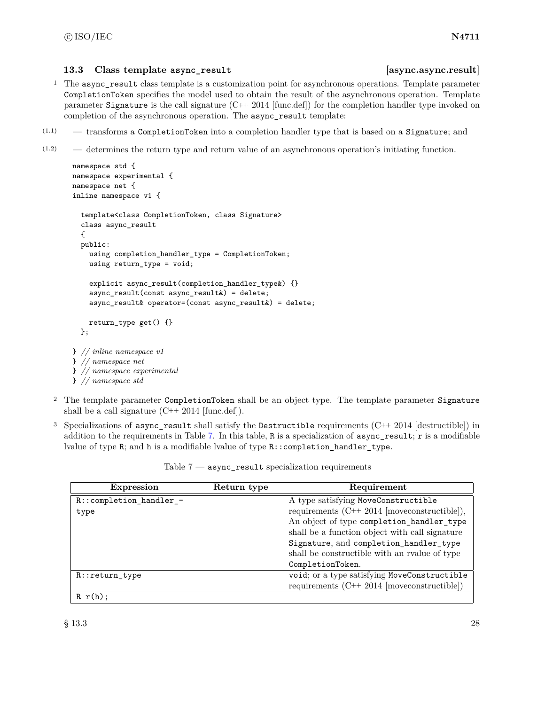### <span id="page-34-0"></span>**13.3 Class template async\_result [async.async.result]**

- <sup>1</sup> The async\_result class template is a customization point for asynchronous operations. Template parameter CompletionToken specifies the model used to obtain the result of the asynchronous operation. Template parameter Signature is the call signature  $(C^{++} 2014$  [func.def]) for the completion handler type invoked on completion of the asynchronous operation. The async\_result template:
- (1.1) transforms a CompletionToken into a completion handler type that is based on a Signature; and
- (1.2) determines the return type and return value of an asynchronous operation's initiating function.

```
namespace std {
namespace experimental {
namespace net {
inline namespace v1 {
 template<class CompletionToken, class Signature>
 class async_result
  {
 public:
    using completion_handler_type = CompletionToken;
    using return_type = void;
    explicit async_result(completion_handler_type&) {}
    async_result(const async_result&) = delete;
    async_result& operator=(const async_result&) = delete;
    return_type get() {}
  };
} // inline namespace v1
} // namespace net
} // namespace experimental
} // namespace std
```
- <sup>2</sup> The template parameter CompletionToken shall be an object type. The template parameter Signature shall be a call signature  $(C^{++} 2014 \text{ [func.def]}).$
- <sup>3</sup> Specializations of async\_result shall satisfy the Destructible requirements  $(C++ 2014$  [destructible]) in addition to the requirements in Table [7.](#page-34-1) In this table, R is a specialization of  $\text{async}$  result; r is a modifiable lvalue of type R; and h is a modifiable lvalue of type R::completion\_handler\_type.

<span id="page-34-1"></span>

| <b>Expression</b>           | Return type | Requirement                                      |
|-----------------------------|-------------|--------------------------------------------------|
| $R:$ : completion_handler_- |             | A type satisfying MoveConstructible              |
| type                        |             | requirements $(C++ 2014$ [moveconstructible]),   |
|                             |             | An object of type completion_handler_type        |
|                             |             | shall be a function object with call signature   |
|                             |             | Signature, and completion_handler_type           |
|                             |             | shall be constructible with an realue of type    |
|                             |             | CompletionToken.                                 |
| R::return_type              |             | void; or a type satisfying MoveConstructible     |
|                             |             | requirements $(C^{++} 2014$ [moveconstructible]) |
| $R r(h)$ :                  |             |                                                  |

Table  $7$  — async\_result specialization requirements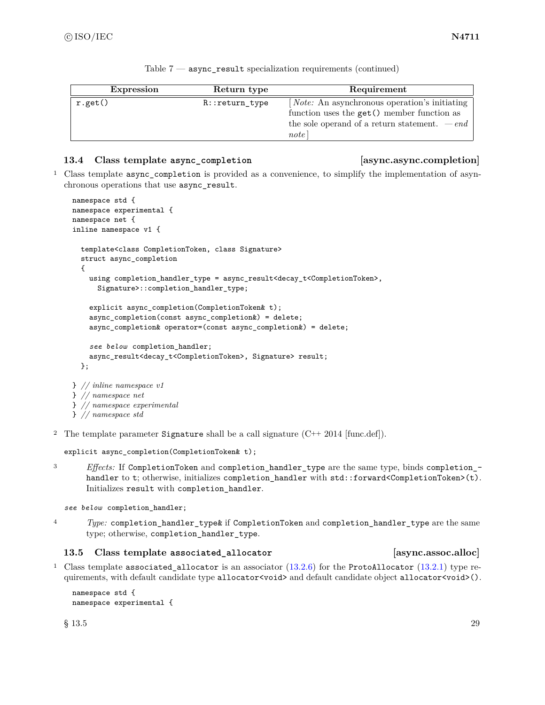| <b>Expression</b> | Return type      | Requirement                                                                                                                                                    |  |
|-------------------|------------------|----------------------------------------------------------------------------------------------------------------------------------------------------------------|--|
| r.get()           | $R::return_type$ | [ <i>Note:</i> An asynchronous operation's initiating<br>function uses the get () member function as<br>the sole operand of a return statement. $-end$<br>note |  |

|  | Table $7$ - async_result specialization requirements (continued) |  |
|--|------------------------------------------------------------------|--|
|--|------------------------------------------------------------------|--|

### <span id="page-35-0"></span>**13.4 Class template async\_completion [async.async.completion]**

<sup>1</sup> Class template async\_completion is provided as a convenience, to simplify the implementation of asynchronous operations that use async\_result.

```
namespace std {
namespace experimental {
namespace net {
inline namespace v1 {
  template<class CompletionToken, class Signature>
  struct async_completion
  {
    using completion_handler_type = async_result<decay_t<CompletionToken>,
      Signature>::completion_handler_type;
    explicit async_completion(CompletionToken& t);
    async_completion(const async_completion&) = delete;
    async_completion& operator=(const async_completion&) = delete;
    see below completion_handler;
    async_result<decay_t<CompletionToken>, Signature> result;
  };
} // inline namespace v1
} // namespace net
} // namespace experimental
```

```
} // namespace std
```
<sup>2</sup> The template parameter Signature shall be a call signature  $(C^{++} 2014 \text{ [func.def]})$ .

```
explicit async_completion(CompletionToken& t);
```
<sup>3</sup> *Effects:* If CompletionToken and completion\_handler\_type are the same type, binds completion\_ handler to t; otherwise, initializes completion\_handler with std::forward<CompletionToken>(t). Initializes result with completion\_handler.

*see below* completion\_handler;

<sup>4</sup> *Type:* completion\_handler\_type& if CompletionToken and completion\_handler\_type are the same type; otherwise, completion\_handler\_type.

### <span id="page-35-1"></span>**13.5 Class template associated\_allocator [async.assoc.alloc]**

<sup>1</sup> Class template associated\_allocator is an associator  $(13.2.6)$  for the ProtoAllocator  $(13.2.1)$  type requirements, with default candidate type allocator <void> and default candidate object allocator <void>().

```
namespace std {
namespace experimental {
```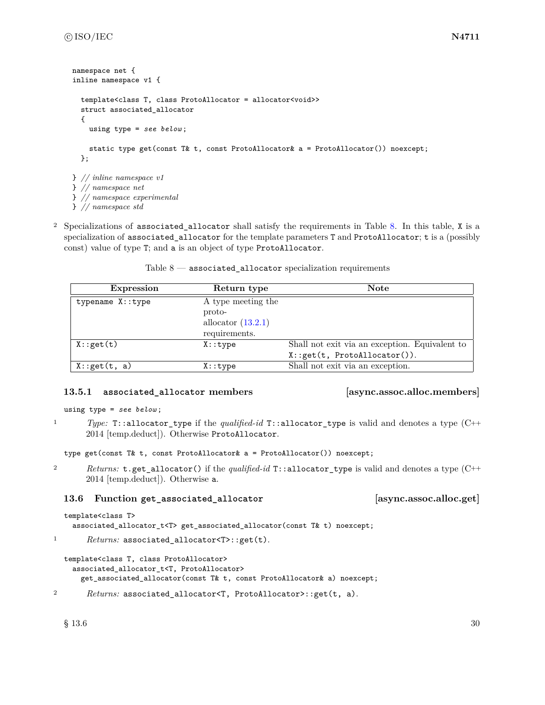```
namespace net {
inline namespace v1 {
  template<class T, class ProtoAllocator = allocator<void>>
  struct associated_allocator
  {
    using type = see below ;
    static type get(const T& t, const ProtoAllocator& a = ProtoAllocator()) noexcept;
  };
} // inline namespace v1
} // namespace net
} // namespace experimental
```
} *// namespace std*

<sup>2</sup> Specializations of associated\_allocator shall satisfy the requirements in Table [8.](#page-36-0) In this table, X is a specialization of associated\_allocator for the template parameters T and ProtoAllocator; t is a (possibly const) value of type T; and a is an object of type ProtoAllocator.

Table  $8$  — associated\_allocator specialization requirements

<span id="page-36-0"></span>

| <b>Expression</b> | Return type                                                           | <b>Note</b>                                    |
|-------------------|-----------------------------------------------------------------------|------------------------------------------------|
| typename X::type  | A type meeting the<br>proto-<br>allocator $(13.2.1)$<br>requirements. |                                                |
|                   |                                                                       |                                                |
| X:get(t)          | $X:$ : type                                                           | Shall not exit via an exception. Equivalent to |
|                   |                                                                       | X:.get(t, ProtoAllocator)).                    |
| X:get(t, a)       | X:type                                                                | Shall not exit via an exception.               |

# **13.5.1 associated\_allocator members [async.assoc.alloc.members]**

```
using type = see below ;
```
<sup>1</sup> *Type:* T::allocator\_type if the *qualified-id* T::allocator\_type is valid and denotes a type (C++ 2014 [temp.deduct]). Otherwise ProtoAllocator.

```
type get(const T& t, const ProtoAllocator& a = ProtoAllocator()) noexcept;
```
<sup>2</sup> *Returns:* t.get\_allocator() if the *qualified-id* T::allocator\_type is valid and denotes a type (C++ 2014 [temp.deduct]). Otherwise a.

# **13.6 Function get\_associated\_allocator [async.assoc.alloc.get]**

```
template<class T>
  associated_allocator_t<T> get_associated_allocator(const T& t) noexcept;
```
1 *Returns:* associated\_allocator<T>::get(t).

```
template<class T, class ProtoAllocator>
  associated_allocator_t<T, ProtoAllocator>
    get_associated_allocator(const T& t, const ProtoAllocator& a) noexcept;
```

```
2 Returns: associated_allocator<T, ProtoAllocator>::get(t, a).
```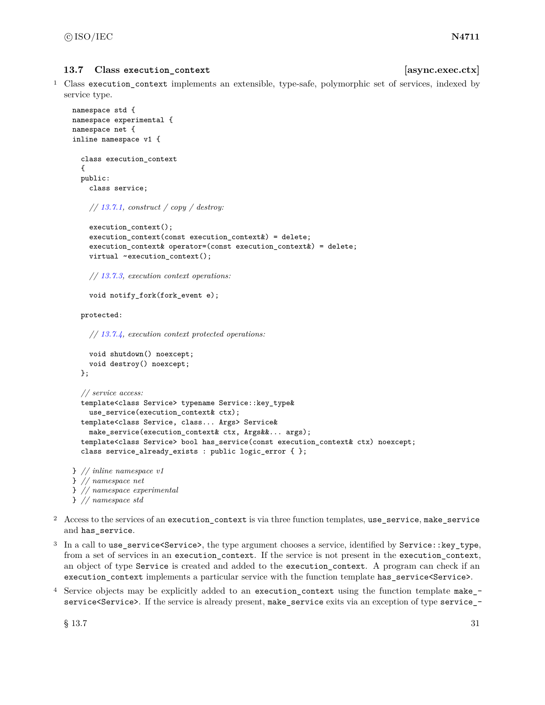### 13.7 Class execution context **[async.exec.ctx] [async.exec.ctx]**

<sup>1</sup> Class execution\_context implements an extensible, type-safe, polymorphic set of services, indexed by service type.

```
namespace std {
namespace experimental {
namespace net {
inline namespace v1 {
  class execution_context
  {
  public:
    class service;
    // 13.7.1, construct / copy / destroy:
    execution_context();
    execution_context(const execution_context&) = delete;
    execution_context& operator=(const execution_context&) = delete;
    virtual ~execution_context();
    // 13.7.3, execution context operations:
    void notify_fork(fork_event e);
  protected:
    // 13.7.4, execution context protected operations:
    void shutdown() noexcept;
    void destroy() noexcept;
  };
  // service access:
  template<class Service> typename Service::key_type&
    use_service(execution_context& ctx);
  template<class Service, class... Args> Service&
    make_service(execution_context& ctx, Args&&... args);
  template<class Service> bool has_service(const execution_context& ctx) noexcept;
  class service_already_exists : public logic_error { };
} // inline namespace v1
```
- } *// namespace net* } *// namespace experimental* } *// namespace std*
- <sup>2</sup> Access to the services of an execution\_context is via three function templates, use\_service, make\_service and has\_service.
- <sup>3</sup> In a call to use service <Service>, the type argument chooses a service, identified by Service::key type, from a set of services in an execution\_context. If the service is not present in the execution\_context, an object of type Service is created and added to the execution context. A program can check if an execution\_context implements a particular service with the function template has\_service<Service>.
- <sup>4</sup> Service objects may be explicitly added to an execution\_context using the function template make\_ service<Service>. If the service is already present, make\_service exits via an exception of type service\_-

 $\S 13.7$  31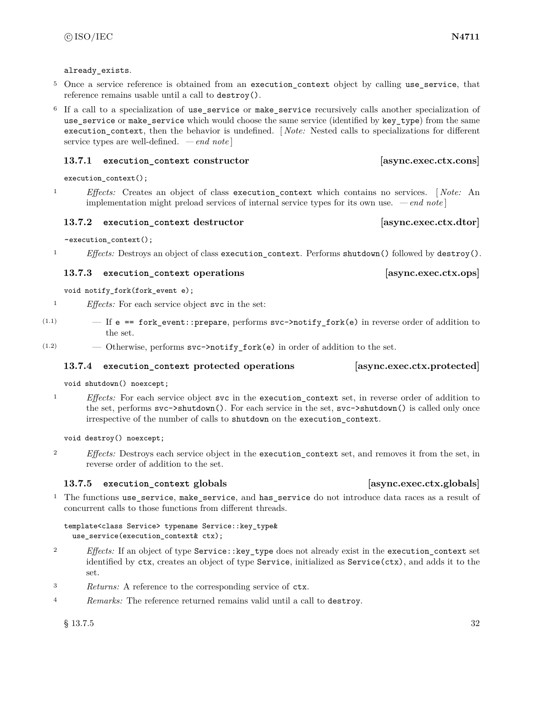### already\_exists.

- <sup>5</sup> Once a service reference is obtained from an execution context object by calling use service, that reference remains usable until a call to destroy().
- <sup>6</sup> If a call to a specialization of use\_service or make\_service recursively calls another specialization of use\_service or make\_service which would choose the same service (identified by key\_type) from the same execution\_context, then the behavior is undefined. [ *Note:* Nested calls to specializations for different service types are well-defined. *— end note* ]

### <span id="page-38-0"></span>**13.7.1 execution\_context constructor [async.exec.ctx.cons]**

execution\_context();

<sup>1</sup> *Effects:* Creates an object of class execution\_context which contains no services. [ *Note:* An implementation might preload services of internal service types for its own use. *— end note* ]

### **13.7.2 execution\_context destructor [async.exec.ctx.dtor]**

~execution\_context();

<sup>1</sup> *Effects:* Destroys an object of class execution\_context. Performs shutdown() followed by destroy().

### <span id="page-38-1"></span>**13.7.3 execution\_context operations [async.exec.ctx.ops]**

void notify\_fork(fork\_event e);

<sup>1</sup> *Effects:* For each service object svc in the set:

- $(1.1)$   $-$  If e == fork\_event::prepare, performs svc->notify\_fork(e) in reverse order of addition to the set.
- $(1.2)$  Otherwise, performs  $\text{svc}$ ->notify\_fork(e) in order of addition to the set.

# <span id="page-38-2"></span>**13.7.4 execution\_context protected operations [async.exec.ctx.protected]**

void shutdown() noexcept;

<sup>1</sup> *Effects:* For each service object svc in the execution\_context set, in reverse order of addition to the set, performs svc->shutdown(). For each service in the set, svc->shutdown() is called only once irrespective of the number of calls to shutdown on the execution\_context.

void destroy() noexcept;

<sup>2</sup> *Effects:* Destroys each service object in the execution\_context set, and removes it from the set, in reverse order of addition to the set.

### **13.7.5 execution\_context globals [async.exec.ctx.globals]**

<sup>1</sup> The functions use\_service, make\_service, and has\_service do not introduce data races as a result of concurrent calls to those functions from different threads.

template<class Service> typename Service::key\_type& use\_service(execution\_context& ctx);

- <sup>2</sup> *Effects:* If an object of type Service::key\_type does not already exist in the execution\_context set identified by ctx, creates an object of type Service, initialized as Service(ctx), and adds it to the set.
- <sup>3</sup> *Returns:* A reference to the corresponding service of ctx.
- <sup>4</sup> *Remarks:* The reference returned remains valid until a call to destroy.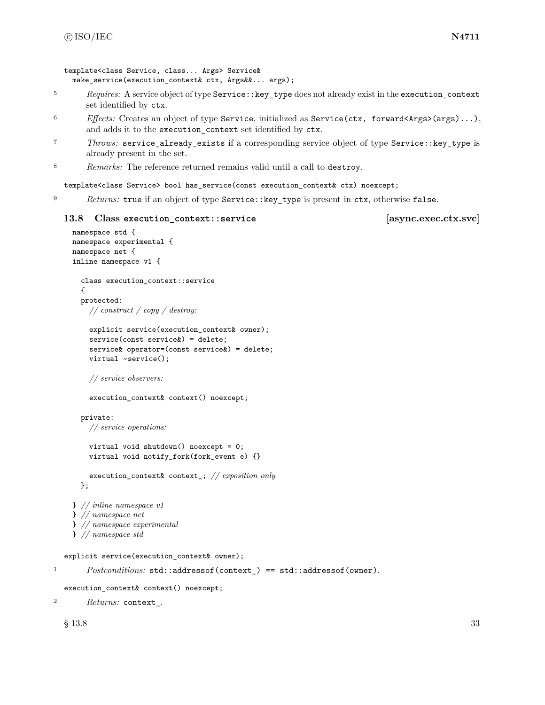```
template<class Service, class... Args> Service&
 make_service(execution_context& ctx, Args&&... args);
```
- <sup>5</sup> *Requires:* A service object of type Service::key\_type does not already exist in the execution\_context set identified by ctx.
- <sup>6</sup> *Effects:* Creates an object of type Service, initialized as Service(ctx, forward<Args>(args)...), and adds it to the execution\_context set identified by ctx.
- <sup>7</sup> *Throws:* service\_already\_exists if a corresponding service object of type Service::key\_type is already present in the set.
- <sup>8</sup> *Remarks:* The reference returned remains valid until a call to destroy.

template<class Service> bool has\_service(const execution\_context& ctx) noexcept;

<sup>9</sup> *Returns:* true if an object of type Service::key\_type is present in ctx, otherwise false.

### **13.8 Class execution\_context::service [async.exec.ctx.svc]**

```
namespace std {
  namespace experimental {
 namespace net {
  inline namespace v1 {
    class execution_context::service
    \mathcal{L}protected:
      // construct / copy / destroy:
      explicit service(execution_context& owner);
      service(const service&) = delete;
      service& operator=(const service&) = delete;
      virtual ~service();
      // service observers:
      execution_context& context() noexcept;
    private:
      // service operations:
      virtual void shutdown() noexcept = 0;
      virtual void notify_fork(fork_event e) {}
      execution_context& context_; // exposition only
    };
  } // inline namespace v1
  } // namespace net
  } // namespace experimental
  } // namespace std
explicit service(execution_context& owner);
```
1 *Postconditions:* std::addressof(context\_) == std::addressof(owner).

execution\_context& context() noexcept;

<sup>2</sup> *Returns:* context\_.

 $\S$  13.8 33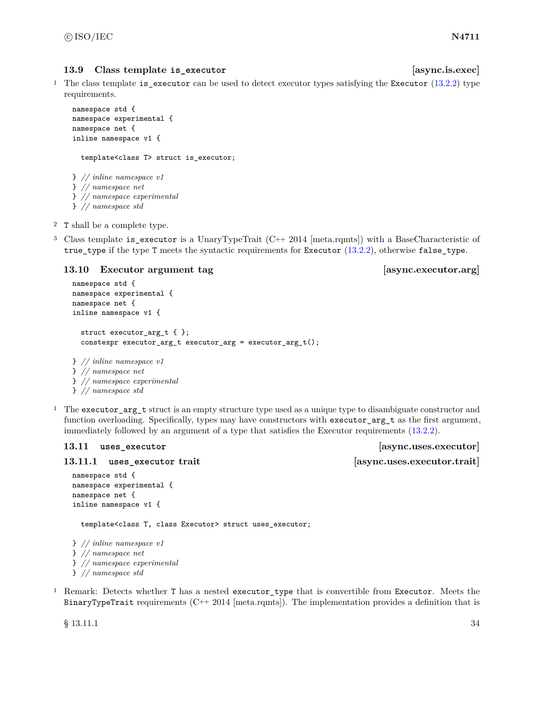### **13.9** Class template is executor *considering the class is executed [async.is.exec]*

<sup>1</sup> The class template is\_executor can be used to detect executor types satisfying the Executor [\(13.2.2\)](#page-25-1) type requirements.

```
namespace std {
namespace experimental {
namespace net {
inline namespace v1 {
  template<class T> struct is_executor;
} // inline namespace v1
} // namespace net
} // namespace experimental
```
- } *// namespace std*
- <sup>2</sup> T shall be a complete type.
- <sup>3</sup> Class template is\_executor is a UnaryTypeTrait (C++ 2014 [meta.rqmts]) with a BaseCharacteristic of true\_type if the type T meets the syntactic requirements for Executor [\(13.2.2\)](#page-25-1), otherwise false\_type.

### **13.10 Executor argument tag [async.executor.arg]**

```
namespace std {
namespace experimental {
namespace net {
inline namespace v1 {
 struct executor_arg_t { };
  constexpr executor_arg_t executor_arg = executor_arg_t();
} // inline namespace v1
} // namespace net
} // namespace experimental
} // namespace std
```
<sup>1</sup> The executor\_arg\_t struct is an empty structure type used as a unique type to disambiguate constructor and function overloading. Specifically, types may have constructors with executor\_arg\_t as the first argument, immediately followed by an argument of a type that satisfies the Executor requirements [\(13.2.2\)](#page-25-1).

**13.11.1 uses\_executor trait [async.uses.executor.trait]**

```
namespace std {
namespace experimental {
namespace net {
inline namespace v1 {
```
template<class T, class Executor> struct uses\_executor;

```
} // inline namespace v1
} // namespace net
} // namespace experimental
} // namespace std
```
<sup>1</sup> Remark: Detects whether T has a nested executor\_type that is convertible from Executor. Meets the BinaryTypeTrait requirements  $(C^{++} 2014$  [meta.rqmts]). The implementation provides a definition that is

 $\S$  13.11.1 34

13.11 **uses** executor *assexecutor m sexecutor lasync.uses.executor*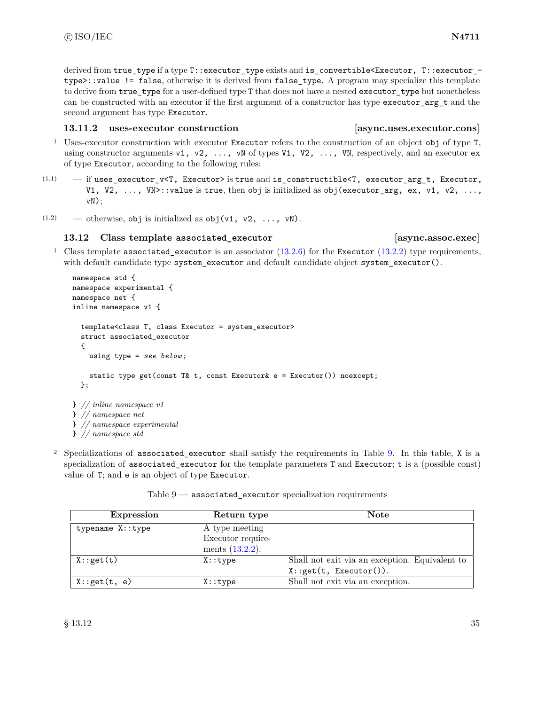derived from true type if a type T::executor type exists and is convertible<Executor, T::executor type>::value != false, otherwise it is derived from false\_type. A program may specialize this template to derive from true type for a user-defined type T that does not have a nested executor type but nonetheless can be constructed with an executor if the first argument of a constructor has type executor\_arg\_t and the second argument has type Executor.

# **13.11.2 uses-executor construction [async.uses.executor.cons]**

- <sup>1</sup> Uses-executor construction with executor Executor refers to the construction of an object obj of type T, using constructor arguments v1, v2,  $\dots$ , vN of types V1, V2,  $\dots$ , VN, respectively, and an executor ex of type Executor, according to the following rules:
- $(1.1)$  if uses\_executor\_v<T, Executor> is true and is\_constructible<T, executor\_arg\_t, Executor, V1, V2,  $\ldots$ , VN>::value is true, then obj is initialized as obj (executor\_arg, ex, v1, v2,  $\ldots$ , vN);
- (1.2) otherwise, obj is initialized as  $obj(v1, v2, ..., vN)$ .

# **13.12 Class template associated\_executor [async.assoc.exec]**

<sup>1</sup> Class template associated\_executor is an associator  $(13.2.6)$  for the Executor  $(13.2.2)$  type requirements, with default candidate type system\_executor and default candidate object system\_executor().

```
namespace std {
namespace experimental {
namespace net {
inline namespace v1 {
  template<class T, class Executor = system_executor>
  struct associated_executor
  {
    using type = see below ;
    static type get(const T& t, const Executor& e = Executor()) noexcept;
  };
} // inline namespace v1
} // namespace net
} // namespace experimental
} // namespace std
```
<sup>2</sup> Specializations of associated executor shall satisfy the requirements in Table [9.](#page-41-0) In this table, X is a specialization of associated\_executor for the template parameters T and Executor; t is a (possible const) value of T; and e is an object of type Executor.

<span id="page-41-0"></span>

| Expression       | Return type        | <b>Note</b>                                    |
|------------------|--------------------|------------------------------------------------|
| typename X::type | A type meeting     |                                                |
|                  | Executor require-  |                                                |
|                  | ments $(13.2.2)$ . |                                                |
| X:get(t)         | $X:$ : type        | Shall not exit via an exception. Equivalent to |
|                  |                    | X: get(t, Executor()).                         |
| X:get(t, e)      | X: type            | Shall not exit via an exception.               |

Table  $9$  — associated\_executor specialization requirements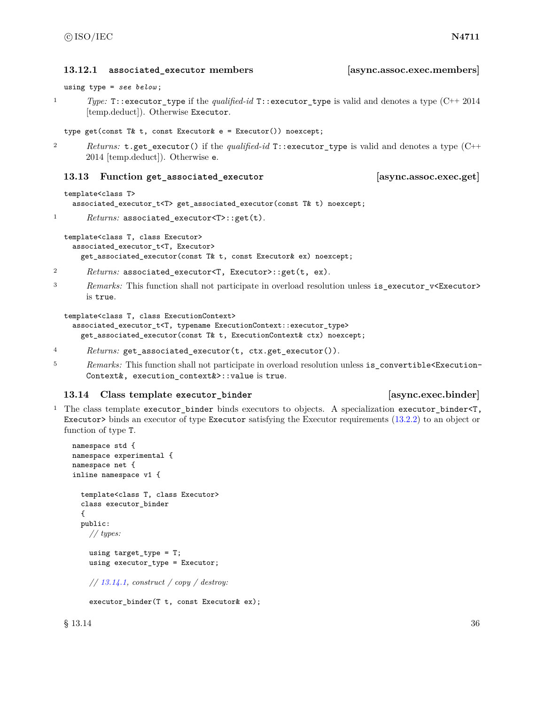using type = *see below* ; <sup>1</sup> *Type:* T::executor\_type if the *qualified-id* T::executor\_type is valid and denotes a type (C++ 2014 [temp.deduct]). Otherwise Executor. type get(const T& t, const Executor& e = Executor()) noexcept; <sup>2</sup> *Returns:* t.get\_executor() if the *qualified-id* T::executor\_type is valid and denotes a type (C++ 2014 [temp.deduct]). Otherwise e. **13.13 Function get\_associated\_executor [async.assoc.exec.get]** template<class T> associated\_executor\_t<T> get\_associated\_executor(const T& t) noexcept;

```
1 Returns: associated_executor<T>::get(t).
  template<class T, class Executor>
```
associated\_executor\_t<T, Executor> get\_associated\_executor(const T& t, const Executor& ex) noexcept;

<sup>2</sup> *Returns:* associated\_executor<T, Executor>::get(t, ex).

3 *Remarks:* This function shall not participate in overload resolution unless is\_executor\_v<Executor> is true.

```
template<class T, class ExecutionContext>
  associated_executor_t<T, typename ExecutionContext::executor_type>
    get_associated_executor(const T& t, ExecutionContext& ctx) noexcept;
```
- <sup>4</sup> *Returns:* get\_associated\_executor(t, ctx.get\_executor()).
- <sup>5</sup> *Remarks:* This function shall not participate in overload resolution unless is\_convertible<Execution-Context&, execution\_context&>::value is true.

# **13.14 Class template executor\_binder [async.exec.binder]**

<sup>1</sup> The class template executor\_binder binds executors to objects. A specialization executor\_binder<T, Executor> binds an executor of type Executor satisfying the Executor requirements [\(13.2.2\)](#page-25-1) to an object or function of type T.

```
namespace std {
namespace experimental {
namespace net {
inline namespace v1 {
  template<class T, class Executor>
  class executor_binder
  {
  public:
    // types:
    using target_type = T;
    using executor_type = Executor;
    // 13.14.1, construct / copy / destroy:
    executor_binder(T t, const Executor& ex);
```
**13.12.1 associated\_executor members [async.assoc.exec.members]**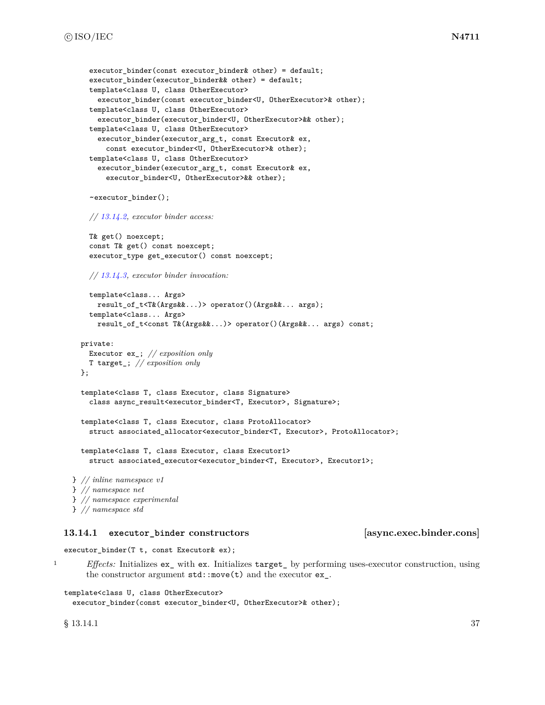```
executor binder(const executor binder& other) = default;
    executor_binder(executor_binder&& other) = default;
    template<class U, class OtherExecutor>
      executor_binder(const executor_binder<U, OtherExecutor>& other);
    template<class U, class OtherExecutor>
      executor_binder(executor_binder<U, OtherExecutor>&& other);
    template<class U, class OtherExecutor>
      executor_binder(executor_arg_t, const Executor& ex,
        const executor_binder<U, OtherExecutor>& other);
    template<class U, class OtherExecutor>
      executor_binder(executor_arg_t, const Executor& ex,
        executor_binder<U, OtherExecutor>&& other);
    ~executor_binder();
    // 13.14.2, executor binder access:
    T& get() noexcept;
    const T& get() const noexcept;
    executor_type get_executor() const noexcept;
    // 13.14.3, executor binder invocation:
    template<class... Args>
      result_of_t<T&(Args&&...)> operator()(Args&&... args);
    template<class... Args>
      result_of_t<const T&(Args&&...)> operator()(Args&&... args) const;
 private:
   Executor ex_; // exposition only
   T target_; // exposition only
  };
  template<class T, class Executor, class Signature>
    class async_result<executor_binder<T, Executor>, Signature>;
  template<class T, class Executor, class ProtoAllocator>
    struct associated_allocator<executor_binder<T, Executor>, ProtoAllocator>;
  template<class T, class Executor, class Executor1>
    struct associated_executor<executor_binder<T, Executor>, Executor1>;
} // inline namespace v1
} // namespace net
```
### <span id="page-43-0"></span>**13.14.1 executor\_binder constructors [async.exec.binder.cons]**

executor binder(T t, const Executor & ex);

} *// namespace experimental*

} *// namespace std*

<sup>1</sup> *Effects:* Initializes ex\_ with ex. Initializes target\_ by performing uses-executor construction, using the constructor argument  $std::move(t)$  and the executor  $ex$ .

```
template<class U, class OtherExecutor>
 executor_binder(const executor_binder<U, OtherExecutor>& other);
```
 $\S$  13.14.1 37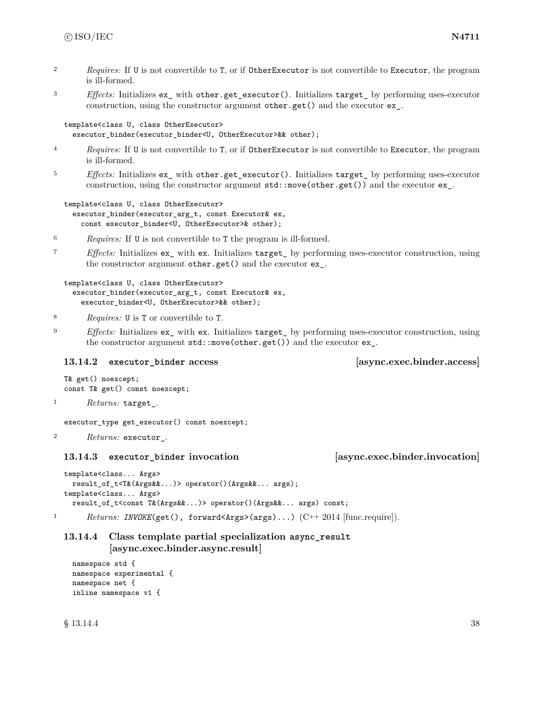- <sup>2</sup> *Requires:* If U is not convertible to T, or if OtherExecutor is not convertible to Executor, the program is ill-formed.
- <sup>3</sup> *Effects:* Initializes ex\_ with other.get\_executor(). Initializes target\_ by performing uses-executor construction, using the constructor argument other.get() and the executor ex\_.

```
template<class U, class OtherExecutor>
  executor_binder(executor_binder<U, OtherExecutor>&& other);
```
- <sup>4</sup> *Requires:* If U is not convertible to T, or if OtherExecutor is not convertible to Executor, the program is ill-formed.
- <sup>5</sup> *Effects:* Initializes ex\_ with other.get\_executor(). Initializes target\_ by performing uses-executor construction, using the constructor argument std::move(other.get()) and the executor ex\_.

```
template<class U, class OtherExecutor>
  executor_binder(executor_arg_t, const Executor& ex,
    const executor_binder<U, OtherExecutor>& other);
```
- <sup>6</sup> *Requires:* If U is not convertible to T the program is ill-formed.
- <sup>7</sup> *Effects:* Initializes ex\_ with ex. Initializes target\_ by performing uses-executor construction, using the constructor argument other.get() and the executor ex\_.

template<class U, class OtherExecutor> executor\_binder(executor\_arg\_t, const Executor& ex, executor\_binder<U, OtherExecutor>&& other);

- <sup>8</sup> *Requires:* U is T or convertible to T.
- <sup>9</sup> *Effects:* Initializes ex\_ with ex. Initializes target\_ by performing uses-executor construction, using the constructor argument std::move(other.get()) and the executor ex\_.

### <span id="page-44-0"></span>**13.14.2 executor\_binder access [async.exec.binder.access]**

```
T& get() noexcept;
const T& get() const noexcept;
```
<sup>1</sup> *Returns:* target\_.

executor\_type get\_executor() const noexcept;

<sup>2</sup> *Returns:* executor\_.

### <span id="page-44-1"></span>**13.14.3 executor\_binder invocation [async.exec.binder.invocation]**

```
template<class... Args>
 result_of_t<T&(Args&&...)> operator()(Args&&... args);
template<class... Args>
 result_of_t<const T&(Args&&...)> operator()(Args&&... args) const;
```
<sup>1</sup> *Returns: INVOKE*(get(), forward<Args>(args)...) (C++ 2014 [func.require]).

```
13.14.4 Class template partial specialization async_result
         [async.exec.binder.async.result]
```

```
namespace std {
namespace experimental {
namespace net {
inline namespace v1 {
```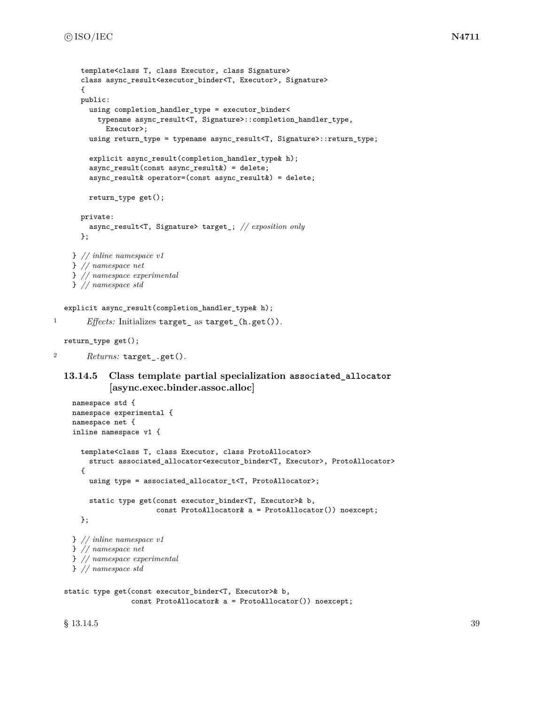```
template<class T, class Executor, class Signature>
  class async_result<executor_binder<T, Executor>, Signature>
  {
  public:
    using completion_handler_type = executor_binder<
      typename async_result<T, Signature>::completion_handler_type,
        Executor>;
    using return_type = typename async_result<T, Signature>::return_type;
    explicit async_result(completion_handler_type& h);
    async_result(const async_result&) = delete;
    async_result& operator=(const async_result&) = delete;
    return_type get();
  private:
    async_result<T, Signature> target_; // exposition only
  };
} // inline namespace v1
} // namespace net
} // namespace experimental
} // namespace std
```
explicit async\_result(completion\_handler\_type& h);

```
1 Effects: Initializes target_ as target_(h.get()).
```

```
return_type get();
```

```
2 Returns: target_.get().
```
# **13.14.5 Class template partial specialization associated\_allocator [async.exec.binder.assoc.alloc]**

```
namespace std {
namespace experimental {
namespace net {
inline namespace v1 {
  template<class T, class Executor, class ProtoAllocator>
    struct associated_allocator<executor_binder<T, Executor>, ProtoAllocator>
  {
    using type = associated_allocator_t<T, ProtoAllocator>;
    static type get(const executor_binder<T, Executor>& b,
                    const ProtoAllocator& a = ProtoAllocator()) noexcept;
  };
} // inline namespace v1
} // namespace net
} // namespace experimental
} // namespace std
```

```
static type get(const executor_binder<T, Executor>& b,
                const ProtoAllocator& a = ProtoAllocator()) noexcept;
```
 $\S$  13.14.5 39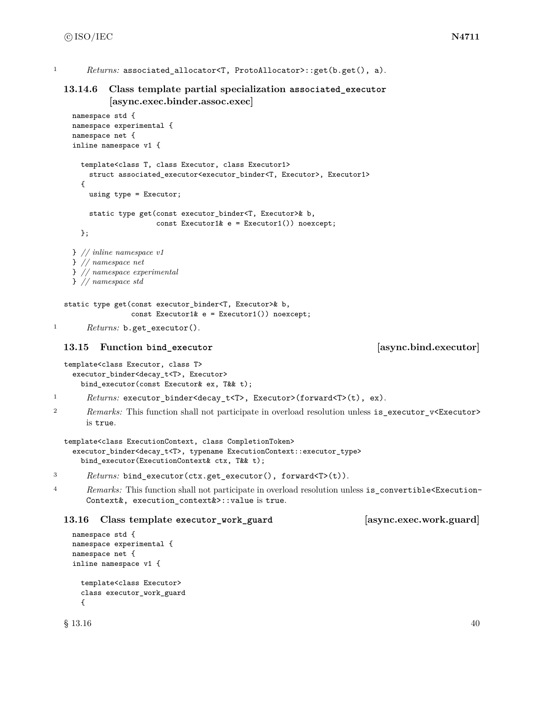```
1 Returns: associated allocator<T, ProtoAllocator>::get(b.get(), a).
```
# **13.14.6 Class template partial specialization associated\_executor [async.exec.binder.assoc.exec]**

```
namespace std {
namespace experimental {
namespace net {
inline namespace v1 {
  template<class T, class Executor, class Executor1>
    struct associated_executor<executor_binder<T, Executor>, Executor1>
  {
    using type = Executor;
    static type get(const executor_binder<T, Executor>& b,
                    const Executor1& e = Executor1()) noexcept;
  };
} // inline namespace v1
} // namespace net
} // namespace experimental
} // namespace std
```

```
static type get(const executor_binder<T, Executor>& b,
                const Executor1& e = Executor1()) noexcept;
```

```
1 Returns: b.get_executor().
```
# **13.15 Function bind\_executor [async.bind.executor]**

```
template<class Executor, class T>
  executor_binder<decay_t<T>, Executor>
   bind_executor(const Executor& ex, T&& t);
```

```
1 Returns: executor_binder<decay_t<T>, Executor>(forward<T>(t), ex).
```

```
<sup>2</sup> Remarks: This function shall not participate in overload resolution unless is_executor_v<Executor>
        is true.
```

```
template<class ExecutionContext, class CompletionToken>
  executor_binder<decay_t<T>, typename ExecutionContext::executor_type>
    bind_executor(ExecutionContext& ctx, T&& t);
```

```
3 Returns: bind_executor(ctx.get_executor(), forward<T>(t)).
```
<sup>4</sup> *Remarks:* This function shall not participate in overload resolution unless is\_convertible<Execution-Context&, execution\_context&>::value is true.

# **13.16 Class template executor\_work\_guard [async.exec.work.guard]**

```
namespace std {
namespace experimental {
namespace net {
inline namespace v1 {
  template<class Executor>
 class executor_work_guard
  {
```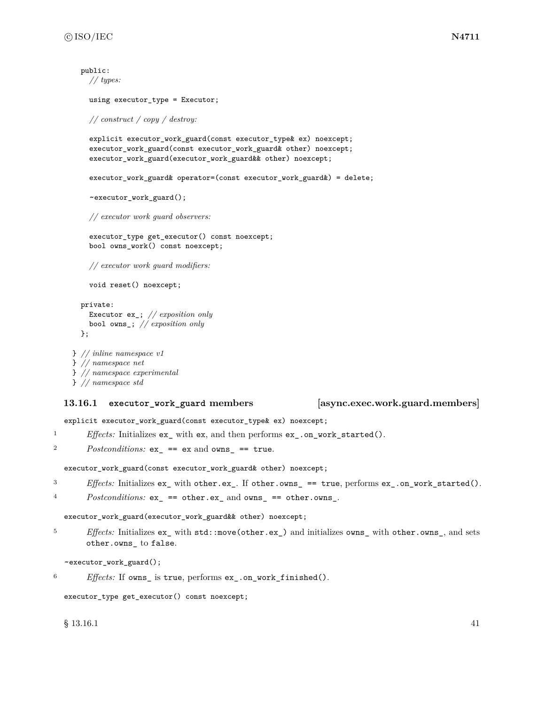```
public:
    // types:
    using executor_type = Executor;
    // construct / copy / destroy:
    explicit executor_work_guard(const executor_type& ex) noexcept;
    executor_work_guard(const executor_work_guard& other) noexcept;
    executor_work_guard(executor_work_guard&& other) noexcept;
    executor_work_guard& operator=(const executor_work_guard&) = delete;
    ~executor_work_guard();
    // executor work guard observers:
    executor_type get_executor() const noexcept;
    bool owns_work() const noexcept;
    // executor work guard modifiers:
    void reset() noexcept;
  private:
    Executor ex_; // exposition only
    bool owns_; // exposition only
  };
} // inline namespace v1
```

```
} // namespace net
} // namespace experimental
} // namespace std
```
### **13.16.1 executor\_work\_guard members [async.exec.work.guard.members]**

explicit executor\_work\_guard(const executor\_type& ex) noexcept;

<sup>1</sup> *Effects:* Initializes ex\_ with ex, and then performs ex\_.on\_work\_started().

```
2 Postconditions: ex_ == ex and owns_ == true.
```
executor\_work\_guard(const executor\_work\_guard& other) noexcept;

- <sup>3</sup> *Effects:* Initializes ex\_ with other.ex\_. If other.owns\_ == true, performs ex\_.on\_work\_started().
- <sup>4</sup> *Postconditions:* ex\_ == other.ex\_ and owns\_ == other.owns\_.

```
executor_work_guard(executor_work_guard&& other) noexcept;
```
<sup>5</sup> *Effects:* Initializes ex\_ with std::move(other.ex\_) and initializes owns\_ with other.owns\_, and sets other.owns\_ to false.

~executor\_work\_guard();

<sup>6</sup> *Effects:* If owns\_ is true, performs ex\_.on\_work\_finished().

executor\_type get\_executor() const noexcept;

 $\S$  13.16.1 41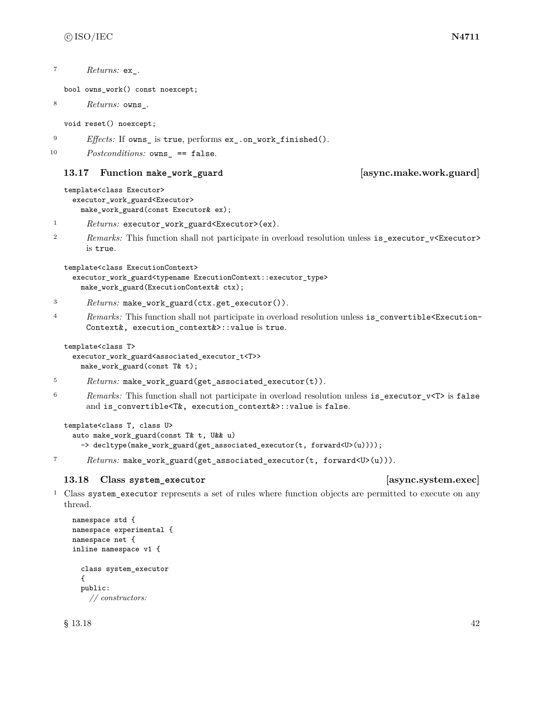<sup>7</sup> *Returns:* ex\_.

bool owns\_work() const noexcept;

```
8 Returns: owns_.
```
void reset() noexcept;

<sup>9</sup> *Effects:* If owns\_ is true, performs ex\_.on\_work\_finished().

```
10 Postconditions: owns == false.
```
### **13.17 Function make\_work\_guard [async.make.work.guard]**

template<class Executor> executor\_work\_guard<Executor> make\_work\_guard(const Executor& ex);

<sup>1</sup> *Returns:* executor\_work\_guard<Executor>(ex).

2 *Remarks:* This function shall not participate in overload resolution unless is\_executor\_v<Executor> is true.

template<class ExecutionContext>

```
executor_work_guard<typename ExecutionContext::executor_type>
 make_work_guard(ExecutionContext& ctx);
```
- <sup>3</sup> *Returns:* make\_work\_guard(ctx.get\_executor()).
- <sup>4</sup> *Remarks:* This function shall not participate in overload resolution unless is\_convertible<Execution-Context&, execution\_context&>::value is true.

```
template<class T>
```
executor\_work\_guard<associated\_executor\_t<T>> make\_work\_guard(const T& t);

- <sup>5</sup> *Returns:* make\_work\_guard(get\_associated\_executor(t)).
- <sup>6</sup> *Remarks:* This function shall not participate in overload resolution unless is\_executor\_v<T> is false and is\_convertible<T&, execution\_context&>::value is false.

```
template<class T, class U>
  auto make_work_guard(const T& t, U&& u)
    -> decltype(make_work_guard(get_associated_executor(t, forward<U>(u))));
```
<sup>7</sup> *Returns:* make\_work\_guard(get\_associated\_executor(t, forward<U>(u))).

### **13.18 Class system\_executor [async.system.exec]**

<sup>1</sup> Class system\_executor represents a set of rules where function objects are permitted to execute on any thread.

```
namespace std {
namespace experimental {
namespace net {
inline namespace v1 {
  class system_executor
  {
  public:
    // constructors:
```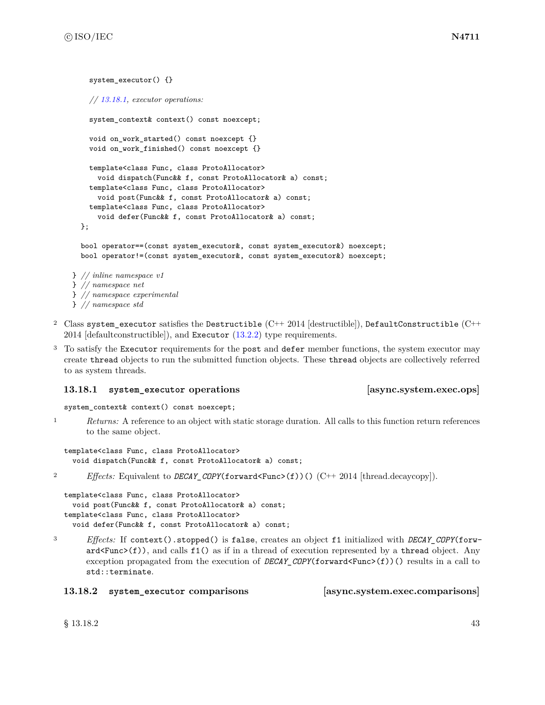system\_executor() {}

```
// 13.18.1, executor operations:
    system_context& context() const noexcept;
    void on_work_started() const noexcept {}
    void on_work_finished() const noexcept {}
    template<class Func, class ProtoAllocator>
      void dispatch(Func&& f, const ProtoAllocator& a) const;
    template<class Func, class ProtoAllocator>
      void post(Func&& f, const ProtoAllocator& a) const;
    template<class Func, class ProtoAllocator>
      void defer(Func&& f, const ProtoAllocator& a) const;
  };
  bool operator==(const system_executor&, const system_executor&) noexcept;
  bool operator!=(const system_executor&, const system_executor&) noexcept;
} // inline namespace v1
} // namespace net
} // namespace experimental
} // namespace std
```
- <sup>2</sup> Class system\_executor satisfies the Destructible  $(C++ 2014$  [destructible]), DefaultConstructible  $(C++$ 2014 [defaultconstructible]), and Executor  $(13.2.2)$  type requirements.
- <sup>3</sup> To satisfy the Executor requirements for the post and defer member functions, the system executor may create thread objects to run the submitted function objects. These thread objects are collectively referred to as system threads.

# <span id="page-49-0"></span>**13.18.1 system\_executor operations [async.system.exec.ops]**

system\_context& context() const noexcept;

<sup>1</sup> *Returns:* A reference to an object with static storage duration. All calls to this function return references to the same object.

```
template<class Func, class ProtoAllocator>
  void dispatch(Func&& f, const ProtoAllocator& a) const;
```
<sup>2</sup> *Effects:* Equivalent to *DECAY\_COPY*(forward<Func>(f))() (C++ 2014 [thread.decaycopy]).

```
template<class Func, class ProtoAllocator>
 void post(Func&& f, const ProtoAllocator& a) const;
template<class Func, class ProtoAllocator>
 void defer(Func&& f, const ProtoAllocator& a) const;
```
- 
- <sup>3</sup> *Effects:* If context().stopped() is false, creates an object f1 initialized with *DECAY\_COPY*(forw- $\text{ard}(\text{Func}(f)),$  and calls  $f1()$  as if in a thread of execution represented by a thread object. Any exception propagated from the execution of *DECAY\_COPY*(forward<Func>(f))() results in a call to std::terminate.

### **13.18.2 system\_executor comparisons [async.system.exec.comparisons]**

 $\S$  13.18.2 43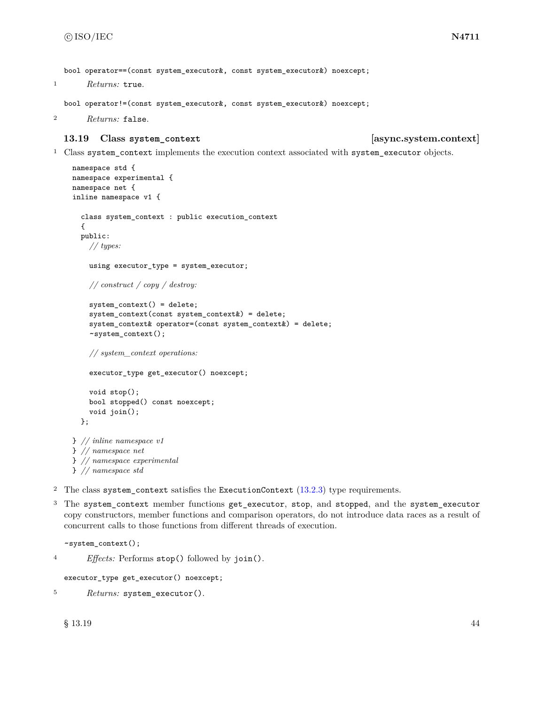bool operator==(const system\_executor&, const system\_executor&) noexcept;

```
1 Returns: true.
```
bool operator!=(const system\_executor&, const system\_executor&) noexcept;

```
2 Returns: false.
```
### **13.19 Class system\_context [async.system.context]**

<sup>1</sup> Class system\_context implements the execution context associated with system\_executor objects.

```
namespace std {
namespace experimental {
namespace net {
inline namespace v1 {
  class system_context : public execution_context
  {
  public:
    // types:
    using executor_type = system_executor;
    // construct / copy / destroy:
    system_context() = delete;
    system_context(const system_context&) = delete;
    system_context& operator=(const system_context&) = delete;
    ~system_context();
    // system_context operations:
    executor_type get_executor() noexcept;
    void stop();
    bool stopped() const noexcept;
    void join();
  };
} // inline namespace v1
} // namespace net
} // namespace experimental
} // namespace std
```
- <sup>2</sup> The class system\_context satisfies the ExecutionContext  $(13.2.3)$  type requirements.
- <sup>3</sup> The system\_context member functions get\_executor, stop, and stopped, and the system\_executor copy constructors, member functions and comparison operators, do not introduce data races as a result of concurrent calls to those functions from different threads of execution.

~system\_context();

```
4 Effects: Performs stop() followed by join().
```

```
executor_type get_executor() noexcept;
```

```
5 Returns: system_executor().
```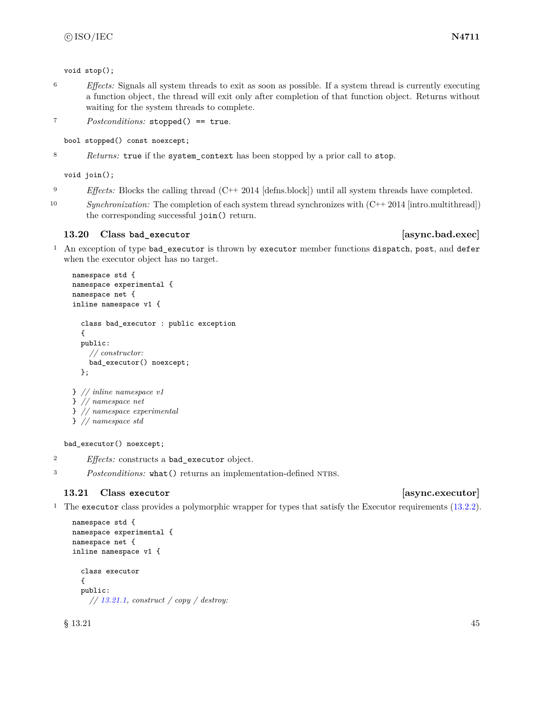void stop();

- <sup>6</sup> *Effects:* Signals all system threads to exit as soon as possible. If a system thread is currently executing a function object, the thread will exit only after completion of that function object. Returns without waiting for the system threads to complete.
- <sup>7</sup> *Postconditions:* stopped() == true.

bool stopped() const noexcept;

<sup>8</sup> *Returns:* true if the system\_context has been stopped by a prior call to stop.

void join();

- <sup>9</sup> *Effects:* Blocks the calling thread (C++ 2014 [defns.block]) until all system threads have completed.
- 10 *Synchronization:* The completion of each system thread synchronizes with  $(C++ 2014$  [intro.multithread]) the corresponding successful join() return.

# **13.20 Class bad\_executor [async.bad.exec]**

<sup>1</sup> An exception of type bad\_executor is thrown by executor member functions dispatch, post, and defer when the executor object has no target.

```
namespace std {
namespace experimental {
namespace net {
inline namespace v1 {
  class bad_executor : public exception
  {
  public:
    // constructor:
    bad_executor() noexcept;
  };
} // inline namespace v1
} // namespace net
} // namespace experimental
```

```
} // namespace std
```
bad\_executor() noexcept;

<sup>2</sup> *Effects:* constructs a bad\_executor object.

<sup>3</sup> *Postconditions:* what () returns an implementation-defined NTBS.

# **13.21 Class executor [async.executor]**

<sup>1</sup> The executor class provides a polymorphic wrapper for types that satisfy the Executor requirements [\(13.2.2\)](#page-25-1).

```
namespace std {
namespace experimental {
namespace net {
inline namespace v1 {
  class executor
  {
  public:
    // 13.21.1, construct / copy / destroy:
```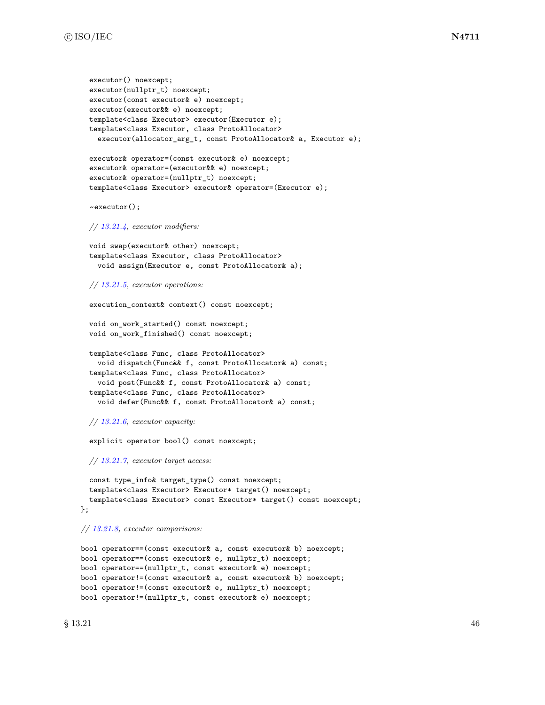```
executor() noexcept;
 executor(nullptr_t) noexcept;
 executor(const executor& e) noexcept;
  executor(executor&& e) noexcept;
 template<class Executor> executor(Executor e);
  template<class Executor, class ProtoAllocator>
    executor(allocator_arg_t, const ProtoAllocator& a, Executor e);
  executor& operator=(const executor& e) noexcept;
  executor& operator=(executor&& e) noexcept;
  executor& operator=(nullptr_t) noexcept;
  template<class Executor> executor& operator=(Executor e);
  ~executor();
 // 13.21.4, executor modifiers:
 void swap(executor& other) noexcept;
 template<class Executor, class ProtoAllocator>
   void assign(Executor e, const ProtoAllocator& a);
 // 13.21.5, executor operations:
  execution_context& context() const noexcept;
  void on_work_started() const noexcept;
 void on_work_finished() const noexcept;
 template<class Func, class ProtoAllocator>
    void dispatch(Func&& f, const ProtoAllocator& a) const;
 template<class Func, class ProtoAllocator>
    void post(Func&& f, const ProtoAllocator& a) const;
  template<class Func, class ProtoAllocator>
    void defer(Func&& f, const ProtoAllocator& a) const;
 // 13.21.6, executor capacity:
  explicit operator bool() const noexcept;
 // 13.21.7, executor target access:
 const type_info& target_type() const noexcept;
 template<class Executor> Executor* target() noexcept;
 template<class Executor> const Executor* target() const noexcept;
};
// 13.21.8, executor comparisons:
bool operator==(const executor& a, const executor& b) noexcept;
bool operator==(const executor& e, nullptr_t) noexcept;
bool operator==(nullptr_t, const executor& e) noexcept;
bool operator!=(const executor& a, const executor& b) noexcept;
bool operator!=(const executor& e, nullptr_t) noexcept;
```

```
bool operator!=(nullptr_t, const executor& e) noexcept;
```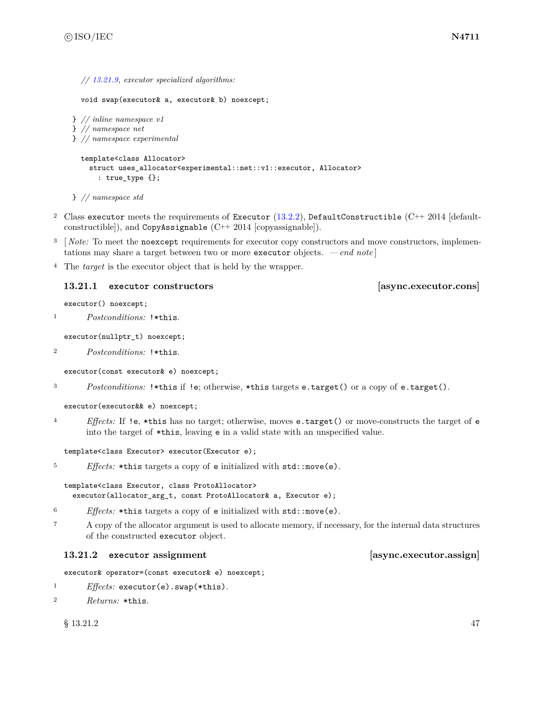```
// 13.21.9, executor specialized algorithms:
```

```
void swap(executor& a, executor& b) noexcept;
```

```
} // inline namespace v1
} // namespace net
} // namespace experimental
```

```
template<class Allocator>
  struct uses_allocator<experimental::net::v1::executor, Allocator>
    : true_type {};
```
} *// namespace std*

- <sup>2</sup> Class executor meets the requirements of Executor  $(13.2.2)$ , DefaultConstructible  $(C++ 2014$  [defaultconstructible]), and  $CopyAssignable (C++ 2014 [copyassignable]).$
- <sup>3</sup> [*Note:* To meet the noexcept requirements for executor copy constructors and move constructors, implementations may share a target between two or more executor objects. *— end note* ]
- <sup>4</sup> The *target* is the executor object that is held by the wrapper.

### <span id="page-53-0"></span>**13.21.1 executor constructors [async.executor.cons]**

executor() noexcept;

```
1 Postconditions: !*this.
```
executor(nullptr\_t) noexcept;

<sup>2</sup> *Postconditions:* !\*this.

executor(const executor& e) noexcept;

<sup>3</sup> *Postconditions:* !\*this if !e; otherwise, \*this targets e.target() or a copy of e.target().

```
executor(executor&& e) noexcept;
```
<sup>4</sup> *Effects:* If !e, \*this has no target; otherwise, moves e.target() or move-constructs the target of e into the target of \*this, leaving e in a valid state with an unspecified value.

template<class Executor> executor(Executor e);

```
5 Effects: *this targets a copy of e initialized with std::move(e).
```
template<class Executor, class ProtoAllocator> executor(allocator\_arg\_t, const ProtoAllocator& a, Executor e);

- <sup>6</sup> *Effects:* \*this targets a copy of e initialized with std::move(e).
- <sup>7</sup> A copy of the allocator argument is used to allocate memory, if necessary, for the internal data structures of the constructed executor object.

# **13.21.2 executor assignment [async.executor.assign]**

executor& operator=(const executor& e) noexcept;

```
1 Effects: executor(e).swap(*this).
```

```
2 Returns: *this.
```
 $\S$  13.21.2 47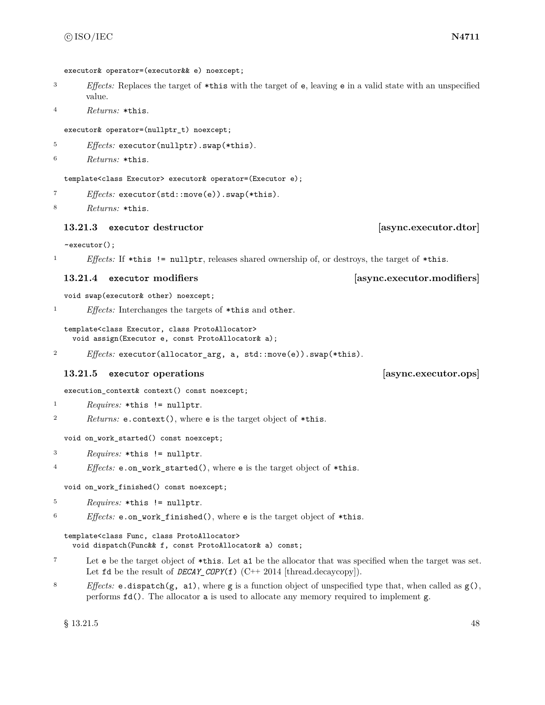```
executor& operator=(executor&& e) noexcept;
```
- <sup>3</sup> *Effects:* Replaces the target of \*this with the target of e, leaving e in a valid state with an unspecified value.
- <sup>4</sup> *Returns:* \*this.

executor& operator=(nullptr\_t) noexcept;

<sup>5</sup> *Effects:* executor(nullptr).swap(\*this).

<sup>6</sup> *Returns:* \*this.

template<class Executor> executor& operator=(Executor e);

<sup>7</sup> *Effects:* executor(std::move(e)).swap(\*this).

```
8 Returns: *this.
```
### **13.21.3 executor destructor [async.executor.dtor]**

~executor();

<sup>1</sup> *Effects:* If \*this != nullptr, releases shared ownership of, or destroys, the target of \*this.

### <span id="page-54-0"></span>**13.21.4 executor modifiers [async.executor.modifiers]**

void swap(executor& other) noexcept;

<sup>1</sup> *Effects:* Interchanges the targets of \*this and other.

template<class Executor, class ProtoAllocator> void assign(Executor e, const ProtoAllocator& a);

<sup>2</sup> *Effects:* executor(allocator\_arg, a, std::move(e)).swap(\*this).

### <span id="page-54-1"></span>**13.21.5 executor operations [async.executor.ops]**

execution\_context& context() const noexcept;

```
1 Requires: *this != nullptr.
```
<sup>2</sup> *Returns:* e.context(), where e is the target object of \*this.

void on\_work\_started() const noexcept;

- <sup>3</sup> *Requires:* \*this != nullptr.
- <sup>4</sup> *Effects:* e.on\_work\_started(), where e is the target object of \*this.

void on\_work\_finished() const noexcept;

```
5 Requires: *this != nullptr.
```
<sup>6</sup> *Effects:* e.on\_work\_finished(), where e is the target object of \*this.

```
template<class Func, class ProtoAllocator>
  void dispatch(Func&& f, const ProtoAllocator& a) const;
```
- <sup>7</sup> Let e be the target object of \*this. Let a1 be the allocator that was specified when the target was set. Let fd be the result of *DECAY\_COPY*(f) (C++ 2014 [thread.decaycopy]).
- <sup>8</sup> *Effects:* e.dispatch(g, a1), where g is a function object of unspecified type that, when called as g(), performs fd(). The allocator a is used to allocate any memory required to implement g.

 $\S$  13.21.5 48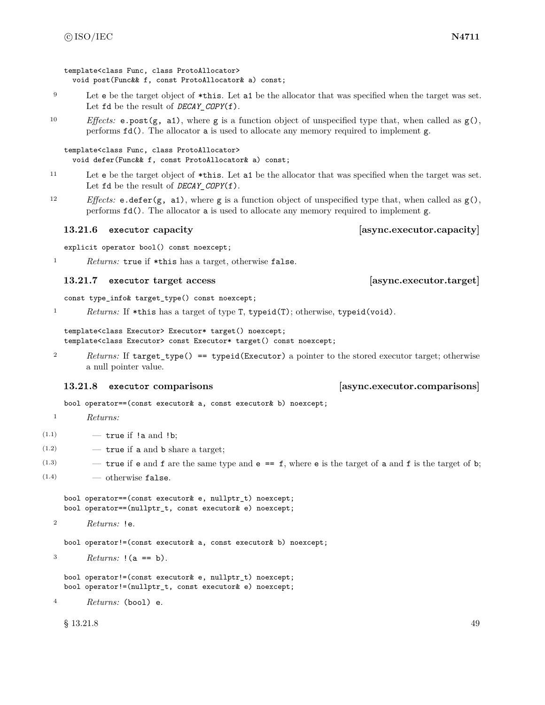template<class Func, class ProtoAllocator> void post(Func&& f, const ProtoAllocator& a) const;

- <sup>9</sup> Let e be the target object of \*this. Let a1 be the allocator that was specified when the target was set. Let  $fd$  be the result of *DECAY* COPY(f).
- 10 *Effects:* e.post( $g$ , a1), where  $g$  is a function object of unspecified type that, when called as  $g()$ , performs fd(). The allocator a is used to allocate any memory required to implement g.

```
template<class Func, class ProtoAllocator>
  void defer(Func&& f, const ProtoAllocator& a) const;
```
- <sup>11</sup> Let e be the target object of \*this. Let a1 be the allocator that was specified when the target was set. Let fd be the result of *DECAY\_COPY*(f).
- <sup>12</sup> *Effects:* e.defer(g, a1), where g is a function object of unspecified type that, when called as g(), performs fd(). The allocator a is used to allocate any memory required to implement g.

### <span id="page-55-0"></span>**13.21.6 executor capacity [async.executor.capacity]**

explicit operator bool() const noexcept;

<sup>1</sup> *Returns:* true if \*this has a target, otherwise false.

### <span id="page-55-1"></span>**13.21.7 executor target access [async.executor.target]**

const type\_info& target\_type() const noexcept;

<sup>1</sup> *Returns:* If \*this has a target of type T, typeid(T); otherwise, typeid(void).

template<class Executor> Executor\* target() noexcept; template<class Executor> const Executor\* target() const noexcept;

2 *Returns:* If target\_type() == typeid(Executor) a pointer to the stored executor target; otherwise a null pointer value.

bool operator==(const executor& a, const executor& b) noexcept;

<sup>1</sup> *Returns:*

 $(1.1)$   $-$  true if !a and !b;

- $(1.2)$  true if a and b share a target;
- $(1.3)$  true if e and f are the same type and e == f, where e is the target of a and f is the target of b;
- $(1.4)$   $\qquad$   $\qquad$  otherwise false.

bool operator==(const executor& e, nullptr\_t) noexcept; bool operator==(nullptr\_t, const executor& e) noexcept;

```
2 Returns: !e.
```
bool operator!=(const executor& a, const executor& b) noexcept;

<sup>3</sup> *Returns:* !(a == b).

bool operator!=(const executor& e, nullptr\_t) noexcept; bool operator!=(nullptr\_t, const executor& e) noexcept;

<sup>4</sup> *Returns:* (bool) e.

 $\S$  13.21.8 49

# <span id="page-55-2"></span>**13.21.8 executor comparisons [async.executor.comparisons]**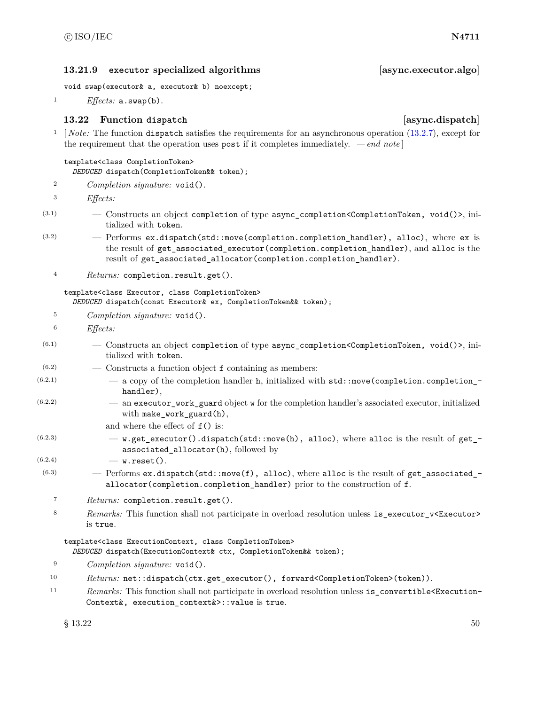### <span id="page-56-0"></span>**13.21.9 executor specialized algorithms [async.executor.algo]**

void swap(executor& a, executor& b) noexcept;

<sup>1</sup> *Effects:* a.swap(b).

# **13.22 Function dispatch [async.dispatch]**

<sup>1</sup> [*Note:* The function dispatch satisfies the requirements for an asynchronous operation [\(13.2.7\)](#page-30-0), except for the requirement that the operation uses post if it completes immediately. *— end note* ]

### template<class CompletionToken>

*DEDUCED* dispatch(CompletionToken&& token);

<sup>2</sup> *Completion signature:* void().

<sup>3</sup> *Effects:*

- $(3.1)$  Constructs an object completion of type async\_completion <CompletionToken, void()>, initialized with token.
- (3.2) Performs ex.dispatch(std::move(completion.completion\_handler), alloc), where ex is the result of get\_associated\_executor(completion.completion\_handler), and alloc is the result of get\_associated\_allocator(completion.completion\_handler).
	- <sup>4</sup> *Returns:* completion.result.get().

### template<class Executor, class CompletionToken>

*DEDUCED* dispatch(const Executor& ex, CompletionToken&& token);

- <sup>5</sup> *Completion signature:* void().
- <sup>6</sup> *Effects:*
- $(6.1)$  Constructs an object completion of type async\_completion<CompletionToken, void()>, initialized with token.
- $(6.2)$  Constructs a function object f containing as members:
- $(6.2.1)$   $-$  a copy of the completion handler h, initialized with  $std:move(completion.compile)$ handler),
- (6.2.2) an executor\_work\_guard object w for the completion handler's associated executor, initialized with make\_work\_guard(h),
	- and where the effect of  $f()$  is:
- $(6.2.3)$  w.get\_executor().dispatch(std::move(h), alloc), where alloc is the result of get\_ associated\_allocator(h), followed by
- $(6.2.4)$  w.reset().
- $(6.3)$  Performs ex.dispatch(std::move(f), alloc), where alloc is the result of get\_associated\_ allocator(completion.completion\_handler) prior to the construction of f.
	- <sup>7</sup> *Returns:* completion.result.get().
	- 8 Remarks: This function shall not participate in overload resolution unless is\_executor\_v<Executor> is true.

### template<class ExecutionContext, class CompletionToken> *DEDUCED* dispatch(ExecutionContext& ctx, CompletionToken&& token);

- <sup>9</sup> *Completion signature:* void().
- 10 Returns: net::dispatch(ctx.get\_executor(), forward<CompletionToken>(token)).
- <sup>11</sup> *Remarks:* This function shall not participate in overload resolution unless is\_convertible<Execution-Context&, execution\_context&>::value is true.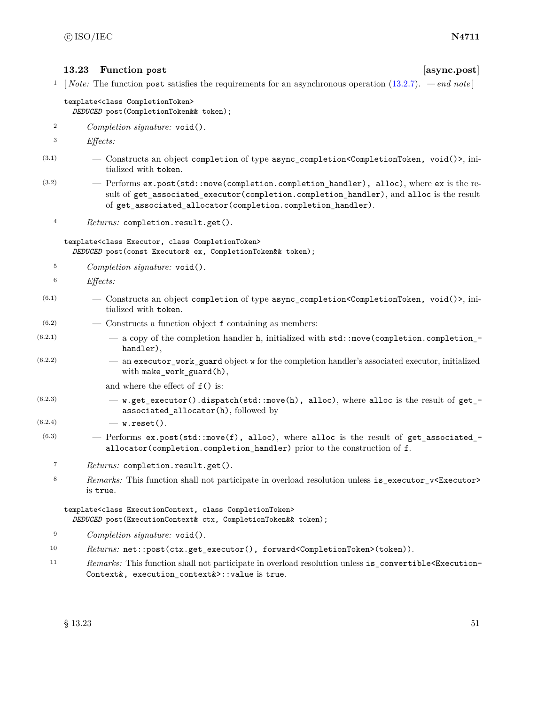### **13.23 Function post [async.post]**

<sup>1</sup> [ *Note:* The function post satisfies the requirements for an asynchronous operation [\(13.2.7\)](#page-30-0). *— end note* ]

### template<class CompletionToken> *DEDUCED* post(CompletionToken&& token);

- <sup>2</sup> *Completion signature:* void().
- <sup>3</sup> *Effects:*
- (3.1) Constructs an object completion of type async\_completion<CompletionToken, void()>, initialized with token.
- $(3.2)$  Performs ex.post(std::move(completion.completion\_handler), alloc), where ex is the result of get\_associated\_executor(completion.completion\_handler), and alloc is the result of get\_associated\_allocator(completion.completion\_handler).
	- <sup>4</sup> *Returns:* completion.result.get().

template<class Executor, class CompletionToken> *DEDUCED* post(const Executor& ex, CompletionToken&& token);

- <sup>5</sup> *Completion signature:* void().
- <sup>6</sup> *Effects:*
- $(6.1)$  Constructs an object completion of type async\_completion<CompletionToken, void()>, initialized with token.
- $(6.2)$  Constructs a function object f containing as members:
- $(6.2.1)$   $-$  a copy of the completion handler h, initialized with std::move(completion.completion\_handler),
- (6.2.2) an executor\_work\_guard object w for the completion handler's associated executor, initialized with make\_work\_guard(h),

and where the effect of f() is:

- $(6.2.3)$  w.get\_executor().dispatch(std::move(h), alloc), where alloc is the result of get\_associated\_allocator(h), followed by
- $(6.2.4)$  w.reset().
- $(6.3)$  Performs ex.post(std::move(f), alloc), where alloc is the result of get\_associated\_ allocator(completion.completion\_handler) prior to the construction of f.
	- <sup>7</sup> *Returns:* completion.result.get().
	- 8 Remarks: This function shall not participate in overload resolution unless is\_executor\_v<Executor> is true.

### template<class ExecutionContext, class CompletionToken> *DEDUCED* post(ExecutionContext& ctx, CompletionToken&& token);

- <sup>9</sup> *Completion signature:* void().
- 10 *Returns:* net::post(ctx.get\_executor(), forward<CompletionToken>(token)).
- <sup>11</sup> *Remarks:* This function shall not participate in overload resolution unless is\_convertible<Execution-Context&, execution\_context&>::value is true.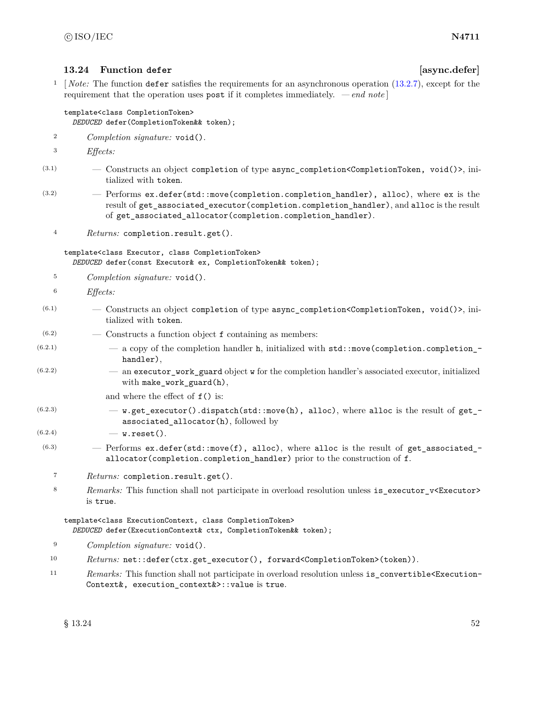### **13.24 Function defer [async.defer]**

<sup>1</sup> [*Note:* The function defer satisfies the requirements for an asynchronous operation [\(13.2.7\)](#page-30-0), except for the requirement that the operation uses post if it completes immediately. *— end note* ]

### template<class CompletionToken> *DEDUCED* defer(CompletionToken&& token);

- <sup>2</sup> *Completion signature:* void().
- <sup>3</sup> *Effects:*
- (3.1) Constructs an object completion of type async\_completion<CompletionToken, void()>, initialized with token.
- $(3.2)$  Performs ex.defer(std::move(completion.completion\_handler), alloc), where ex is the result of get\_associated\_executor(completion.completion\_handler), and alloc is the result of get\_associated\_allocator(completion.completion\_handler).
	- <sup>4</sup> *Returns:* completion.result.get().

template<class Executor, class CompletionToken> *DEDUCED* defer(const Executor& ex, CompletionToken&& token);

- <sup>5</sup> *Completion signature:* void().
- <sup>6</sup> *Effects:*
- $(6.1)$  Constructs an object completion of type async completion <CompletionToken, void()>, initialized with token.
- $(6.2)$   $\qquad$   $\qquad$   $\qquad$   $\qquad$   $\qquad$   $\qquad$   $\qquad$   $\qquad$   $\qquad$   $\qquad$   $\qquad$   $\qquad$   $\qquad$   $\qquad$   $\qquad$   $\qquad$   $\qquad$   $\qquad$   $\qquad$   $\qquad$   $\qquad$   $\qquad$   $\qquad$   $\qquad$   $\qquad$   $\qquad$   $\qquad$   $\qquad$   $\qquad$   $\qquad$   $\qquad$   $\qquad$   $\qquad$   $\qquad$   $\qquad$   $\q$
- $(6.2.1)$   $-$  a copy of the completion handler h, initialized with std::move(completion.completion\_handler),
- (6.2.2) an executor\_work\_guard object w for the completion handler's associated executor, initialized with make\_work\_guard(h),

and where the effect of  $f()$  is:

- $(6.2.3)$  w.get\_executor().dispatch(std::move(h), alloc), where alloc is the result of get\_ associated\_allocator(h), followed by
- $(6.2.4)$  w.reset().
- $(6.3)$  Performs ex.defer(std::move(f), alloc), where alloc is the result of get\_associated\_ allocator(completion.completion\_handler) prior to the construction of f.
	- <sup>7</sup> *Returns:* completion.result.get().
	- 8 *Remarks:* This function shall not participate in overload resolution unless is executor v<Executor> is true.

template<class ExecutionContext, class CompletionToken> *DEDUCED* defer(ExecutionContext& ctx, CompletionToken&& token);

- <sup>9</sup> *Completion signature:* void().
- 10 Returns: net::defer(ctx.get\_executor(), forward<CompletionToken>(token)).
- 11 *Remarks:* This function shall not participate in overload resolution unless is\_convertible<Execution-Context&, execution\_context&>::value is true.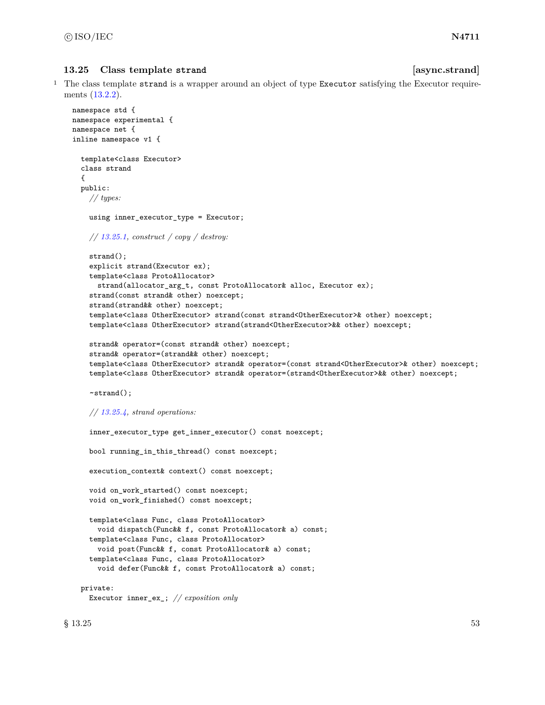# **13.25 Class template strand [async.strand]**

<sup>1</sup> The class template strand is a wrapper around an object of type Executor satisfying the Executor requirements [\(13.2.2\)](#page-25-1).

```
namespace std {
namespace experimental {
namespace net {
inline namespace v1 {
  template<class Executor>
  class strand
  {
  public:
    // types:
    using inner_executor_type = Executor;
    // 13.25.1, construct / copy / destroy:
    strand();
    explicit strand(Executor ex);
    template<class ProtoAllocator>
      strand(allocator_arg_t, const ProtoAllocator& alloc, Executor ex);
    strand(const strand& other) noexcept;
    strand(strand&& other) noexcept;
    template<class OtherExecutor> strand(const strand<OtherExecutor>& other) noexcept;
    template<class OtherExecutor> strand(strand<OtherExecutor>&& other) noexcept;
    strand& operator=(const strand& other) noexcept;
    strand& operator=(strand&& other) noexcept;
    template<class OtherExecutor> strand& operator=(const strand<OtherExecutor>& other) noexcept;
    template<class OtherExecutor> strand& operator=(strand<OtherExecutor>&& other) noexcept;
    ~strand();
    // 13.25.4, strand operations:
    inner_executor_type get_inner_executor() const noexcept;
    bool running_in_this_thread() const noexcept;
    execution_context& context() const noexcept;
    void on_work_started() const noexcept;
    void on_work_finished() const noexcept;
    template<class Func, class ProtoAllocator>
      void dispatch(Func&& f, const ProtoAllocator& a) const;
    template<class Func, class ProtoAllocator>
      void post(Func&& f, const ProtoAllocator& a) const;
    template<class Func, class ProtoAllocator>
      void defer(Func&& f, const ProtoAllocator& a) const;
  private:
```

```
Executor inner_ex_; // exposition only
```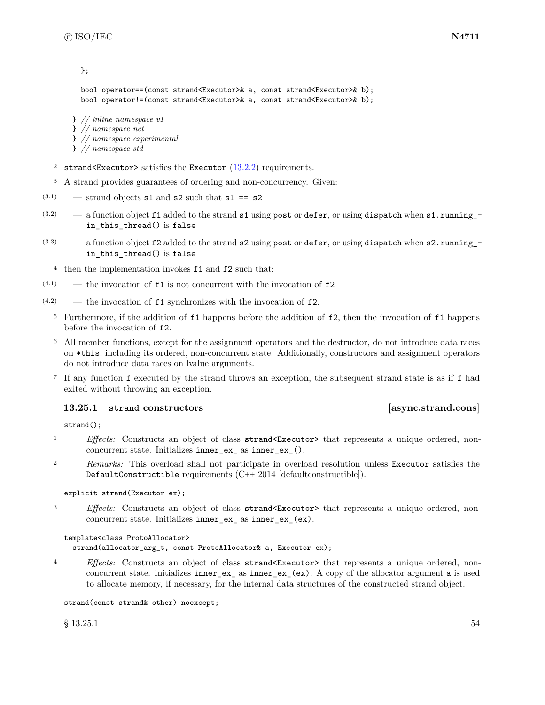```
};
bool operator==(const strand<Executor>& a, const strand<Executor>& b);
bool operator!=(const strand<Executor>& a, const strand<Executor>& b);
```
} *// inline namespace v1* } *// namespace net* } *// namespace experimental*

```
} // namespace std
```
- <sup>2</sup> strand<Executor> satisfies the Executor  $(13.2.2)$  requirements.
- <sup>3</sup> A strand provides guarantees of ordering and non-concurrency. Given:
- $(3.1)$  strand objects s1 and s2 such that s1 == s2
- $(3.2)$  a function object f1 added to the strand s1 using post or defer, or using dispatch when s1.running\_in\_this\_thread() is false
- $(3.3)$  a function object f2 added to the strand s2 using post or defer, or using dispatch when s2.running in\_this\_thread() is false
	- <sup>4</sup> then the implementation invokes f1 and f2 such that:
- $(4.1)$  the invocation of **f1** is not concurrent with the invocation of **f2**
- $(4.2)$  the invocation of **f1** synchronizes with the invocation of **f2**.
	- <sup>5</sup> Furthermore, if the addition of f1 happens before the addition of f2, then the invocation of f1 happens before the invocation of f2.
	- <sup>6</sup> All member functions, except for the assignment operators and the destructor, do not introduce data races on \*this, including its ordered, non-concurrent state. Additionally, constructors and assignment operators do not introduce data races on lvalue arguments.
	- <sup>7</sup> If any function f executed by the strand throws an exception, the subsequent strand state is as if f had exited without throwing an exception.

### <span id="page-60-0"></span>**13.25.1 strand constructors [async.strand.cons]**

strand();

- <sup>1</sup> *Effects:* Constructs an object of class strand<Executor> that represents a unique ordered, nonconcurrent state. Initializes inner\_ex\_ as inner\_ex\_().
- <sup>2</sup> *Remarks:* This overload shall not participate in overload resolution unless Executor satisfies the DefaultConstructible requirements (C++ 2014 [defaultconstructible]).

```
explicit strand(Executor ex);
```
<sup>3</sup> *Effects:* Constructs an object of class strand<Executor> that represents a unique ordered, nonconcurrent state. Initializes inner\_ex\_ as inner\_ex\_(ex).

```
template<class ProtoAllocator>
```
strand(allocator\_arg\_t, const ProtoAllocator& a, Executor ex);

<sup>4</sup> *Effects:* Constructs an object of class strand<Executor> that represents a unique ordered, nonconcurrent state. Initializes inner\_ex\_ as inner\_ex\_(ex). A copy of the allocator argument a is used to allocate memory, if necessary, for the internal data structures of the constructed strand object.

strand(const strand& other) noexcept;

 $\S 13.25.1$  54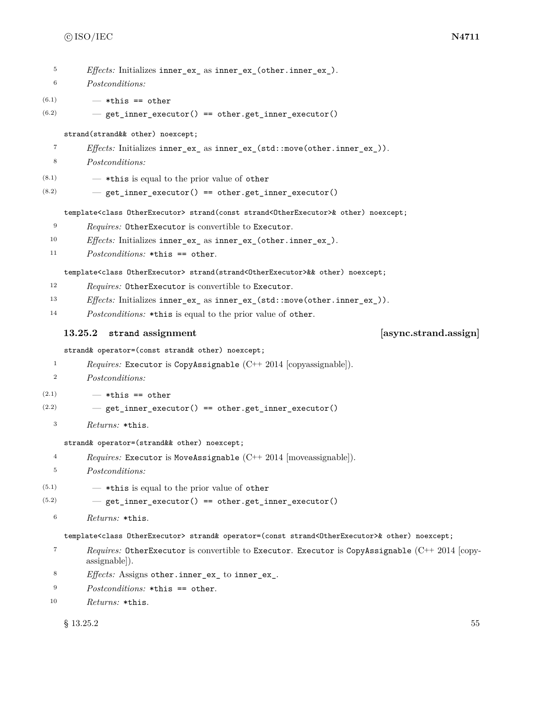| 5                 | <i>Effects:</i> Initializes inner_ex_ as inner_ex_(other.inner_ex_).                                                              |
|-------------------|-----------------------------------------------------------------------------------------------------------------------------------|
| 6                 | Postconditions:                                                                                                                   |
| (6.1)             | $-$ *this == other                                                                                                                |
| (6.2)             | - get_inner_executor() == other.get_inner_executor()                                                                              |
|                   | strand(strand&& other) noexcept;                                                                                                  |
| $\scriptstyle{7}$ | <i>Effects:</i> Initializes inner_ex_ as inner_ex_(std::move(other.inner_ex_)).                                                   |
| 8                 | <i>Postconditions:</i>                                                                                                            |
| (8.1)             | - *this is equal to the prior value of other                                                                                      |
| (8.2)             | - get_inner_executor() == other.get_inner_executor()                                                                              |
|                   | template <class otherexecutor=""> strand(const strand<otherexecutor>&amp; other) noexcept;</otherexecutor></class>                |
| 9                 | Requires: OtherExecutor is convertible to Executor.                                                                               |
| 10                | <i>Effects:</i> Initializes inner_ex_ as inner_ex_(other.inner_ex_).                                                              |
| 11                | $Postconditions: *this == other.$                                                                                                 |
|                   | template <class otherexecutor=""> strand(strand<otherexecutor>&amp;&amp; other) noexcept;</otherexecutor></class>                 |
| 12                | <i>Requires:</i> OtherExecutor is convertible to Executor.                                                                        |
| 13                | Effects: Initializes inner_ex_ as inner_ex_(std::move(other.inner_ex_)).                                                          |
| 14                | <i>Postconditions:</i> *this is equal to the prior value of other.                                                                |
|                   |                                                                                                                                   |
|                   | [async.strand.assign]<br>strand assignment<br>13.25.2                                                                             |
|                   | strand& operator=(const strand& other) noexcept;                                                                                  |
| 1                 | <i>Requires:</i> Executor is CopyAssignable $(C++ 2014$ [copyassignable]).                                                        |
| $\boldsymbol{2}$  | Postconditions:                                                                                                                   |
| (2.1)             | $-$ *this == other                                                                                                                |
| (2.2)             | - get_inner_executor() == other.get_inner_executor()                                                                              |
| $\,3$             | Returns: *this.                                                                                                                   |
|                   | strand& operator=(strand&& other) noexcept;                                                                                       |
| 4                 | <i>Requires:</i> Executor is MoveAssignable $(C++ 2014$ [moveassignable]).                                                        |
| 5                 | Postconditions:                                                                                                                   |
| (5.1)             | - *this is equal to the prior value of other                                                                                      |
| (5.2)             | - get_inner_executor() == other.get_inner_executor()                                                                              |
| $\,6$             | Returns: *this.                                                                                                                   |
|                   | template <class otherexecutor=""> strand&amp; operator=(const strand<otherexecutor>&amp; other) noexcept;</otherexecutor></class> |
| 7                 | <i>Requires:</i> OtherExecutor is convertible to Executor. Executor is CopyAssignable $(C^{++} 2014$ [copy-<br>assignable).       |

- <sup>9</sup> *Postconditions:* \*this == other.
- <sup>10</sup> *Returns:* \*this.

 $\S$  13.25.2 55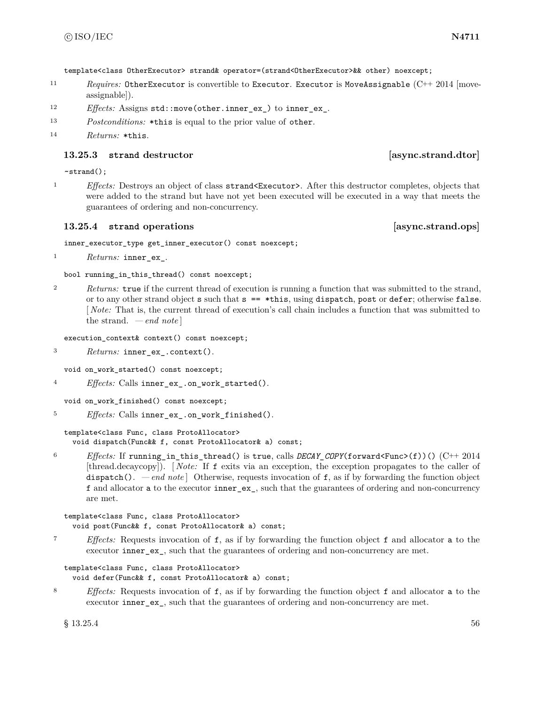template<class OtherExecutor> strand& operator=(strand<OtherExecutor>&& other) noexcept;

- 11 *Requires:* OtherExecutor is convertible to Executor. Executor is MoveAssignable (C++ 2014 [moveassignable]).
- <sup>12</sup> *Effects:* Assigns std::move(other.inner\_ex\_) to inner\_ex\_.
- <sup>13</sup> *Postconditions:* \*this is equal to the prior value of other.

### **13.25.3 strand destructor [async.strand.dtor]**

### ~strand();

<sup>1</sup> *Effects:* Destroys an object of class strand<Executor>. After this destructor completes, objects that were added to the strand but have not yet been executed will be executed in a way that meets the guarantees of ordering and non-concurrency.

### <span id="page-62-0"></span>**13.25.4 strand** operations **areas** [async.strand.ops]

inner\_executor\_type get\_inner\_executor() const noexcept;

<sup>1</sup> *Returns:* inner\_ex\_.

bool running\_in\_this\_thread() const noexcept;

<sup>2</sup> *Returns:* true if the current thread of execution is running a function that was submitted to the strand, or to any other strand object  $s$  such that  $s = \ast this$ , using dispatch, post or defer; otherwise false. [ *Note:* That is, the current thread of execution's call chain includes a function that was submitted to the strand. *— end note* ]

execution\_context& context() const noexcept;

<sup>3</sup> *Returns:* inner\_ex\_.context().

void on\_work\_started() const noexcept;

<sup>4</sup> *Effects:* Calls inner\_ex\_.on\_work\_started().

void on\_work\_finished() const noexcept;

<sup>5</sup> *Effects:* Calls inner\_ex\_.on\_work\_finished().

template<class Func, class ProtoAllocator> void dispatch(Func&& f, const ProtoAllocator& a) const;

<sup>6</sup> *Effects:* If running\_in\_this\_thread() is true, calls *DECAY\_COPY*(forward<Func>(f))() (C++ 2014 [thread.decaycopy]). [ *Note:* If f exits via an exception, the exception propagates to the caller of dispatch(). *— end note*  $\vert$  Otherwise, requests invocation of f, as if by forwarding the function object f and allocator a to the executor inner\_ex\_, such that the guarantees of ordering and non-concurrency are met.

template<class Func, class ProtoAllocator> void post(Func&& f, const ProtoAllocator& a) const;

<sup>7</sup> *Effects:* Requests invocation of f, as if by forwarding the function object f and allocator a to the executor inner\_ex\_, such that the guarantees of ordering and non-concurrency are met.

```
template<class Func, class ProtoAllocator>
  void defer(Func&& f, const ProtoAllocator& a) const;
```
<sup>8</sup> *Effects:* Requests invocation of f, as if by forwarding the function object f and allocator a to the executor inner\_ex\_, such that the guarantees of ordering and non-concurrency are met.

 $\S 13.25.4$  56

<sup>14</sup> *Returns:* \*this.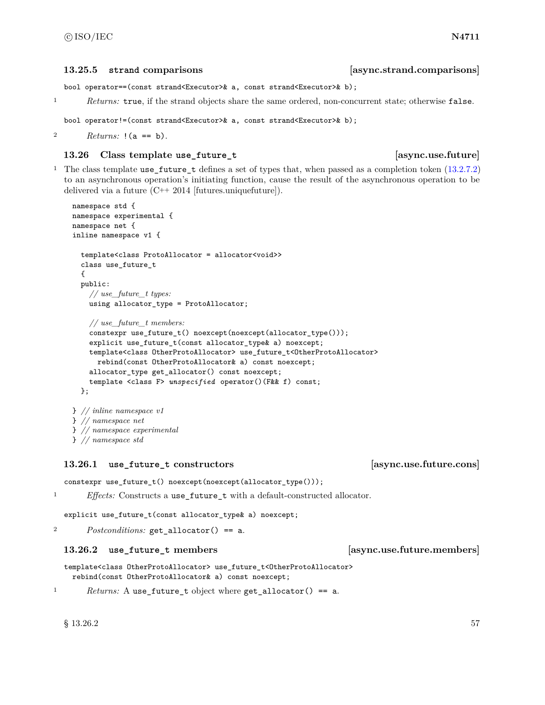### **13.25.5 strand comparisons [async.strand.comparisons]**

bool operator==(const strand<Executor>& a, const strand<Executor>& b);

<sup>1</sup> *Returns:* true, if the strand objects share the same ordered, non-concurrent state; otherwise false.

```
bool operator!=(const strand<Executor>& a, const strand<Executor>& b);
```

```
2 Returns: !(a == b).
```
### **13.26 Class template use\_future\_t [async.use.future]**

<sup>1</sup> The class template use\_future\_t defines a set of types that, when passed as a completion token [\(13.2.7.2\)](#page-30-1) to an asynchronous operation's initiating function, cause the result of the asynchronous operation to be delivered via a future (C++ 2014 [futures.uniquefuture]).

```
namespace std {
namespace experimental {
namespace net {
inline namespace v1 {
  template<class ProtoAllocator = allocator<void>>
  class use_future_t
  {
  public:
    // use_future_t types:
    using allocator_type = ProtoAllocator;
    // use_future_t members:
    constexpr use_future_t() noexcept(noexcept(allocator_type()));
    explicit use_future_t(const allocator_type& a) noexcept;
    template<class OtherProtoAllocator> use_future_t<OtherProtoAllocator>
      rebind(const OtherProtoAllocator& a) const noexcept;
    allocator_type get_allocator() const noexcept;
    template <class F> unspecified operator()(F&& f) const;
  };
} // inline namespace v1
} // namespace net
```
} *// namespace experimental*

} *// namespace std*

# **13.26.1 use\_future\_t constructors [async.use.future.cons]**

constexpr use\_future\_t() noexcept(noexcept(allocator\_type()));

<sup>1</sup> *Effects:* Constructs a use\_future\_t with a default-constructed allocator.

explicit use\_future\_t(const allocator\_type& a) noexcept;

<sup>2</sup> *Postconditions:* get\_allocator() == a.

### **13.26.2 use\_future\_t members [async.use.future.members]**

template<class OtherProtoAllocator> use\_future\_t<OtherProtoAllocator> rebind(const OtherProtoAllocator& a) const noexcept;

<sup>1</sup> *Returns:* A use\_future\_t object where get\_allocator() == a.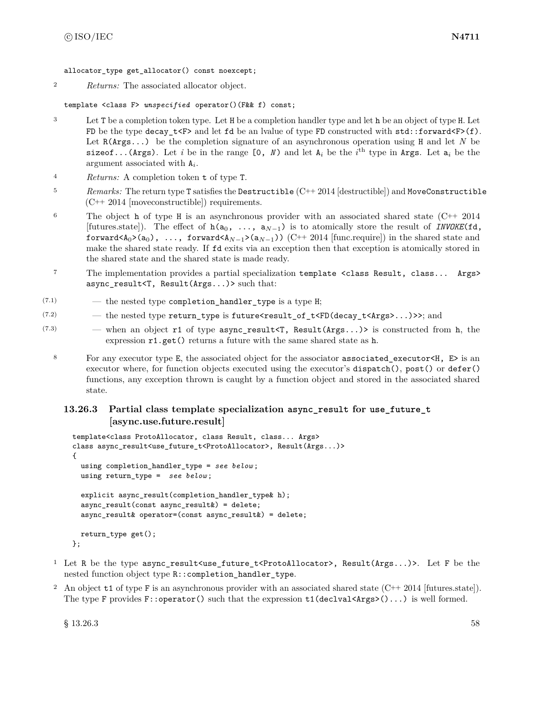allocator type get allocator() const noexcept;

<sup>2</sup> *Returns:* The associated allocator object.

template <class F> *unspecified* operator()(F&& f) const;

- <sup>3</sup> Let T be a completion token type. Let H be a completion handler type and let h be an object of type H. Let FD be the type decay\_t<F> and let fd be an lyalue of type FD constructed with  $std::forward\leq F>(f)$ . Let R(Args...) be the completion signature of an asynchronous operation using H and let *N* be sizeof...(Args). Let *i* be in the range  $[0, N)$  and let  $A_i$  be the *i*<sup>th</sup> type in Args. Let  $a_i$  be the argument associated with A*<sup>i</sup>* .
- <sup>4</sup> *Returns:* A completion token t of type T.
- <sup>5</sup> *Remarks:* The return type T satisfies the Destructible (C++ 2014 [destructible]) and MoveConstructible (C++ 2014 [moveconstructible]) requirements.
- <sup>6</sup> The object h of type H is an asynchronous provider with an associated shared state  $(C^{++} 2014$ [futures.state]). The effect of h(a0, ..., a*N*−1) is to atomically store the result of *INVOKE*(fd, forward<A<sub>0</sub>>(a<sub>0</sub>), ..., forward<A<sub>*N*−1</sub>>(a<sub>*N*−1</sub>)) (C++ 2014 [func.require]) in the shared state and make the shared state ready. If fd exits via an exception then that exception is atomically stored in the shared state and the shared state is made ready.
- <sup>7</sup> The implementation provides a partial specialization template <class Result, class... Args> async\_result<T, Result(Args...)> such that:
- $(7.1)$   $-$  the nested type completion\_handler\_type is a type H;
- $(7.2)$  the nested type return\_type is future<result\_of\_t<FD(decay\_t<Args>...)>>; and
- $(7.3)$  when an object r1 of type async\_result<T, Result(Args...)> is constructed from h, the expression r1.get() returns a future with the same shared state as h.
	- 8 For any executor type E, the associated object for the associator associated executor  $\lt H$ , E> is an executor where, for function objects executed using the executor's dispatch(), post() or defer() functions, any exception thrown is caught by a function object and stored in the associated shared state.

# **13.26.3 Partial class template specialization async\_result for use\_future\_t [async.use.future.result]**

```
template<class ProtoAllocator, class Result, class... Args>
class async_result<use_future_t<ProtoAllocator>, Result(Args...)>
{
  using completion_handler_type = see below ;
  using return_type = see below ;
  explicit async_result(completion_handler_type& h);
  async_result(const async_result&) = delete;
 async_result& operator=(const async_result&) = delete;
  return_type get();
};
```
- <sup>1</sup> Let R be the type async\_result<use\_future\_t<ProtoAllocator>, Result(Args...)>. Let F be the nested function object type R::completion\_handler\_type.
- <sup>2</sup> An object t1 of type F is an asynchronous provider with an associated shared state  $(C^{++} 2014$  [futures.state]). The type F provides  $F:$ :operator() such that the expression  $t1$ (declval  $\text{Args}$ )()...) is well formed.

 $\S$  13.26.3 58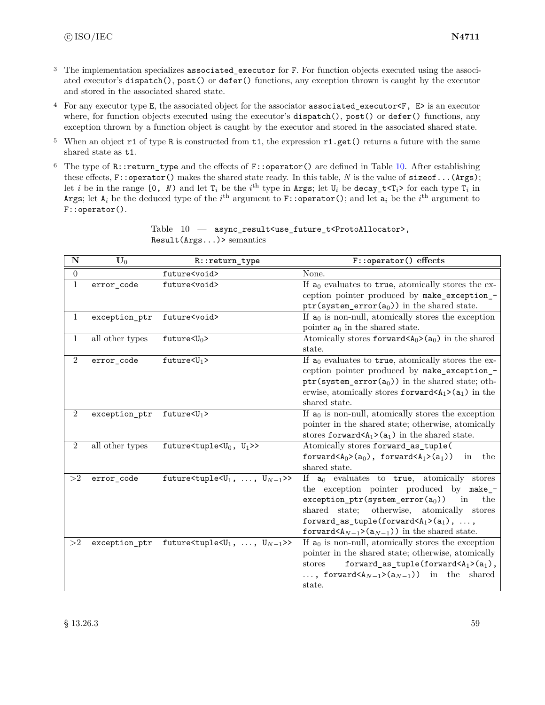- <sup>3</sup> The implementation specializes associated executor for F. For function objects executed using the associated executor's dispatch(), post() or defer() functions, any exception thrown is caught by the executor and stored in the associated shared state.
- <sup>4</sup> For any executor type E, the associated object for the associator associated\_executor<F, E> is an executor where, for function objects executed using the executor's dispatch(), post() or defer() functions, any exception thrown by a function object is caught by the executor and stored in the associated shared state.
- <sup>5</sup> When an object  $r1$  of type R is constructed from  $t1$ , the expression  $r1.get()$  returns a future with the same shared state as t1.
- <sup>6</sup> The type of  $R:$ : return\_type and the effects of  $F:$ : operator() are defined in Table [10.](#page-65-0) After establishing these effects, F::operator() makes the shared state ready. In this table, *N* is the value of sizeof...(Args); let *i* be in the range  $[0, N)$  and let  $T_i$  be the *i*<sup>th</sup> type in Args; let  $U_i$  be decay\_t<T<sub>*i*</sub>> for each type  $T_i$  in Args; let  $A_i$  be the deduced type of the  $i^{\text{th}}$  argument to F::**operator()**; and let  $\mathsf{a}_i$  be the  $i^{\text{th}}$  argument to F::operator().

<span id="page-65-0"></span>

| $\overline{\mathbf{N}}$ | $\mathbf{\bar{U}}_0$ | R::return_type                                                  | F::operator() effects                                                                                                                                                                                                                                                                                                        |
|-------------------------|----------------------|-----------------------------------------------------------------|------------------------------------------------------------------------------------------------------------------------------------------------------------------------------------------------------------------------------------------------------------------------------------------------------------------------------|
| $\boldsymbol{0}$        |                      | future <void></void>                                            | None.                                                                                                                                                                                                                                                                                                                        |
| 1                       | error_code           | future <void></void>                                            | If $a_0$ evaluates to true, atomically stores the ex-<br>ception pointer produced by make_exception_-<br>ptr(system_error( $a_0$ )) in the shared state.                                                                                                                                                                     |
| $\mathbf{1}$            | exception_ptr        | future <void></void>                                            | If $a_0$ is non-null, atomically stores the exception<br>pointer $a_0$ in the shared state.                                                                                                                                                                                                                                  |
| $\mathbf{1}$            | all other types      | future $\langle U_0 \rangle$                                    | Atomically stores forward $(A_0)$ (a <sub>0</sub> ) in the shared<br>state.                                                                                                                                                                                                                                                  |
| $\mathbf{2}$            | error_code           | $future U_1$                                                    | If $a_0$ evaluates to true, atomically stores the ex-<br>ception pointer produced by make_exception_-<br>ptr(system_error( $a_0$ )) in the shared state; oth-<br>erwise, atomically stores forward $(A_1>(a_1))$ in the<br>shared state.                                                                                     |
| $\overline{2}$          | exception_ptr        | $future\text{<}U_1$ >                                           | If $a_0$ is non-null, atomically stores the exception<br>pointer in the shared state; otherwise, atomically<br>stores forward $(A_1)$ (a <sub>1</sub> ) in the shared state.                                                                                                                                                 |
| $\overline{2}$          | all other types      | future <tuple<<math>U_0, <math>U_1</math>&gt;&gt;</tuple<<math> | Atomically stores forward_as_tuple(<br>forward $\langle A_0 \rangle$ (a <sub>0</sub> ), forward $\langle A_1 \rangle$ (a <sub>1</sub> ))<br>the<br>in<br>shared state.                                                                                                                                                       |
| >2                      | error_code           | future<br>stuple<br>s $U_1, \ldots, U_{N-1}$ >>                 | If $a_0$ evaluates to true, atomically stores<br>the exception pointer produced by make_-<br>$exception\_ptr(system\_error(a_0))$<br>the<br>in<br>shared state;<br>otherwise, atomically stores<br>forward_as_tuple(forward $\langle A_1 \rangle$ (a <sub>1</sub> ), ,<br>forward $(A_{N-1}>(a_{N-1}))$ in the shared state. |
| >2                      | exception_ptr        | future<br>stuple<br>s<br>U <sub>1</sub> , , $U_{N-1}$ >>        | If $a_0$ is non-null, atomically stores the exception<br>pointer in the shared state; otherwise, atomically<br>forward_as_tuple(forward $\langle A_1 \rangle$ (a <sub>1</sub> ),<br>stores<br>, forward $(A_{N-1}>(a_{N-1}))$ in the shared<br>state.                                                                        |

Table  $10 -$  async\_result<use\_future\_t<ProtoAllocator>, Result(Args...)> semantics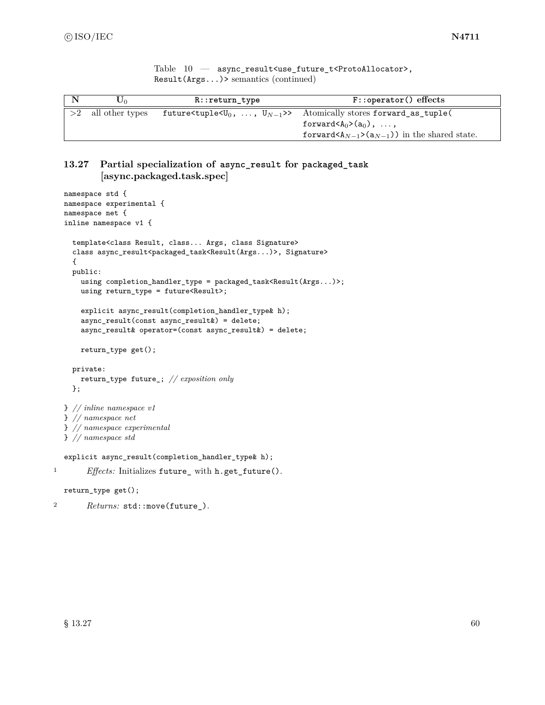Table 10 — async\_result<use\_future\_t<ProtoAllocator>, Result(Args...)> semantics (continued)

| ∪∩              | $R:$ : return type | $F:$ :operator() effects                                                                                                                                                                                                     |
|-----------------|--------------------|------------------------------------------------------------------------------------------------------------------------------------------------------------------------------------------------------------------------------|
| all other types |                    | future <tuple <<math="">U_0, , <math>U_{N-1}</math>&gt;&gt; Atomically stores forward_as_tuple(<br/>forward <math>(A_0&gt;(a_0), \ldots,</math><br/>forward <math>(A_{N-1}&gt;(a_{N-1}))</math> in the shared state.</tuple> |

# **13.27 Partial specialization of async\_result for packaged\_task [async.packaged.task.spec]**

```
namespace std {
  namespace experimental {
  namespace net {
  inline namespace v1 {
    template<class Result, class... Args, class Signature>
    class async_result<packaged_task<Result(Args...)>, Signature>
    {
    public:
      using completion_handler_type = packaged_task<Result(Args...)>;
      using return_type = future<Result>;
      explicit async_result(completion_handler_type& h);
      async_result(const async_result&) = delete;
      async_result& operator=(const async_result&) = delete;
      return_type get();
    private:
      return_type future_; // exposition only
    };
  } // inline namespace v1
  } // namespace net
  } // namespace experimental
  } // namespace std
  explicit async_result(completion_handler_type& h);
1 Effects: Initializes future_ with h.get_future().
  return_type get();
```
<sup>2</sup> *Returns:* std::move(future\_).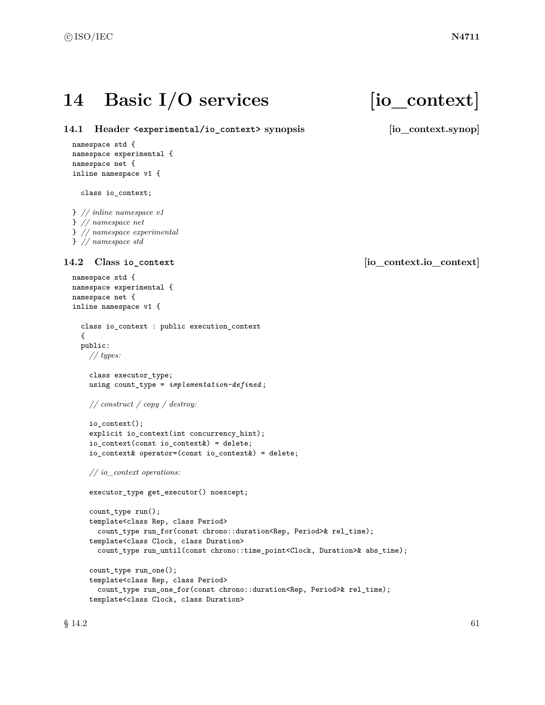# 14 Basic I/O services [io\_context]

**14.1 Header <experimental/io\_context> synopsis [io\_context.synop]**

```
namespace std {
namespace experimental {
namespace net {
inline namespace v1 {
```
class io\_context;

```
} // inline namespace v1
} // namespace net
} // namespace experimental
} // namespace std
```

```
namespace std {
namespace experimental {
namespace net {
inline namespace v1 {
  class io_context : public execution_context
  {
  public:
    // types:
    class executor_type;
    using count_type = implementation-defined ;
    // construct / copy / destroy:
    io_context();
    explicit io_context(int concurrency_hint);
    io_context(const io_context&) = delete;
    io_context& operator=(const io_context&) = delete;
    // io_context operations:
    executor_type get_executor() noexcept;
    count_type run();
    template<class Rep, class Period>
      count_type run_for(const chrono::duration<Rep, Period>& rel_time);
    template<class Clock, class Duration>
      count_type run_until(const chrono::time_point<Clock, Duration>& abs_time);
    count_type run_one();
    template<class Rep, class Period>
      count_type run_one_for(const chrono::duration<Rep, Period>& rel_time);
    template<class Clock, class Duration>
```
**14.2 Class io\_context [io\_context.io\_context]**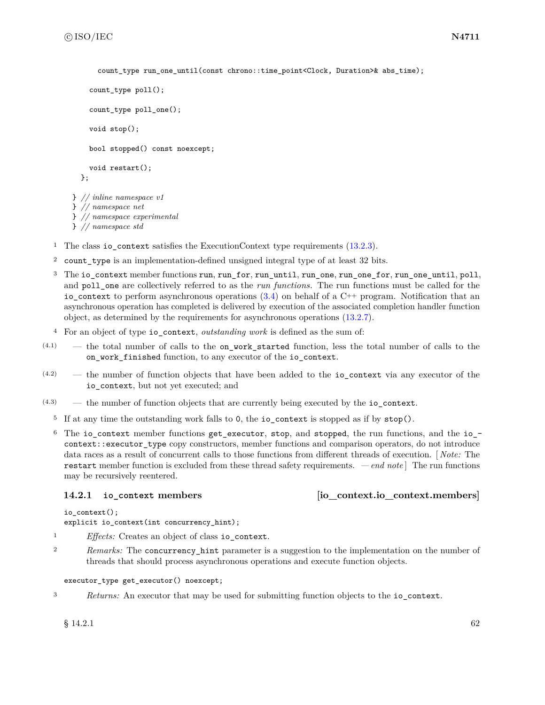```
count type run one until(const chrono::time point<Clock, Duration>& abs time);
    count_type poll();
    count_type poll_one();
    void stop();
    bool stopped() const noexcept;
    void restart();
  };
} // inline namespace v1
} // namespace net
} // namespace experimental
} // namespace std
```
<sup>1</sup> The class io\_context satisfies the ExecutionContext type requirements [\(13.2.3\)](#page-28-0).

- <sup>2</sup> count\_type is an implementation-defined unsigned integral type of at least 32 bits.
- <sup>3</sup> The io\_context member functions run, run\_for, run\_until, run\_one, run\_one\_for, run\_one\_until, poll, and poll one are collectively referred to as the *run functions*. The run functions must be called for the io\_context to perform asynchronous operations  $(3.4)$  on behalf of a C++ program. Notification that an asynchronous operation has completed is delivered by execution of the associated completion handler function object, as determined by the requirements for asynchronous operations [\(13.2.7\)](#page-30-0).
- <sup>4</sup> For an object of type io\_context, *outstanding work* is defined as the sum of:
- (4.1) the total number of calls to the on\_work\_started function, less the total number of calls to the on\_work\_finished function, to any executor of the io\_context.
- (4.2) the number of function objects that have been added to the io\_context via any executor of the io\_context, but not yet executed; and
- (4.3) the number of function objects that are currently being executed by the io\_context.
	- <sup>5</sup> If at any time the outstanding work falls to 0, the io\_context is stopped as if by stop().
	- $6$  The io\_context member functions get\_executor, stop, and stopped, the run functions, and the io\_context::executor type copy constructors, member functions and comparison operators, do not introduce data races as a result of concurrent calls to those functions from different threads of execution. [ *Note:* The restart member function is excluded from these thread safety requirements. *— end note* ] The run functions may be recursively reentered.

```
14.2.1 io_context members [io_context.io_context.members]
```

```
io_context();
explicit io_context(int concurrency_hint);
```
- <sup>1</sup> *Effects:* Creates an object of class io\_context.
- <sup>2</sup> *Remarks:* The concurrency\_hint parameter is a suggestion to the implementation on the number of threads that should process asynchronous operations and execute function objects.

### executor\_type get\_executor() noexcept;

<sup>3</sup> *Returns:* An executor that may be used for submitting function objects to the io\_context.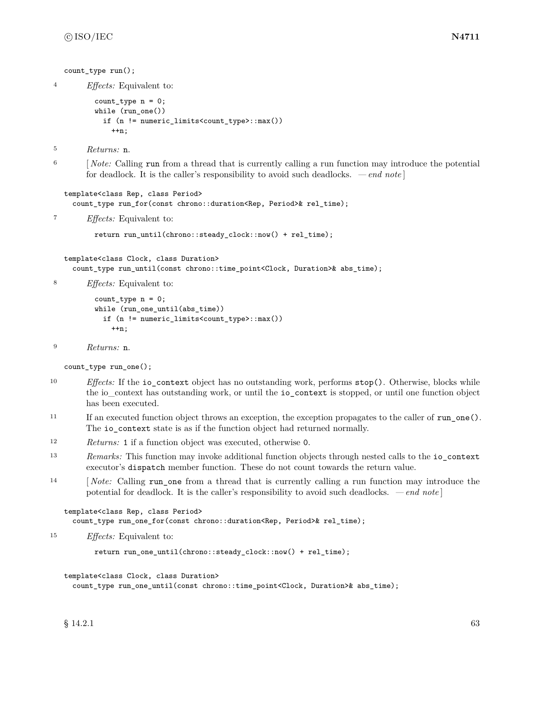```
count type run();
4 Effects: Equivalent to:
          count_type n = 0;
          while (run_one())
            if (n != numeric_limits<count_type>::max())
              ++n:
5 Returns: n.
<sup>6</sup> [Note: Calling run from a thread that is currently calling a run function may introduce the potential
        for deadlock. It is the caller's responsibility to avoid such deadlocks. — end note ]
  template<class Rep, class Period>
    count_type run_for(const chrono::duration<Rep, Period>& rel_time);
7 Effects: Equivalent to:
          return run_until(chrono::steady_clock::now() + rel_time);
  template<class Clock, class Duration>
    count_type run_until(const chrono::time_point<Clock, Duration>& abs_time);
8 Effects: Equivalent to:
          count_type n = 0;
          while (run_one_until(abs_time))
            if (n != numeric_limits<count_type>::max())
              ++n;
```

```
9 Returns: n.
```
count\_type run\_one();

- <sup>10</sup> *Effects:* If the io\_context object has no outstanding work, performs stop(). Otherwise, blocks while the io\_context has outstanding work, or until the io\_context is stopped, or until one function object has been executed.
- <sup>11</sup> If an executed function object throws an exception, the exception propagates to the caller of run\_one(). The io\_context state is as if the function object had returned normally.
- <sup>12</sup> *Returns:* 1 if a function object was executed, otherwise 0.
- <sup>13</sup> *Remarks:* This function may invoke additional function objects through nested calls to the io\_context executor's dispatch member function. These do not count towards the return value.
- <sup>14</sup> [*Note:* Calling run one from a thread that is currently calling a run function may introduce the potential for deadlock. It is the caller's responsibility to avoid such deadlocks. *— end note* ]

```
template<class Rep, class Period>
  count_type run_one_for(const chrono::duration<Rep, Period>& rel_time);
```
<sup>15</sup> *Effects:* Equivalent to:

return run\_one\_until(chrono::steady\_clock::now() + rel\_time);

template<class Clock, class Duration>

count\_type run\_one\_until(const chrono::time\_point<Clock, Duration>& abs\_time);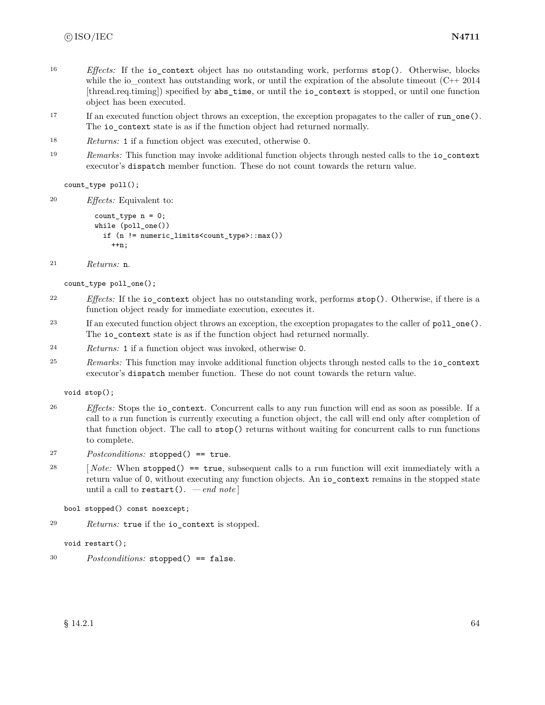- <sup>16</sup> *Effects:* If the io context object has no outstanding work, performs stop(). Otherwise, blocks while the io\_context has outstanding work, or until the expiration of the absolute timeout  $(C^{++} 2014$ [thread.req.timing]) specified by abs\_time, or until the io\_context is stopped, or until one function object has been executed.
- <sup>17</sup> If an executed function object throws an exception, the exception propagates to the caller of run\_one(). The io\_context state is as if the function object had returned normally.
- <sup>18</sup> *Returns:* 1 if a function object was executed, otherwise 0.
- <sup>19</sup> *Remarks:* This function may invoke additional function objects through nested calls to the io\_context executor's dispatch member function. These do not count towards the return value.

count\_type poll();

<sup>20</sup> *Effects:* Equivalent to:

```
count_type n = 0;
while (poll_one())
  if (n != numeric_limits<count_type>::max())
    ++n;
```

```
21 Returns: n.
```
count\_type poll\_one();

- <sup>22</sup> *Effects:* If the io\_context object has no outstanding work, performs stop(). Otherwise, if there is a function object ready for immediate execution, executes it.
- <sup>23</sup> If an executed function object throws an exception, the exception propagates to the caller of poll\_one(). The io context state is as if the function object had returned normally.
- <sup>24</sup> *Returns:* 1 if a function object was invoked, otherwise 0.
- <sup>25</sup> *Remarks:* This function may invoke additional function objects through nested calls to the io\_context executor's dispatch member function. These do not count towards the return value.

void stop();

- <sup>26</sup> *Effects:* Stops the io\_context. Concurrent calls to any run function will end as soon as possible. If a call to a run function is currently executing a function object, the call will end only after completion of that function object. The call to stop() returns without waiting for concurrent calls to run functions to complete.
- <sup>27</sup> *Postconditions:* stopped() == true.
- <sup>28</sup> [ *Note:* When stopped() == true, subsequent calls to a run function will exit immediately with a return value of 0, without executing any function objects. An io\_context remains in the stopped state until a call to restart(). *— end note* ]

bool stopped() const noexcept;

<sup>29</sup> *Returns:* true if the io\_context is stopped.

void restart();

<sup>30</sup> *Postconditions:* stopped() == false.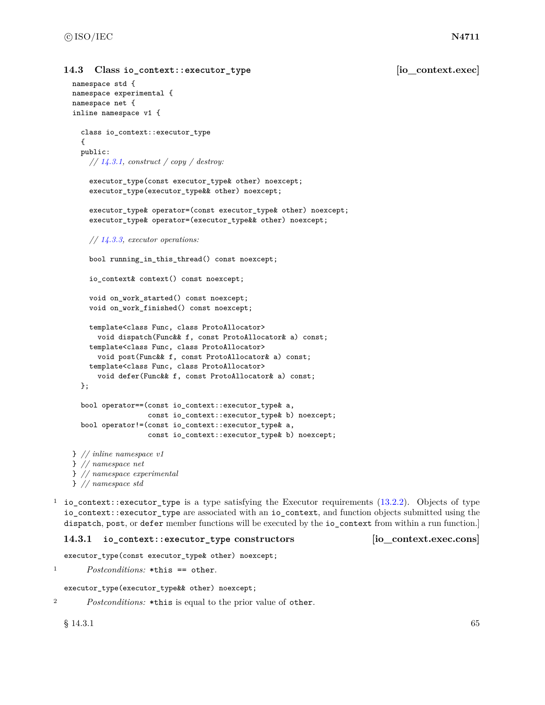### **14.3** Class io context::executor type **buying [io\_context.exec]**

```
namespace std {
namespace experimental {
namespace net {
inline namespace v1 {
  class io_context::executor_type
  {
  public:
    // 14.3.1, construct / copy / destroy:
    executor_type(const executor_type& other) noexcept;
    executor_type(executor_type&& other) noexcept;
    executor_type& operator=(const executor_type& other) noexcept;
    executor_type& operator=(executor_type&& other) noexcept;
    // 14.3.3, executor operations:
    bool running_in_this_thread() const noexcept;
    io_context& context() const noexcept;
    void on_work_started() const noexcept;
    void on_work_finished() const noexcept;
    template<class Func, class ProtoAllocator>
      void dispatch(Func&& f, const ProtoAllocator& a) const;
    template<class Func, class ProtoAllocator>
      void post(Func&& f, const ProtoAllocator& a) const;
    template<class Func, class ProtoAllocator>
      void defer(Func&& f, const ProtoAllocator& a) const;
  };
  bool operator==(const io_context::executor_type& a,
                  const io_context::executor_type& b) noexcept;
  bool operator!=(const io_context::executor_type& a,
                  const io_context::executor_type& b) noexcept;
} // inline namespace v1
} // namespace net
} // namespace experimental
} // namespace std
```
<sup>1</sup> io\_context::executor\_type is a type satisfying the Executor requirements [\(13.2.2\)](#page-25-1). Objects of type io\_context::executor\_type are associated with an io\_context, and function objects submitted using the dispatch, post, or defer member functions will be executed by the io\_context from within a run function.]

### <span id="page-71-0"></span>**14.3.1 io\_context::executor\_type constructors [io\_context.exec.cons]**

executor\_type(const executor\_type& other) noexcept;

```
1 Postconditions: *this == other.
```

```
executor_type(executor_type&& other) noexcept;
```

```
2 Postconditions: *this is equal to the prior value of other.
```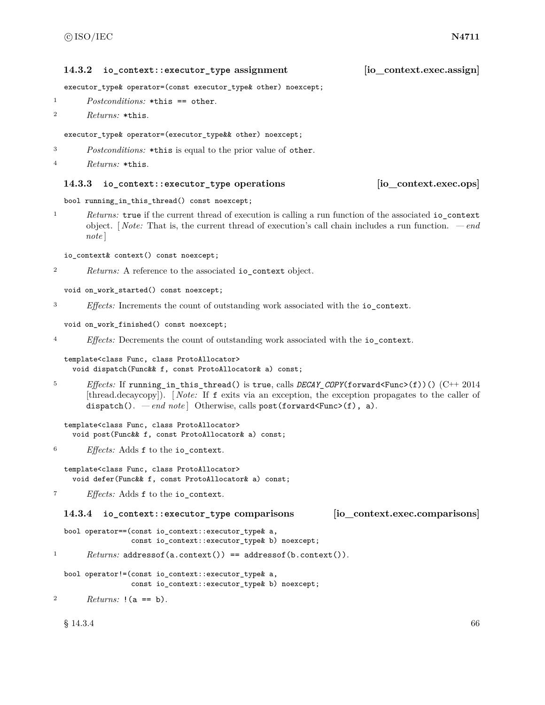# **14.3.2 io\_context::executor\_type assignment [io\_context.exec.assign]**

executor\_type& operator=(const executor\_type& other) noexcept;

- <sup>1</sup> *Postconditions:* \*this == other.
- <sup>2</sup> *Returns:* \*this.

### executor\_type& operator=(executor\_type&& other) noexcept;

<sup>3</sup> *Postconditions:* \*this is equal to the prior value of other.

```
4 Returns: *this.
```
### **14.3.3 io\_context::executor\_type operations [io\_context.exec.ops]**

```
bool running_in_this_thread() const noexcept;
```
<sup>1</sup> *Returns:* true if the current thread of execution is calling a run function of the associated io\_context object. [ *Note:* That is, the current thread of execution's call chain includes a run function. *— end note* ]

io\_context& context() const noexcept;

<sup>2</sup> *Returns:* A reference to the associated io\_context object.

```
void on_work_started() const noexcept;
```
<sup>3</sup> *Effects:* Increments the count of outstanding work associated with the io\_context.

void on\_work\_finished() const noexcept;

```
4 Effects: Decrements the count of outstanding work associated with the io_context.
```
template<class Func, class ProtoAllocator> void dispatch(Func&& f, const ProtoAllocator& a) const;

<sup>5</sup> *Effects:* If running\_in\_this\_thread() is true, calls *DECAY\_COPY*(forward<Func>(f))() (C++ 2014 [thread.decaycopy]). [ *Note:* If f exits via an exception, the exception propagates to the caller of dispatch(). *— end note* | Otherwise, calls post(forward<Func>(f), a).

```
template<class Func, class ProtoAllocator>
  void post(Func&& f, const ProtoAllocator& a) const;
```
<sup>6</sup> *Effects:* Adds f to the io\_context.

```
template<class Func, class ProtoAllocator>
  void defer(Func&& f, const ProtoAllocator& a) const;
```

```
7 Effects: Adds f to the io_context.
```

```
14.3.4 io_context::executor_type comparisons [io_context.exec.comparisons]
```

```
bool operator==(const io_context::executor_type& a,
                const io_context::executor_type& b) noexcept;
```

```
1 Returns: addressof(a.context()) == addressof(b.context()).
```

```
bool operator!=(const io_context::executor_type& a,
                const io_context::executor_type& b) noexcept;
```

```
2 Returns: !(a == b).
```
 $\S$  14.3.4 66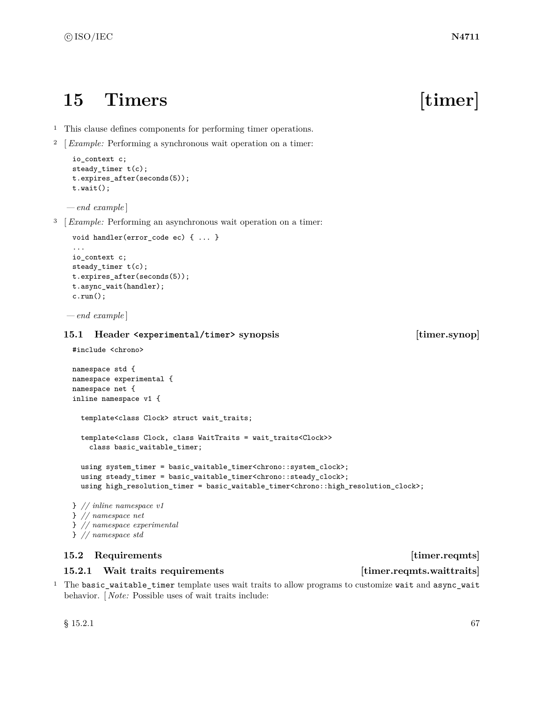# **15 Timers [timer]**

- <sup>1</sup> This clause defines components for performing timer operations.
- <sup>2</sup> [*Example:* Performing a synchronous wait operation on a timer:

```
io_context c;
steady_timer t(c);
t.expires_after(seconds(5));
t.wait();
```
*— end example* ]

<sup>3</sup> [*Example:* Performing an asynchronous wait operation on a timer:

```
void handler(error code ec) { ... }
...
io_context c;
steady_timer t(c);
t.expires_after(seconds(5));
t.async_wait(handler);
c.run();
```
*— end example* ]

### **15.1 Header <experimental/timer> synopsis [timer.synop]**

```
#include <chrono>
```

```
namespace std {
namespace experimental {
namespace net {
inline namespace v1 {
  template<class Clock> struct wait_traits;
  template<class Clock, class WaitTraits = wait_traits<Clock>>
    class basic_waitable_timer;
  using system_timer = basic_waitable_timer<chrono::system_clock>;
  using steady_timer = basic_waitable_timer<chrono::steady_clock>;
  using high_resolution_timer = basic_waitable_timer<chrono::high_resolution_clock>;
} // inline namespace v1
} // namespace net
```
- } *// namespace experimental*
- } *// namespace std*

# **15.2 Requirements** [timer.reqmts]

### <span id="page-73-0"></span>**15.2.1** Wait traits requirements **in the interval interval interval in the interval interval interval interval in the interval interval interval interval interval interval interval interval interval interval interval inte**

<sup>1</sup> The basic\_waitable\_timer template uses wait traits to allow programs to customize wait and async\_wait behavior. [ *Note:* Possible uses of wait traits include: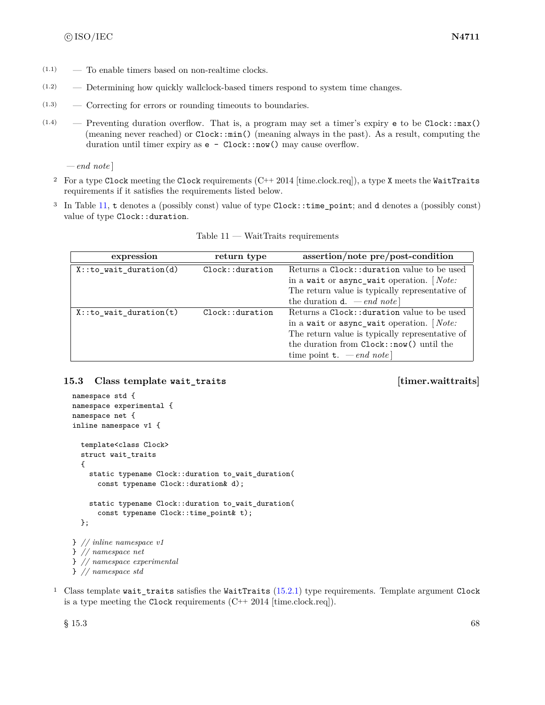- $(1.1)$  To enable timers based on non-realtime clocks.
- (1.2) Determining how quickly wallclock-based timers respond to system time changes.
- (1.3) Correcting for errors or rounding timeouts to boundaries.
- $(1.4)$  Preventing duration overflow. That is, a program may set a timer's expiry e to be Clock::max() (meaning never reached) or Clock::min() (meaning always in the past). As a result, computing the duration until timer expiry as  $e - \text{Clock}: \text{now}()$  may cause overflow.

*— end note* ]

- <sup>2</sup> For a type Clock meeting the Clock requirements  $(C++ 2014$  [time.clock.req]), a type X meets the WaitTraits requirements if it satisfies the requirements listed below.
- <sup>3</sup> In Table [11,](#page-74-0) t denotes a (possibly const) value of type Clock::time\_point; and d denotes a (possibly const) value of type Clock::duration.

<span id="page-74-0"></span>

| expression                 | return type    | assertion/note pre/post-condition               |
|----------------------------|----------------|-------------------------------------------------|
| $X:$ : to_wait_duration(d) | Clock:duration | Returns a Clock:: duration value to be used     |
|                            |                | in a wait or async_wait operation. $[Note:$     |
|                            |                | The return value is typically representative of |
|                            |                | the duration <b>d</b> . $\,- end \; note$       |
| $X:$ : to wait duration(t) | Clock:duration | Returns a Clock:: duration value to be used     |
|                            |                | in a wait or async_wait operation. $[Note:$     |
|                            |                | The return value is typically representative of |
|                            |                | the duration from Clock::now() until the        |
|                            |                | time point <b>t</b> . $-\text{end note}$        |

 $Table 11 - WaitTraits requirements$ 

### **15.3 Class template wait\_traits [timer.waittraits]**

```
namespace std {
namespace experimental {
namespace net {
inline namespace v1 {
  template<class Clock>
 struct wait_traits
  {
    static typename Clock::duration to_wait_duration(
      const typename Clock::duration& d);
    static typename Clock::duration to_wait_duration(
      const typename Clock::time_point& t);
  };
} // inline namespace v1
} // namespace net
} // namespace experimental
} // namespace std
```
<sup>1</sup> Class template wait\_traits satisfies the WaitTraits [\(15.2.1\)](#page-73-0) type requirements. Template argument Clock is a type meeting the Clock requirements  $(C^{++} 2014$  [time.clock.req]).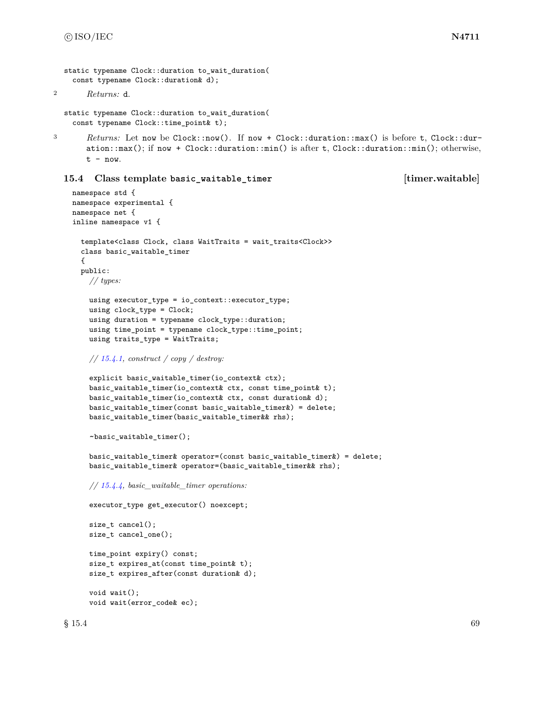```
static typename Clock::duration to wait duration(
```

```
const typename Clock::duration& d);
```

```
2 Returns: d.
```

```
static typename Clock::duration to_wait_duration(
  const typename Clock::time_point& t);
```
3 *Returns:* Let now be Clock::now(). If now + Clock::duration::max() is before t, Clock::duration::max(); if now + Clock::duration::min() is after t, Clock::duration::min(); otherwise,  $t - now.$ 

### **15.4 Class template basic\_waitable\_timer [timer.waitable]**

```
namespace std {
namespace experimental {
namespace net {
inline namespace v1 {
  template<class Clock, class WaitTraits = wait_traits<Clock>>
  class basic_waitable_timer
  {
  public:
    // types:
    using executor_type = io_context::executor_type;
    using clock_type = Clock;
    using duration = typename clock_type::duration;
    using time_point = typename clock_type::time_point;
    using traits_type = WaitTraits;
    // 15.4.1, construct / copy / destroy:
    explicit basic_waitable_timer(io_context& ctx);
    basic_waitable_timer(io_context& ctx, const time_point& t);
    basic_waitable_timer(io_context& ctx, const duration& d);
    basic_waitable_timer(const basic_waitable_timer&) = delete;
    basic_waitable_timer(basic_waitable_timer&& rhs);
    ~basic_waitable_timer();
    basic_waitable_timer& operator=(const basic_waitable_timer&) = delete;
    basic_waitable_timer& operator=(basic_waitable_timer&& rhs);
    // 15.4.4, basic_waitable_timer operations:
    executor_type get_executor() noexcept;
    size_t cancel();
    size_t cancel_one();
    time_point expiry() const;
    size_t expires_at(const time_point& t);
    size_t expires_after(const duration& d);
    void wait();
    void wait(error_code& ec);
```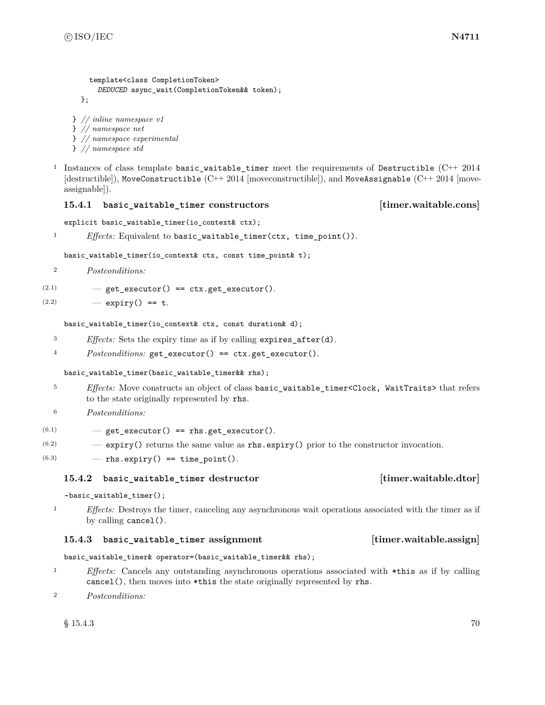```
template<class CompletionToken>
      DEDUCED async_wait(CompletionToken&& token);
  };
} // inline namespace v1
```

```
} // namespace net
```
} *// namespace experimental*

```
} // namespace std
```
<sup>1</sup> Instances of class template basic\_waitable\_timer meet the requirements of Destructible  $(C^{++} 2014)$ [destructible]), MoveConstructible (C++ 2014 [moveconstructible]), and MoveAssignable (C++ 2014 [moveassignable]).

## <span id="page-76-0"></span>**15.4.1 basic\_waitable\_timer constructors [timer.waitable.cons]**

explicit basic\_waitable\_timer(io\_context& ctx);

<sup>1</sup> *Effects:* Equivalent to basic\_waitable\_timer(ctx, time\_point()).

basic\_waitable\_timer(io\_context& ctx, const time\_point& t);

```
2 Postconditions:
```

```
(2.1) - get_executor() == ctx.get_executor().
```

```
(2.2) - expiry() == t.
```
basic\_waitable\_timer(io\_context& ctx, const duration& d);

- <sup>3</sup> *Effects:* Sets the expiry time as if by calling expires\_after(d).
- <sup>4</sup> *Postconditions:* get\_executor() == ctx.get\_executor().

# basic\_waitable\_timer(basic\_waitable\_timer&& rhs);

- <sup>5</sup> *Effects:* Move constructs an object of class basic\_waitable\_timer<Clock, WaitTraits> that refers to the state originally represented by rhs.
- <sup>6</sup> *Postconditions:*

 $(6.1)$   $-$  get\_executor() == rhs.get\_executor().

- $(6.2)$  expiry() returns the same value as rhs.expiry() prior to the constructor invocation.
- $(6.3)$  rhs.expiry() == time\_point().

# **15.4.2 basic\_waitable\_timer destructor [timer.waitable.dtor]**

~basic\_waitable\_timer();

<sup>1</sup> *Effects:* Destroys the timer, canceling any asynchronous wait operations associated with the timer as if by calling cancel().

### **15.4.3 basic\_waitable\_timer assignment [timer.waitable.assign]**

# basic\_waitable\_timer& operator=(basic\_waitable\_timer&& rhs);

- <sup>1</sup> *Effects:* Cancels any outstanding asynchronous operations associated with \*this as if by calling cancel(), then moves into \*this the state originally represented by rhs.
- <sup>2</sup> *Postconditions:*

 $\S 15.4.3$  70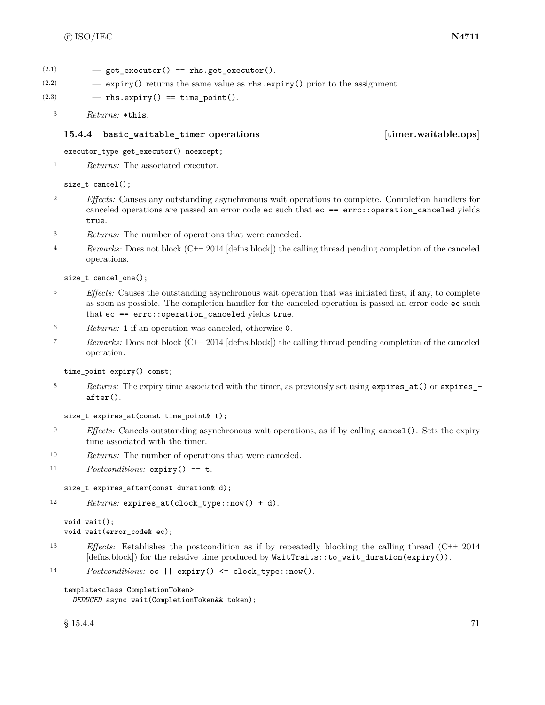$(2.1)$  – get executor() == rhs.get executor().

 $(2.2)$  – expiry() returns the same value as rhs.expiry() prior to the assignment.

 $(2.3)$   $-$  rhs.expiry() == time\_point().

```
3 Returns: *this.
```
### <span id="page-77-0"></span>**15.4.4 basic\_waitable\_timer operations [timer.waitable.ops]**

executor\_type get\_executor() noexcept;

<sup>1</sup> *Returns:* The associated executor.

size\_t cancel();

- <sup>2</sup> *Effects:* Causes any outstanding asynchronous wait operations to complete. Completion handlers for canceled operations are passed an error code ec such that ec == errc::operation\_canceled yields true.
- <sup>3</sup> *Returns:* The number of operations that were canceled.
- 4 *Remarks:* Does not block (C++ 2014 [defns.block]) the calling thread pending completion of the canceled operations.

size\_t cancel\_one();

- <sup>5</sup> *Effects:* Causes the outstanding asynchronous wait operation that was initiated first, if any, to complete as soon as possible. The completion handler for the canceled operation is passed an error code ec such that  $ec == error: operation can be called yields true.$
- <sup>6</sup> *Returns:* 1 if an operation was canceled, otherwise 0.
- <sup>7</sup> *Remarks:* Does not block (C++ 2014 [defns.block]) the calling thread pending completion of the canceled operation.

time\_point expiry() const;

8 *Returns:* The expiry time associated with the timer, as previously set using expires\_at() or expires\_after().

size\_t expires\_at(const time\_point& t);

- <sup>9</sup> *Effects:* Cancels outstanding asynchronous wait operations, as if by calling cancel(). Sets the expiry time associated with the timer.
- <sup>10</sup> *Returns:* The number of operations that were canceled.
- <sup>11</sup> *Postconditions:* expiry() == t.

size\_t expires\_after(const duration& d);

```
12 Returns: expires_at(clock_type::now() + d).
```
void wait(); void wait(error\_code& ec);

- <sup>13</sup> *Effects:* Establishes the postcondition as if by repeatedly blocking the calling thread (C++ 2014 [defns.block]) for the relative time produced by WaitTraits::to\_wait\_duration(expiry()).
- 14 *Postconditions:* ec || expiry() <= clock\_type::now().

template<class CompletionToken> *DEDUCED* async\_wait(CompletionToken&& token);

 $\S$  15.4.4 71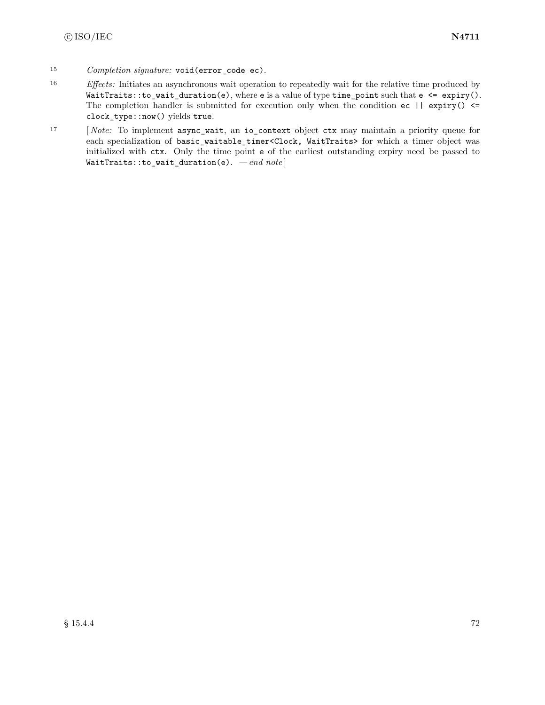- <sup>15</sup> *Completion signature:* void(error\_code ec).
- <sup>16</sup> *Effects:* Initiates an asynchronous wait operation to repeatedly wait for the relative time produced by  $WaitTrans::to\_wait\_duration(e),$  where e is a value of type time\_point such that e <= expiry(). The completion handler is submitted for execution only when the condition  $ec$  || expiry()  $\le$ clock\_type::now() yields true.
- <sup>17</sup> [ *Note:* To implement async\_wait, an io\_context object ctx may maintain a priority queue for each specialization of basic\_waitable\_timer<Clock, WaitTraits> for which a timer object was initialized with ctx. Only the time point e of the earliest outstanding expiry need be passed to WaitTraits::to\_wait\_duration(e). *— end note* ]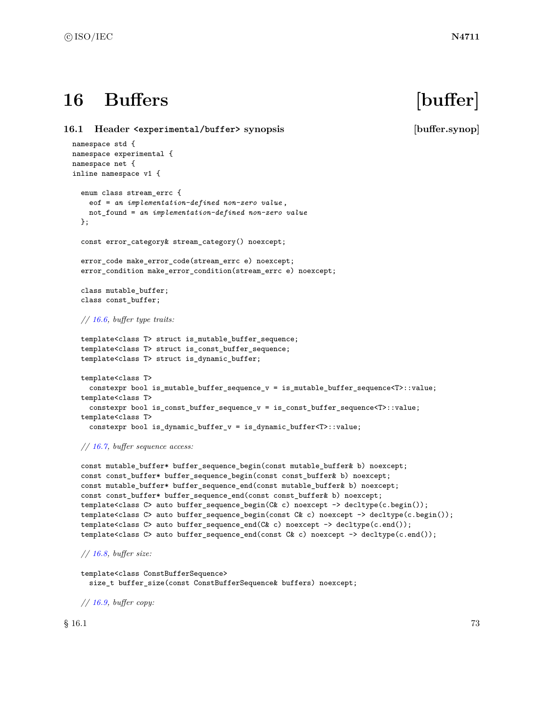# **16 Buffers [buffer]**

<span id="page-79-0"></span>**16.1 Header <experimental/buffer> synopsis [buffer.synop]** namespace std { namespace experimental { namespace net { inline namespace v1 { enum class stream\_errc { eof = *an implementation-defined non-zero value* , not\_found = *an implementation-defined non-zero value* }; const error\_category& stream\_category() noexcept; error\_code make\_error\_code(stream\_errc e) noexcept; error\_condition make\_error\_condition(stream\_errc e) noexcept; class mutable\_buffer; class const\_buffer; *// [16.6,](#page-91-0) buffer type traits:* template<class T> struct is\_mutable\_buffer\_sequence; template<class T> struct is\_const\_buffer\_sequence; template<class T> struct is\_dynamic\_buffer; template<class T> constexpr bool is\_mutable\_buffer\_sequence\_v = is\_mutable\_buffer\_sequence<T>::value; template<class T> constexpr bool is\_const\_buffer\_sequence\_v = is\_const\_buffer\_sequence<T>::value; template<class T> constexpr bool is\_dynamic\_buffer\_v = is\_dynamic\_buffer<T>::value;

### *// [16.7,](#page-91-1) buffer sequence access:*

```
const mutable_buffer* buffer_sequence_begin(const mutable_buffer& b) noexcept;
const const_buffer* buffer_sequence_begin(const const_buffer& b) noexcept;
const mutable_buffer* buffer_sequence_end(const mutable_buffer& b) noexcept;
const const_buffer* buffer_sequence_end(const const_buffer& b) noexcept;
template<class C> auto buffer_sequence_begin(C& c) noexcept -> decltype(c.begin());
template<class C> auto buffer_sequence_begin(const C& c) noexcept -> decltype(c.begin());
template<class C> auto buffer_sequence_end(C& c) noexcept -> decltype(c.end());
template<class C> auto buffer_sequence_end(const C& c) noexcept -> decltype(c.end());
```
*// [16.8,](#page-92-0) buffer size:*

template<class ConstBufferSequence> size\_t buffer\_size(const ConstBufferSequence& buffers) noexcept;

*// [16.9,](#page-92-1) buffer copy:*

 $\S$  16.1 73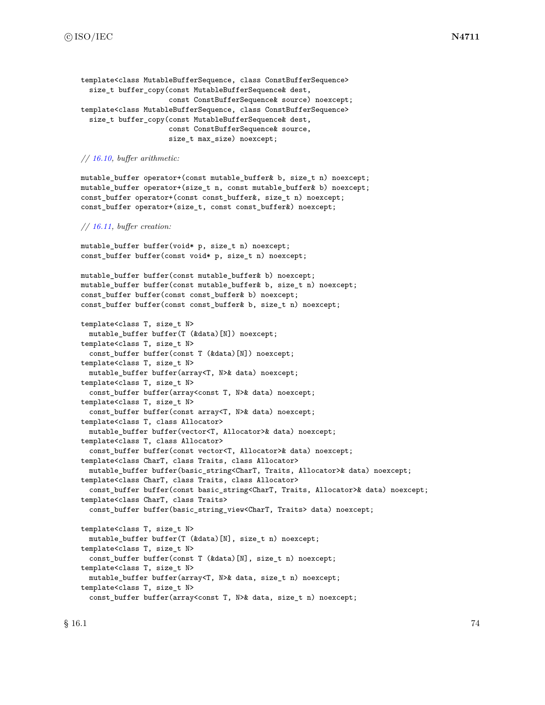```
template<class MutableBufferSequence, class ConstBufferSequence>
  size_t buffer_copy(const MutableBufferSequence& dest,
                     const ConstBufferSequence& source) noexcept;
template<class MutableBufferSequence, class ConstBufferSequence>
 size_t buffer_copy(const MutableBufferSequence& dest,
                     const ConstBufferSequence& source,
                     size_t max_size) noexcept;
```
### *// [16.10,](#page-92-2) buffer arithmetic:*

mutable\_buffer operator+(const mutable\_buffer& b, size\_t n) noexcept; mutable\_buffer operator+(size\_t n, const mutable\_buffer& b) noexcept; const\_buffer operator+(const const\_buffer&, size\_t n) noexcept; const\_buffer operator+(size\_t, const const\_buffer&) noexcept;

### *// [16.11,](#page-93-0) buffer creation:*

mutable\_buffer buffer(void\* p, size\_t n) noexcept; const\_buffer buffer(const void\* p, size\_t n) noexcept;

```
mutable_buffer buffer(const mutable_buffer& b) noexcept;
mutable_buffer buffer(const mutable_buffer& b, size_t n) noexcept;
const_buffer buffer(const const_buffer& b) noexcept;
const_buffer buffer(const const_buffer& b, size_t n) noexcept;
```

```
template<class T, size_t N>
  mutable_buffer buffer(T (&data)[N]) noexcept;
template<class T, size_t N>
  const_buffer buffer(const T (&data)[N]) noexcept;
template<class T, size_t N>
 mutable_buffer buffer(array<T, N>& data) noexcept;
template<class T, size_t N>
  const_buffer buffer(array<const T, N>& data) noexcept;
template<class T, size_t N>
  const_buffer buffer(const array<T, N>& data) noexcept;
template<class T, class Allocator>
  mutable_buffer buffer(vector<T, Allocator>& data) noexcept;
template<class T, class Allocator>
  const_buffer buffer(const vector<T, Allocator>& data) noexcept;
template<class CharT, class Traits, class Allocator>
  mutable_buffer buffer(basic_string<CharT, Traits, Allocator>& data) noexcept;
template<class CharT, class Traits, class Allocator>
  const_buffer buffer(const basic_string<CharT, Traits, Allocator>& data) noexcept;
template<class CharT, class Traits>
  const_buffer buffer(basic_string_view<CharT, Traits> data) noexcept;
template<class T, size_t N>
  mutable_buffer buffer(T (&data)[N], size_t n) noexcept;
template<class T, size_t N>
  const_buffer buffer(const T (&data)[N], size_t n) noexcept;
template<class T, size_t N>
  mutable_buffer buffer(array<T, N>& data, size_t n) noexcept;
template<class T, size_t N>
```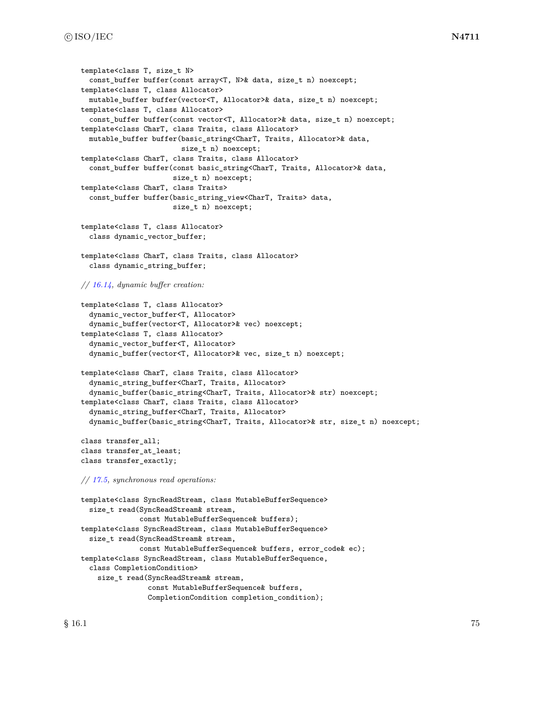```
template<class T, size_t N>
  const_buffer buffer(const array<T, N>& data, size_t n) noexcept;
template<class T, class Allocator>
 mutable_buffer buffer(vector<T, Allocator>& data, size_t n) noexcept;
template<class T, class Allocator>
  const_buffer buffer(const vector<T, Allocator>& data, size_t n) noexcept;
template<class CharT, class Traits, class Allocator>
 mutable_buffer buffer(basic_string<CharT, Traits, Allocator>& data,
                        size_t n) noexcept;
template<class CharT, class Traits, class Allocator>
  const_buffer buffer(const basic_string<CharT, Traits, Allocator>& data,
                      size_t n) noexcept;
template<class CharT, class Traits>
  const_buffer buffer(basic_string_view<CharT, Traits> data,
                      size_t n) noexcept;
template<class T, class Allocator>
  class dynamic_vector_buffer;
template<class CharT, class Traits, class Allocator>
  class dynamic_string_buffer;
// 16.14, dynamic buffer creation:
template<class T, class Allocator>
  dynamic_vector_buffer<T, Allocator>
  dynamic_buffer(vector<T, Allocator>& vec) noexcept;
template<class T, class Allocator>
  dynamic_vector_buffer<T, Allocator>
  dynamic_buffer(vector<T, Allocator>& vec, size_t n) noexcept;
template<class CharT, class Traits, class Allocator>
  dynamic_string_buffer<CharT, Traits, Allocator>
  dynamic_buffer(basic_string<CharT, Traits, Allocator>& str) noexcept;
template<class CharT, class Traits, class Allocator>
  dynamic_string_buffer<CharT, Traits, Allocator>
  dynamic_buffer(basic_string<CharT, Traits, Allocator>& str, size_t n) noexcept;
class transfer_all;
class transfer_at_least;
class transfer_exactly;
// 17.5, synchronous read operations:
template<class SyncReadStream, class MutableBufferSequence>
  size_t read(SyncReadStream& stream,
              const MutableBufferSequence& buffers);
template<class SyncReadStream, class MutableBufferSequence>
  size_t read(SyncReadStream& stream,
              const MutableBufferSequence& buffers, error_code& ec);
template<class SyncReadStream, class MutableBufferSequence,
  class CompletionCondition>
    size_t read(SyncReadStream& stream,
                const MutableBufferSequence& buffers,
                CompletionCondition completion_condition);
```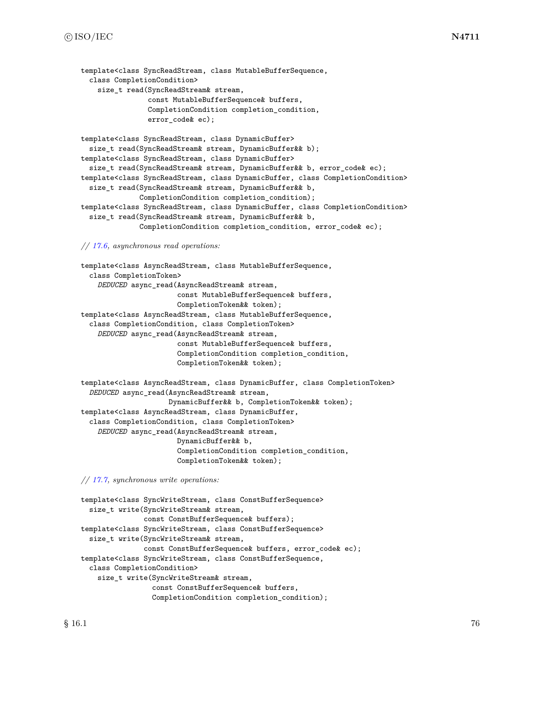```
template<class SyncReadStream, class MutableBufferSequence,
  class CompletionCondition>
    size_t read(SyncReadStream& stream,
                const MutableBufferSequence& buffers,
                CompletionCondition completion_condition,
                error code& ec);
template<class SyncReadStream, class DynamicBuffer>
  size_t read(SyncReadStream& stream, DynamicBuffer&& b);
template<class SyncReadStream, class DynamicBuffer>
  size_t read(SyncReadStream& stream, DynamicBuffer&& b, error_code& ec);
template<class SyncReadStream, class DynamicBuffer, class CompletionCondition>
  size_t read(SyncReadStream& stream, DynamicBuffer&& b,
              CompletionCondition completion_condition);
template<class SyncReadStream, class DynamicBuffer, class CompletionCondition>
  size_t read(SyncReadStream& stream, DynamicBuffer&& b,
              CompletionCondition completion_condition, error_code& ec);
// 17.6, asynchronous read operations:
template<class AsyncReadStream, class MutableBufferSequence,
  class CompletionToken>
    DEDUCED async_read(AsyncReadStream& stream,
                       const MutableBufferSequence& buffers,
```
CompletionToken&& token); template<class AsyncReadStream, class MutableBufferSequence, class CompletionCondition, class CompletionToken> *DEDUCED* async\_read(AsyncReadStream& stream, const MutableBufferSequence& buffers, CompletionCondition completion\_condition, CompletionToken&& token);

template<class AsyncReadStream, class DynamicBuffer, class CompletionToken> *DEDUCED* async\_read(AsyncReadStream& stream, DynamicBuffer&& b, CompletionToken&& token); template<class AsyncReadStream, class DynamicBuffer, class CompletionCondition, class CompletionToken> *DEDUCED* async\_read(AsyncReadStream& stream, DynamicBuffer&& b, CompletionCondition completion\_condition, CompletionToken&& token);

*// [17.7,](#page-106-0) synchronous write operations:*

```
template<class SyncWriteStream, class ConstBufferSequence>
 size_t write(SyncWriteStream& stream,
               const ConstBufferSequence& buffers);
template<class SyncWriteStream, class ConstBufferSequence>
  size_t write(SyncWriteStream& stream,
               const ConstBufferSequence& buffers, error_code& ec);
template<class SyncWriteStream, class ConstBufferSequence,
 class CompletionCondition>
    size_t write(SyncWriteStream& stream,
                 const ConstBufferSequence& buffers,
                 CompletionCondition completion_condition);
```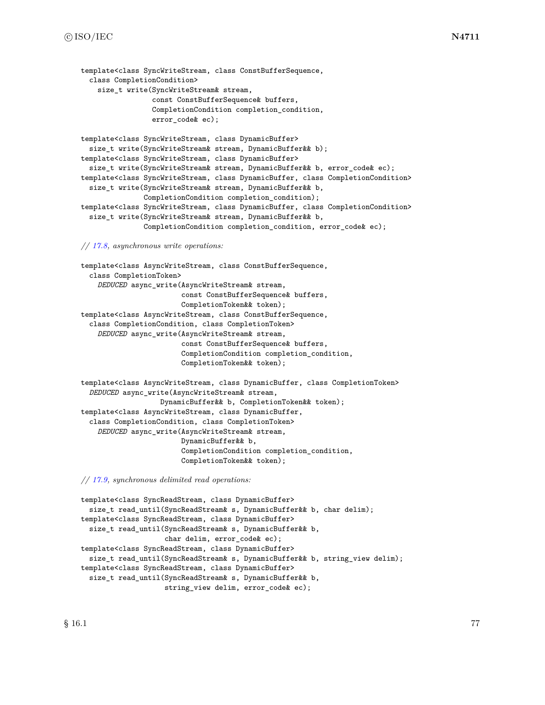```
template<class SyncWriteStream, class ConstBufferSequence,
 class CompletionCondition>
    size_t write(SyncWriteStream& stream,
                 const ConstBufferSequence& buffers,
                 CompletionCondition completion_condition,
                 error code& ec);
template<class SyncWriteStream, class DynamicBuffer>
 size_t write(SyncWriteStream& stream, DynamicBuffer&& b);
template<class SyncWriteStream, class DynamicBuffer>
  size_t write(SyncWriteStream& stream, DynamicBuffer&& b, error_code& ec);
template<class SyncWriteStream, class DynamicBuffer, class CompletionCondition>
  size_t write(SyncWriteStream& stream, DynamicBuffer&& b,
               CompletionCondition completion_condition);
template<class SyncWriteStream, class DynamicBuffer, class CompletionCondition>
  size_t write(SyncWriteStream& stream, DynamicBuffer&& b,
               CompletionCondition completion_condition, error_code& ec);
```
### *// [17.8,](#page-107-0) asynchronous write operations:*

```
template<class AsyncWriteStream, class ConstBufferSequence,
 class CompletionToken>
    DEDUCED async_write(AsyncWriteStream& stream,
                        const ConstBufferSequence& buffers,
                        CompletionToken&& token);
template<class AsyncWriteStream, class ConstBufferSequence,
  class CompletionCondition, class CompletionToken>
    DEDUCED async_write(AsyncWriteStream& stream,
                        const ConstBufferSequence& buffers,
                        CompletionCondition completion_condition,
                        CompletionToken&& token);
template<class AsyncWriteStream, class DynamicBuffer, class CompletionToken>
 DEDUCED async_write(AsyncWriteStream& stream,
                   DynamicBuffer&& b, CompletionToken&& token);
template<class AsyncWriteStream, class DynamicBuffer,
  class CompletionCondition, class CompletionToken>
    DEDUCED async_write(AsyncWriteStream& stream,
                        DynamicBuffer&& b,
                        CompletionCondition completion_condition,
                        CompletionToken&& token);
```
*// [17.9,](#page-109-0) synchronous delimited read operations:*

```
template<class SyncReadStream, class DynamicBuffer>
  size_t read_until(SyncReadStream& s, DynamicBuffer&& b, char delim);
template<class SyncReadStream, class DynamicBuffer>
  size_t read_until(SyncReadStream& s, DynamicBuffer&& b,
                    char delim, error_code& ec);
template<class SyncReadStream, class DynamicBuffer>
  size_t read_until(SyncReadStream& s, DynamicBuffer&& b, string_view delim);
template<class SyncReadStream, class DynamicBuffer>
  size_t read_until(SyncReadStream& s, DynamicBuffer&& b,
                    string_view delim, error_code& ec);
```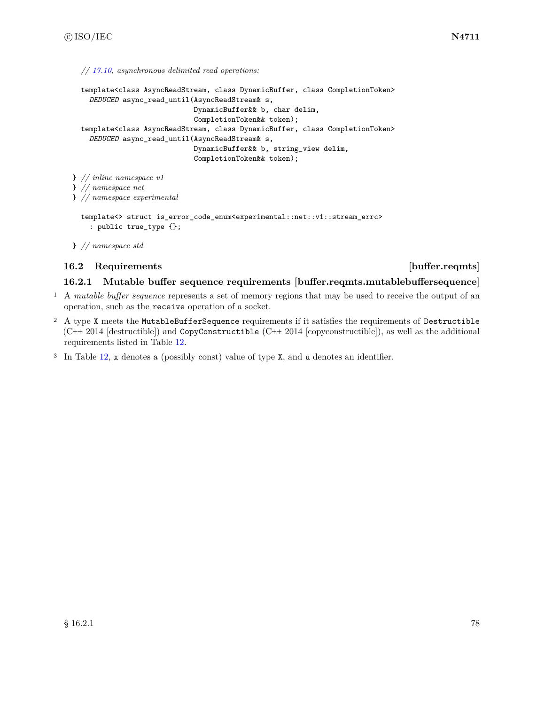*// [17.10,](#page-109-1) asynchronous delimited read operations:*

```
template<class AsyncReadStream, class DynamicBuffer, class CompletionToken>
    DEDUCED async_read_until(AsyncReadStream& s,
                             DynamicBuffer&& b, char delim,
                             CompletionToken&& token);
  template<class AsyncReadStream, class DynamicBuffer, class CompletionToken>
    DEDUCED async_read_until(AsyncReadStream& s,
                             DynamicBuffer&& b, string_view delim,
                             CompletionToken&& token);
} // inline namespace v1
} // namespace net
} // namespace experimental
  template<> struct is_error_code_enum<experimental::net::v1::stream_errc>
    : public true_type {};
```
} *// namespace std*

# **16.2 Requirements [buffer.reqmts]**

### <span id="page-84-0"></span>**16.2.1 Mutable buffer sequence requirements [buffer.reqmts.mutablebuffersequence]**

- <sup>1</sup> A *mutable buffer sequence* represents a set of memory regions that may be used to receive the output of an operation, such as the receive operation of a socket.
- <sup>2</sup> A type X meets the MutableBufferSequence requirements if it satisfies the requirements of Destructible  $(C^{++} 2014$  [destructible]) and CopyConstructible  $(C^{++} 2014$  [copyconstructible]), as well as the additional requirements listed in Table [12.](#page-85-0)
- <sup>3</sup> In Table [12,](#page-85-0) x denotes a (possibly const) value of type X, and u denotes an identifier.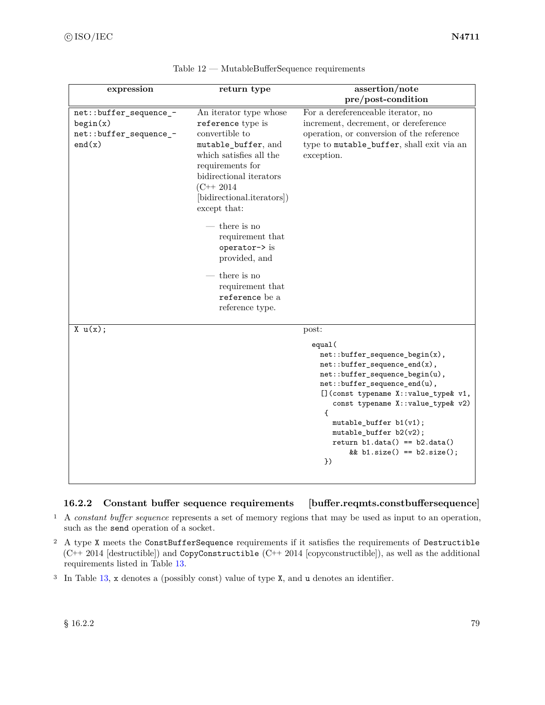<span id="page-85-0"></span>

| expression                                                             | return type                                                                                                                                                                                                                                                                                                                                                                   | assertion/note                                                                                                                                                                                                                                                                                                                                                                     |
|------------------------------------------------------------------------|-------------------------------------------------------------------------------------------------------------------------------------------------------------------------------------------------------------------------------------------------------------------------------------------------------------------------------------------------------------------------------|------------------------------------------------------------------------------------------------------------------------------------------------------------------------------------------------------------------------------------------------------------------------------------------------------------------------------------------------------------------------------------|
|                                                                        |                                                                                                                                                                                                                                                                                                                                                                               | pre/post-condition                                                                                                                                                                                                                                                                                                                                                                 |
| net::buffer_sequence_-<br>begin(x)<br>net::buffer_sequence_-<br>end(x) | An iterator type whose<br>reference type is<br>convertible to<br>mutable_buffer, and<br>which satisfies all the<br>requirements for<br>bidirectional iterators<br>$(C++ 2014)$<br>[bidirectional.iterators])<br>except that:<br>$-$ there is no<br>requirement that<br>operator-> is<br>provided, and<br>there is no<br>requirement that<br>reference be a<br>reference type. | For a dereferenceable iterator, no<br>increment, decrement, or dereference<br>operation, or conversion of the reference<br>type to mutable_buffer, shall exit via an<br>exception.                                                                                                                                                                                                 |
| X u(x);                                                                |                                                                                                                                                                                                                                                                                                                                                                               | post:<br>equal(<br>$net::buffer\_sequence\_begin(x)$ ,<br>$net::buffer\_sequence\_end(x)$ ,<br>net::buffer_sequence_begin(u),<br>net::buffer_sequence_end(u),<br>[] (const typename X::value_type& v1,<br>const typename X:: value_type& v2)<br>€<br>$mutable_buffer b1(v1);$<br>$mutable_buffer b2(v2);$<br>return $b1.data() == b2.data()$<br>&& b1.size() == $b2.size()$ ;<br>) |

| Table 12 | MutableBufferSequence requirements |  |
|----------|------------------------------------|--|
|          |                                    |  |

# <span id="page-85-1"></span>**16.2.2 Constant buffer sequence requirements [buffer.reqmts.constbuffersequence]**

- <sup>1</sup> A *constant buffer sequence* represents a set of memory regions that may be used as input to an operation, such as the send operation of a socket.
- <sup>2</sup> A type X meets the ConstBufferSequence requirements if it satisfies the requirements of Destructible (C++ 2014 [destructible]) and CopyConstructible (C++ 2014 [copyconstructible]), as well as the additional requirements listed in Table [13.](#page-86-0)
- <sup>3</sup> In Table [13,](#page-86-0) x denotes a (possibly const) value of type X, and u denotes an identifier.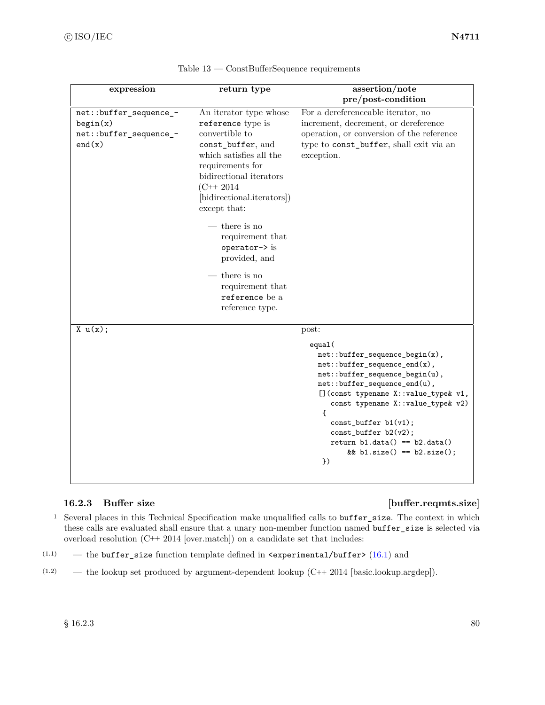<span id="page-86-0"></span>

| expression                                                             | return type                                                                                                                                                                                                                                                                                                                                                                     | assertion/note                                                                                                                                                                                                                                                                          |
|------------------------------------------------------------------------|---------------------------------------------------------------------------------------------------------------------------------------------------------------------------------------------------------------------------------------------------------------------------------------------------------------------------------------------------------------------------------|-----------------------------------------------------------------------------------------------------------------------------------------------------------------------------------------------------------------------------------------------------------------------------------------|
|                                                                        |                                                                                                                                                                                                                                                                                                                                                                                 | pre/post-condition                                                                                                                                                                                                                                                                      |
| net::buffer_sequence_-<br>begin(x)<br>net::buffer_sequence_-<br>end(x) | An iterator type whose<br>reference type is<br>convertible to<br>const_buffer, and<br>which satisfies all the<br>requirements for<br>bidirectional iterators<br>$(C++ 2014)$<br>[bidirectional.iterators])<br>except that:<br>$-$ there is no<br>requirement that<br>operator-> is<br>provided, and<br>$-$ there is no<br>requirement that<br>reference be a<br>reference type. | For a dereferenceable iterator, no<br>increment, decrement, or dereference<br>operation, or conversion of the reference<br>type to const_buffer, shall exit via an<br>exception.                                                                                                        |
| X u(x);                                                                |                                                                                                                                                                                                                                                                                                                                                                                 | post:<br>equal(<br>$net::buffer\_sequence\_begin(x)$ ,<br>$net::buffer\_sequence\_end(x)$ ,<br>net::buffer_sequence_begin(u),<br>net::buffer_sequence_end(u),<br>[] (const typename X:: value_type& v1,<br>const typename X:: value_type& v2)<br>$\mathbf{f}$<br>$const_buffer b1(v1);$ |
|                                                                        |                                                                                                                                                                                                                                                                                                                                                                                 | $const_buffer b2(v2);$<br>return $b1.data() == b2.data()$<br>&& b1.size() == $b2.size()$ ;<br>$\}$                                                                                                                                                                                      |

| $Table 13 — ConstBufferSequence requirements$ |  |
|-----------------------------------------------|--|
|-----------------------------------------------|--|

# **16.2.3 Buffer size [buffer.reqmts.size]**

- <sup>1</sup> Several places in this Technical Specification make unqualified calls to buffer\_size. The context in which these calls are evaluated shall ensure that a unary non-member function named buffer\_size is selected via overload resolution (C++ 2014 [over.match]) on a candidate set that includes:
- (1.1) the buffer\_size function template defined in  $\epsilon$ experimental/buffer> [\(16.1\)](#page-79-0) and
- (1.2) the lookup set produced by argument-dependent lookup (C++ 2014 [basic.lookup.argdep]).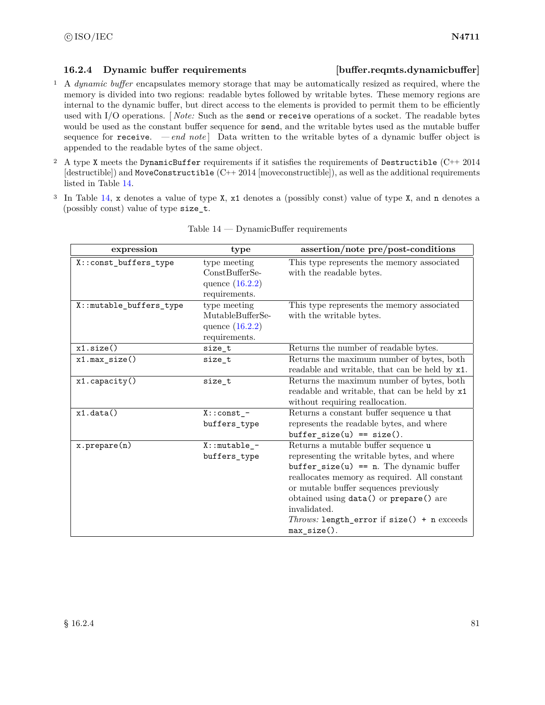# <span id="page-87-1"></span>**16.2.4 Dynamic buffer requirements [buffer.reqmts.dynamicbuffer]**

- <sup>1</sup> A *dynamic buffer* encapsulates memory storage that may be automatically resized as required, where the memory is divided into two regions: readable bytes followed by writable bytes. These memory regions are internal to the dynamic buffer, but direct access to the elements is provided to permit them to be efficiently used with I/O operations. [ *Note:* Such as the send or receive operations of a socket. The readable bytes would be used as the constant buffer sequence for send, and the writable bytes used as the mutable buffer sequence for  $\texttt{receive.}$  *-end note*] Data written to the writable bytes of a dynamic buffer object is appended to the readable bytes of the same object.
- <sup>2</sup> A type X meets the DynamicBuffer requirements if it satisfies the requirements of Destructible (C++ 2014  $[destructible]$  and MoveConstructible  $(C++ 2014$  [moveconstructible]), as well as the additional requirements listed in Table [14.](#page-87-0)
- <sup>3</sup> In Table [14,](#page-87-0) x denotes a value of type X, x1 denotes a (possibly const) value of type X, and n denotes a (possibly const) value of type size\_t.

<span id="page-87-0"></span>

| expression              | type                                                                   | assertion/note pre/post-conditions                                                                                                                                                                                                                                                                                                                   |
|-------------------------|------------------------------------------------------------------------|------------------------------------------------------------------------------------------------------------------------------------------------------------------------------------------------------------------------------------------------------------------------------------------------------------------------------------------------------|
| X::const_buffers_type   | type meeting<br>$ConstBufferSe-$<br>quence $(16.2.2)$<br>requirements. | This type represents the memory associated<br>with the readable bytes.                                                                                                                                                                                                                                                                               |
| X::mutable_buffers_type | type meeting<br>MutableBufferSe-<br>quence $(16.2.2)$<br>requirements. | This type represents the memory associated<br>with the writable bytes.                                                                                                                                                                                                                                                                               |
| x1.size()               | size_t                                                                 | Returns the number of readable bytes.                                                                                                                                                                                                                                                                                                                |
| x1.max size()           | size t                                                                 | Returns the maximum number of bytes, both<br>readable and writable, that can be held by x1.                                                                                                                                                                                                                                                          |
| x1.capacity()           | size_t                                                                 | Returns the maximum number of bytes, both<br>readable and writable, that can be held by x1<br>without requiring reallocation.                                                                                                                                                                                                                        |
| x1.data()               | $X:const$ -<br>buffers_type                                            | Returns a constant buffer sequence u that<br>represents the readable bytes, and where<br>$buffer\_size(u) == size().$                                                                                                                                                                                                                                |
| $x.$ prepare $(n)$      | $X:$ : mutable_-<br>buffers_type                                       | Returns a mutable buffer sequence u<br>representing the writable bytes, and where<br>$buffer\_size(u) == n$ . The dynamic buffer<br>reallocates memory as required. All constant<br>or mutable buffer sequences previously<br>obtained using data() or prepare() are<br>invalidated.<br>Throws: length_error if size() + n exceeds<br>$max_size()$ . |

| $Table 14 - DynamicBuffer requirements$ |  |
|-----------------------------------------|--|
|                                         |  |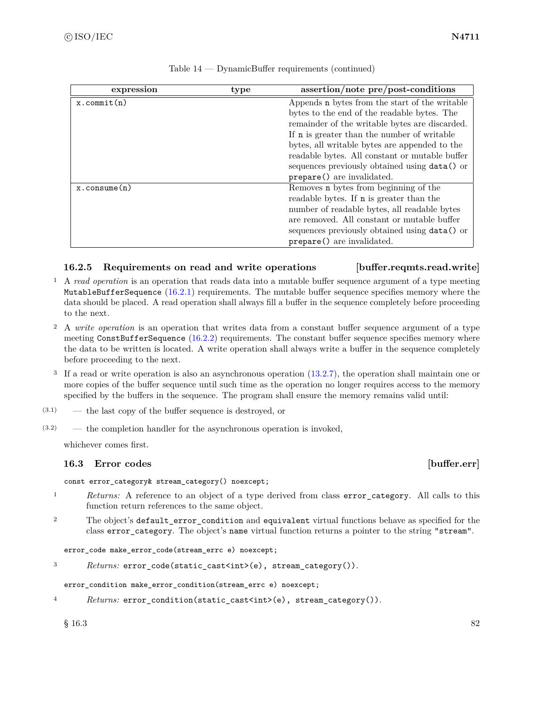| expression            | type | assertion/note pre/post-conditions                 |
|-----------------------|------|----------------------------------------------------|
| $x.$ commit $(n)$     |      | Appends n bytes from the start of the writable     |
|                       |      | bytes to the end of the readable bytes. The        |
|                       |      | remainder of the writable bytes are discarded.     |
|                       |      | If <b>n</b> is greater than the number of writable |
|                       |      | bytes, all writable bytes are appended to the      |
|                       |      | readable bytes. All constant or mutable buffer     |
|                       |      | sequences previously obtained using data() or      |
|                       |      | prepare() are invalidated.                         |
| $x.\text{consume}(n)$ |      | Removes n bytes from beginning of the              |
|                       |      | readable bytes. If <b>n</b> is greater than the    |
|                       |      | number of readable bytes, all readable bytes       |
|                       |      | are removed. All constant or mutable buffer        |
|                       |      | sequences previously obtained using data() or      |
|                       |      | prepare() are invalidated.                         |

# Table 14 — DynamicBuffer requirements (continued)

# <span id="page-88-0"></span>**16.2.5 Requirements on read and write operations [buffer.reqmts.read.write]**

### <sup>1</sup> A *read operation* is an operation that reads data into a mutable buffer sequence argument of a type meeting MutableBufferSequence [\(16.2.1\)](#page-84-0) requirements. The mutable buffer sequence specifies memory where the data should be placed. A read operation shall always fill a buffer in the sequence completely before proceeding to the next.

- <sup>2</sup> A *write operation* is an operation that writes data from a constant buffer sequence argument of a type meeting ConstBufferSequence [\(16.2.2\)](#page-85-1) requirements. The constant buffer sequence specifies memory where the data to be written is located. A write operation shall always write a buffer in the sequence completely before proceeding to the next.
- <sup>3</sup> If a read or write operation is also an asynchronous operation [\(13.2.7\)](#page-30-0), the operation shall maintain one or more copies of the buffer sequence until such time as the operation no longer requires access to the memory specified by the buffers in the sequence. The program shall ensure the memory remains valid until:
- (3.1) the last copy of the buffer sequence is destroyed, or
- (3.2) the completion handler for the asynchronous operation is invoked,

whichever comes first.

# **16.3 Error codes [buffer.err]**

const error\_category& stream\_category() noexcept;

- <sup>1</sup> *Returns:* A reference to an object of a type derived from class error\_category. All calls to this function return references to the same object.
- <sup>2</sup> The object's default\_error\_condition and equivalent virtual functions behave as specified for the class error\_category. The object's name virtual function returns a pointer to the string "stream".

error\_code make\_error\_code(stream\_errc e) noexcept;

```
3 Returns: error_code(static_cast<int>(e), stream_category()).
```
error\_condition make\_error\_condition(stream\_errc e) noexcept;

4 *Returns:* error\_condition(static\_cast<int>(e), stream\_category()).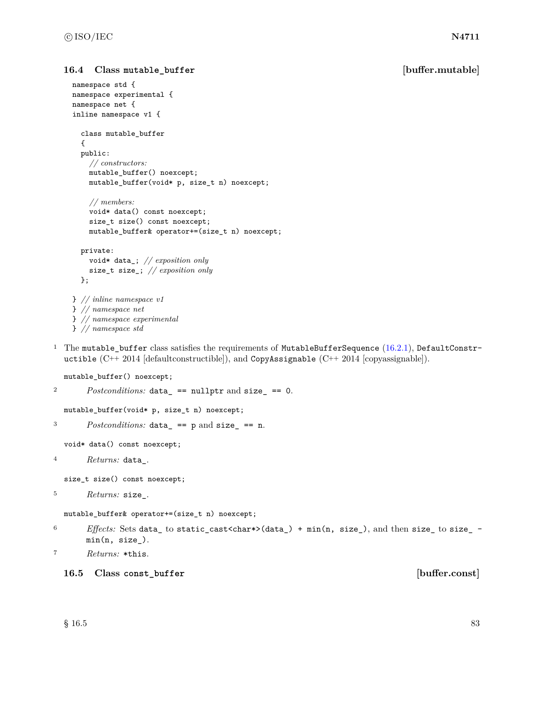### **16.4 Class mutable\_buffer [buffer.mutable]**

```
namespace std {
namespace experimental {
namespace net {
inline namespace v1 {
  class mutable_buffer
  {
  public:
    // constructors:
    mutable_buffer() noexcept;
    mutable_buffer(void* p, size_t n) noexcept;
    // members:
    void* data() const noexcept;
    size_t size() const noexcept;
    mutable_buffer& operator+=(size_t n) noexcept;
  private:
    void* data_; // exposition only
    size_t size_; // exposition only
  };
} // inline namespace v1
} // namespace net
} // namespace experimental
} // namespace std
```
<sup>1</sup> The mutable\_buffer class satisfies the requirements of MutableBufferSequence  $(16.2.1)$ , DefaultConstructible  $(C^{++} 2014$  [defaultconstructible]), and CopyAssignable  $(C^{++} 2014$  [copyassignable]).

mutable\_buffer() noexcept;

```
Postconditions: data == nullptr and size_ == 0.
```
mutable\_buffer(void\* p, size\_t n) noexcept;

```
3 Postconditions: data_ == p and size_ == n.
```
void\* data() const noexcept;

```
4 Returns: data_.
```
size\_t size() const noexcept;

```
5 Returns: size_.
```
mutable\_buffer& operator+=(size\_t n) noexcept;

- <sup>6</sup> *Effects:* Sets data\_ to static\_cast<char\*>(data\_) + min(n, size\_), and then size\_ to size\_  $min(n, size_{})$ .
- <sup>7</sup> *Returns:* \*this.
	- **16.5 Class const\_buffer [buffer.const]**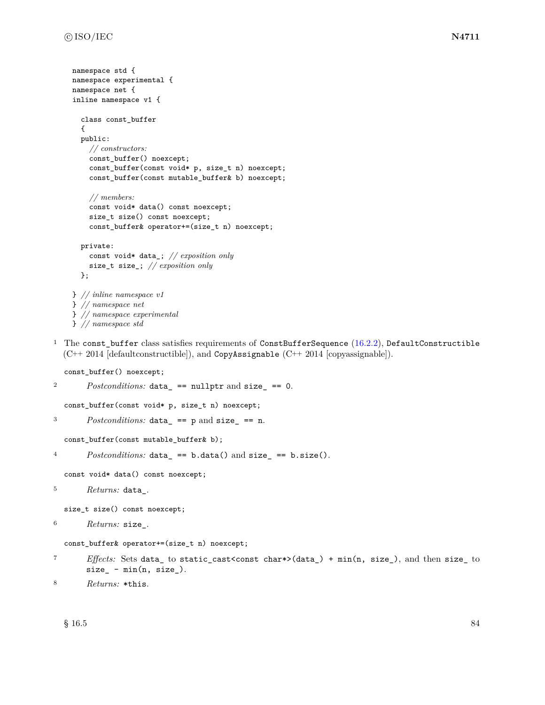```
namespace std {
namespace experimental {
namespace net {
inline namespace v1 {
  class const_buffer
  {
  public:
    // constructors:
    const_buffer() noexcept;
    const_buffer(const void* p, size_t n) noexcept;
    const_buffer(const mutable_buffer& b) noexcept;
    // members:
    const void* data() const noexcept;
    size_t size() const noexcept;
    const_buffer& operator+=(size_t n) noexcept;
  private:
    const void* data_; // exposition only
    size_t size_; // exposition only
  };
} // inline namespace v1
} // namespace net
} // namespace experimental
```
- } *// namespace std*
- <sup>1</sup> The const\_buffer class satisfies requirements of ConstBufferSequence  $(16.2.2)$ , DefaultConstructible (C++ 2014 [defaultconstructible]), and CopyAssignable (C++ 2014 [copyassignable]).

```
const_buffer() noexcept;
```

```
2 Postconditions: data_ == nullptr and size_ == 0.
  const_buffer(const void* p, size_t n) noexcept;
3 Postconditions: data_ == p and size_ == n.
  const_buffer(const mutable_buffer& b);
4 Postconditions: data_ == b.data() and size_ == b.size().
  const void* data() const noexcept;
5 Returns: data_.
  size_t size() const noexcept;
6 Returns: size_.
  const_buffer& operator+=(size_t n) noexcept;
```

```
7 Effects: Sets data_ to static_cast<const char*>(data_) + min(n, size_), and then size_ to
       size_ - min(n, size_.
```

```
8 Returns: *this.
```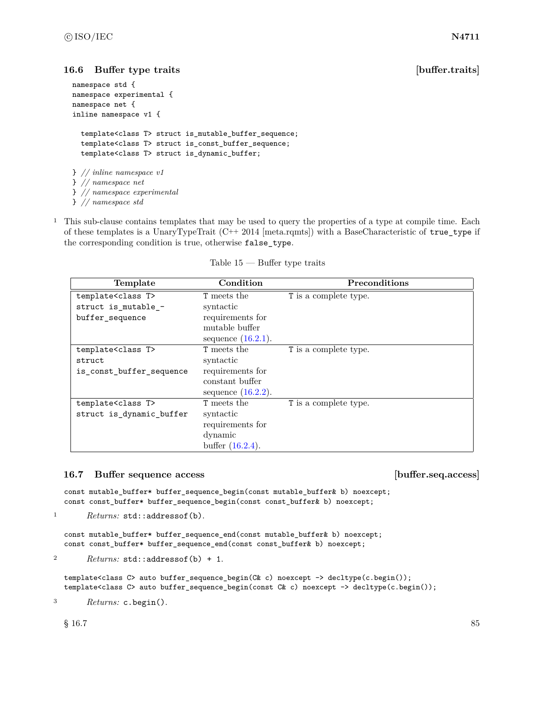# <span id="page-91-0"></span>**16.6 Buffer type traits [buffer.traits]**

```
namespace std {
namespace experimental {
namespace net {
inline namespace v1 {
  template<class T> struct is_mutable_buffer_sequence;
  template<class T> struct is_const_buffer_sequence;
  template<class T> struct is_dynamic_buffer;
} // inline namespace v1
} // namespace net
} // namespace experimental
} // namespace std
```
<sup>1</sup> This sub-clause contains templates that may be used to query the properties of a type at compile time. Each of these templates is a UnaryTypeTrait (C++ 2014 [meta.rqmts]) with a BaseCharacteristic of true\_type if the corresponding condition is true, otherwise false\_type.

| Template                      | Condition             | <b>Preconditions</b>  |
|-------------------------------|-----------------------|-----------------------|
| template <class t=""></class> | <b>T</b> meets the    | T is a complete type. |
| struct is_mutable_-           | syntactic             |                       |
| buffer_sequence               | requirements for      |                       |
|                               | mutable buffer        |                       |
|                               | sequence $(16.2.1)$ . |                       |
| template <class t=""></class> | <b>T</b> meets the    | T is a complete type. |
| struct                        | syntactic             |                       |
| is_const_buffer_sequence      | requirements for      |                       |
|                               | constant buffer       |                       |
|                               | sequence $(16.2.2)$ . |                       |
| template <class t=""></class> | <b>T</b> meets the    | T is a complete type. |
| struct is_dynamic_buffer      | syntactic             |                       |
|                               | requirements for      |                       |
|                               | dynamic               |                       |
|                               | buffer $(16.2.4)$ .   |                       |

Table  $15$  — Buffer type traits

# <span id="page-91-1"></span>**16.7 Buffer sequence access [buffer.seq.access]**

const mutable\_buffer\* buffer\_sequence\_begin(const mutable\_buffer& b) noexcept; const const\_buffer\* buffer\_sequence\_begin(const const\_buffer& b) noexcept;

```
1 Returns: std::addressof(b).
```
const mutable\_buffer\* buffer\_sequence\_end(const mutable\_buffer& b) noexcept; const const\_buffer\* buffer\_sequence\_end(const const\_buffer& b) noexcept;

<sup>2</sup> *Returns:* std::addressof(b) + 1.

```
template<class C> auto buffer_sequence_begin(C& c) noexcept -> decltype(c.begin());
template<class C> auto buffer_sequence_begin(const C& c) noexcept -> decltype(c.begin());
```

```
3 Returns: c.begin().
```
 $§$  16.7 85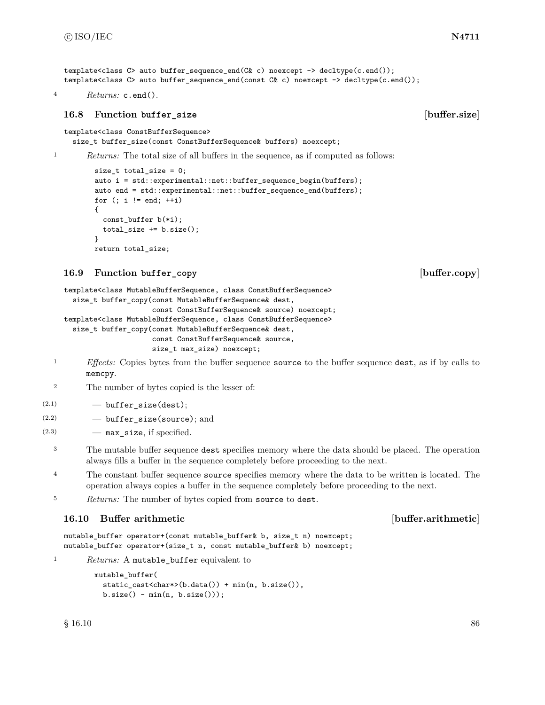<sup>4</sup> *Returns:* c.end().

# <span id="page-92-0"></span>**16.8 Function buffer\_size [buffer.size]**

```
template<class ConstBufferSequence>
```
size\_t buffer\_size(const ConstBufferSequence& buffers) noexcept;

```
<sup>1</sup> Returns: The total size of all buffers in the sequence, as if computed as follows:
```

```
size_t total_size = 0;
auto i = std::experimental::net::buffer_sequence_begin(buffers);
auto end = std::experimental::net::buffer_sequence_end(buffers);
for (i \ i \ |= \text{end}; \ ++i){
  const_buffer b(*i);
  total_size += b.size();
}
return total_size;
```
# <span id="page-92-1"></span>**16.9 Function buffer\_copy [buffer.copy]**

```
template<class MutableBufferSequence, class ConstBufferSequence>
  size_t buffer_copy(const MutableBufferSequence& dest,
                     const ConstBufferSequence& source) noexcept;
template<class MutableBufferSequence, class ConstBufferSequence>
  size_t buffer_copy(const MutableBufferSequence& dest,
                     const ConstBufferSequence& source,
                     size_t max_size) noexcept;
```
- <sup>1</sup> *Effects:* Copies bytes from the buffer sequence source to the buffer sequence dest, as if by calls to memcpy.
- <sup>2</sup> The number of bytes copied is the lesser of:
- $(2.1)$   $\qquad \qquad$   $\qquad$  buffer\_size(dest);
- (2.2) buffer\_size(source); and
- $(2.3)$  max size, if specified.
	- <sup>3</sup> The mutable buffer sequence dest specifies memory where the data should be placed. The operation always fills a buffer in the sequence completely before proceeding to the next.
	- <sup>4</sup> The constant buffer sequence source specifies memory where the data to be written is located. The operation always copies a buffer in the sequence completely before proceeding to the next.
	- <sup>5</sup> *Returns:* The number of bytes copied from source to dest.

# <span id="page-92-2"></span>**16.10 Buffer arithmetic [buffer.arithmetic]**

```
mutable_buffer operator+(const mutable_buffer& b, size_t n) noexcept;
mutable_buffer operator+(size_t n, const mutable_buffer& b) noexcept;
```
<sup>1</sup> *Returns:* A mutable\_buffer equivalent to

```
mutable_buffer(
 static_cast<char*>(b.data()) + min(n, b.size()),
 b.size() - min(n, b.size());
```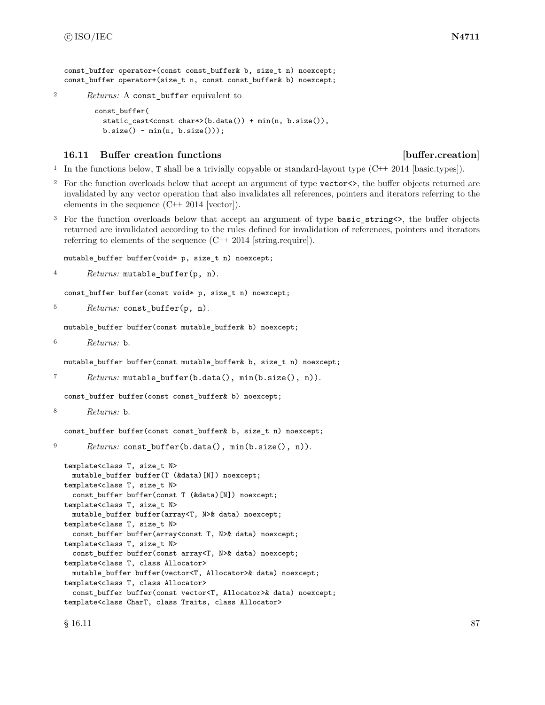const buffer operator+(const const buffer& b, size t n) noexcept; const\_buffer operator+(size\_t n, const const\_buffer& b) noexcept;

<sup>2</sup> *Returns:* A const\_buffer equivalent to

```
const_buffer(
 static_cast<const char*>(b.data()) + min(n, b.size()),
 b.size() - min(n, b.size()));
```
### <span id="page-93-0"></span>**16.11 Buffer creation functions in the set of the set of the set of the set of the set of the set of the set of the set of the set of the set of the set of the set of the set of the set of the set of the set of the set of**

<sup>1</sup> In the functions below, T shall be a trivially copyable or standard-layout type  $(C^{++} 2014$  [basic.types]).

- <sup>2</sup> For the function overloads below that accept an argument of type vector<>, the buffer objects returned are invalidated by any vector operation that also invalidates all references, pointers and iterators referring to the elements in the sequence (C++ 2014 [vector]).
- <sup>3</sup> For the function overloads below that accept an argument of type basic\_string<>, the buffer objects returned are invalidated according to the rules defined for invalidation of references, pointers and iterators referring to elements of the sequence (C++ 2014 [string.require]).

mutable\_buffer buffer(void\* p, size\_t n) noexcept;

<sup>4</sup> *Returns:* mutable\_buffer(p, n).

const\_buffer buffer(const void\* p, size\_t n) noexcept;

```
5 Returns: const_buffer(p, n).
```
mutable\_buffer buffer(const mutable\_buffer& b) noexcept;

```
6 Returns: b.
```
mutable\_buffer buffer(const mutable\_buffer& b, size\_t n) noexcept;

```
7 Returns: mutable_buffer(b.data(), min(b.size(), n)).
```
const\_buffer buffer(const const\_buffer& b) noexcept;

```
8 Returns: b.
```
const\_buffer buffer(const const\_buffer& b, size\_t n) noexcept;

```
9 Returns: const_buffer(b.data(), min(b.size(), n)).
```

```
template<class T, size_t N>
 mutable_buffer buffer(T (&data)[N]) noexcept;
template<class T, size_t N>
 const_buffer buffer(const T (&data)[N]) noexcept;
template<class T, size_t N>
 mutable_buffer buffer(array<T, N>& data) noexcept;
template<class T, size_t N>
 const_buffer buffer(array<const T, N>& data) noexcept;
template<class T, size_t N>
 const_buffer buffer(const array<T, N>& data) noexcept;
template<class T, class Allocator>
 mutable_buffer buffer(vector<T, Allocator>& data) noexcept;
template<class T, class Allocator>
  const_buffer buffer(const vector<T, Allocator>& data) noexcept;
template<class CharT, class Traits, class Allocator>
```
 $\S$  16.11 87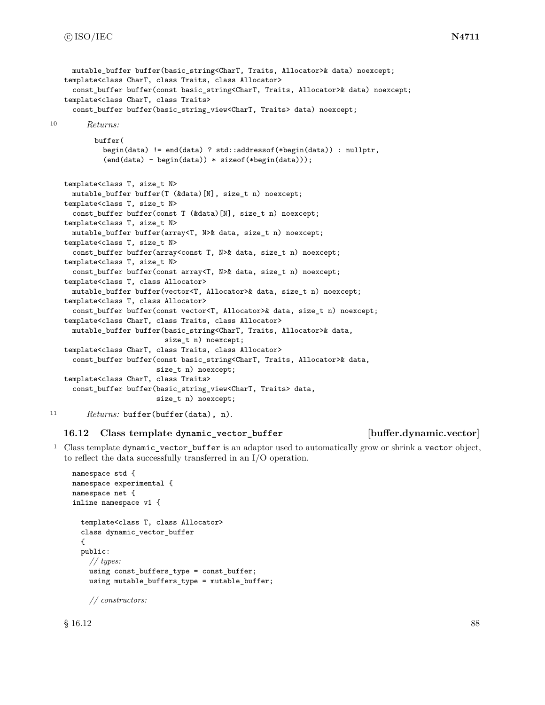```
mutable buffer buffer(basic string<CharT, Traits, Allocator>& data) noexcept;
   template<class CharT, class Traits, class Allocator>
     const_buffer buffer(const basic_string<CharT, Traits, Allocator>& data) noexcept;
   template<class CharT, class Traits>
     const_buffer buffer(basic_string_view<CharT, Traits> data) noexcept;
10 Returns:
          buffer(
            begin(data) != end(data) ? std::addressof(*begin(data)) : nullptr,
            (end(data) - begin(data)) * sizeof(*begin(data)));
   template<class T, size_t N>
     mutable_buffer buffer(T (&data)[N], size_t n) noexcept;
   template<class T, size_t N>
     const_buffer buffer(const T (&data)[N], size_t n) noexcept;
   template<class T, size_t N>
     mutable buffer buffer(array<T, N>& data, size t n) noexcept;
   template<class T, size_t N>
     const_buffer buffer(array<const T, N>& data, size_t n) noexcept;
   template<class T, size_t N>
     const_buffer buffer(const array<T, N>& data, size_t n) noexcept;
   template<class T, class Allocator>
     mutable_buffer buffer(vector<T, Allocator>& data, size_t n) noexcept;
   template<class T, class Allocator>
     const_buffer buffer(const vector<T, Allocator>& data, size_t n) noexcept;
   template<class CharT, class Traits, class Allocator>
     mutable_buffer buffer(basic_string<CharT, Traits, Allocator>& data,
                           size_t n) noexcept;
   template<class CharT, class Traits, class Allocator>
     const_buffer buffer(const basic_string<CharT, Traits, Allocator>& data,
                         size_t n) noexcept;
   template<class CharT, class Traits>
     const_buffer buffer(basic_string_view<CharT, Traits> data,
                         size_t n) noexcept;
```

```
11 Returns: buffer(buffer(data), n).
```
## **16.12 Class template dynamic\_vector\_buffer [buffer.dynamic.vector]**

<sup>1</sup> Class template dynamic\_vector\_buffer is an adaptor used to automatically grow or shrink a vector object, to reflect the data successfully transferred in an I/O operation.

```
namespace std {
namespace experimental {
namespace net {
inline namespace v1 {
  template<class T, class Allocator>
  class dynamic_vector_buffer
  {
  public:
    // types:
    using const_buffers_type = const_buffer;
    using mutable_buffers_type = mutable_buffer;
```
*// constructors:*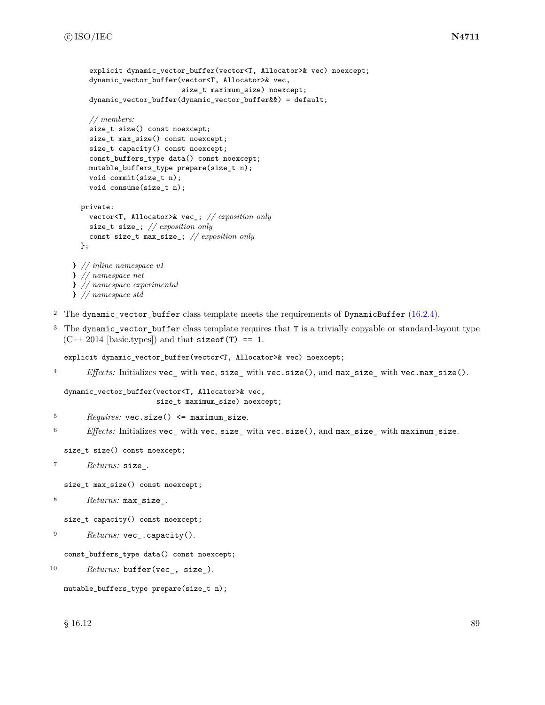```
explicit dynamic vector buffer(vector<T, Allocator>& vec) noexcept;
    dynamic_vector_buffer(vector<T, Allocator>& vec,
                          size_t maximum_size) noexcept;
    dynamic_vector_buffer(dynamic_vector_buffer&&) = default;
    // members:
    size_t size() const noexcept;
    size_t max_size() const noexcept;
    size_t capacity() const noexcept;
    const_buffers_type data() const noexcept;
   mutable_buffers_type prepare(size_t n);
    void commit(size_t n);
    void consume(size_t n);
  private:
    vector<T, Allocator>& vec_; // exposition only
    size_t size_; // exposition only
    const size_t max_size_; // exposition only
  };
} // inline namespace v1
} // namespace net
} // namespace experimental
} // namespace std
```
- <sup>2</sup> The dynamic vector buffer class template meets the requirements of DynamicBuffer  $(16.2.4)$ .
- <sup>3</sup> The dynamic\_vector\_buffer class template requires that T is a trivially copyable or standard-layout type  $(C++ 2014$  [basic.types]) and that size of (T) == 1.

explicit dynamic\_vector\_buffer(vector<T, Allocator>& vec) noexcept;

<sup>4</sup> *Effects:* Initializes vec\_ with vec, size\_ with vec.size(), and max\_size\_ with vec.max\_size().

```
dynamic_vector_buffer(vector<T, Allocator>& vec,
                      size_t maximum_size) noexcept;
```
- <sup>5</sup> *Requires:* vec.size() <= maximum\_size.
- <sup>6</sup> *Effects:* Initializes vec\_ with vec, size\_ with vec.size(), and max\_size\_ with maximum\_size.

size\_t size() const noexcept;

<sup>7</sup> *Returns:* size\_.

size\_t max\_size() const noexcept;

<sup>8</sup> *Returns:* max\_size\_.

size\_t capacity() const noexcept;

```
9 Returns: vec_.capacity().
```
const\_buffers\_type data() const noexcept;

```
10 Returns: buffer(vec_, size_).
```

```
mutable_buffers_type prepare(size_t n);
```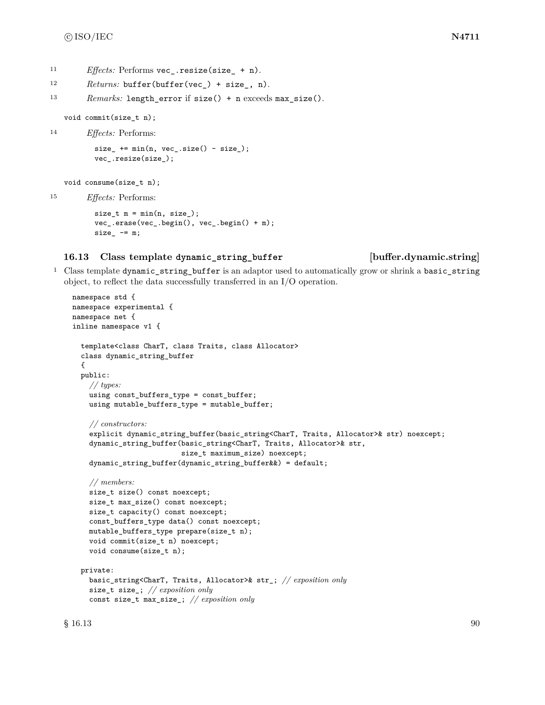- 11 *Effects:* Performs vec.resize(size + n).
- <sup>12</sup> *Returns:* buffer(buffer(vec\_) + size\_, n).

<sup>13</sup> *Remarks:* length\_error if size() + n exceeds max\_size().

void commit(size\_t n);

```
14 Effects: Performs:
          size_ + = min(n, vec_.size() - size_vec_.resize(size_);
```

```
void consume(size_t n);
```
<sup>15</sup> *Effects:* Performs:

```
size_t m = min(n, size_);
vec_.erase(vec_.begin(), vec_.begin() + m);
size - = m;
```
### **16.13 Class template dynamic\_string\_buffer [buffer.dynamic.string]**

<sup>1</sup> Class template dynamic\_string\_buffer is an adaptor used to automatically grow or shrink a basic\_string object, to reflect the data successfully transferred in an I/O operation.

```
namespace std {
namespace experimental {
namespace net {
inline namespace v1 {
  template<class CharT, class Traits, class Allocator>
  class dynamic_string_buffer
  {
  public:
    // types:
    using const_buffers_type = const_buffer;
    using mutable_buffers_type = mutable_buffer;
    // constructors:
    explicit dynamic_string_buffer(basic_string<CharT, Traits, Allocator>& str) noexcept;
    dynamic_string_buffer(basic_string<CharT, Traits, Allocator>& str,
                          size_t maximum_size) noexcept;
    dynamic_string_buffer(dynamic_string_buffer&&) = default;
    // members:
    size_t size() const noexcept;
    size_t max_size() const noexcept;
    size_t capacity() const noexcept;
    const_buffers_type data() const noexcept;
    mutable_buffers_type prepare(size_t n);
    void commit(size_t n) noexcept;
    void consume(size_t n);
  private:
    basic_string<CharT, Traits, Allocator>& str_; // exposition only
    size_t size_; // exposition only
    const size_t max_size_; // exposition only
```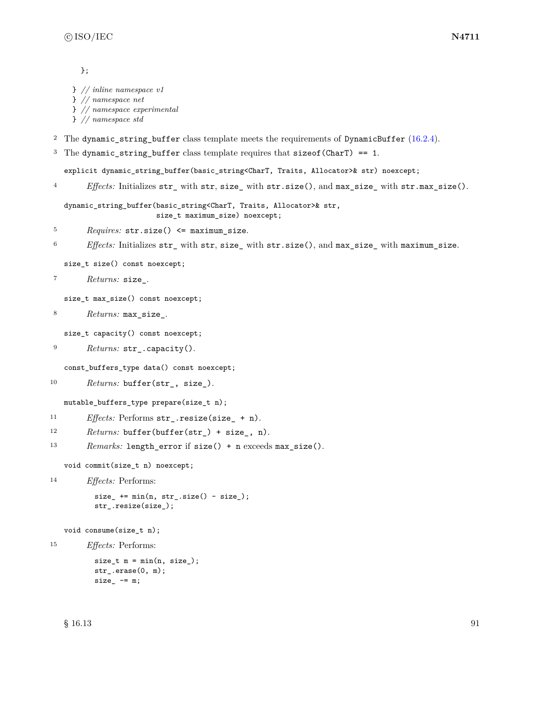}; } *// inline namespace v1* } *// namespace net* } *// namespace experimental* } *// namespace std* <sup>2</sup> The dynamic\_string\_buffer class template meets the requirements of DynamicBuffer  $(16.2.4)$ . <sup>3</sup> The dynamic\_string\_buffer class template requires that sizeof(CharT) == 1. explicit dynamic\_string\_buffer(basic\_string<CharT, Traits, Allocator>& str) noexcept; <sup>4</sup> *Effects:* Initializes str\_ with str, size\_ with str.size(), and max\_size\_ with str.max\_size(). dynamic\_string\_buffer(basic\_string<CharT, Traits, Allocator>& str, size\_t maximum\_size) noexcept; <sup>5</sup> *Requires:* str.size() <= maximum\_size. <sup>6</sup> *Effects:* Initializes str\_ with str, size\_ with str.size(), and max\_size\_ with maximum\_size. size\_t size() const noexcept; <sup>7</sup> *Returns:* size\_. size\_t max\_size() const noexcept; <sup>8</sup> *Returns:* max\_size\_. size\_t capacity() const noexcept; <sup>9</sup> *Returns:* str\_.capacity(). const\_buffers\_type data() const noexcept; 10 Returns: buffer(str<sub>\_</sub>, size<sub>\_</sub>). mutable\_buffers\_type prepare(size\_t n); 11 *Effects:* Performs str .resize(size + n). <sup>12</sup> *Returns:* buffer(buffer(str\_) + size\_, n). 13 *Remarks:* length\_error if size() + n exceeds max\_size(). void commit(size\_t n) noexcept; <sup>14</sup> *Effects:* Performs:  $size_ + = min(n, str_ . size() - size_ )$ ; str\_.resize(size\_); void consume(size\_t n); <sup>15</sup> *Effects:* Performs:  $size_t$  m = min(n, size\_); str\_.erase(0, m);

 $size_$  -=  $m;$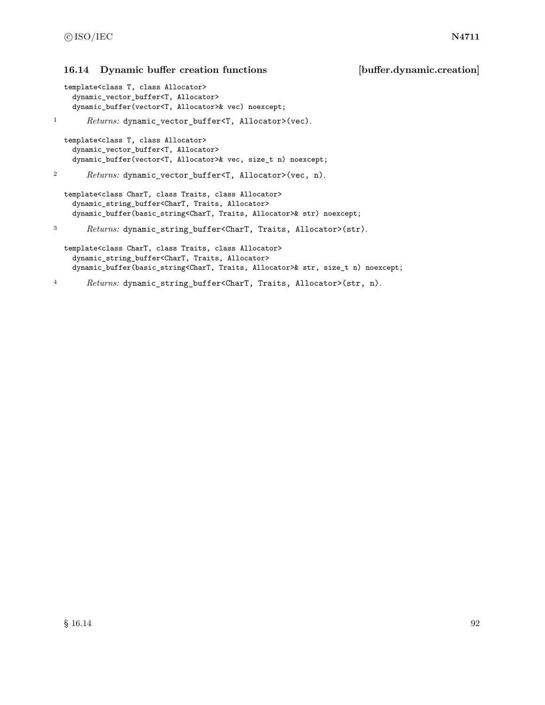### <span id="page-98-0"></span>**16.14 Dynamic buffer creation functions [buffer.dynamic.creation]**

```
template<class T, class Allocator>
 dynamic_vector_buffer<T, Allocator>
 dynamic_buffer(vector<T, Allocator>& vec) noexcept;
```

```
1 Returns: dynamic_vector_buffer<T, Allocator>(vec).
```

```
template<class T, class Allocator>
  dynamic_vector_buffer<T, Allocator>
  dynamic_buffer(vector<T, Allocator>& vec, size_t n) noexcept;
```
<sup>2</sup> *Returns:* dynamic\_vector\_buffer<T, Allocator>(vec, n).

```
template<class CharT, class Traits, class Allocator>
  dynamic_string_buffer<CharT, Traits, Allocator>
  dynamic_buffer(basic_string<CharT, Traits, Allocator>& str) noexcept;
```

```
3 Returns: dynamic_string_buffer<CharT, Traits, Allocator>(str).
```

```
template<class CharT, class Traits, class Allocator>
  dynamic_string_buffer<CharT, Traits, Allocator>
  dynamic_buffer(basic_string<CharT, Traits, Allocator>& str, size_t n) noexcept;
```

```
4 Returns: dynamic_string_buffer<CharT, Traits, Allocator>(str, n).
```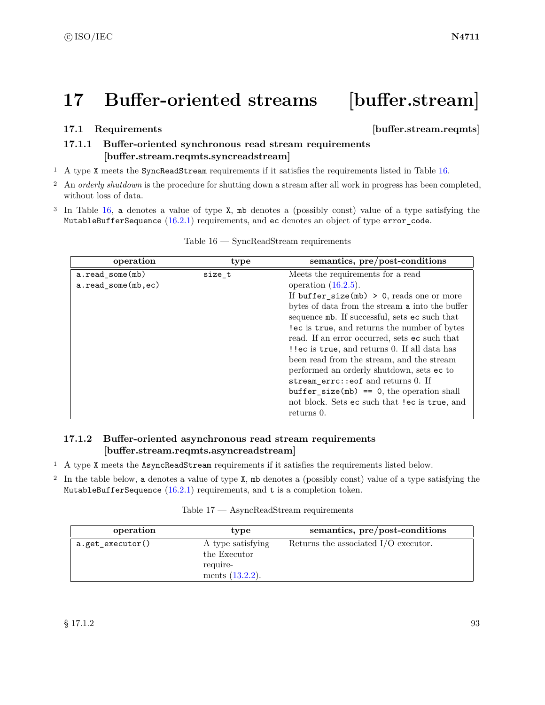# **17 Buffer-oriented streams [buffer.stream]**

### **17.1 Requirements in the set of the set of the set of the set of the set of the set of the set of the set of the set of the set of the set of the set of the set of the set of the set of the set of the set of the set of**

# <span id="page-99-1"></span>**17.1.1 Buffer-oriented synchronous read stream requirements [buffer.stream.reqmts.syncreadstream]**

- <sup>1</sup> A type X meets the SyncReadStream requirements if it satisfies the requirements listed in Table [16.](#page-99-0)
- <sup>2</sup> An *orderly shutdown* is the procedure for shutting down a stream after all work in progress has been completed, without loss of data.
- <sup>3</sup> In Table [16,](#page-99-0) a denotes a value of type X, mb denotes a (possibly const) value of a type satisfying the MutableBufferSequence [\(16.2.1\)](#page-84-0) requirements, and ec denotes an object of type error\_code.

<span id="page-99-0"></span>

| operation          | type   | semantics, pre/post-conditions                  |
|--------------------|--------|-------------------------------------------------|
| a.read_some(mb)    | size t | Meets the requirements for a read               |
| a.read_some(mb,ec) |        | operation $(16.2.5)$ .                          |
|                    |        | If buffer_size( $mb$ ) > 0, reads one or more   |
|                    |        | bytes of data from the stream a into the buffer |
|                    |        | sequence mb. If successful, sets ec such that   |
|                    |        | lec is true, and returns the number of bytes    |
|                    |        | read. If an error occurred, sets ec such that   |
|                    |        | ! lec is true, and returns 0. If all data has   |
|                    |        | been read from the stream, and the stream       |
|                    |        | performed an orderly shutdown, sets ec to       |
|                    |        | stream_errc::eof and returns 0. If              |
|                    |        | $buffer\_size(mb) == 0$ , the operation shall   |
|                    |        | not block. Sets ec such that lec is true, and   |
|                    |        | returns 0.                                      |

### Table 16 — SyncReadStream requirements

# <span id="page-99-2"></span>**17.1.2 Buffer-oriented asynchronous read stream requirements [buffer.stream.reqmts.asyncreadstream]**

- <sup>1</sup> A type X meets the AsyncReadStream requirements if it satisfies the requirements listed below.
- <sup>2</sup> In the table below, a denotes a value of type X, mb denotes a (possibly const) value of a type satisfying the MutableBufferSequence  $(16.2.1)$  requirements, and t is a completion token.

| Table $17$ — AsyncReadStream requirements |  |
|-------------------------------------------|--|
|                                           |  |

| operation        | type                                                                | semantics, pre/post-conditions         |
|------------------|---------------------------------------------------------------------|----------------------------------------|
| a.get_executor() | A type satisfying<br>the Executor<br>require-<br>ments $(13.2.2)$ . | Returns the associated $I/O$ executor. |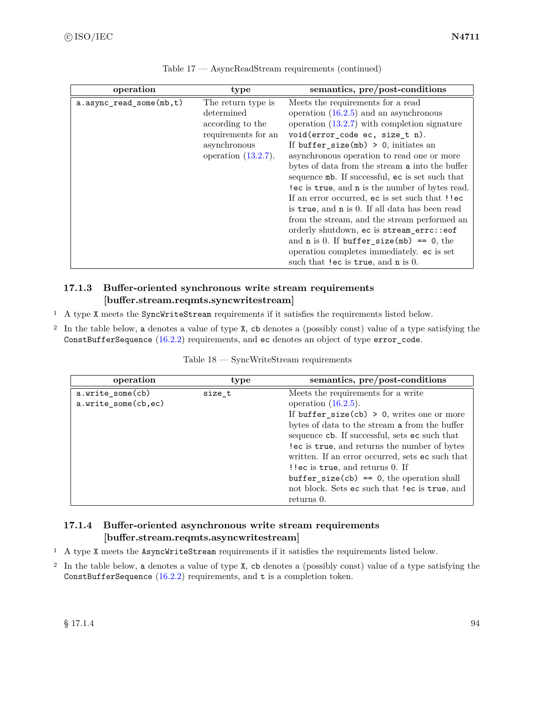| operation                 | type                                                                                                                  | semantics, pre/post-conditions                                                                                                                                                                                                                                                                                                                                                                                                                                                                                                                                                                                                                                                                                                                     |
|---------------------------|-----------------------------------------------------------------------------------------------------------------------|----------------------------------------------------------------------------------------------------------------------------------------------------------------------------------------------------------------------------------------------------------------------------------------------------------------------------------------------------------------------------------------------------------------------------------------------------------------------------------------------------------------------------------------------------------------------------------------------------------------------------------------------------------------------------------------------------------------------------------------------------|
| $a.async_read_some(mb,t)$ | The return type is<br>determined<br>according to the<br>requirements for an<br>asynchronous<br>operation $(13.2.7)$ . | Meets the requirements for a read<br>operation $(16.2.5)$ and an asynchronous<br>operation $(13.2.7)$ with completion signature<br>void(error_code ec, size_t n).<br>If buffer_size(mb) > 0, initiates an<br>asynchronous operation to read one or more<br>bytes of data from the stream a into the buffer<br>sequence mb. If successful, ec is set such that<br>lec is true, and n is the number of bytes read.<br>If an error occurred, ec is set such that !!ec<br>is true, and n is 0. If all data has been read<br>from the stream, and the stream performed an<br>orderly shutdown, ec is stream_errc::eof<br>and $n$ is 0. If buffer_size(mb) == 0, the<br>operation completes immediately. ec is set<br>such that !ec is true, and n is 0. |

Table 17 — AsyncReadStream requirements (continued)

# <span id="page-100-0"></span>**17.1.3 Buffer-oriented synchronous write stream requirements [buffer.stream.reqmts.syncwritestream]**

- <sup>1</sup> A type X meets the SyncWriteStream requirements if it satisfies the requirements listed below.
- <sup>2</sup> In the table below, a denotes a value of type X, cb denotes a (possibly const) value of a type satisfying the ConstBufferSequence [\(16.2.2\)](#page-85-1) requirements, and ec denotes an object of type error\_code.

| operation           | type   | semantics, pre/post-conditions                   |
|---------------------|--------|--------------------------------------------------|
| a.write_some(cb)    | size t | Meets the requirements for a write               |
| a.write_some(cb,ec) |        | operation $(16.2.5)$ .                           |
|                     |        | If $buffer\_size(cb) > 0$ , writes one or more   |
|                     |        | bytes of data to the stream a from the buffer    |
|                     |        | sequence cb. If successful, sets ec such that    |
|                     |        | lec is true, and returns the number of bytes     |
|                     |        | written. If an error occurred, sets ec such that |
|                     |        | ! lec is true, and returns 0. If                 |
|                     |        | $buffer\_size(cb) == 0$ , the operation shall    |
|                     |        | not block. Sets ec such that !ec is true, and    |
|                     |        | returns 0.                                       |

Table 18 — SyncWriteStream requirements

# **17.1.4 Buffer-oriented asynchronous write stream requirements [buffer.stream.reqmts.asyncwritestream]**

- <sup>1</sup> A type X meets the AsyncWriteStream requirements if it satisfies the requirements listed below.
- <sup>2</sup> In the table below, a denotes a value of type X, cb denotes a (possibly const) value of a type satisfying the ConstBufferSequence  $(16.2.2)$  requirements, and t is a completion token.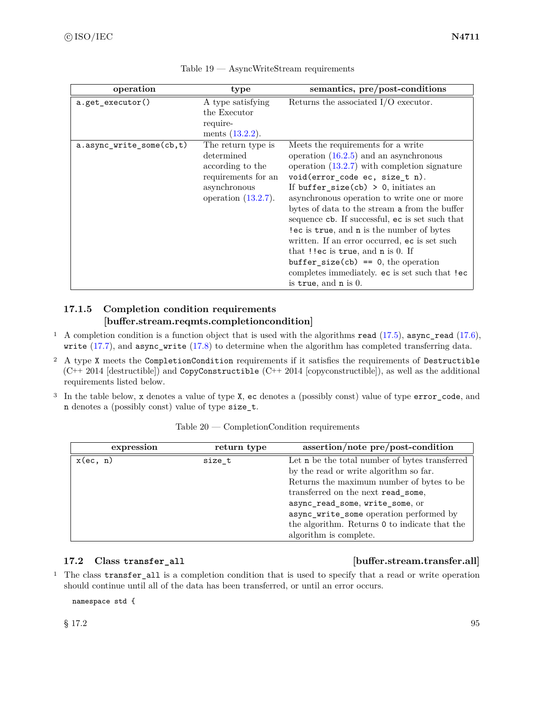| operation                | type                                                                                                                  | semantics, pre/post-conditions                                                                                                                                                                                                                                                                                                                                                                                                                                                                                                                                                                                               |
|--------------------------|-----------------------------------------------------------------------------------------------------------------------|------------------------------------------------------------------------------------------------------------------------------------------------------------------------------------------------------------------------------------------------------------------------------------------------------------------------------------------------------------------------------------------------------------------------------------------------------------------------------------------------------------------------------------------------------------------------------------------------------------------------------|
| a.get_executor()         | A type satisfying<br>the Executor<br>require-<br>ments $(13.2.2)$ .                                                   | Returns the associated $I/O$ executor.                                                                                                                                                                                                                                                                                                                                                                                                                                                                                                                                                                                       |
| a.async_write_some(cb,t) | The return type is<br>determined<br>according to the<br>requirements for an<br>asynchronous<br>operation $(13.2.7)$ . | Meets the requirements for a write<br>operation $(16.2.5)$ and an asynchronous<br>operation $(13.2.7)$ with completion signature<br>void(error_code ec, size_t n).<br>If buffer_size(cb) > 0, initiates an<br>asynchronous operation to write one or more<br>bytes of data to the stream a from the buffer<br>sequence cb. If successful, ec is set such that<br>lec is true, and n is the number of bytes<br>written. If an error occurred, ec is set such<br>that $!$ lec is true, and n is 0. If<br>$buffer\_size(cb) == 0, the operation$<br>completes immediately. ec is set such that !ec<br>is true, and $n$ is $0$ . |

Table 19 — AsyncWriteStream requirements

# <span id="page-101-0"></span>**17.1.5 Completion condition requirements [buffer.stream.reqmts.completioncondition]**

- <sup>1</sup> A completion condition is a function object that is used with the algorithms read [\(17.5\)](#page-103-0), async\_read [\(17.6\)](#page-105-0), write [\(17.7\)](#page-106-0), and async\_write [\(17.8\)](#page-107-0) to determine when the algorithm has completed transferring data.
- <sup>2</sup> A type X meets the CompletionCondition requirements if it satisfies the requirements of Destructible  $(C^{++} 2014$  [destructible]) and CopyConstructible  $(C^{++} 2014$  [copyconstructible]), as well as the additional requirements listed below.
- <sup>3</sup> In the table below, x denotes a value of type X, ec denotes a (possibly const) value of type error\_code, and n denotes a (possibly const) value of type size\_t.

| expression  | return type | $assertion/note$ pre/post-condition            |
|-------------|-------------|------------------------------------------------|
| $x$ (ec, n) | size_t      | Let n be the total number of bytes transferred |
|             |             | by the read or write algorithm so far.         |
|             |             | Returns the maximum number of bytes to be      |
|             |             | transferred on the next read_some,             |
|             |             | async_read_some, write_some, or                |
|             |             | async_write_some operation performed by        |
|             |             | the algorithm. Returns 0 to indicate that the  |
|             |             | algorithm is complete.                         |

Table 20 — CompletionCondition requirements

### **17.2 Class transfer\_all [buffer.stream.transfer.all]**

<sup>1</sup> The class transfer\_all is a completion condition that is used to specify that a read or write operation should continue until all of the data has been transferred, or until an error occurs.

namespace std {

 $\S 17.2$  95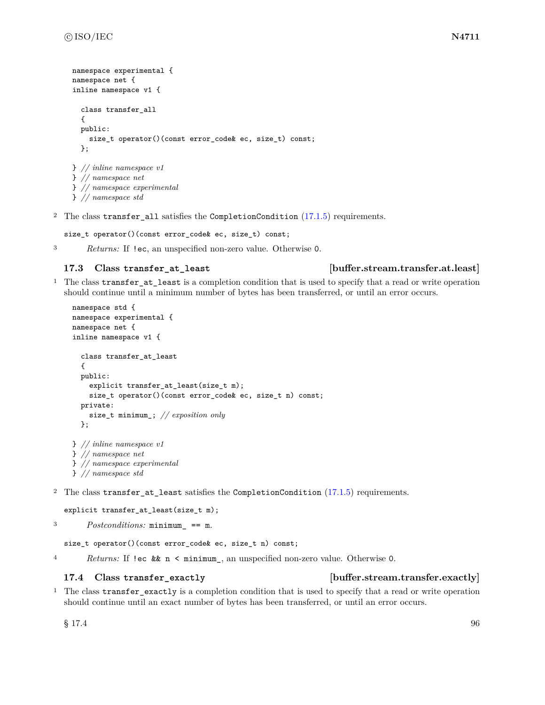```
namespace experimental {
namespace net {
inline namespace v1 {
  class transfer_all
  {
  public:
    size_t operator()(const error_code& ec, size_t) const;
  };
} // inline namespace v1
} // namespace net
} // namespace experimental
```
} *// namespace std*

<sup>2</sup> The class transfer\_all satisfies the CompletionCondition [\(17.1.5\)](#page-101-0) requirements.

size\_t operator()(const error\_code& ec, size\_t) const;

<sup>3</sup> *Returns:* If !ec, an unspecified non-zero value. Otherwise 0.

### **17.3 Class transfer\_at\_least [buffer.stream.transfer.at.least]**

<sup>1</sup> The class transfer\_at\_least is a completion condition that is used to specify that a read or write operation should continue until a minimum number of bytes has been transferred, or until an error occurs.

```
namespace std {
namespace experimental {
namespace net {
inline namespace v1 {
  class transfer_at_least
  {
  public:
    explicit transfer_at_least(size_t m);
    size_t operator()(const error_code& ec, size_t n) const;
  private:
    size_t minimum_; // exposition only
  };
} // inline namespace v1
} // namespace net
} // namespace experimental
```
} *// namespace std*

<sup>2</sup> The class transfer\_at\_least satisfies the CompletionCondition [\(17.1.5\)](#page-101-0) requirements.

```
explicit transfer_at_least(size_t m);
```

```
3 Postconditions: minimum_ == m.
```
size\_t operator()(const error\_code& ec, size\_t n) const;

<sup>4</sup> *Returns:* If !ec && n < minimum\_, an unspecified non-zero value. Otherwise 0.

### **17.4 Class transfer\_exactly [buffer.stream.transfer.exactly]**

<sup>1</sup> The class transfer\_exactly is a completion condition that is used to specify that a read or write operation should continue until an exact number of bytes has been transferred, or until an error occurs.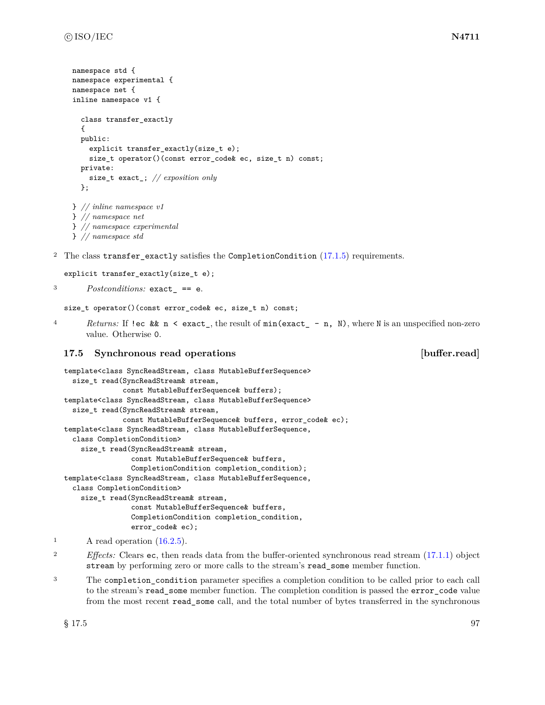```
namespace std {
namespace experimental {
namespace net {
inline namespace v1 {
  class transfer_exactly
  {
  public:
    explicit transfer_exactly(size_t e);
    size_t operator()(const error_code& ec, size_t n) const;
  private:
    size_t exact_; // exposition only
  };
} // inline namespace v1
} // namespace net
} // namespace experimental
} // namespace std
```

```
<sup>2</sup> The class transfer exactly satisfies the CompletionCondition (17.1.5) requirements.
```

```
explicit transfer_exactly(size_t e);
```
<sup>3</sup> *Postconditions:* exact\_ == e.

```
size_t operator()(const error_code& ec, size_t n) const;
```
<sup>4</sup> *Returns:* If !ec && n < exact\_, the result of min(exact\_ - n, N), where N is an unspecified non-zero value. Otherwise 0.

### <span id="page-103-0"></span>**17.5 Synchronous read operations [buffer.read]**

```
template<class SyncReadStream, class MutableBufferSequence>
  size_t read(SyncReadStream& stream,
              const MutableBufferSequence& buffers);
template<class SyncReadStream, class MutableBufferSequence>
  size_t read(SyncReadStream& stream,
              const MutableBufferSequence& buffers, error_code& ec);
template<class SyncReadStream, class MutableBufferSequence,
  class CompletionCondition>
    size_t read(SyncReadStream& stream,
                const MutableBufferSequence& buffers,
                CompletionCondition completion_condition);
template<class SyncReadStream, class MutableBufferSequence,
  class CompletionCondition>
    size_t read(SyncReadStream& stream,
                const MutableBufferSequence& buffers,
                CompletionCondition completion_condition,
                error_code& ec);
```
<sup>3</sup> The completion condition parameter specifies a completion condition to be called prior to each call to the stream's read\_some member function. The completion condition is passed the error\_code value from the most recent read\_some call, and the total number of bytes transferred in the synchronous

 $\lambda$  read operation  $(16.2.5)$ .

<sup>&</sup>lt;sup>2</sup> *Effects:* Clears ec, then reads data from the buffer-oriented synchronous read stream [\(17.1.1\)](#page-99-1) object stream by performing zero or more calls to the stream's read\_some member function.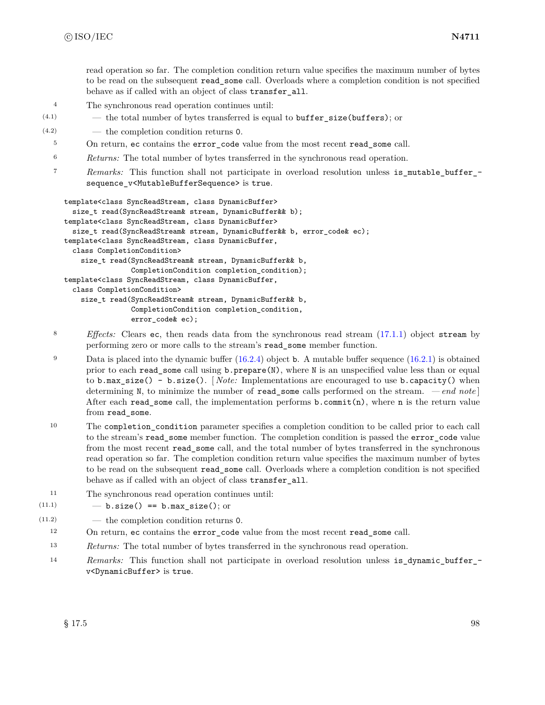read operation so far. The completion condition return value specifies the maximum number of bytes to be read on the subsequent read\_some call. Overloads where a completion condition is not specified behave as if called with an object of class transfer\_all.

- <sup>4</sup> The synchronous read operation continues until:
- $(4.1)$  the total number of bytes transferred is equal to **buffer** size (**buffers**); or
- (4.2) the completion condition returns 0.
	- <sup>5</sup> On return, ec contains the error\_code value from the most recent read\_some call.
	- <sup>6</sup> *Returns:* The total number of bytes transferred in the synchronous read operation.
	- <sup>7</sup> *Remarks:* This function shall not participate in overload resolution unless is\_mutable\_buffer\_ sequence v<MutableBufferSequence> is true.

```
template<class SyncReadStream, class DynamicBuffer>
  size_t read(SyncReadStream& stream, DynamicBuffer&& b);
template<class SyncReadStream, class DynamicBuffer>
  size_t read(SyncReadStream& stream, DynamicBuffer&& b, error_code& ec);
template<class SyncReadStream, class DynamicBuffer,
  class CompletionCondition>
    size_t read(SyncReadStream& stream, DynamicBuffer&& b,
                CompletionCondition completion_condition);
template<class SyncReadStream, class DynamicBuffer,
  class CompletionCondition>
    size_t read(SyncReadStream& stream, DynamicBuffer&& b,
                CompletionCondition completion_condition,
                error_code& ec);
```
- <sup>8</sup> *Effects:* Clears ec, then reads data from the synchronous read stream [\(17.1.1\)](#page-99-1) object stream by performing zero or more calls to the stream's read\_some member function.
- <sup>9</sup> Data is placed into the dynamic buffer  $(16.2.4)$  object **b**. A mutable buffer sequence  $(16.2.1)$  is obtained prior to each read\_some call using b.prepare(N), where N is an unspecified value less than or equal to b.max\_size() - b.size(). [ *Note:* Implementations are encouraged to use b.capacity() when determining N, to minimize the number of read\_some calls performed on the stream. *— end note* ] After each read\_some call, the implementation performs  $b$ .commit(n), where n is the return value from read\_some.
- <sup>10</sup> The completion\_condition parameter specifies a completion condition to be called prior to each call to the stream's read some member function. The completion condition is passed the error code value from the most recent read\_some call, and the total number of bytes transferred in the synchronous read operation so far. The completion condition return value specifies the maximum number of bytes to be read on the subsequent read\_some call. Overloads where a completion condition is not specified behave as if called with an object of class transfer\_all.
- <sup>11</sup> The synchronous read operation continues until:
- $(11.1)$   $-$  b.size() == b.max\_size(); or
- (11.2) the completion condition returns 0.
	- <sup>12</sup> On return, ec contains the error\_code value from the most recent read\_some call.
	- <sup>13</sup> *Returns:* The total number of bytes transferred in the synchronous read operation.
	- 14 *Remarks:* This function shall not participate in overload resolution unless is\_dynamic\_buffer\_v<DynamicBuffer> is true.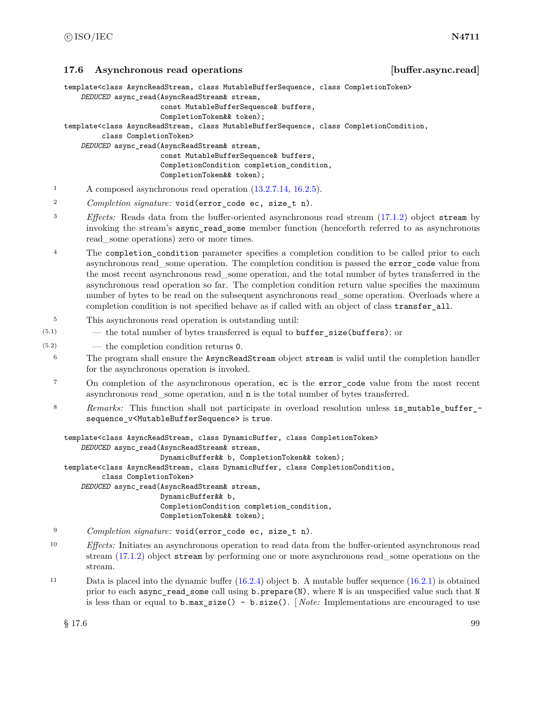### <span id="page-105-0"></span>**17.6 Asynchronous read operations [buffer.async.read]**

template<class AsyncReadStream, class MutableBufferSequence, class CompletionToken>

```
DEDUCED async_read(AsyncReadStream& stream,
```

```
const MutableBufferSequence& buffers,
```

```
CompletionToken&& token);
```
template<class AsyncReadStream, class MutableBufferSequence, class CompletionCondition,

class CompletionToken>

*DEDUCED* async\_read(AsyncReadStream& stream,

const MutableBufferSequence& buffers, CompletionCondition completion\_condition, CompletionToken&& token);

- <sup>1</sup> A composed asynchronous read operation [\(13.2.7.14,](#page-33-0) [16.2.5\)](#page-88-0).
- <sup>2</sup> *Completion signature:* void(error\_code ec, size\_t n).
- <sup>3</sup> *Effects:* Reads data from the buffer-oriented asynchronous read stream [\(17.1.2\)](#page-99-2) object stream by invoking the stream's async\_read\_some member function (henceforth referred to as asynchronous read\_some operations) zero or more times.
- <sup>4</sup> The completion\_condition parameter specifies a completion condition to be called prior to each asynchronous read\_some operation. The completion condition is passed the error\_code value from the most recent asynchronous read\_some operation, and the total number of bytes transferred in the asynchronous read operation so far. The completion condition return value specifies the maximum number of bytes to be read on the subsequent asynchronous read—some operation. Overloads where a completion condition is not specified behave as if called with an object of class transfer\_all.
- <sup>5</sup> This asynchronous read operation is outstanding until:
- $(5.1)$  the total number of bytes transferred is equal to **buffer** size (**buffers**); or
- (5.2) the completion condition returns 0.
	- <sup>6</sup> The program shall ensure the AsyncReadStream object stream is valid until the completion handler for the asynchronous operation is invoked.
	- <sup>7</sup> On completion of the asynchronous operation, ec is the error code value from the most recent asynchronous read\_some operation, and n is the total number of bytes transferred.
	- 8 Remarks: This function shall not participate in overload resolution unless is\_mutable\_buffer\_sequence\_v<MutableBufferSequence> is true.

```
template<class AsyncReadStream, class DynamicBuffer, class CompletionToken>
    DEDUCED async_read(AsyncReadStream& stream,
                       DynamicBuffer&& b, CompletionToken&& token);
template<class AsyncReadStream, class DynamicBuffer, class CompletionCondition,
         class CompletionToken>
    DEDUCED async_read(AsyncReadStream& stream,
                       DynamicBuffer&& b,
                       CompletionCondition completion_condition,
                       CompletionToken&& token);
```
- <sup>9</sup> *Completion signature:* void(error\_code ec, size\_t n).
- <sup>10</sup> *Effects:* Initiates an asynchronous operation to read data from the buffer-oriented asynchronous read stream [\(17.1.2\)](#page-99-2) object stream by performing one or more asynchronous read\_some operations on the stream.
- <sup>11</sup> Data is placed into the dynamic buffer [\(16.2.4\)](#page-87-1) object b. A mutable buffer sequence [\(16.2.1\)](#page-84-0) is obtained prior to each async\_read\_some call using b.prepare(N), where N is an unspecified value such that N is less than or equal to b.max\_size() - b.size(). [ *Note:* Implementations are encouraged to use

 $\S 17.6$  99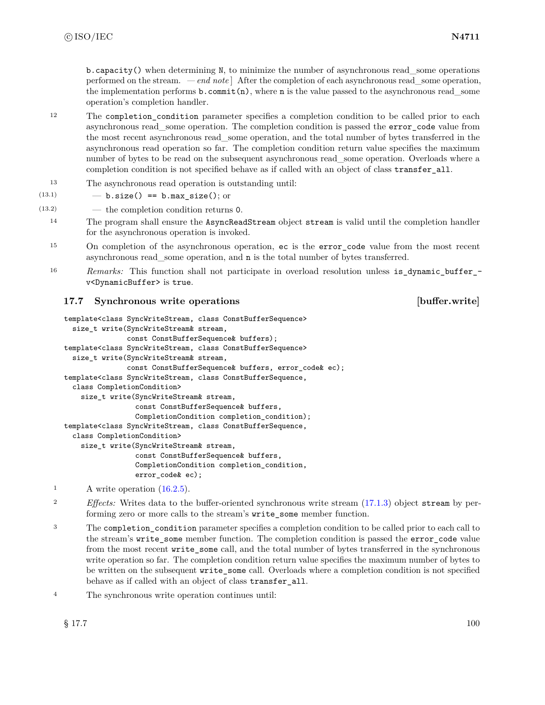$b$ .capacity() when determining N, to minimize the number of asynchronous read some operations performed on the stream. *— end note* ] After the completion of each asynchronous read\_some operation, the implementation performs  $\mathbf{b}$ . commit(n), where **n** is the value passed to the asynchronous read some operation's completion handler.

- <sup>12</sup> The completion\_condition parameter specifies a completion condition to be called prior to each asynchronous read\_some operation. The completion condition is passed the error\_code value from the most recent asynchronous read\_some operation, and the total number of bytes transferred in the asynchronous read operation so far. The completion condition return value specifies the maximum number of bytes to be read on the subsequent asynchronous read—some operation. Overloads where a completion condition is not specified behave as if called with an object of class transfer\_all.
- <sup>13</sup> The asynchronous read operation is outstanding until:

```
(13.1) - b.size() == b.max_size(); or
```
(13.2) — the completion condition returns 0.

- <sup>14</sup> The program shall ensure the AsyncReadStream object stream is valid until the completion handler for the asynchronous operation is invoked.
- <sup>15</sup> On completion of the asynchronous operation, ec is the error\_code value from the most recent asynchronous read\_some operation, and n is the total number of bytes transferred.
- 16 *Remarks:* This function shall not participate in overload resolution unless is\_dynamic\_buffer\_v<DynamicBuffer> is true.

# <span id="page-106-0"></span>**17.7 Synchronous write operations [buffer.write]**

```
template<class SyncWriteStream, class ConstBufferSequence>
  size_t write(SyncWriteStream& stream,
               const ConstBufferSequence& buffers);
template<class SyncWriteStream, class ConstBufferSequence>
  size_t write(SyncWriteStream& stream,
               const ConstBufferSequence& buffers, error_code& ec);
template<class SyncWriteStream, class ConstBufferSequence,
  class CompletionCondition>
    size_t write(SyncWriteStream& stream,
                 const ConstBufferSequence& buffers,
                 CompletionCondition completion_condition);
template<class SyncWriteStream, class ConstBufferSequence,
  class CompletionCondition>
    size_t write(SyncWriteStream& stream,
                 const ConstBufferSequence& buffers,
                 CompletionCondition completion_condition,
                 error_code& ec);
```
- <sup>1</sup> A write operation [\(16.2.5\)](#page-88-0).
- <sup>2</sup> *Effects:* Writes data to the buffer-oriented synchronous write stream [\(17.1.3\)](#page-100-0) object stream by performing zero or more calls to the stream's write\_some member function.
- <sup>3</sup> The completion\_condition parameter specifies a completion condition to be called prior to each call to the stream's write\_some member function. The completion condition is passed the error\_code value from the most recent write some call, and the total number of bytes transferred in the synchronous write operation so far. The completion condition return value specifies the maximum number of bytes to be written on the subsequent write\_some call. Overloads where a completion condition is not specified behave as if called with an object of class transfer\_all.
- <sup>4</sup> The synchronous write operation continues until: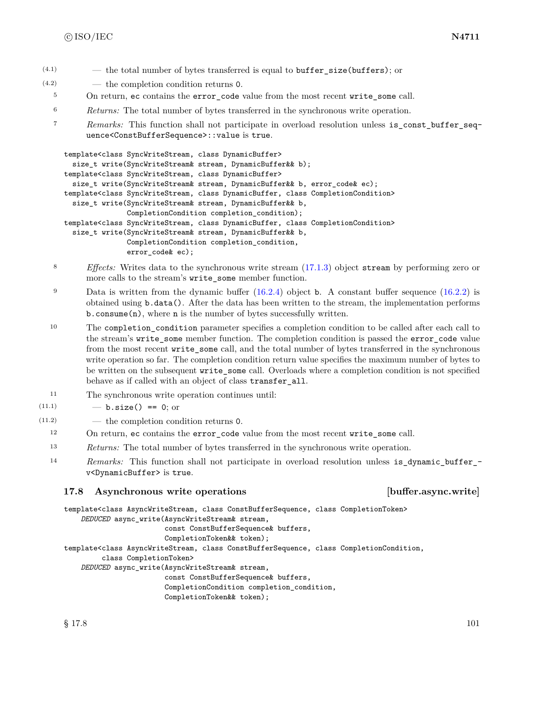- $(4.1)$  the total number of bytes transferred is equal to buffer size(buffers); or
- (4.2) the completion condition returns 0.
	- <sup>5</sup> On return, ec contains the error\_code value from the most recent write\_some call.
	- <sup>6</sup> *Returns:* The total number of bytes transferred in the synchronous write operation.
	- <sup>7</sup> *Remarks:* This function shall not participate in overload resolution unless is\_const\_buffer\_sequence<ConstBufferSequence>::value is true.

```
template<class SyncWriteStream, class DynamicBuffer>
  size_t write(SyncWriteStream& stream, DynamicBuffer&& b);
template<class SyncWriteStream, class DynamicBuffer>
  size_t write(SyncWriteStream& stream, DynamicBuffer&& b, error_code& ec);
template<class SyncWriteStream, class DynamicBuffer, class CompletionCondition>
  size_t write(SyncWriteStream& stream, DynamicBuffer&& b,
               CompletionCondition completion_condition);
template<class SyncWriteStream, class DynamicBuffer, class CompletionCondition>
  size_t write(SyncWriteStream& stream, DynamicBuffer&& b,
               CompletionCondition completion_condition,
               error_code& ec);
```
- <sup>8</sup> *Effects:* Writes data to the synchronous write stream [\(17.1.3\)](#page-100-0) object stream by performing zero or more calls to the stream's write\_some member function.
- 9 Data is written from the dynamic buffer  $(16.2.4)$  object b. A constant buffer sequence  $(16.2.2)$  is obtained using b.data(). After the data has been written to the stream, the implementation performs b.consume(n), where n is the number of bytes successfully written.

<sup>10</sup> The completion\_condition parameter specifies a completion condition to be called after each call to the stream's write\_some member function. The completion condition is passed the error\_code value from the most recent write some call, and the total number of bytes transferred in the synchronous write operation so far. The completion condition return value specifies the maximum number of bytes to be written on the subsequent write\_some call. Overloads where a completion condition is not specified behave as if called with an object of class transfer\_all.

- <sup>11</sup> The synchronous write operation continues until:
- $(11.1)$   $b.size() == 0;$  or
- (11.2) the completion condition returns 0.
	- <sup>12</sup> On return, ec contains the error\_code value from the most recent write\_some call.
	- <sup>13</sup> *Returns:* The total number of bytes transferred in the synchronous write operation.
	- <sup>14</sup> *Remarks:* This function shall not participate in overload resolution unless is\_dynamic\_buffer\_ v<DynamicBuffer> is true.

### <span id="page-107-0"></span>**17.8 Asynchronous write operations [buffer.async.write]**

```
template<class AsyncWriteStream, class ConstBufferSequence, class CompletionToken>
    DEDUCED async_write(AsyncWriteStream& stream,
                        const ConstBufferSequence& buffers,
                        CompletionToken&& token);
```
template<class AsyncWriteStream, class ConstBufferSequence, class CompletionCondition,

```
class CompletionToken>
```

```
DEDUCED async_write(AsyncWriteStream& stream,
```

```
const ConstBufferSequence& buffers,
CompletionCondition completion_condition,
CompletionToken&& token);
```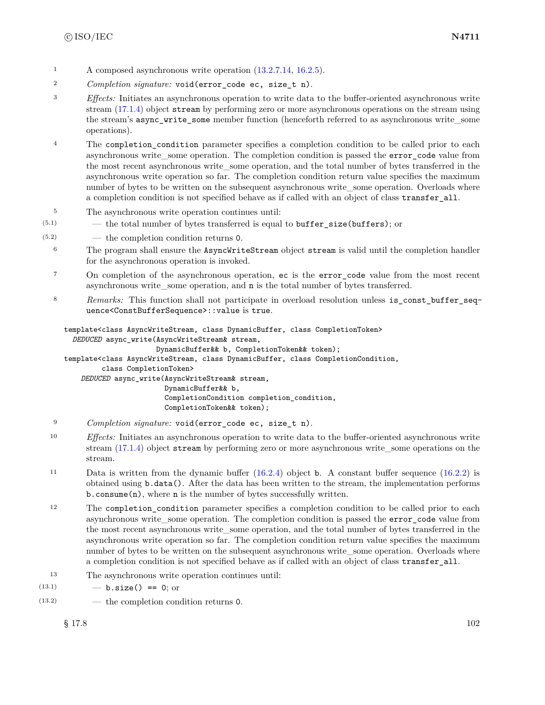- <sup>1</sup> A composed asynchronous write operation  $(13.2.7.14, 16.2.5)$  $(13.2.7.14, 16.2.5)$  $(13.2.7.14, 16.2.5)$ .
- <sup>2</sup> *Completion signature:* void(error\_code ec, size\_t n).
- <sup>3</sup> *Effects:* Initiates an asynchronous operation to write data to the buffer-oriented asynchronous write stream [\(17.1.4\)](#page-100-0) object stream by performing zero or more asynchronous operations on the stream using the stream's async\_write\_some member function (henceforth referred to as asynchronous write\_some operations).
- <sup>4</sup> The completion\_condition parameter specifies a completion condition to be called prior to each asynchronous write\_some operation. The completion condition is passed the error\_code value from the most recent asynchronous write\_some operation, and the total number of bytes transferred in the asynchronous write operation so far. The completion condition return value specifies the maximum number of bytes to be written on the subsequent asynchronous write—some operation. Overloads where a completion condition is not specified behave as if called with an object of class transfer\_all.
- <sup>5</sup> The asynchronous write operation continues until:
- $(5.1)$  the total number of bytes transferred is equal to **buffer** size (**buffers**); or
- (5.2) the completion condition returns 0.
	- <sup>6</sup> The program shall ensure the AsyncWriteStream object stream is valid until the completion handler for the asynchronous operation is invoked.
	- <sup>7</sup> On completion of the asynchronous operation, ec is the error\_code value from the most recent asynchronous write\_some operation, and n is the total number of bytes transferred.
	- 8 *Remarks:* This function shall not participate in overload resolution unless is constabutfer sequence<ConstBufferSequence>::value is true.

```
template<class AsyncWriteStream, class DynamicBuffer, class CompletionToken>
  DEDUCED async_write(AsyncWriteStream& stream,
                      DynamicBuffer&& b, CompletionToken&& token);
template<class AsyncWriteStream, class DynamicBuffer, class CompletionCondition,
         class CompletionToken>
    DEDUCED async_write(AsyncWriteStream& stream,
                        DynamicBuffer&& b,
                        CompletionCondition completion_condition,
                        CompletionToken&& token);
```
- <sup>9</sup> *Completion signature:* void(error\_code ec, size\_t n).
- <sup>10</sup> *Effects:* Initiates an asynchronous operation to write data to the buffer-oriented asynchronous write stream [\(17.1.4\)](#page-100-0) object stream by performing zero or more asynchronous write\_some operations on the stream.
- <sup>11</sup> Data is written from the dynamic buffer [\(16.2.4\)](#page-87-0) object b. A constant buffer sequence [\(16.2.2\)](#page-85-0) is obtained using b.data(). After the data has been written to the stream, the implementation performs b.consume(n), where n is the number of bytes successfully written.
- <sup>12</sup> The completion\_condition parameter specifies a completion condition to be called prior to each asynchronous write some operation. The completion condition is passed the error\_code value from the most recent asynchronous write some operation, and the total number of bytes transferred in the asynchronous write operation so far. The completion condition return value specifies the maximum number of bytes to be written on the subsequent asynchronous write some operation. Overloads where a completion condition is not specified behave as if called with an object of class transfer all.
- <sup>13</sup> The asynchronous write operation continues until:
- $(13.1)$   $-$  **b.size()** == 0; or
- (13.2) the completion condition returns 0.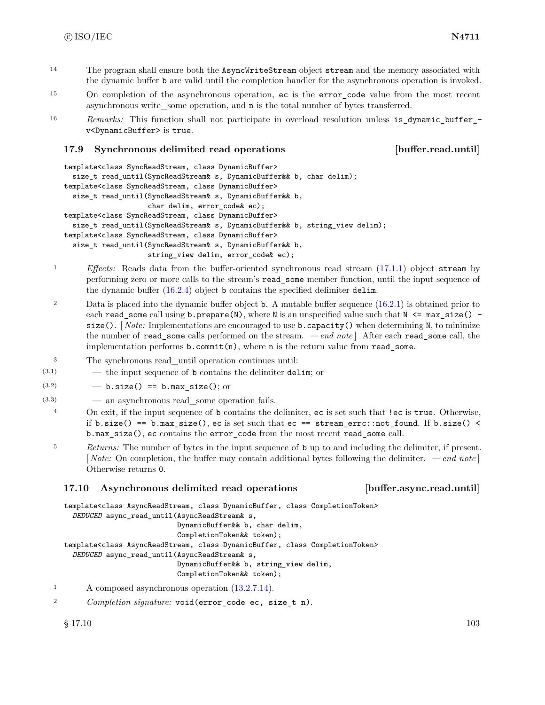- <sup>14</sup> The program shall ensure both the AsyncWriteStream object stream and the memory associated with the dynamic buffer b are valid until the completion handler for the asynchronous operation is invoked.
- <sup>15</sup> On completion of the asynchronous operation, ec is the error\_code value from the most recent asynchronous write\_some operation, and n is the total number of bytes transferred.
- <sup>16</sup> *Remarks:* This function shall not participate in overload resolution unless is dynamic buffer v<DynamicBuffer> is true.

### **17.9 Synchronous delimited read operations [buffer.read.until]**

```
template<class SyncReadStream, class DynamicBuffer>
  size_t read_until(SyncReadStream& s, DynamicBuffer&& b, char delim);
template<class SyncReadStream, class DynamicBuffer>
  size_t read_until(SyncReadStream& s, DynamicBuffer&& b,
                    char delim, error_code& ec);
template<class SyncReadStream, class DynamicBuffer>
  size_t read_until(SyncReadStream& s, DynamicBuffer&& b, string_view delim);
template<class SyncReadStream, class DynamicBuffer>
  size_t read_until(SyncReadStream& s, DynamicBuffer&& b,
                    string_view delim, error_code& ec);
```
- <sup>1</sup> *Effects:* Reads data from the buffer-oriented synchronous read stream [\(17.1.1\)](#page-99-0) object stream by performing zero or more calls to the stream's read\_some member function, until the input sequence of the dynamic buffer [\(16.2.4\)](#page-87-0) object b contains the specified delimiter delim.
- 2 Data is placed into the dynamic buffer object **b**. A mutable buffer sequence [\(16.2.1\)](#page-84-0) is obtained prior to each read\_some call using  $b$ . prepare(N), where N is an unspecified value such that  $N \leq max$  size() size(). *Note:* Implementations are encouraged to use **b**. capacity() when determining N, to minimize the number of read\_some calls performed on the stream. *— end note* ] After each read\_some call, the implementation performs  $b$ .commit $(n)$ , where n is the return value from read\_some.
- <sup>3</sup> The synchronous read\_until operation continues until:
- $(3.1)$  the input sequence of b contains the delimiter delim; or
- $(3.2)$   $-$  b.size() == b.max\_size(); or
- (3.3) an asynchronous read\_some operation fails.
- <sup>4</sup> On exit, if the input sequence of b contains the delimiter, ec is set such that !ec is true. Otherwise, if b.size() == b.max\_size(), ec is set such that  $ec == stream_error::not\_found$ . If b.size() < b.max\_size(), ec contains the error\_code from the most recent read\_some call.
- <sup>5</sup> *Returns:* The number of bytes in the input sequence of b up to and including the delimiter, if present. [ *Note:* On completion, the buffer may contain additional bytes following the delimiter. *— end note* ] Otherwise returns 0.

### **17.10 Asynchronous delimited read operations [buffer.async.read.until]**

template<class AsyncReadStream, class DynamicBuffer, class CompletionToken>

```
DEDUCED async_read_until(AsyncReadStream& s,
                           DynamicBuffer&& b, char delim,
                           CompletionToken&& token);
template<class AsyncReadStream, class DynamicBuffer, class CompletionToken>
  DEDUCED async_read_until(AsyncReadStream& s,
                           DynamicBuffer&& b, string_view delim,
                           CompletionToken&& token);
```
- <sup>1</sup> A composed asynchronous operation [\(13.2.7.14\)](#page-33-0).
- <sup>2</sup> *Completion signature:* void(error\_code ec, size\_t n).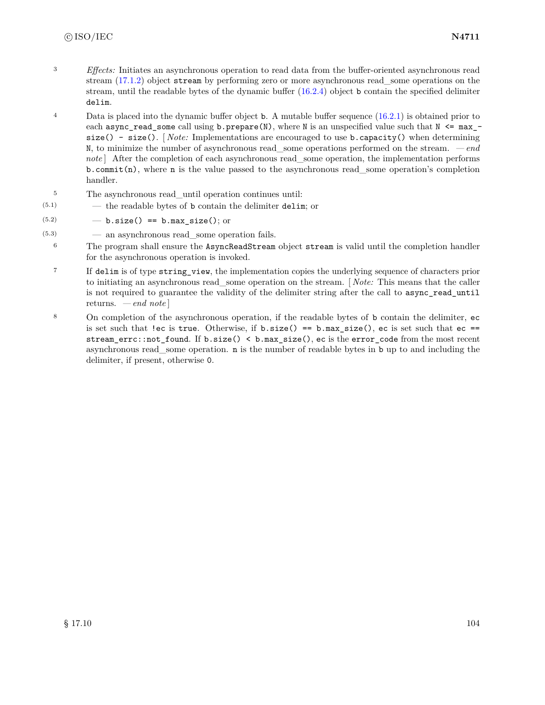- <sup>3</sup> *Effects:* Initiates an asynchronous operation to read data from the buffer-oriented asynchronous read stream [\(17.1.2\)](#page-99-1) object stream by performing zero or more asynchronous read\_some operations on the stream, until the readable bytes of the dynamic buffer  $(16.2.4)$  object b contain the specified delimiter delim.
- <sup>4</sup> Data is placed into the dynamic buffer object **b**. A mutable buffer sequence [\(16.2.1\)](#page-84-0) is obtained prior to each async\_read\_some call using b.prepare(N), where N is an unspecified value such that  $N \leq max_{-}$ size() - size(). [ *Note:* Implementations are encouraged to use b.capacity() when determining N, to minimize the number of asynchronous read\_some operations performed on the stream. *— end note* | After the completion of each asynchronous read some operation, the implementation performs  $b$ .commit(n), where n is the value passed to the asynchronous read\_some operation's completion handler.
- <sup>5</sup> The asynchronous read\_until operation continues until:
- (5.1) the readable bytes of b contain the delimiter delim; or
- $(5.2)$   $-$  b.size() == b.max\_size(); or
- $(5.3)$   $\qquad$   $\qquad$  an asynchronous read some operation fails.
	- <sup>6</sup> The program shall ensure the AsyncReadStream object stream is valid until the completion handler for the asynchronous operation is invoked.
	- <sup>7</sup> If delim is of type string\_view, the implementation copies the underlying sequence of characters prior to initiating an asynchronous read\_some operation on the stream. [ *Note:* This means that the caller is not required to guarantee the validity of the delimiter string after the call to async\_read\_until returns. *— end note* ]
	- <sup>8</sup> On completion of the asynchronous operation, if the readable bytes of b contain the delimiter, ec is set such that !ec is true. Otherwise, if  $b.size() == b.max_size(), ec$  is set such that  $ec ==$ stream\_errc::not\_found. If b.size() < b.max\_size(), ec is the error\_code from the most recent asynchronous read\_some operation. n is the number of readable bytes in b up to and including the delimiter, if present, otherwise 0.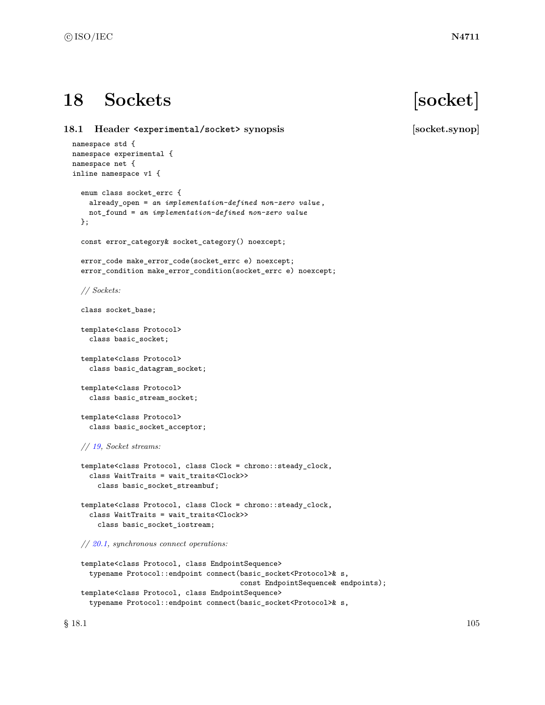# **18 Sockets [socket]**

**18.1 Header <experimental/socket> synopsis [socket.synop]** namespace std { namespace experimental { namespace net { inline namespace v1 { enum class socket\_errc { already\_open = *an implementation-defined non-zero value* , not\_found = *an implementation-defined non-zero value* }; const error\_category& socket\_category() noexcept; error\_code make\_error\_code(socket\_errc e) noexcept; error\_condition make\_error\_condition(socket\_errc e) noexcept; *// Sockets:* class socket\_base; template<class Protocol> class basic\_socket; template<class Protocol> class basic\_datagram\_socket; template<class Protocol> class basic\_stream\_socket; template<class Protocol> class basic\_socket\_acceptor; *// [19,](#page-164-0) Socket streams:* template<class Protocol, class Clock = chrono::steady\_clock, class WaitTraits = wait\_traits<Clock>> class basic\_socket\_streambuf; template<class Protocol, class Clock = chrono::steady\_clock, class WaitTraits = wait\_traits<Clock>>

*// [20.1,](#page-171-0) synchronous connect operations:*

class basic\_socket\_iostream;

```
template<class Protocol, class EndpointSequence>
  typename Protocol::endpoint connect(basic_socket<Protocol>& s,
                                      const EndpointSequence& endpoints);
template<class Protocol, class EndpointSequence>
  typename Protocol::endpoint connect(basic_socket<Protocol>& s,
```
 $\S$  18.1 105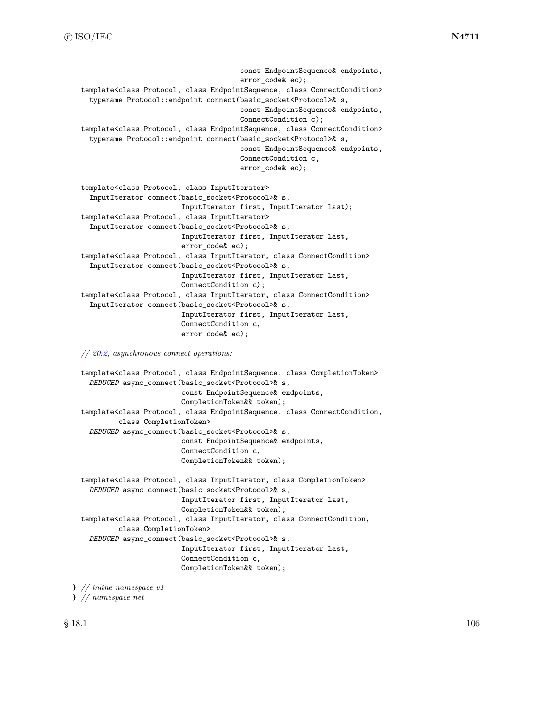```
const EndpointSequence& endpoints,
                                      error_code& ec);
template<class Protocol, class EndpointSequence, class ConnectCondition>
  typename Protocol::endpoint connect(basic_socket<Protocol>& s,
                                      const EndpointSequence& endpoints,
                                      ConnectCondition c);
template<class Protocol, class EndpointSequence, class ConnectCondition>
  typename Protocol::endpoint connect(basic_socket<Protocol>& s,
                                      const EndpointSequence& endpoints,
                                      ConnectCondition c,
                                      error_code& ec);
template<class Protocol, class InputIterator>
  InputIterator connect(basic_socket<Protocol>& s,
                        InputIterator first, InputIterator last);
template<class Protocol, class InputIterator>
  InputIterator connect(basic_socket<Protocol>& s,
                        InputIterator first, InputIterator last,
                        error_code& ec);
template<class Protocol, class InputIterator, class ConnectCondition>
  InputIterator connect(basic_socket<Protocol>& s,
                        InputIterator first, InputIterator last,
                        ConnectCondition c);
template<class Protocol, class InputIterator, class ConnectCondition>
  InputIterator connect(basic_socket<Protocol>& s,
                        InputIterator first, InputIterator last,
                        ConnectCondition c,
                        error_code& ec);
```
*// [20.2,](#page-172-0) asynchronous connect operations:*

```
template<class Protocol, class EndpointSequence, class CompletionToken>
 DEDUCED async_connect(basic_socket<Protocol>& s,
                        const EndpointSequence& endpoints,
                        CompletionToken&& token);
template<class Protocol, class EndpointSequence, class ConnectCondition,
         class CompletionToken>
 DEDUCED async_connect(basic_socket<Protocol>& s,
                        const EndpointSequence& endpoints,
                        ConnectCondition c,
                        CompletionToken&& token);
template<class Protocol, class InputIterator, class CompletionToken>
 DEDUCED async_connect(basic_socket<Protocol>& s,
                        InputIterator first, InputIterator last,
                        CompletionToken&& token);
template<class Protocol, class InputIterator, class ConnectCondition,
         class CompletionToken>
  DEDUCED async_connect(basic_socket<Protocol>& s,
                        InputIterator first, InputIterator last,
                        ConnectCondition c,
                        CompletionToken&& token);
```
} *// inline namespace v1*

```
} // namespace net
```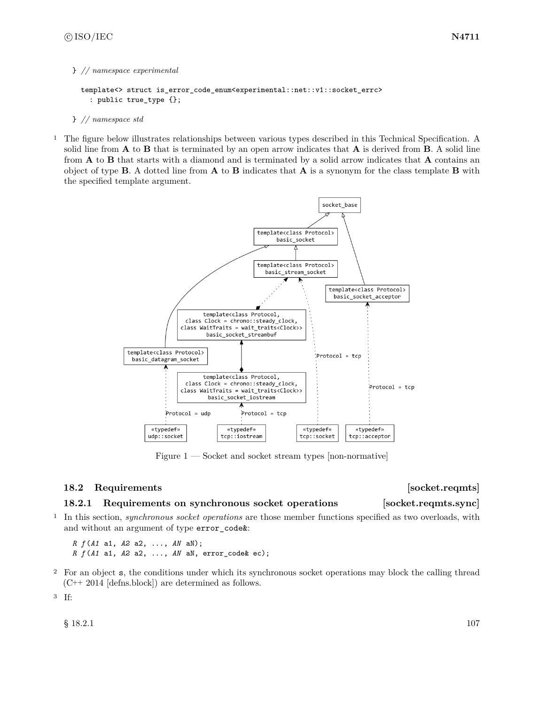### } *// namespace experimental*

```
template<> struct is_error_code_enum<experimental::net::v1::socket_errc>
  : public true_type {};
```
#### } *// namespace std*

<sup>1</sup> The figure below illustrates relationships between various types described in this Technical Specification. A solid line from **A** to **B** that is terminated by an open arrow indicates that **A** is derived from **B**. A solid line from **A** to **B** that starts with a diamond and is terminated by a solid arrow indicates that **A** contains an object of type **B**. A dotted line from **A** to **B** indicates that **A** is a synonym for the class template **B** with the specified template argument.



Figure  $1$  — Socket and socket stream types [non-normative]

### **18.2 Requirements issued as a set of the set of the set of the set of the set of the set of the set of the set of the set of the set of the set of the set of the set of the set of the set of the set of the set of the se**

### <span id="page-113-0"></span>**18.2.1 Requirements on synchronous socket operations [socket.reqmts.sync]**

<sup>1</sup> In this section, *synchronous socket operations* are those member functions specified as two overloads, with and without an argument of type error\_code&:

*R f* (*A1* a1, *A2* a2, ..., *AN* aN); *R f* (*A1* a1, *A2* a2, ..., *AN* aN, error\_code& ec);

<sup>2</sup> For an object s, the conditions under which its synchronous socket operations may block the calling thread (C++ 2014 [defns.block]) are determined as follows.

<sup>3</sup> If:

 $\S$  18.2.1 107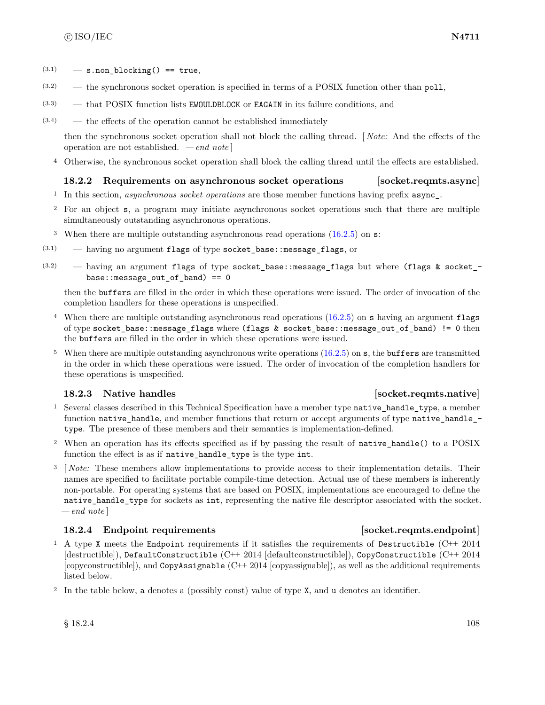- $(3.1)$  s.non blocking() == true,
- (3.2) the synchronous socket operation is specified in terms of a POSIX function other than poll,
- (3.3) that POSIX function lists EWOULDBLOCK or EAGAIN in its failure conditions, and
- $(3.4)$  the effects of the operation cannot be established immediately

then the synchronous socket operation shall not block the calling thread. [ *Note:* And the effects of the operation are not established. *— end note* ]

<sup>4</sup> Otherwise, the synchronous socket operation shall block the calling thread until the effects are established.

# **18.2.2 Requirements on asynchronous socket operations [socket.reqmts.async]**

- <sup>1</sup> In this section, *asynchronous socket operations* are those member functions having prefix async\_.
- <sup>2</sup> For an object s, a program may initiate asynchronous socket operations such that there are multiple simultaneously outstanding asynchronous operations.
- <sup>3</sup> When there are multiple outstanding asynchronous read operations [\(16.2.5\)](#page-88-0) on s:
- $(3.1)$  having no argument flags of type socket\_base::message\_flags, or
- (3.2) having an argument flags of type socket\_base::message\_flags but where (flags & socket\_ base::message\_out\_of\_band) == 0

then the buffers are filled in the order in which these operations were issued. The order of invocation of the completion handlers for these operations is unspecified.

- <sup>4</sup> When there are multiple outstanding asynchronous read operations [\(16.2.5\)](#page-88-0) on s having an argument flags of type socket\_base::message\_flags where (flags & socket\_base::message\_out\_of\_band) != 0 then the buffers are filled in the order in which these operations were issued.
- <sup>5</sup> When there are multiple outstanding asynchronous write operations [\(16.2.5\)](#page-88-0) on s, the buffers are transmitted in the order in which these operations were issued. The order of invocation of the completion handlers for these operations is unspecified.

# <span id="page-114-1"></span>**18.2.3** Native handles **in the set of the set of the set of the set of socket.reqmts.native**

- <sup>1</sup> Several classes described in this Technical Specification have a member type native handle type, a member function native handle, and member functions that return or accept arguments of type native handle type. The presence of these members and their semantics is implementation-defined.
- <sup>2</sup> When an operation has its effects specified as if by passing the result of native\_handle() to a POSIX function the effect is as if native\_handle\_type is the type int.
- <sup>3</sup> [ *Note:* These members allow implementations to provide access to their implementation details. Their names are specified to facilitate portable compile-time detection. Actual use of these members is inherently non-portable. For operating systems that are based on POSIX, implementations are encouraged to define the native handle type for sockets as int, representing the native file descriptor associated with the socket. *— end note* ]

# <span id="page-114-0"></span>**18.2.4** Endpoint requirements **isometric isometric in the socket.reqmts.endpoint**

- <sup>1</sup> A type X meets the Endpoint requirements if it satisfies the requirements of Destructible (C++ 2014 [destructible]), DefaultConstructible (C++ 2014 [defaultconstructible]), CopyConstructible (C++ 2014 [copyconstructible]), and CopyAssignable (C++ 2014 [copyassignable]), as well as the additional requirements listed below.
- <sup>2</sup> In the table below, a denotes a (possibly const) value of type X, and u denotes an identifier.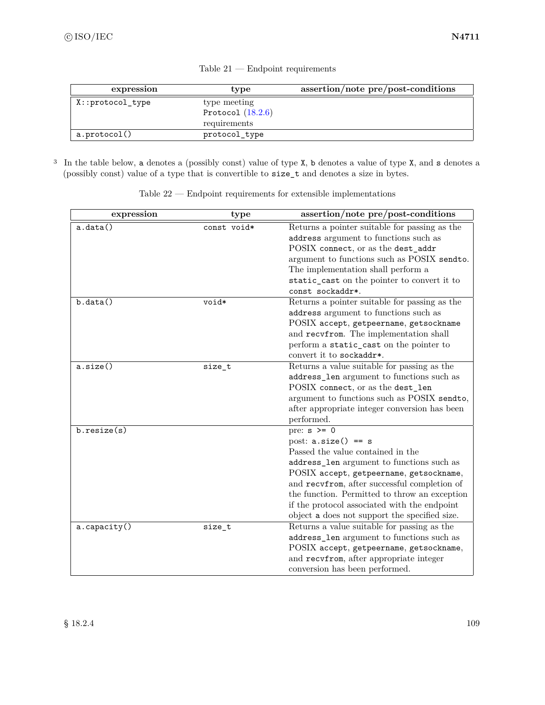| expression           | type                | assertion/note pre/post-conditions |
|----------------------|---------------------|------------------------------------|
| $X:$ : protocol_type | type meeting        |                                    |
|                      | Protocol $(18.2.6)$ |                                    |
|                      | requirements        |                                    |
| a.protocol()         | protocol_type       |                                    |

Table 21 — Endpoint requirements

<sup>3</sup> In the table below, a denotes a (possibly const) value of type X, b denotes a value of type X, and s denotes a (possibly const) value of a type that is convertible to size\_t and denotes a size in bytes.

| expression   | type        | assertion/note pre/post-conditions            |
|--------------|-------------|-----------------------------------------------|
| a.data()     | const void* | Returns a pointer suitable for passing as the |
|              |             | address argument to functions such as         |
|              |             | POSIX connect, or as the dest_addr            |
|              |             | argument to functions such as POSIX sendto.   |
|              |             | The implementation shall perform a            |
|              |             | static_cast on the pointer to convert it to   |
|              |             | const sockaddr*.                              |
| b.data()     | void*       | Returns a pointer suitable for passing as the |
|              |             | address argument to functions such as         |
|              |             | POSIX accept, getpeername, getsockname        |
|              |             | and recvfrom. The implementation shall        |
|              |             | perform a static_cast on the pointer to       |
|              |             | convert it to sockaddr*.                      |
| a.size()     | size_t      | Returns a value suitable for passing as the   |
|              |             | address_len argument to functions such as     |
|              |             | POSIX connect, or as the dest_len             |
|              |             | argument to functions such as POSIX sendto,   |
|              |             | after appropriate integer conversion has been |
|              |             | performed.                                    |
| b.resize(s)  |             | pre: $s \ge 0$                                |
|              |             | post: $a.size() == s$                         |
|              |             | Passed the value contained in the             |
|              |             | address_len argument to functions such as     |
|              |             | POSIX accept, getpeername, getsockname,       |
|              |             | and recvfrom, after successful completion of  |
|              |             | the function. Permitted to throw an exception |
|              |             | if the protocol associated with the endpoint  |
|              |             | object a does not support the specified size. |
| a.capacity() | size_t      | Returns a value suitable for passing as the   |
|              |             | address_len argument to functions such as     |
|              |             | POSIX accept, getpeername, getsockname,       |
|              |             | and recvfrom, after appropriate integer       |
|              |             | conversion has been performed.                |

Table 22 — Endpoint requirements for extensible implementations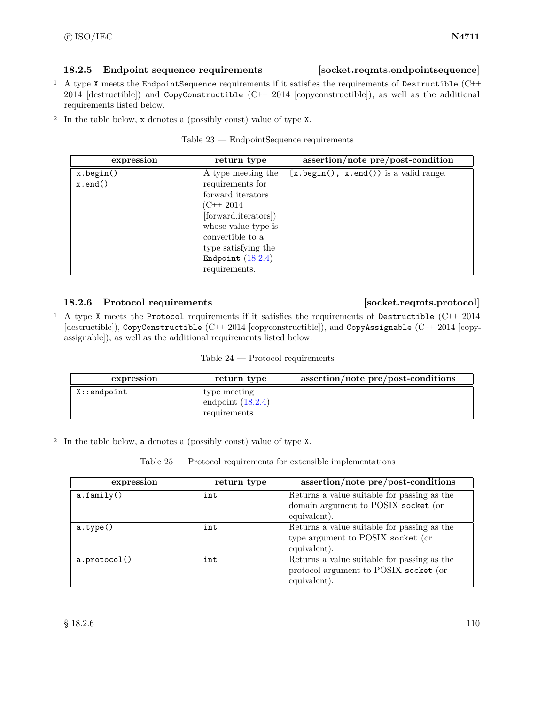# **18.2.5 Endpoint sequence requirements [socket.reqmts.endpointsequence]**

- <sup>1</sup> A type X meets the EndpointSequence requirements if it satisfies the requirements of Destructible (C++ 2014 [destructible]) and CopyConstructible  $(C^{++} 2014$  [copyconstructible]), as well as the additional requirements listed below.
- <sup>2</sup> In the table below, x denotes a (possibly const) value of type X.

| $Table 23 - EndpointSequence requirements$ |  |
|--------------------------------------------|--|
|                                            |  |

| expression     | return type          | assertion/note pre/post-condition                     |
|----------------|----------------------|-------------------------------------------------------|
| x.begin()      | A type meeting the   | $[x.\text{begin}(), x.\text{end}()$ is a valid range. |
| $x$ . end $()$ | requirements for     |                                                       |
|                | forward iterators    |                                                       |
|                | (C++ 2014)           |                                                       |
|                | [forward.iterators]) |                                                       |
|                | whose value type is  |                                                       |
|                | convertible to a     |                                                       |
|                | type satisfying the  |                                                       |
|                | Endpoint $(18.2.4)$  |                                                       |
|                | requirements.        |                                                       |

# <span id="page-116-0"></span>**18.2.6 Protocol requirements [socket.reqmts.protocol]**

<sup>1</sup> A type X meets the Protocol requirements if it satisfies the requirements of Destructible (C++ 2014 [destructible]), CopyConstructible (C++ 2014 [copyconstructible]), and CopyAssignable (C++ 2014 [copyassignable]), as well as the additional requirements listed below.

Table 24 — Protocol requirements

| expression      | return type                                         | assertion/note pre/post-conditions |
|-----------------|-----------------------------------------------------|------------------------------------|
| $X:$ : endpoint | type meeting<br>endpoint $(18.2.4)$<br>requirements |                                    |

<sup>2</sup> In the table below, a denotes a (possibly const) value of type X.

| Table $25$ — Protocol requirements for extensible implementations |  |  |  |  |
|-------------------------------------------------------------------|--|--|--|--|
|-------------------------------------------------------------------|--|--|--|--|

| expression        | return type | assertion/note pre/post-conditions                                                                   |
|-------------------|-------------|------------------------------------------------------------------------------------------------------|
| a.family()        | int         | Returns a value suitable for passing as the<br>domain argument to POSIX socket (or<br>equivalent).   |
| $a.\text{type}()$ | int         | Returns a value suitable for passing as the<br>type argument to POSIX socket (or<br>equivalent).     |
| a.protocol()      | int         | Returns a value suitable for passing as the<br>protocol argument to POSIX socket (or<br>equivalent). |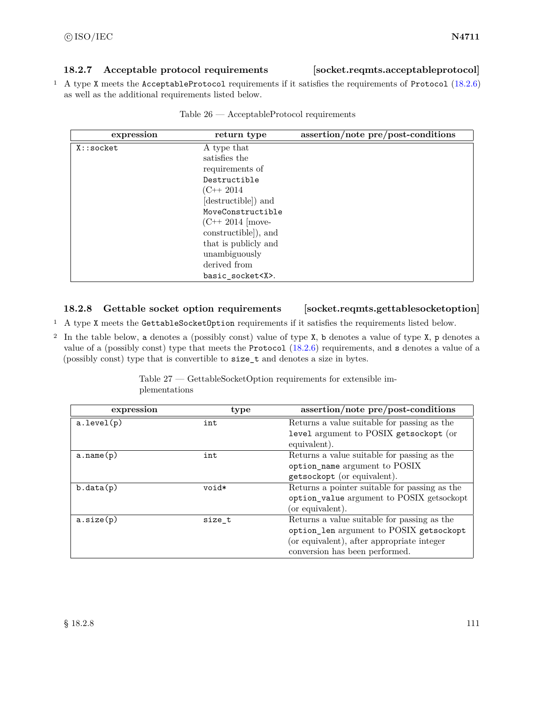# **18.2.7 Acceptable protocol requirements [socket.reqmts.acceptableprotocol]**

<sup>1</sup> A type X meets the AcceptableProtocol requirements if it satisfies the requirements of Protocol [\(18.2.6\)](#page-116-0) as well as the additional requirements listed below.

| expression  | return type           | assertion/note pre/post-conditions |
|-------------|-----------------------|------------------------------------|
| $X:$ socket | A type that           |                                    |
|             | satisfies the         |                                    |
|             | requirements of       |                                    |
|             | Destructible          |                                    |
|             | $(C++2014$            |                                    |
|             | (destructible) and    |                                    |
|             | MoveConstructible     |                                    |
|             | $(C^{++} 2014)$ move- |                                    |
|             | constructible]), and  |                                    |
|             | that is publicly and  |                                    |
|             | unambiguously         |                                    |
|             | derived from          |                                    |
|             | basic socket <x>.</x> |                                    |

# <span id="page-117-0"></span>**18.2.8 Gettable socket option requirements [socket.reqmts.gettablesocketoption]**

- <sup>1</sup> A type X meets the GettableSocketOption requirements if it satisfies the requirements listed below.
- <sup>2</sup> In the table below, a denotes a (possibly const) value of type X, b denotes a value of type X, p denotes a value of a (possibly const) type that meets the Protocol [\(18.2.6\)](#page-116-0) requirements, and s denotes a value of a (possibly const) type that is convertible to size\_t and denotes a size in bytes.

| plementations |      |                                             |
|---------------|------|---------------------------------------------|
| expression    | type | assertion/note pre/post-conditions          |
| (p)           | int  | Returns a value suitable for passing as the |
|               |      | level argument to POSIX getsockopt (or      |

|               | Table $27$ — GettableSocketOption requirements for extensible im- |  |  |
|---------------|-------------------------------------------------------------------|--|--|
| plementations |                                                                   |  |  |

| a.level(p) | int    | Returns a value suitable for passing as the   |
|------------|--------|-----------------------------------------------|
|            |        | level argument to POSIX getsockopt (or        |
|            |        | equivalent).                                  |
| a.name(p)  | int    | Returns a value suitable for passing as the   |
|            |        | option_name argument to POSIX                 |
|            |        | getsockopt (or equivalent).                   |
| b.data(p)  | void*  | Returns a pointer suitable for passing as the |
|            |        | option_value argument to POSIX getsockopt     |
|            |        | (or equivalent).                              |
| a.size(p)  | size t | Returns a value suitable for passing as the   |
|            |        | option_len argument to POSIX getsockopt       |
|            |        | (or equivalent), after appropriate integer    |
|            |        | conversion has been performed.                |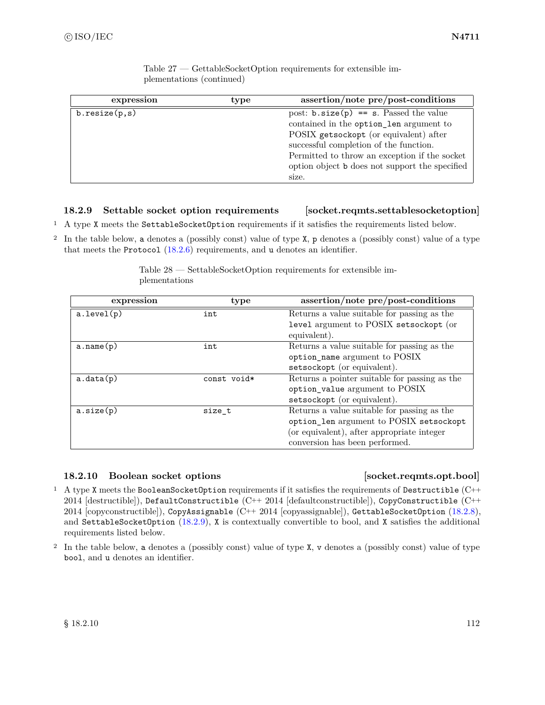| expression    | type | assertion/note pre/post-conditions             |
|---------------|------|------------------------------------------------|
| b.resize(p,s) |      | post: $b.size(p) == s$ . Passed the value      |
|               |      | contained in the option_len argument to        |
|               |      | POSIX getsockopt (or equivalent) after         |
|               |      | successful completion of the function.         |
|               |      | Permitted to throw an exception if the socket  |
|               |      | option object b does not support the specified |
|               |      | size.                                          |

Table 27 — GettableSocketOption requirements for extensible implementations (continued)

# <span id="page-118-0"></span>**18.2.9 Settable socket option requirements [socket.reqmts.settablesocketoption]**

<sup>1</sup> A type X meets the SettableSocketOption requirements if it satisfies the requirements listed below.

<sup>2</sup> In the table below, a denotes a (possibly const) value of type X, p denotes a (possibly const) value of a type that meets the Protocol [\(18.2.6\)](#page-116-0) requirements, and u denotes an identifier.

| expression | type        | assertion/note pre/post-conditions            |
|------------|-------------|-----------------------------------------------|
| a.level(p) | int         | Returns a value suitable for passing as the   |
|            |             | level argument to POSIX setsockopt (or        |
|            |             | equivalent).                                  |
| a.name(p)  | int         | Returns a value suitable for passing as the   |
|            |             | option_name argument to POSIX                 |
|            |             | setsockopt (or equivalent).                   |
| a.data(p)  | const void* | Returns a pointer suitable for passing as the |
|            |             | option_value argument to POSIX                |
|            |             | setsockopt (or equivalent).                   |
| a.size(p)  | size_t      | Returns a value suitable for passing as the   |
|            |             | option_len argument to POSIX setsockopt       |
|            |             | (or equivalent), after appropriate integer    |
|            |             | conversion has been performed.                |

Table 28 — SettableSocketOption requirements for extensible implementations

# <span id="page-118-1"></span>**18.2.10 Boolean socket options [socket.reqmts.opt.bool]**

- <sup>1</sup> A type X meets the BooleanSocketOption requirements if it satisfies the requirements of Destructible (C++ 2014 [destructible]), DefaultConstructible (C++ 2014 [defaultconstructible]), CopyConstructible (C++ 2014 [copyconstructible]), CopyAssignable (C++ 2014 [copyassignable]), GettableSocketOption [\(18.2.8\)](#page-117-0), and SettableSocketOption [\(18.2.9\)](#page-118-0), X is contextually convertible to bool, and X satisfies the additional requirements listed below.
- <sup>2</sup> In the table below, a denotes a (possibly const) value of type X, v denotes a (possibly const) value of type bool, and u denotes an identifier.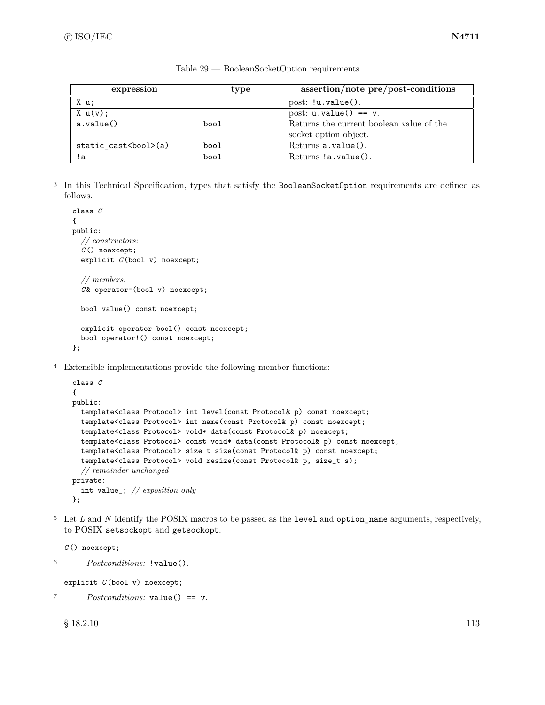| expression              | type | assertion/note pre/post-conditions       |
|-------------------------|------|------------------------------------------|
| X u;                    |      | post: $!u.value()$ .                     |
| $X \cup (v)$ :          |      | post: $u$ . $value() == v$ .             |
| a.value()               | bool | Returns the current boolean value of the |
|                         |      | socket option object.                    |
| static cast<br>bool>(a) | bool | $Returns a.value()$ .                    |
| !a                      | bool | $Returns !a.value()$ .                   |

Table 29 — BooleanSocketOption requirements

<sup>3</sup> In this Technical Specification, types that satisfy the BooleanSocketOption requirements are defined as follows.

```
class C
{
public:
  // constructors:
  C () noexcept;
  explicit C (bool v) noexcept;
  // members:
  C & operator=(bool v) noexcept;
  bool value() const noexcept;
  explicit operator bool() const noexcept;
  bool operator!() const noexcept;
};
```
<sup>4</sup> Extensible implementations provide the following member functions:

```
class C
{
public:
  template<class Protocol> int level(const Protocol& p) const noexcept;
  template<class Protocol> int name(const Protocol& p) const noexcept;
  template<class Protocol> void* data(const Protocol& p) noexcept;
  template<class Protocol> const void* data(const Protocol& p) const noexcept;
  template<class Protocol> size_t size(const Protocol& p) const noexcept;
  template<class Protocol> void resize(const Protocol& p, size_t s);
  // remainder unchanged
private:
  int value_; // exposition only
};
```
<sup>5</sup> Let *L* and *N* identify the POSIX macros to be passed as the level and option\_name arguments, respectively, to POSIX setsockopt and getsockopt.

```
C () noexcept;
6 Postconditions: !value().
  explicit C (bool v) noexcept;
```
<sup>7</sup> *Postconditions:* value() == v.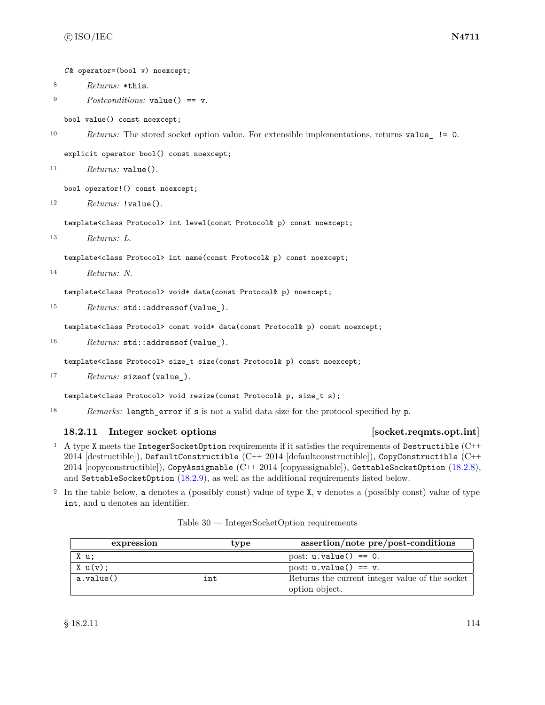*C* & operator=(bool v) noexcept;

- <sup>8</sup> *Returns:* \*this.
- <sup>9</sup> *Postconditions:* value() == v.

bool value() const noexcept;

```
10 Returns: The stored socket option value. For extensible implementations, returns value_ != 0.
```
explicit operator bool() const noexcept;

```
11 Returns: value().
```
bool operator!() const noexcept;

```
12 Returns: !value().
```
template<class Protocol> int level(const Protocol& p) const noexcept;

<sup>13</sup> *Returns: L*.

template<class Protocol> int name(const Protocol& p) const noexcept;

```
14 Returns: N.
```
template<class Protocol> void\* data(const Protocol& p) noexcept;

```
15 Returns: std::addressof(value_).
```
template<class Protocol> const void\* data(const Protocol& p) const noexcept;

16 *Returns:* std::addressof(value\_).

template<class Protocol> size\_t size(const Protocol& p) const noexcept;

<sup>17</sup> *Returns:* sizeof(value\_).

template<class Protocol> void resize(const Protocol& p, size\_t s);

<sup>18</sup> *Remarks:* length\_error if s is not a valid data size for the protocol specified by p.

### <span id="page-120-0"></span>**18.2.11 Integer socket options [socket.reqmts.opt.int]**

- <sup>1</sup> A type X meets the IntegerSocketOption requirements if it satisfies the requirements of Destructible  $(C^{++}$ 2014 [destructible]), DefaultConstructible (C++ 2014 [defaultconstructible]), CopyConstructible (C++ 2014 [copyconstructible]), CopyAssignable (C++ 2014 [copyassignable]), GettableSocketOption [\(18.2.8\)](#page-117-0), and SettableSocketOption [\(18.2.9\)](#page-118-0), as well as the additional requirements listed below.
- <sup>2</sup> In the table below, a denotes a (possibly const) value of type X, v denotes a (possibly const) value of type int, and u denotes an identifier.

| $Table 30$ — IntegerSocketOption requirements |  |
|-----------------------------------------------|--|
|                                               |  |

| expression | type | assertion/note pre/post-conditions              |
|------------|------|-------------------------------------------------|
| X u;       |      | post: $u.value() == 0.$                         |
| X u(v);    |      | post: $u.value() == v.$                         |
| a.value()  | int  | Returns the current integer value of the socket |
|            |      | option object.                                  |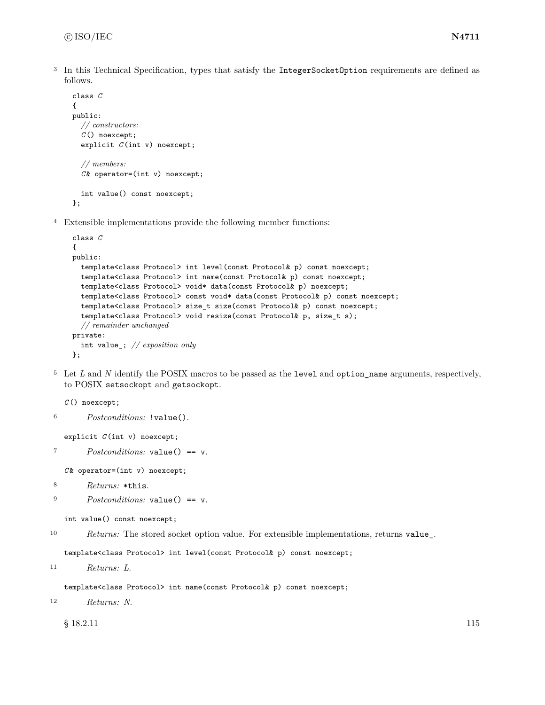<sup>3</sup> In this Technical Specification, types that satisfy the IntegerSocketOption requirements are defined as follows.

```
class C
{
public:
  // constructors:
  C () noexcept;
  explicit C (int v) noexcept;
  // members:
  C & operator=(int v) noexcept;
  int value() const noexcept;
};
```
<sup>4</sup> Extensible implementations provide the following member functions:

```
class C
{
public:
  template<class Protocol> int level(const Protocol& p) const noexcept;
  template<class Protocol> int name(const Protocol& p) const noexcept;
  template<class Protocol> void* data(const Protocol& p) noexcept;
  template<class Protocol> const void* data(const Protocol& p) const noexcept;
  template<class Protocol> size_t size(const Protocol& p) const noexcept;
  template<class Protocol> void resize(const Protocol& p, size_t s);
  // remainder unchanged
private:
  int value_; // exposition only
};
```
<sup>5</sup> Let *L* and *N* identify the POSIX macros to be passed as the level and option\_name arguments, respectively, to POSIX setsockopt and getsockopt.

*C* () noexcept;

```
6 Postconditions: !value().
```

```
explicit C (int v) noexcept;
```

```
7 Postconditions: value() == v.
```
*C* & operator=(int v) noexcept;

- <sup>8</sup> *Returns:* \*this.
- <sup>9</sup> *Postconditions:* value() == v.

```
int value() const noexcept;
```
<sup>10</sup> *Returns:* The stored socket option value. For extensible implementations, returns value\_.

template<class Protocol> int level(const Protocol& p) const noexcept;

```
11 Returns: L.
```
template<class Protocol> int name(const Protocol& p) const noexcept;

```
12 Returns: N.
```
 $\S$  18.2.11 115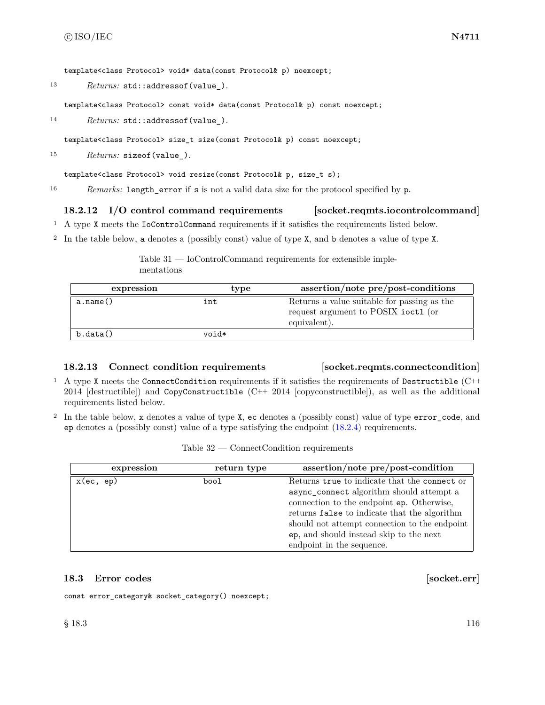template<class Protocol> void\* data(const Protocol& p) noexcept;

13 *Returns:* std::addressof(value\_).

template<class Protocol> const void\* data(const Protocol& p) const noexcept;

14 *Returns:* std::addressof(value\_).

template<class Protocol> size\_t size(const Protocol& p) const noexcept;

<sup>15</sup> *Returns:* sizeof(value\_).

template<class Protocol> void resize(const Protocol& p, size\_t s);

<sup>16</sup> *Remarks:* length\_error if s is not a valid data size for the protocol specified by p.

# **18.2.12 I/O control command requirements [socket.reqmts.iocontrolcommand]**

- <sup>1</sup> A type X meets the IoControlCommand requirements if it satisfies the requirements listed below.
- <sup>2</sup> In the table below, a denotes a (possibly const) value of type X, and b denotes a value of type X.

Table 31 — IoControlCommand requirements for extensible implementations

| expression | type  | assertion/note pre/post-conditions                                                                 |
|------------|-------|----------------------------------------------------------------------------------------------------|
| a.name()   | int   | Returns a value suitable for passing as the<br>request argument to POSIX ioctl (or<br>equivalent). |
| b.data()   | void* |                                                                                                    |

### **18.2.13 Connect condition requirements [socket.reqmts.connectcondition]**

- <sup>1</sup> A type X meets the ConnectCondition requirements if it satisfies the requirements of Destructible (C++ 2014 [destructible]) and CopyConstructible (C++ 2014 [copyconstructible]), as well as the additional requirements listed below.
- <sup>2</sup> In the table below, x denotes a value of type X, ec denotes a (possibly const) value of type error\_code, and ep denotes a (possibly const) value of a type satisfying the endpoint [\(18.2.4\)](#page-114-0) requirements.

| expression   | return type | assertion/note pre/post-condition             |
|--------------|-------------|-----------------------------------------------|
| $x$ (ec, ep) | bool        | Returns true to indicate that the connect or  |
|              |             | async_connect algorithm should attempt a      |
|              |             | connection to the endpoint ep. Otherwise,     |
|              |             | returns false to indicate that the algorithm  |
|              |             | should not attempt connection to the endpoint |
|              |             | ep, and should instead skip to the next       |
|              |             | endpoint in the sequence.                     |

### **18.3 Error codes** [socket.err]

const error\_category& socket\_category() noexcept;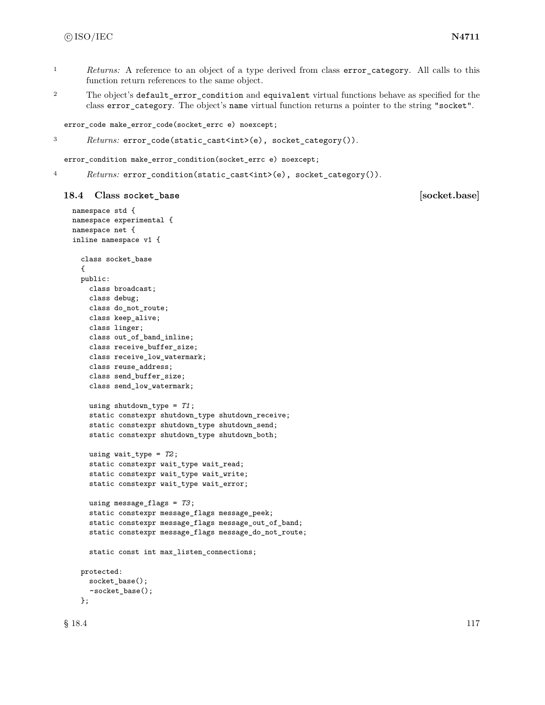- <sup>1</sup> *Returns:* A reference to an object of a type derived from class error\_category. All calls to this function return references to the same object.
- <sup>2</sup> The object's default\_error\_condition and equivalent virtual functions behave as specified for the class error\_category. The object's name virtual function returns a pointer to the string "socket".

error\_code make\_error\_code(socket\_errc e) noexcept;

<sup>3</sup> *Returns:* error\_code(static\_cast<int>(e), socket\_category()).

error\_condition make\_error\_condition(socket\_errc e) noexcept;

4 Returns: error\_condition(static\_cast<int>(e), socket\_category()).

# **18.4 Class socket\_base [socket.base]**

```
namespace std {
namespace experimental {
namespace net {
inline namespace v1 {
  class socket_base
  {
 public:
    class broadcast;
    class debug;
   class do_not_route;
    class keep_alive;
    class linger;
    class out_of_band_inline;
    class receive_buffer_size;
    class receive_low_watermark;
    class reuse_address;
    class send_buffer_size;
    class send_low_watermark;
    using shutdown_type = T1;
    static constexpr shutdown_type shutdown_receive;
    static constexpr shutdown_type shutdown_send;
    static constexpr shutdown_type shutdown_both;
    using wait_type = T2;
    static constexpr wait_type wait_read;
    static constexpr wait_type wait_write;
    static constexpr wait_type wait_error;
    using message_flags = T3;
    static constexpr message_flags message_peek;
    static constexpr message_flags message_out_of_band;
    static constexpr message_flags message_do_not_route;
    static const int max_listen_connections;
  protected:
    socket_base();
    ~socket_base();
  };
```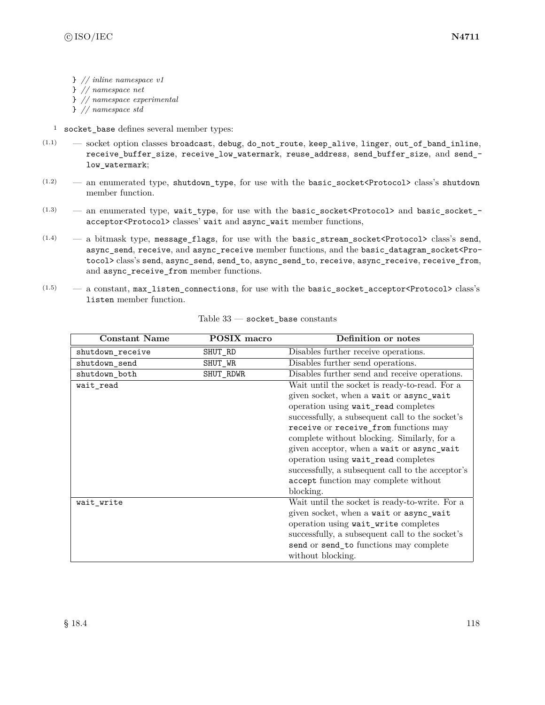- } *// inline namespace v1*
- } *// namespace net*
- } *// namespace experimental*
- } *// namespace std*
- <sup>1</sup> socket\_base defines several member types:
- $(1.1)$  socket option classes broadcast, debug, do\_not\_route, keep\_alive, linger, out\_of\_band\_inline, receive\_buffer\_size, receive\_low\_watermark, reuse\_address, send\_buffer\_size, and send\_ low\_watermark;
- $(1.2)$  an enumerated type, shutdown\_type, for use with the basic\_socket<Protocol> class's shutdown member function.
- $(1.3)$  an enumerated type, wait\_type, for use with the basic\_socket<Protocol> and basic\_socket\_acceptor<Protocol> classes' wait and async\_wait member functions,
- $(1.4)$  a bitmask type, message flags, for use with the basic stream\_socket<Protocol> class's send, async\_send, receive, and async\_receive member functions, and the basic\_datagram\_socket<Protocol> class's send, async\_send, send\_to, async\_send\_to, receive, async\_receive, receive\_from, and async\_receive\_from member functions.
- $(1.5)$  a constant, max\_listen\_connections, for use with the basic\_socket\_acceptor<Protocol>class's listen member function.

| <b>Constant Name</b> | POSIX macro | Definition or notes                               |
|----------------------|-------------|---------------------------------------------------|
| shutdown_receive     | SHUT_RD     | Disables further receive operations.              |
| shutdown_send        | SHUT_WR     | Disables further send operations.                 |
| shutdown_both        | SHUT_RDWR   | Disables further send and receive operations.     |
| wait read            |             | Wait until the socket is ready-to-read. For a     |
|                      |             | given socket, when a wait or async_wait           |
|                      |             | operation using wait_read completes               |
|                      |             | successfully, a subsequent call to the socket's   |
|                      |             | receive or receive_from functions may             |
|                      |             | complete without blocking. Similarly, for a       |
|                      |             | given acceptor, when a wait or async_wait         |
|                      |             | operation using wait_read completes               |
|                      |             | successfully, a subsequent call to the acceptor's |
|                      |             | accept function may complete without              |
|                      |             | blocking.                                         |
| wait_write           |             | Wait until the socket is ready-to-write. For a    |
|                      |             | given socket, when a wait or async_wait           |
|                      |             | operation using wait_write completes              |
|                      |             | successfully, a subsequent call to the socket's   |
|                      |             | send or send_to functions may complete            |
|                      |             | without blocking.                                 |

| Table 33 |  |  | socket base constants |
|----------|--|--|-----------------------|
|----------|--|--|-----------------------|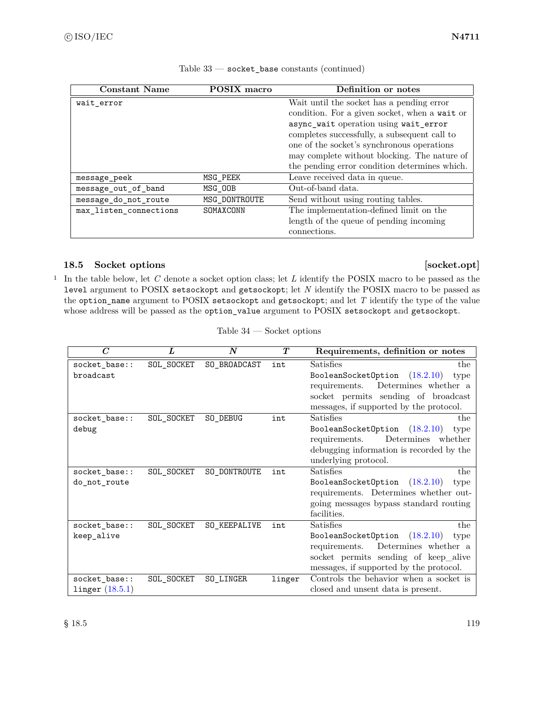| <b>Constant Name</b>   | <b>POSIX</b> macro | Definition or notes                           |
|------------------------|--------------------|-----------------------------------------------|
| wait error             |                    | Wait until the socket has a pending error     |
|                        |                    | condition. For a given socket, when a wait or |
|                        |                    | async_wait operation using wait_error         |
|                        |                    | completes successfully, a subsequent call to  |
|                        |                    | one of the socket's synchronous operations    |
|                        |                    | may complete without blocking. The nature of  |
|                        |                    | the pending error condition determines which. |
| message peek           | MSG_PEEK           | Leave received data in queue.                 |
| message_out_of_band    | MSG_00B            | Out-of-band data.                             |
| message_do_not_route   | MSG DONTROUTE      | Send without using routing tables.            |
| max_listen_connections | SOMAXCONN          | The implementation-defined limit on the       |
|                        |                    | length of the queue of pending incoming       |
|                        |                    | connections.                                  |

Table 33 — socket\_base constants (continued)

# 18.5 Socket options [socket.opt]

<sup>1</sup> In the table below, let *C* denote a socket option class; let *L* identify the POSIX macro to be passed as the level argument to POSIX setsockopt and getsockopt; let *N* identify the POSIX macro to be passed as the option\_name argument to POSIX setsockopt and getsockopt; and let *T* identify the type of the value whose address will be passed as the option\_value argument to POSIX setsockopt and getsockopt.

|  | Table 34 |  | Socket options |  |
|--|----------|--|----------------|--|
|--|----------|--|----------------|--|

| $\overline{C}$    | L          | N            | T      | Requirements, definition or notes        |
|-------------------|------------|--------------|--------|------------------------------------------|
| socket_base::     | SOL_SOCKET | SO_BROADCAST | int    | Satisfies<br>the                         |
| broadcast         |            |              |        | (18.2.10)<br>BooleanSocketOption<br>type |
|                   |            |              |        | Determines whether a<br>requirements.    |
|                   |            |              |        | socket permits sending of broadcast      |
|                   |            |              |        | messages, if supported by the protocol.  |
| socket_base::     | SOL_SOCKET | SO_DEBUG     | int    | Satisfies<br>the                         |
| debug             |            |              |        | BooleanSocketOption $(18.2.10)$<br>type  |
|                   |            |              |        | Determines whether<br>requirements.      |
|                   |            |              |        | debugging information is recorded by the |
|                   |            |              |        | underlying protocol.                     |
| socket_base::     | SOL_SOCKET | SO_DONTROUTE | int    | Satisfies<br>the                         |
| do_not_route      |            |              |        | BooleanSocketOption $(18.2.10)$<br>type  |
|                   |            |              |        | requirements. Determines whether out-    |
|                   |            |              |        | going messages bypass standard routing   |
|                   |            |              |        | facilities.                              |
| socket_base::     | SOL_SOCKET | SO_KEEPALIVE | int    | Satisfies<br>the                         |
| keep_alive        |            |              |        | (18.2.10)<br>BooleanSocketOption<br>type |
|                   |            |              |        | Determines whether a<br>requirements.    |
|                   |            |              |        | socket permits sending of keep_alive     |
|                   |            |              |        | messages, if supported by the protocol.  |
| socket_base::     | SOL_SOCKET | SO LINGER    | linger | Controls the behavior when a socket is   |
| linger $(18.5.1)$ |            |              |        | closed and unsent data is present.       |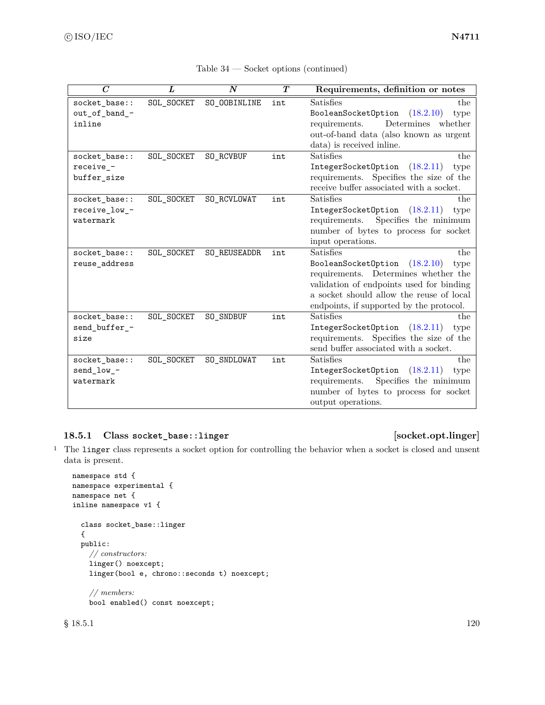| $\overline{C}$ | L          | $\boldsymbol{N}$ | $\boldsymbol{T}$ | Requirements, definition or notes        |
|----------------|------------|------------------|------------------|------------------------------------------|
| socket_base::  | SOL_SOCKET | SO_OOBINLINE     | int              | Satisfies<br>the                         |
| out_of_band_-  |            |                  |                  | (18.2.10)<br>BooleanSocketOption<br>type |
| inline         |            |                  |                  | Determines<br>whether<br>requirements.   |
|                |            |                  |                  | out-of-band data (also known as urgent   |
|                |            |                  |                  | data) is received inline.                |
| socket_base::  | SOL_SOCKET | SO_RCVBUF        | int              | <b>Satisfies</b><br>the                  |
| receive -      |            |                  |                  | IntegerSocketOption<br>(18.2.11)<br>type |
| buffer_size    |            |                  |                  | requirements. Specifies the size of the  |
|                |            |                  |                  | receive buffer associated with a socket. |
| socket_base::  | SOL_SOCKET | SO_RCVLOWAT      | int              | Satisfies<br>the                         |
| receive_low_-  |            |                  |                  | (18.2.11)<br>IntegerSocketOption<br>type |
| watermark      |            |                  |                  | Specifies the minimum<br>requirements.   |
|                |            |                  |                  | number of bytes to process for socket    |
|                |            |                  |                  | input operations.                        |
| socket_base::  | SOL_SOCKET | SO_REUSEADDR     | int              | Satisfies<br>the                         |
| reuse_address  |            |                  |                  | BooleanSocketOption<br>(18.2.10)<br>type |
|                |            |                  |                  | requirements. Determines whether the     |
|                |            |                  |                  | validation of endpoints used for binding |
|                |            |                  |                  | a socket should allow the reuse of local |
|                |            |                  |                  | endpoints, if supported by the protocol. |
| socket_base::  | SOL_SOCKET | SO_SNDBUF        | int              | Satisfies<br>the                         |
| send_buffer_-  |            |                  |                  | IntegerSocketOption<br>(18.2.11)<br>type |
| size           |            |                  |                  | requirements. Specifies the size of the  |
|                |            |                  |                  | send buffer associated with a socket.    |
| socket_base::  | SOL_SOCKET | SO_SNDLOWAT      | int              | Satisfies<br>the                         |
| send_low_-     |            |                  |                  | IntegerSocketOption<br>(18.2.11)<br>type |
| watermark      |            |                  |                  | Specifies the minimum<br>requirements.   |
|                |            |                  |                  | number of bytes to process for socket    |
|                |            |                  |                  | output operations.                       |

# <span id="page-126-0"></span>**18.5.1 Class socket\_base::linger [socket.opt.linger]**

<sup>1</sup> The linger class represents a socket option for controlling the behavior when a socket is closed and unsent data is present.

```
namespace std {
namespace experimental {
namespace net {
inline namespace v1 {
  class socket_base::linger
  {
  public:
    // constructors:
    linger() noexcept;
    linger(bool e, chrono::seconds t) noexcept;
    // members:
    bool enabled() const noexcept;
```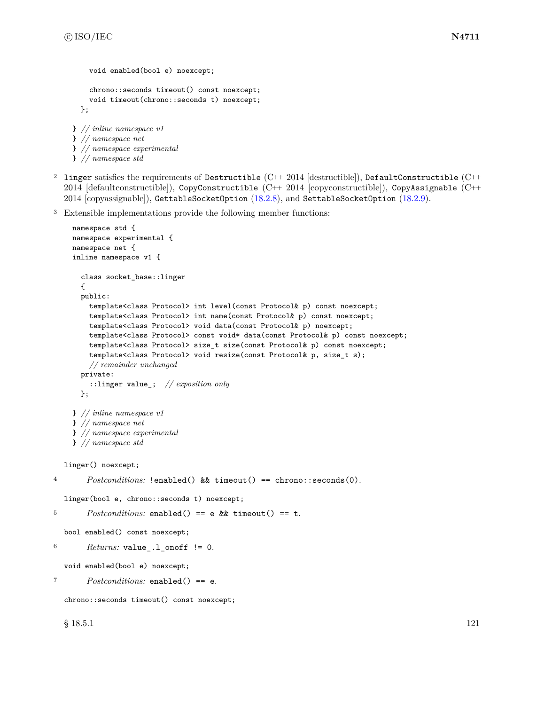```
void enabled(bool e) noexcept;
    chrono::seconds timeout() const noexcept;
    void timeout(chrono::seconds t) noexcept;
  };
} // inline namespace v1
} // namespace net
} // namespace experimental
```
- } *// namespace std* <sup>2</sup> linger satisfies the requirements of Destructible  $(C^{++} 2014$  [destructible]), DefaultConstructible  $(C^{++} 2014$ 2014 [defaultconstructible]), CopyConstructible (C++ 2014 [copyconstructible]), CopyAssignable (C++ 2014 [copyassignable]), GettableSocketOption [\(18.2.8\)](#page-117-0), and SettableSocketOption [\(18.2.9\)](#page-118-0).
- <sup>3</sup> Extensible implementations provide the following member functions:

```
namespace std {
    namespace experimental {
    namespace net {
    inline namespace v1 {
      class socket_base::linger
      {
      public:
        template<class Protocol> int level(const Protocol& p) const noexcept;
        template<class Protocol> int name(const Protocol& p) const noexcept;
        template<class Protocol> void data(const Protocol& p) noexcept;
        template<class Protocol> const void* data(const Protocol& p) const noexcept;
        template<class Protocol> size_t size(const Protocol& p) const noexcept;
        template<class Protocol> void resize(const Protocol& p, size_t s);
        // remainder unchanged
      private:
        ::linger value_; // exposition only
      };
    } // inline namespace v1
    } // namespace net
    } // namespace experimental
    } // namespace std
  linger() noexcept;
4 Postconditions: !enabled() && timeout() == chrono::seconds(0).
  linger(bool e, chrono::seconds t) noexcept;
5 Postconditions: enabled() == e && timeout() == t.
  bool enabled() const noexcept;
6 Returns: value<sub>-1</sub>-onoff != 0.
  void enabled(bool e) noexcept;
7 Postconditions: enabled() == e.
  chrono::seconds timeout() const noexcept;
```
 $\S$  18.5.1 121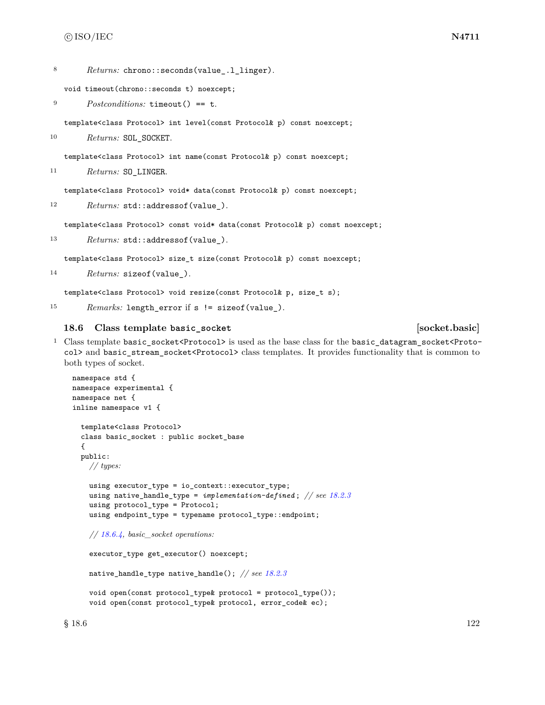8 Returns: chrono::seconds(value .1 linger).

void timeout(chrono::seconds t) noexcept;

```
9 Postconditions: timeout() == t.
```
template<class Protocol> int level(const Protocol& p) const noexcept;

10 Returns: SOL\_SOCKET.

template<class Protocol> int name(const Protocol& p) const noexcept;

<sup>11</sup> *Returns:* SO\_LINGER.

template<class Protocol> void\* data(const Protocol& p) const noexcept;

12 *Returns:* std::addressof(value\_).

template<class Protocol> const void\* data(const Protocol& p) const noexcept;

13 *Returns:* std::addressof(value\_).

template<class Protocol> size\_t size(const Protocol& p) const noexcept;

```
14 Returns: sizeof(value_).
```
template<class Protocol> void resize(const Protocol& p, size\_t s);

<sup>15</sup> *Remarks:* length\_error if s != sizeof(value\_).

#### **18.6 Class template basic\_socket [socket.basic]**

<sup>1</sup> Class template basic\_socket<Protocol> is used as the base class for the basic\_datagram\_socket<Protocol> and basic\_stream\_socket<Protocol> class templates. It provides functionality that is common to both types of socket.

```
namespace std {
namespace experimental {
namespace net {
inline namespace v1 {
  template<class Protocol>
  class basic_socket : public socket_base
  {
  public:
    // types:
    using executor_type = io_context::executor_type;
    using native_handle_type = implementation-defined ; // see 18.2.3
    using protocol_type = Protocol;
    using endpoint_type = typename protocol_type::endpoint;
    // 18.6.4, basic_socket operations:
    executor_type get_executor() noexcept;
    native_handle_type native_handle(); // see 18.2.3
    void open(const protocol_type& protocol = protocol_type());
    void open(const protocol_type& protocol, error_code& ec);
```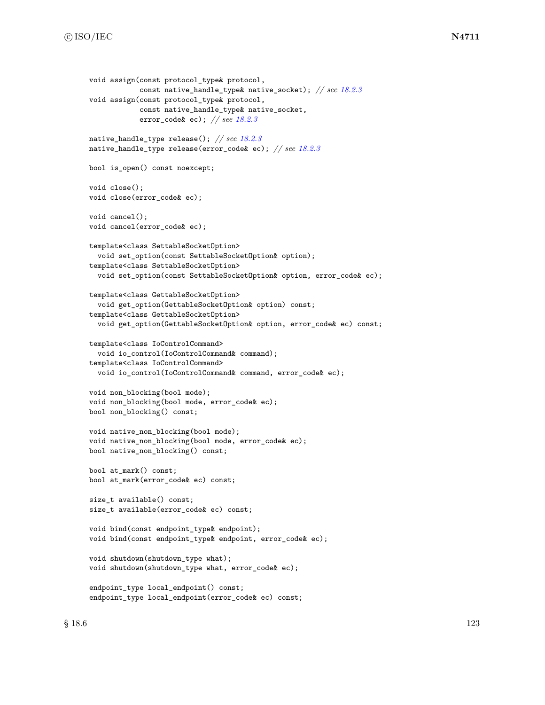```
void assign(const protocol_type& protocol,
            const native_handle_type& native_socket); // see 18.2.3
void assign(const protocol_type& protocol,
            const native_handle_type& native_socket,
            error_code& ec); // see 18.2.3
native_handle_type release(); // see 18.2.3
native_handle_type release(error_code& ec); // see 18.2.3
bool is_open() const noexcept;
void close();
void close(error_code& ec);
void cancel();
void cancel(error_code& ec);
template<class SettableSocketOption>
  void set_option(const SettableSocketOption& option);
template<class SettableSocketOption>
  void set_option(const SettableSocketOption& option, error_code& ec);
template<class GettableSocketOption>
  void get_option(GettableSocketOption& option) const;
template<class GettableSocketOption>
  void get_option(GettableSocketOption& option, error_code& ec) const;
template<class IoControlCommand>
  void io_control(IoControlCommand& command);
template<class IoControlCommand>
  void io_control(IoControlCommand& command, error_code& ec);
void non_blocking(bool mode);
void non_blocking(bool mode, error_code& ec);
bool non_blocking() const;
void native_non_blocking(bool mode);
void native_non_blocking(bool mode, error_code& ec);
bool native_non_blocking() const;
bool at_mark() const;
bool at_mark(error_code& ec) const;
size_t available() const;
size_t available(error_code& ec) const;
void bind(const endpoint_type& endpoint);
void bind(const endpoint_type& endpoint, error_code& ec);
void shutdown(shutdown_type what);
void shutdown(shutdown_type what, error_code& ec);
endpoint_type local_endpoint() const;
endpoint_type local_endpoint(error_code& ec) const;
```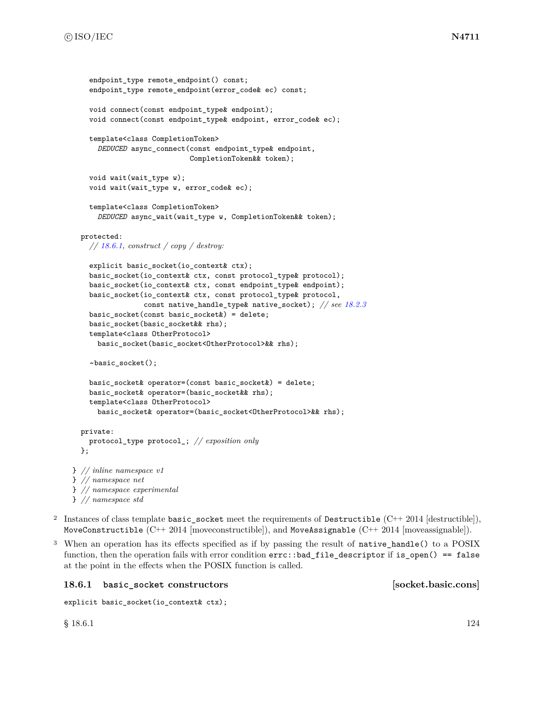```
endpoint_type remote_endpoint() const;
    endpoint_type remote_endpoint(error_code& ec) const;
    void connect(const endpoint_type& endpoint);
    void connect(const endpoint_type& endpoint, error_code& ec);
    template<class CompletionToken>
      DEDUCED async_connect(const endpoint_type& endpoint,
                            CompletionToken&& token);
    void wait(wait_type w);
    void wait(wait_type w, error_code& ec);
    template<class CompletionToken>
      DEDUCED async_wait(wait_type w, CompletionToken&& token);
 protected:
    // 18.6.1, construct / copy / destroy:
    explicit basic_socket(io_context& ctx);
    basic_socket(io_context& ctx, const protocol_type& protocol);
    basic_socket(io_context& ctx, const endpoint_type& endpoint);
    basic_socket(io_context& ctx, const protocol_type& protocol,
                 const native_handle_type& native_socket); // see 18.2.3
    basic_socket(const basic_socket&) = delete;
    basic_socket(basic_socket&& rhs);
    template<class OtherProtocol>
      basic_socket(basic_socket<OtherProtocol>&& rhs);
    ~basic_socket();
    basic_socket& operator=(const basic_socket&) = delete;
    basic_socket& operator=(basic_socket&& rhs);
    template<class OtherProtocol>
      basic_socket& operator=(basic_socket<OtherProtocol>&& rhs);
  private:
    protocol_type protocol_; // exposition only
 };
} // inline namespace v1
} // namespace net
} // namespace experimental
} // namespace std
```
- <sup>2</sup> Instances of class template basic\_socket meet the requirements of Destructible  $(C++ 2014$  [destructible]), MoveConstructible (C++ 2014 [moveconstructible]), and MoveAssignable (C++ 2014 [moveassignable]).
- <sup>3</sup> When an operation has its effects specified as if by passing the result of native\_handle() to a POSIX function, then the operation fails with error condition  $errc$ ::bad\_file\_descriptor if is\_open() == false at the point in the effects when the POSIX function is called.

### <span id="page-130-0"></span>**18.6.1 basic\_socket constructors [socket.basic.cons]**

```
explicit basic_socket(io_context& ctx);
```
 $\S$  18.6.1 124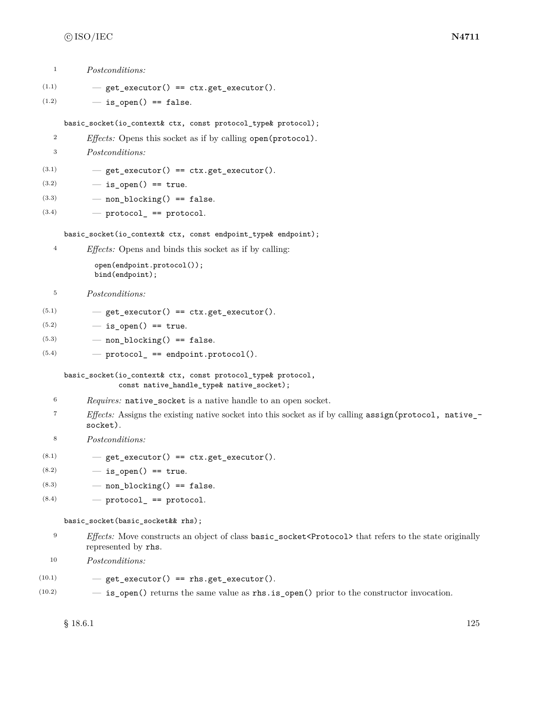|  | <i>Postconditions:</i> |
|--|------------------------|
|--|------------------------|

 $(1.1)$   $-$  get\_executor() == ctx.get\_executor().

```
(1.2) - is_open() == false.
```
basic\_socket(io\_context& ctx, const protocol\_type& protocol);

<sup>2</sup> *Effects:* Opens this socket as if by calling open(protocol).

<sup>3</sup> *Postconditions:*

 $(3.1)$   $-$  get\_executor() == ctx.get\_executor().

 $(3.2)$   $-$  is open() == true.

- $(3.3)$  non\_blocking() == false.
- $(3.4)$   $-$  protocol<sub>\_</sub> == protocol.

basic\_socket(io\_context& ctx, const endpoint\_type& endpoint);

<sup>4</sup> *Effects:* Opens and binds this socket as if by calling:

open(endpoint.protocol()); bind(endpoint);

- <sup>5</sup> *Postconditions:*
- $(5.1)$   $-$  get\_executor() == ctx.get\_executor().
- $(5.2)$   $-$  is open() == true.
- $(5.3)$  non\_blocking() == false.
- $(5.4)$  protocol\_ == endpoint.protocol().

basic\_socket(io\_context& ctx, const protocol\_type& protocol, const native\_handle\_type& native\_socket);

- <sup>6</sup> *Requires:* native\_socket is a native handle to an open socket.
- <sup>7</sup> *Effects:* Assigns the existing native socket into this socket as if by calling assign(protocol, native\_ socket).
- <sup>8</sup> *Postconditions:*
- $(8.1)$   $-$  get\_executor() == ctx.get\_executor().
- $(8.2)$   $-$  is open() == true.
- $(8.3)$  non\_blocking() == false.
- $(8.4)$  protocol\_ == protocol.

basic\_socket(basic\_socket&& rhs);

- <sup>9</sup> *Effects:* Move constructs an object of class **basic\_socket**<Protocol> that refers to the state originally represented by rhs.
- <sup>10</sup> *Postconditions:*
- $(10.1)$   $-$  get\_executor() == rhs.get\_executor().
- (10.2) is\_open() returns the same value as rhs.is\_open() prior to the constructor invocation.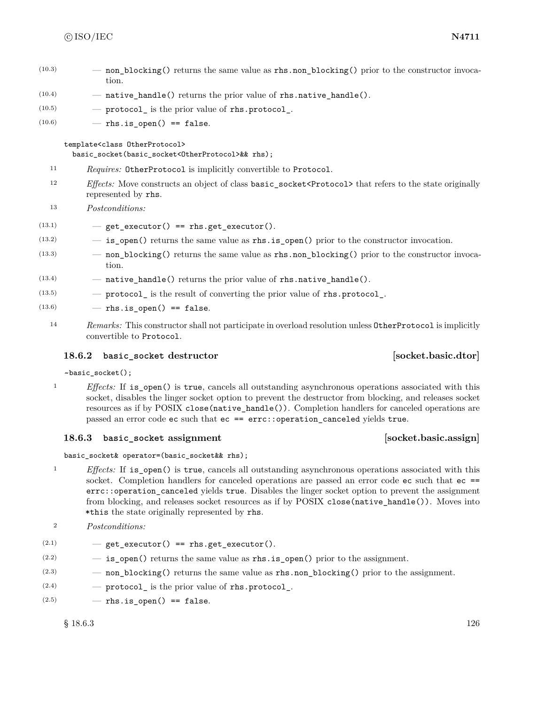- $(10.3)$  non blocking() returns the same value as rhs.non blocking() prior to the constructor invocation.
- $(10.4)$  native handle() returns the prior value of rhs.native handle().
- $(10.5)$   $\qquad$   $\qquad$  protocol is the prior value of rhs.protocol.

 $(10.6)$  - rhs.is open() == false.

### template<class OtherProtocol>

basic\_socket(basic\_socket<OtherProtocol>&& rhs);

- <sup>11</sup> *Requires:* OtherProtocol is implicitly convertible to Protocol.
- <sup>12</sup> *Effects:* Move constructs an object of class basic\_socket<Protocol> that refers to the state originally represented by rhs.
- <sup>13</sup> *Postconditions:*
- $(13.1)$   $-$  get\_executor() == rhs.get\_executor().
- $(13.2)$   $-$  **is\_open()** returns the same value as **rhs.is\_open()** prior to the constructor invocation.
- (13.3) non\_blocking() returns the same value as rhs.non\_blocking() prior to the constructor invocation.
- $(13.4)$  native\_handle() returns the prior value of rhs.native\_handle().
- $(13.5)$  protocol is the result of converting the prior value of rhs.protocol.
- $(13.6)$  rhs.is open() == false.
	- <sup>14</sup> *Remarks:* This constructor shall not participate in overload resolution unless OtherProtocol is implicitly convertible to Protocol.

# **18.6.2 basic\_socket destructor [socket.basic.dtor]**

~basic\_socket();

<sup>1</sup> *Effects:* If is\_open() is true, cancels all outstanding asynchronous operations associated with this socket, disables the linger socket option to prevent the destructor from blocking, and releases socket resources as if by POSIX close(native handle()). Completion handlers for canceled operations are passed an error code ec such that ec == errc::operation\_canceled yields true.

### **18.6.3 basic\_socket assignment [socket.basic.assign]**

basic\_socket& operator=(basic\_socket&& rhs);

- <sup>1</sup> *Effects:* If is\_open() is true, cancels all outstanding asynchronous operations associated with this socket. Completion handlers for canceled operations are passed an error code ec such that ec == errc::operation\_canceled yields true. Disables the linger socket option to prevent the assignment from blocking, and releases socket resources as if by POSIX close(native\_handle()). Moves into \*this the state originally represented by rhs.
- <sup>2</sup> *Postconditions:*
- $(2.1)$   $-$  get\_executor() == rhs.get\_executor().
- $(2.2)$   $-$  is open() returns the same value as rhs.is open() prior to the assignment.
- (2.3) non\_blocking() returns the same value as rhs.non\_blocking() prior to the assignment.
- $(2.4)$  protocol is the prior value of rhs.protocol.
- $(2.5)$  rhs.is\_open() == false.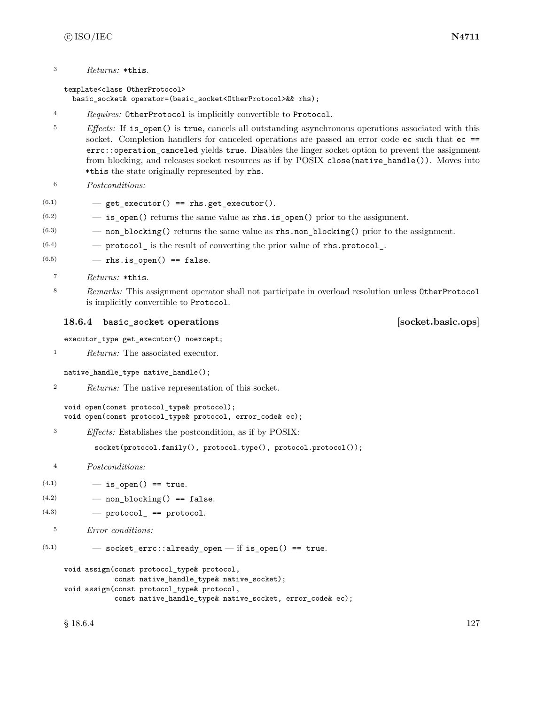<sup>3</sup> *Returns:* \*this.

template<class OtherProtocol> basic\_socket& operator=(basic\_socket<OtherProtocol>&& rhs);

- <sup>4</sup> *Requires:* OtherProtocol is implicitly convertible to Protocol.
- <sup>5</sup> *Effects:* If is open() is true, cancels all outstanding asynchronous operations associated with this socket. Completion handlers for canceled operations are passed an error code ec such that ec == errc::operation canceled yields true. Disables the linger socket option to prevent the assignment from blocking, and releases socket resources as if by POSIX close(native\_handle()). Moves into \*this the state originally represented by rhs.
- <sup>6</sup> *Postconditions:*
- $(6.1)$   $-$  get\_executor() == rhs.get\_executor().
- $(6.2)$   $-$  is open() returns the same value as rhs.is open() prior to the assignment.
- $(6.3)$  non\_blocking() returns the same value as rhs.non\_blocking() prior to the assignment.
- $(6.4)$  protocol is the result of converting the prior value of rhs.protocol.
- $(6.5)$  rhs.is\_open() == false.
	- <sup>7</sup> *Returns:* \*this.
	- <sup>8</sup> *Remarks:* This assignment operator shall not participate in overload resolution unless OtherProtocol is implicitly convertible to Protocol.

### <span id="page-133-0"></span>**18.6.4 basic\_socket operations [socket.basic.ops]**

executor\_type get\_executor() noexcept;

<sup>1</sup> *Returns:* The associated executor.

```
native_handle_type native_handle();
```
<sup>2</sup> *Returns:* The native representation of this socket.

```
void open(const protocol_type& protocol);
void open(const protocol_type& protocol, error_code& ec);
```
<sup>3</sup> *Effects:* Establishes the postcondition, as if by POSIX:

socket(protocol.family(), protocol.type(), protocol.protocol());

- <sup>4</sup> *Postconditions:*
- $(4.1)$   $-$  is open() == true.
- $(4.2)$  non\_blocking() == false.
- $(4.3)$   $-$  protocol<sub>\_</sub> == protocol.
	- <sup>5</sup> *Error conditions:*

```
(5.1) - socket_errc::already_open - if is_open() == true.
```

```
void assign(const protocol_type& protocol,
            const native_handle_type& native_socket);
void assign(const protocol_type& protocol,
            const native_handle_type& native_socket, error_code& ec);
```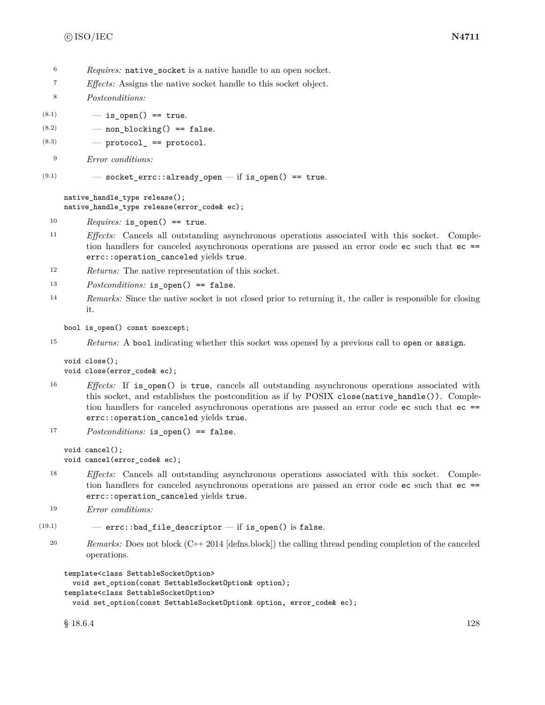- <sup>6</sup> *Requires:* native socket is a native handle to an open socket.
- <sup>7</sup> *Effects:* Assigns the native socket handle to this socket object.
- <sup>8</sup> *Postconditions:*
- $(8.1)$   $-$  is open() == true.
- $(8.2)$  non blocking() == false.
- $(8.3)$  protocol\_ == protocol.

```
9 Error conditions:
```
 $(9.1)$   $-$  socket\_errc::already\_open  $-$  if is\_open() == true.

native\_handle\_type release(); native\_handle\_type release(error\_code& ec);

- <sup>10</sup> *Requires:* is\_open() == true.
- <sup>11</sup> *Effects:* Cancels all outstanding asynchronous operations associated with this socket. Completion handlers for canceled asynchronous operations are passed an error code ec such that ec == errc::operation\_canceled yields true.
- <sup>12</sup> *Returns:* The native representation of this socket.
- <sup>13</sup> *Postconditions:* is\_open() == false.
- <sup>14</sup> *Remarks:* Since the native socket is not closed prior to returning it, the caller is responsible for closing it.

bool is\_open() const noexcept;

<sup>15</sup> *Returns:* A bool indicating whether this socket was opened by a previous call to open or assign.

```
void close();
void close(error_code& ec);
```
<sup>16</sup> *Effects:* If is\_open() is true, cancels all outstanding asynchronous operations associated with this socket, and establishes the postcondition as if by POSIX close(native\_handle()). Completion handlers for canceled asynchronous operations are passed an error code ec such that ec == errc::operation canceled yields true.

```
17 Postconditions: is_open() == false.
```

```
void cancel();
void cancel(error_code& ec);
```
- <sup>18</sup> *Effects:* Cancels all outstanding asynchronous operations associated with this socket. Completion handlers for canceled asynchronous operations are passed an error code ec such that ec == errc::operation\_canceled yields true.
- <sup>19</sup> *Error conditions:*

```
(19.1) - errc::bad_file_descriptor - if is_open() is false.
```
<sup>20</sup> *Remarks:* Does not block (C++ 2014 [defns.block]) the calling thread pending completion of the canceled operations.

```
template<class SettableSocketOption>
```

```
void set_option(const SettableSocketOption& option);
template<class SettableSocketOption>
 void set_option(const SettableSocketOption& option, error_code& ec);
```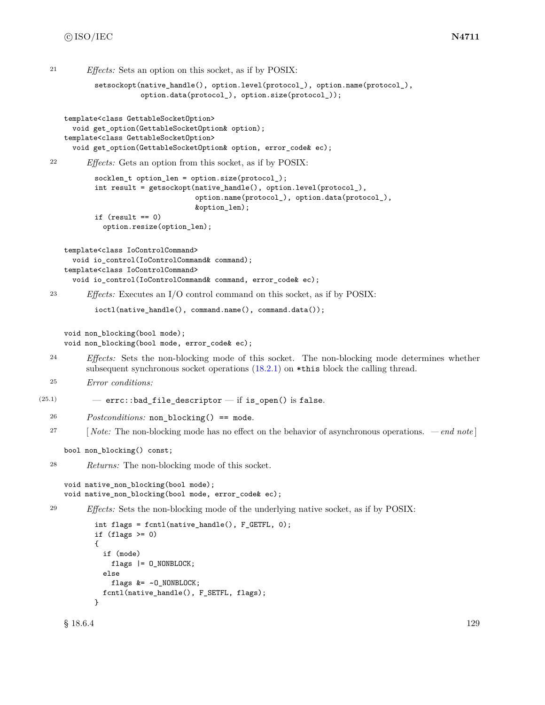```
21 Effects: Sets an option on this socket, as if by POSIX:
            setsockopt(native_handle(), option.level(protocol_), option.name(protocol_),
                       option.data(protocol_), option.size(protocol_));
     template<class GettableSocketOption>
       void get_option(GettableSocketOption& option);
     template<class GettableSocketOption>
       void get_option(GettableSocketOption& option, error_code& ec);
  22 Effects: Gets an option from this socket, as if by POSIX:
            socklen_t option_len = option.size(protocol_);
            int result = getsockopt(native_handle(), option.level(protocol_),
                                   option.name(protocol_), option.data(protocol_),
                                   &option_len);
            if (result == 0)
              option.resize(option_len);
     template<class IoControlCommand>
       void io_control(IoControlCommand& command);
     template<class IoControlCommand>
       void io_control(IoControlCommand& command, error_code& ec);
  23 Effects: Executes an I/O control command on this socket, as if by POSIX:
            ioctl(native_handle(), command.name(), command.data());
     void non_blocking(bool mode);
     void non_blocking(bool mode, error_code& ec);
  24 Effects: Sets the non-blocking mode of this socket. The non-blocking mode determines whether
          subsequent synchronous socket operations (18.2.1) on *this block the calling thread.
  25 Error conditions:
(25.1) – errc::bad_file_descriptor – if is_open() is false.
  26 Postconditions: non_blocking() == mode.
  27 [ Note: The non-blocking mode has no effect on the behavior of asynchronous operations. — end note ]
     bool non_blocking() const;
  28 Returns: The non-blocking mode of this socket.
     void native_non_blocking(bool mode);
     void native_non_blocking(bool mode, error_code& ec);
  29 Effects: Sets the non-blocking mode of the underlying native socket, as if by POSIX:
            int flags = fcntl(native_handle(), F_GETFL, 0);
            if (flags > = 0){
              if (mode)
                flags |= O_NONBLOCK;
              else
                flags &= ~O_NONBLOCK;
              fcntl(native_handle(), F_SETFL, flags);
            }
      \S 18.6.4 129
```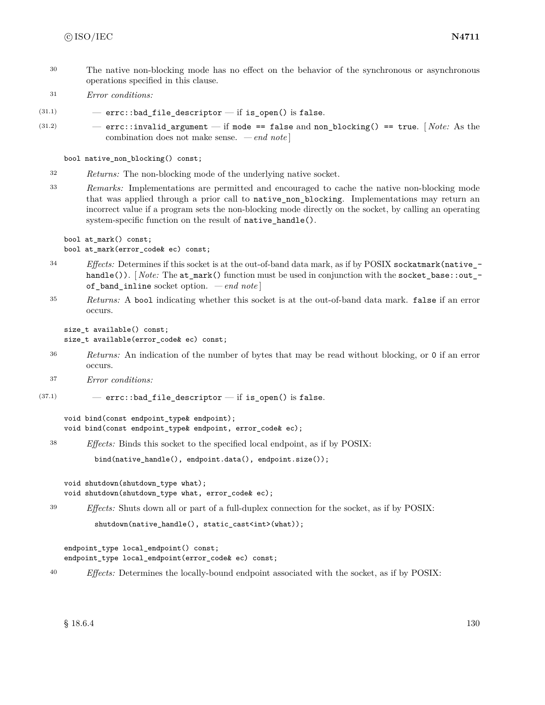- <sup>30</sup> The native non-blocking mode has no effect on the behavior of the synchronous or asynchronous operations specified in this clause.
- <sup>31</sup> *Error conditions:*

 $(31.1)$  - errc::bad\_file\_descriptor - if is\_open() is false.

(31.2) — errc::invalid\_argument — if mode == false and non\_blocking() == true. [ *Note:* As the combination does not make sense. *— end note* ]

bool native\_non\_blocking() const;

- <sup>32</sup> *Returns:* The non-blocking mode of the underlying native socket.
- <sup>33</sup> *Remarks:* Implementations are permitted and encouraged to cache the native non-blocking mode that was applied through a prior call to native\_non\_blocking. Implementations may return an incorrect value if a program sets the non-blocking mode directly on the socket, by calling an operating system-specific function on the result of native\_handle().

bool at\_mark() const; bool at\_mark(error\_code& ec) const;

- <sup>34</sup> *Effects:* Determines if this socket is at the out-of-band data mark, as if by POSIX sockatmark(native\_ handle()). [*Note:* The at\_mark() function must be used in conjunction with the socket\_base::out\_of\_band\_inline socket option. *— end note* ]
- <sup>35</sup> *Returns:* A bool indicating whether this socket is at the out-of-band data mark. false if an error occurs.

size\_t available() const; size\_t available(error\_code& ec) const;

- <sup>36</sup> *Returns:* An indication of the number of bytes that may be read without blocking, or 0 if an error occurs.
- <sup>37</sup> *Error conditions:*
- $(37.1)$  errc::bad\_file\_descriptor if is\_open() is false.

void bind(const endpoint\_type& endpoint); void bind(const endpoint\_type& endpoint, error\_code& ec);

<sup>38</sup> *Effects:* Binds this socket to the specified local endpoint, as if by POSIX:

bind(native\_handle(), endpoint.data(), endpoint.size());

void shutdown(shutdown\_type what); void shutdown(shutdown\_type what, error\_code& ec);

<sup>39</sup> *Effects:* Shuts down all or part of a full-duplex connection for the socket, as if by POSIX:

```
shutdown(native_handle(), static_cast<int>(what));
```

```
endpoint_type local_endpoint() const;
endpoint_type local_endpoint(error_code& ec) const;
```
<sup>40</sup> *Effects:* Determines the locally-bound endpoint associated with the socket, as if by POSIX: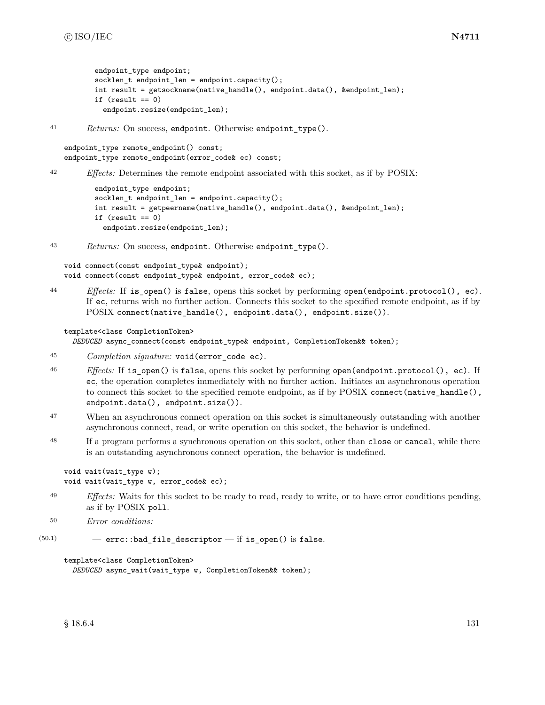```
endpoint type endpoint;
socklen_t endpoint_len = endpoint.capacity();
int result = getsockname(native_handle(), endpoint.data(), &endpoint_len);
if (result == 0)
  endpoint.resize(endpoint_len);
```
<sup>41</sup> *Returns:* On success, endpoint. Otherwise endpoint\_type().

```
endpoint_type remote_endpoint() const;
endpoint_type remote_endpoint(error_code& ec) const;
```
<sup>42</sup> *Effects:* Determines the remote endpoint associated with this socket, as if by POSIX:

```
endpoint_type endpoint;
socklen_t endpoint_len = endpoint.capacity();
int result = getpeername(native_handle(), endpoint.data(), &endpoint_len);
if (result == 0)endpoint.resize(endpoint_len);
```
<sup>43</sup> *Returns:* On success, endpoint. Otherwise endpoint\_type().

void connect(const endpoint\_type& endpoint); void connect(const endpoint\_type& endpoint, error\_code& ec);

<sup>44</sup> *Effects:* If is\_open() is false, opens this socket by performing open(endpoint.protocol(), ec). If ec, returns with no further action. Connects this socket to the specified remote endpoint, as if by POSIX connect(native\_handle(), endpoint.data(), endpoint.size()).

template<class CompletionToken>

*DEDUCED* async\_connect(const endpoint\_type& endpoint, CompletionToken&& token);

- <sup>45</sup> *Completion signature:* void(error\_code ec).
- <sup>46</sup> *Effects:* If is\_open() is false, opens this socket by performing open(endpoint.protocol(), ec). If ec, the operation completes immediately with no further action. Initiates an asynchronous operation to connect this socket to the specified remote endpoint, as if by POSIX connect (native\_handle(), endpoint.data(), endpoint.size()).
- <sup>47</sup> When an asynchronous connect operation on this socket is simultaneously outstanding with another asynchronous connect, read, or write operation on this socket, the behavior is undefined.
- <sup>48</sup> If a program performs a synchronous operation on this socket, other than close or cancel, while there is an outstanding asynchronous connect operation, the behavior is undefined.

```
void wait(wait_type w);
void wait(wait_type w, error_code& ec);
```
<sup>49</sup> *Effects:* Waits for this socket to be ready to read, ready to write, or to have error conditions pending, as if by POSIX poll.

```
50 Error conditions:
```
 $(50.1)$  – errc::bad\_file\_descriptor – if is\_open() is false.

```
template<class CompletionToken>
  DEDUCED async_wait(wait_type w, CompletionToken&& token);
```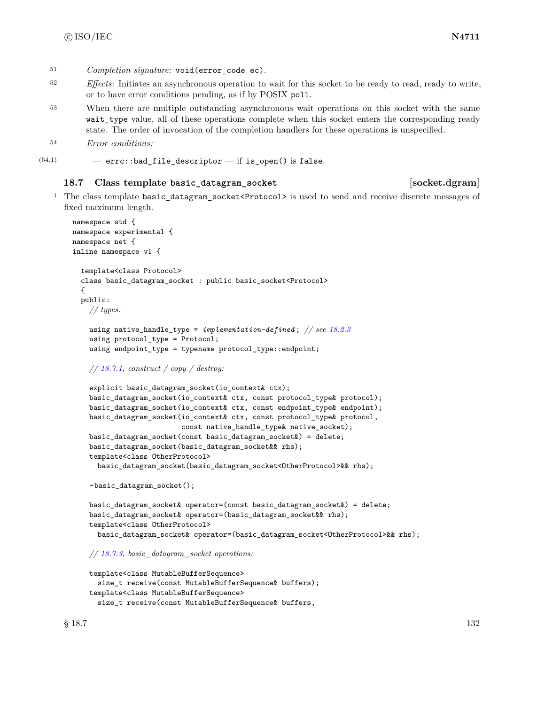- <sup>52</sup> *Effects:* Initiates an asynchronous operation to wait for this socket to be ready to read, ready to write, or to have error conditions pending, as if by POSIX poll.
- <sup>53</sup> When there are multiple outstanding asynchronous wait operations on this socket with the same wait type value, all of these operations complete when this socket enters the corresponding ready state. The order of invocation of the completion handlers for these operations is unspecified.
- <sup>54</sup> *Error conditions:*

```
(54.1) - errc::bad_file_descriptor - if is_open() is false.
```
#### **18.7 Class template basic\_datagram\_socket [socket.dgram]**

<sup>1</sup> The class template basic datagram socket<Protocol> is used to send and receive discrete messages of fixed maximum length.

```
namespace std {
namespace experimental {
namespace net {
inline namespace v1 {
  template<class Protocol>
  class basic_datagram_socket : public basic_socket<Protocol>
  {
  public:
    // types:
    using native_handle_type = implementation-defined ; // see 18.2.3
    using protocol_type = Protocol;
    using endpoint_type = typename protocol_type::endpoint;
    // 18.7.1, construct / copy / destroy:
    explicit basic_datagram_socket(io_context& ctx);
    basic_datagram_socket(io_context& ctx, const protocol_type& protocol);
    basic_datagram_socket(io_context& ctx, const endpoint_type& endpoint);
    basic_datagram_socket(io_context& ctx, const protocol_type& protocol,
                          const native_handle_type& native_socket);
    basic_datagram_socket(const basic_datagram_socket&) = delete;
    basic_datagram_socket(basic_datagram_socket&& rhs);
    template<class OtherProtocol>
      basic_datagram_socket(basic_datagram_socket<OtherProtocol>&& rhs);
    ~basic_datagram_socket();
    basic_datagram_socket& operator=(const basic_datagram_socket&) = delete;
    basic_datagram_socket& operator=(basic_datagram_socket&& rhs);
    template<class OtherProtocol>
      basic_datagram_socket& operator=(basic_datagram_socket<OtherProtocol>&& rhs);
    // 18.7.3, basic_datagram_socket operations:
```

```
template<class MutableBufferSequence>
  size_t receive(const MutableBufferSequence& buffers);
template<class MutableBufferSequence>
  size_t receive(const MutableBufferSequence& buffers,
```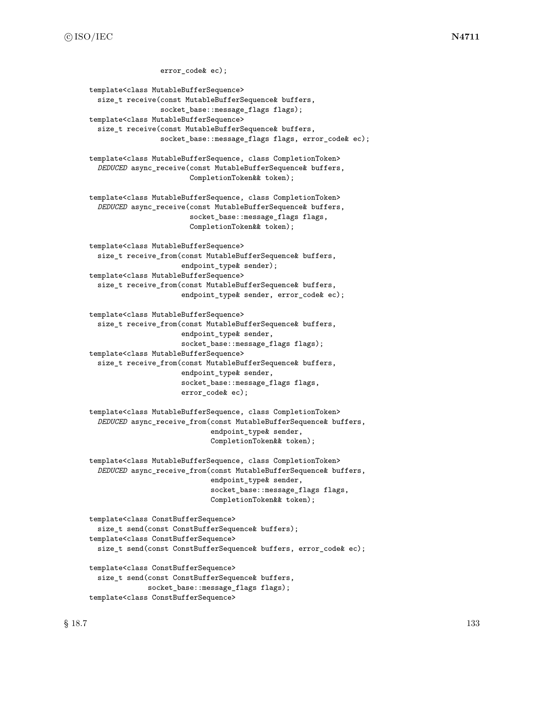error code& ec); template<class MutableBufferSequence> size\_t receive(const MutableBufferSequence& buffers, socket\_base::message\_flags flags); template<class MutableBufferSequence> size\_t receive(const MutableBufferSequence& buffers, socket\_base::message\_flags flags, error\_code& ec); template<class MutableBufferSequence, class CompletionToken> *DEDUCED* async\_receive(const MutableBufferSequence& buffers, CompletionToken&& token); template<class MutableBufferSequence, class CompletionToken> *DEDUCED* async\_receive(const MutableBufferSequence& buffers, socket\_base::message\_flags flags, CompletionToken&& token); template<class MutableBufferSequence> size\_t receive\_from(const MutableBufferSequence& buffers, endpoint\_type& sender); template<class MutableBufferSequence> size\_t receive\_from(const MutableBufferSequence& buffers, endpoint\_type& sender, error\_code& ec); template<class MutableBufferSequence> size\_t receive\_from(const MutableBufferSequence& buffers, endpoint\_type& sender, socket\_base::message\_flags flags); template<class MutableBufferSequence> size\_t receive\_from(const MutableBufferSequence& buffers, endpoint\_type& sender, socket\_base::message\_flags flags, error\_code& ec); template<class MutableBufferSequence, class CompletionToken> *DEDUCED* async\_receive\_from(const MutableBufferSequence& buffers, endpoint\_type& sender, CompletionToken&& token); template<class MutableBufferSequence, class CompletionToken> *DEDUCED* async\_receive\_from(const MutableBufferSequence& buffers, endpoint\_type& sender, socket\_base::message\_flags flags, CompletionToken&& token); template<class ConstBufferSequence> size\_t send(const ConstBufferSequence& buffers); template<class ConstBufferSequence> size\_t send(const ConstBufferSequence& buffers, error\_code& ec); template<class ConstBufferSequence> size\_t send(const ConstBufferSequence& buffers, socket\_base::message\_flags flags);

template<class ConstBufferSequence>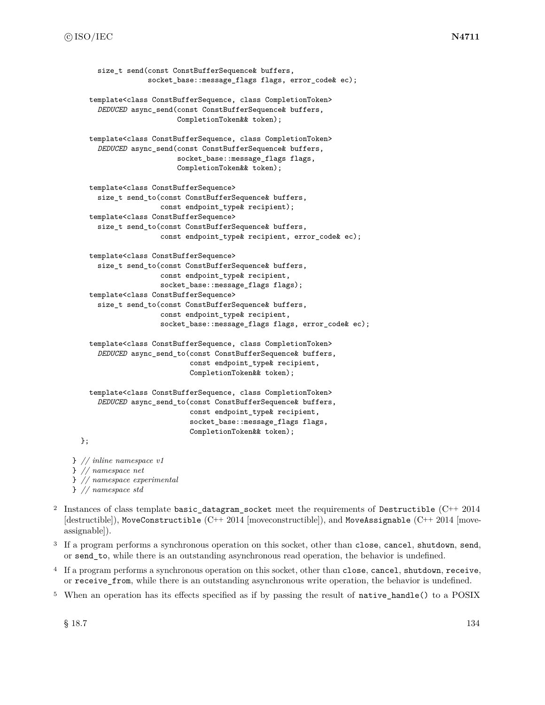```
size t send(const ConstBufferSequence& buffers,
                  socket_base::message_flags flags, error_code& ec);
    template<class ConstBufferSequence, class CompletionToken>
      DEDUCED async_send(const ConstBufferSequence& buffers,
                         CompletionToken&& token);
    template<class ConstBufferSequence, class CompletionToken>
      DEDUCED async_send(const ConstBufferSequence& buffers,
                         socket_base::message_flags flags,
                         CompletionToken&& token);
    template<class ConstBufferSequence>
      size_t send_to(const ConstBufferSequence& buffers,
                     const endpoint_type& recipient);
    template<class ConstBufferSequence>
      size_t send_to(const ConstBufferSequence& buffers,
                     const endpoint_type& recipient, error_code& ec);
    template<class ConstBufferSequence>
      size_t send_to(const ConstBufferSequence& buffers,
                     const endpoint_type& recipient,
                     socket_base::message_flags flags);
    template<class ConstBufferSequence>
      size_t send_to(const ConstBufferSequence& buffers,
                     const endpoint_type& recipient,
                     socket_base::message_flags flags, error_code& ec);
    template<class ConstBufferSequence, class CompletionToken>
      DEDUCED async_send_to(const ConstBufferSequence& buffers,
                            const endpoint_type& recipient,
                            CompletionToken&& token);
    template<class ConstBufferSequence, class CompletionToken>
      DEDUCED async_send_to(const ConstBufferSequence& buffers,
                            const endpoint_type& recipient,
                            socket_base::message_flags flags,
                            CompletionToken&& token);
  };
} // inline namespace v1
```

```
} // namespace net
```
- } *// namespace experimental*
- } *// namespace std*
- <sup>2</sup> Instances of class template basic\_datagram\_socket meet the requirements of Destructible (C++ 2014 [destructible]), MoveConstructible (C++ 2014 [moveconstructible]), and MoveAssignable (C++ 2014 [moveassignable]).
- <sup>3</sup> If a program performs a synchronous operation on this socket, other than close, cancel, shutdown, send, or send\_to, while there is an outstanding asynchronous read operation, the behavior is undefined.
- <sup>4</sup> If a program performs a synchronous operation on this socket, other than close, cancel, shutdown, receive, or receive\_from, while there is an outstanding asynchronous write operation, the behavior is undefined.
- <sup>5</sup> When an operation has its effects specified as if by passing the result of native\_handle() to a POSIX

 $\S 18.7$  134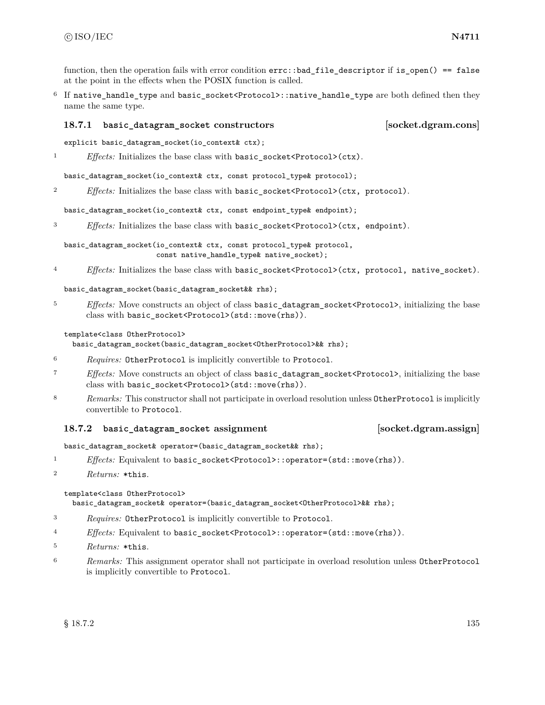function, then the operation fails with error condition  $errc$ ::bad\_file\_descriptor if is\_open() == false at the point in the effects when the POSIX function is called.

<sup>6</sup> If native\_handle\_type and basic\_socket<Protocol>::native\_handle\_type are both defined then they name the same type.

### <span id="page-141-0"></span>**18.7.1 basic\_datagram\_socket constructors [socket.dgram.cons]**

- explicit basic\_datagram\_socket(io\_context& ctx);
- <sup>1</sup> *Effects:* Initializes the base class with basic\_socket<Protocol>(ctx).

basic\_datagram\_socket(io\_context& ctx, const protocol\_type& protocol);

<sup>2</sup> *Effects:* Initializes the base class with basic\_socket<Protocol>(ctx, protocol).

basic\_datagram\_socket(io\_context& ctx, const endpoint\_type& endpoint);

<sup>3</sup> *Effects:* Initializes the base class with basic\_socket<Protocol>(ctx, endpoint).

basic\_datagram\_socket(io\_context& ctx, const protocol\_type& protocol, const native\_handle\_type& native\_socket);

<sup>4</sup> *Effects:* Initializes the base class with basic\_socket<Protocol>(ctx, protocol, native\_socket).

basic\_datagram\_socket(basic\_datagram\_socket&& rhs);

<sup>5</sup> *Effects:* Move constructs an object of class basic\_datagram\_socket<Protocol>, initializing the base class with basic\_socket<Protocol>(std::move(rhs)).

### template<class OtherProtocol>

basic\_datagram\_socket(basic\_datagram\_socket<OtherProtocol>&& rhs);

- <sup>6</sup> *Requires:* OtherProtocol is implicitly convertible to Protocol.
- <sup>7</sup> *Effects:* Move constructs an object of class basic\_datagram\_socket<Protocol>, initializing the base class with basic\_socket<Protocol>(std::move(rhs)).
- 8 *Remarks:* This constructor shall not participate in overload resolution unless **OtherProtocol** is implicitly convertible to Protocol.

### **18.7.2 basic\_datagram\_socket assignment [socket.dgram.assign]**

basic\_datagram\_socket& operator=(basic\_datagram\_socket&& rhs);

- <sup>1</sup> *Effects:* Equivalent to basic\_socket<Protocol>::operator=(std::move(rhs)).
- <sup>2</sup> *Returns:* \*this.

template<class OtherProtocol>

basic\_datagram\_socket& operator=(basic\_datagram\_socket<OtherProtocol>&& rhs);

- <sup>3</sup> *Requires:* OtherProtocol is implicitly convertible to Protocol.
- <sup>4</sup> *Effects:* Equivalent to basic\_socket<Protocol>::operator=(std::move(rhs)).
- <sup>5</sup> *Returns:* \*this.
- <sup>6</sup> *Remarks:* This assignment operator shall not participate in overload resolution unless OtherProtocol is implicitly convertible to Protocol.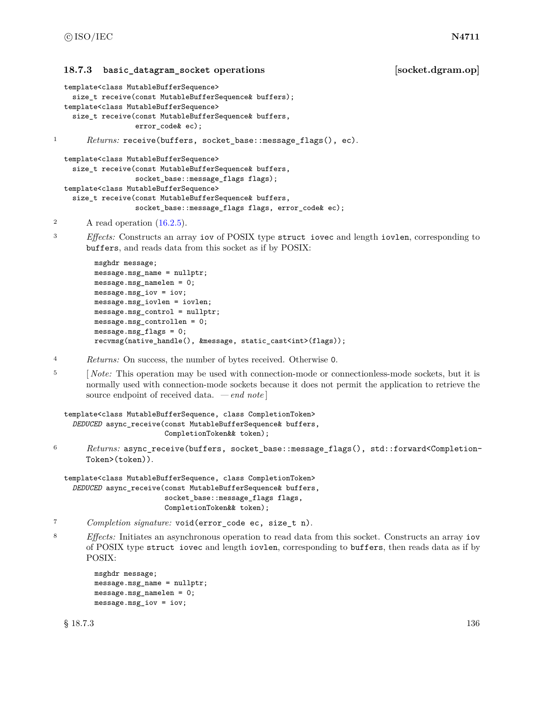### <span id="page-142-0"></span>**18.7.3 basic\_datagram\_socket operations [socket.dgram.op]**

```
template<class MutableBufferSequence>
    size_t receive(const MutableBufferSequence& buffers);
  template<class MutableBufferSequence>
    size_t receive(const MutableBufferSequence& buffers,
                   error_code& ec);
1 Returns: receive(buffers, socket_base::message_flags(), ec).
  template<class MutableBufferSequence>
    size_t receive(const MutableBufferSequence& buffers,
```

```
socket_base::message_flags flags);
template<class MutableBufferSequence>
  size_t receive(const MutableBufferSequence& buffers,
                 socket_base::message_flags flags, error_code& ec);
```

```
2 A read operation (16.2.5).
```
<sup>3</sup> *Effects:* Constructs an array iov of POSIX type struct iovec and length iovlen, corresponding to buffers, and reads data from this socket as if by POSIX:

```
msghdr message;
message.msg_name = nullptr;
message.msg_namelen = 0;
message.msg_iov = iov;
message.msg_iovlen = iovlen;
message.msg_control = nullptr;
message.msg_controllen = 0;
message.msg_flags = 0;
recvmsg(native_handle(), &message, static_cast<int>(flags));
```
- <sup>4</sup> *Returns:* On success, the number of bytes received. Otherwise 0.
- <sup>5</sup> [*Note:* This operation may be used with connection-mode or connectionless-mode sockets, but it is normally used with connection-mode sockets because it does not permit the application to retrieve the source endpoint of received data. *— end note* ]

```
template<class MutableBufferSequence, class CompletionToken>
  DEDUCED async_receive(const MutableBufferSequence& buffers,
                        CompletionToken&& token);
```
<sup>6</sup> *Returns:* async\_receive(buffers, socket\_base::message\_flags(), std::forward<Completion-Token>(token)).

```
template<class MutableBufferSequence, class CompletionToken>
  DEDUCED async_receive(const MutableBufferSequence& buffers,
                        socket_base::message_flags flags,
                        CompletionToken&& token);
```
- <sup>7</sup> *Completion signature:* void(error\_code ec, size\_t n).
- <sup>8</sup> *Effects:* Initiates an asynchronous operation to read data from this socket. Constructs an array iov of POSIX type struct iovec and length iovlen, corresponding to buffers, then reads data as if by POSIX:

```
msghdr message;
message.msg_name = nullptr;
message.msg_namelen = 0;
message.msg_iov = iov;
```
 $\S 18.7.3$  136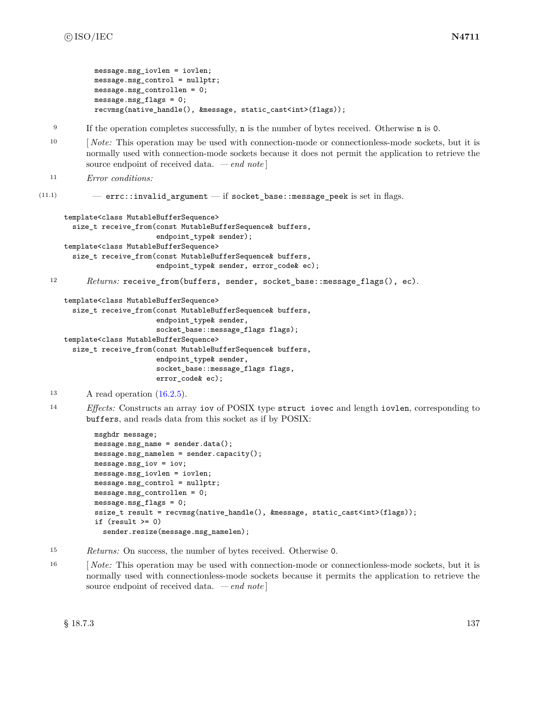```
message.msg_iovlen = iovlen;
message.msg_control = nullptr;
message.msg_controllen = 0;
message.msg_flags = 0;
recvmsg(native_handle(), &message, static_cast<int>(flags));
```
- <sup>9</sup> If the operation completes successfully, **n** is the number of bytes received. Otherwise **n** is 0.
- <sup>10</sup> [*Note:* This operation may be used with connection-mode or connectionless-mode sockets, but it is normally used with connection-mode sockets because it does not permit the application to retrieve the source endpoint of received data. *— end note* ]

```
11 Error conditions:
```
 $(11.1)$  - errc::invalid\_argument - if socket\_base::message\_peek is set in flags.

```
template<class MutableBufferSequence>
 size_t receive_from(const MutableBufferSequence& buffers,
                      endpoint_type& sender);
template<class MutableBufferSequence>
  size t receive from(const MutableBufferSequence& buffers,
                      endpoint_type& sender, error_code& ec);
```
12 *Returns:* receive\_from(buffers, sender, socket\_base::message\_flags(), ec).

```
template<class MutableBufferSequence>
```
size t receive from(const MutableBufferSequence& buffers, endpoint\_type& sender, socket\_base::message\_flags flags); template<class MutableBufferSequence>

```
size_t receive_from(const MutableBufferSequence& buffers,
                    endpoint_type& sender,
                    socket_base::message_flags flags,
                    error_code& ec);
```

```
<sup>13</sup> A read operation (16.2.5).
```
<sup>14</sup> *Effects:* Constructs an array iov of POSIX type struct iovec and length iovlen, corresponding to buffers, and reads data from this socket as if by POSIX:

```
msghdr message;
message.msg_name = sender.data();
message.msg_namelen = sender.capacity();
message.msg_iov = iov;
message.msg_iovlen = iovlen;
message.msg_control = nullptr;
message.msg_controllen = 0;
message.msg_flags = 0;
ssize_t result = recvmsg(native_handle(), &message, static_cast<int>(flags));
if (result \ge 0)sender.resize(message.msg_namelen);
```
- <sup>15</sup> *Returns:* On success, the number of bytes received. Otherwise 0.
- <sup>16</sup> [ *Note:* This operation may be used with connection-mode or connectionless-mode sockets, but it is normally used with connectionless-mode sockets because it permits the application to retrieve the source endpoint of received data. *— end note* ]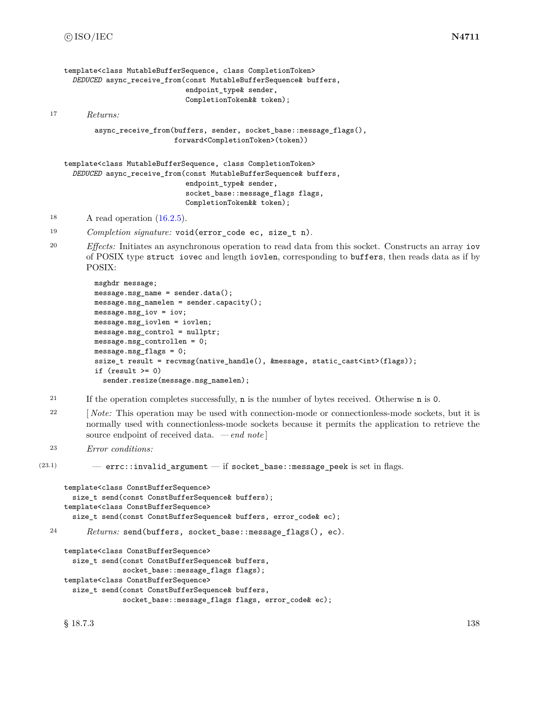```
template<class MutableBufferSequence, class CompletionToken>
     DEDUCED async_receive_from(const MutableBufferSequence& buffers,
                                endpoint_type& sender,
                                CompletionToken&& token);
17 Returns:
          async_receive_from(buffers, sender, socket_base::message_flags(),
                             forward<CompletionToken>(token))
   template<class MutableBufferSequence, class CompletionToken>
     DEDUCED async_receive_from(const MutableBufferSequence& buffers,
                                endpoint type& sender,
```
- <sup>18</sup> A read operation  $(16.2.5)$ .
- <sup>19</sup> *Completion signature:* void(error\_code ec, size\_t n).
- <sup>20</sup> *Effects:* Initiates an asynchronous operation to read data from this socket. Constructs an array iov of POSIX type struct iovec and length iovlen, corresponding to buffers, then reads data as if by POSIX:

socket\_base::message\_flags flags,

CompletionToken&& token);

```
msghdr message;
message.msg_name = sender.data();
message.msg_namelen = sender.capacity();
message.msg_iov = iov;
message.msg_iovlen = iovlen;
message.msg_control = nullptr;
message.msg_controllen = 0;
message.msg_flags = 0;
ssize_t result = recvmsg(native_handle(), &message, static_cast<int>(flags));
if (result \ge 0)sender.resize(message.msg_namelen);
```
- <sup>21</sup> If the operation completes successfully, n is the number of bytes received. Otherwise n is 0.
- <sup>22</sup> [*Note:* This operation may be used with connection-mode or connectionless-mode sockets, but it is normally used with connectionless-mode sockets because it permits the application to retrieve the source endpoint of received data. *— end note* ]
- <sup>23</sup> *Error conditions:*

```
(23.1) - errc::invalid argument - if socket base::message peek is set in flags.
```

```
template<class ConstBufferSequence>
     size_t send(const ConstBufferSequence& buffers);
   template<class ConstBufferSequence>
     size_t send(const ConstBufferSequence& buffers, error_code& ec);
24 Returns: send(buffers, socket_base::message_flags(), ec).
   template<class ConstBufferSequence>
     size_t send(const ConstBufferSequence& buffers,
                 socket_base::message_flags flags);
   template<class ConstBufferSequence>
     size t send(const ConstBufferSequence& buffers,
                 socket_base::message_flags flags, error_code& ec);
```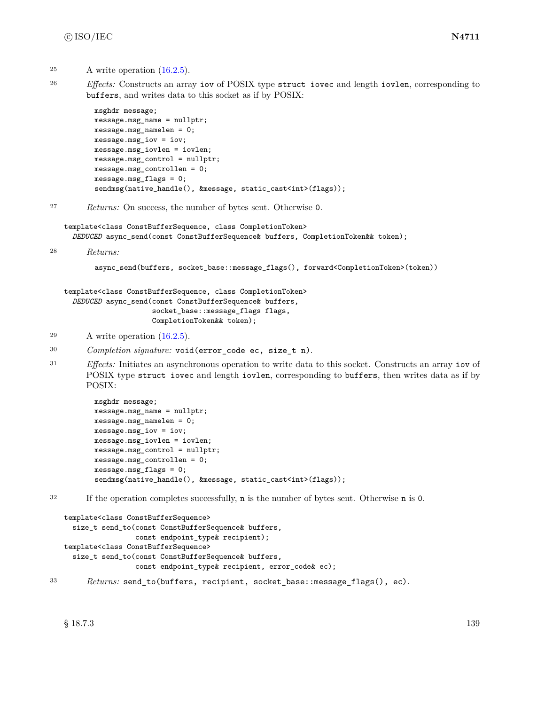- $25$  A write operation  $(16.2.5)$ .
- 

<sup>26</sup> *Effects:* Constructs an array iov of POSIX type struct iovec and length iovlen, corresponding to buffers, and writes data to this socket as if by POSIX:

```
msghdr message;
message.msg_name = nullptr;
message.msg_namelen = 0;
message.msg_iov = iov;
message.msg_iovlen = iovlen;
message.msg_control = nullptr;
message.msg_controllen = 0;
message.msg_flags = 0;
sendmsg(native_handle(), &message, static_cast<int>(flags));
```
<sup>27</sup> *Returns:* On success, the number of bytes sent. Otherwise 0.

template<class ConstBufferSequence, class CompletionToken> *DEDUCED* async\_send(const ConstBufferSequence& buffers, CompletionToken&& token);

```
28 Returns:
```
async\_send(buffers, socket\_base::message\_flags(), forward<CompletionToken>(token))

```
template<class ConstBufferSequence, class CompletionToken>
  DEDUCED async_send(const ConstBufferSequence& buffers,
                     socket_base::message_flags flags,
                     CompletionToken&& token);
```
 $29$  A write operation  $(16.2.5)$ .

```
30 Completion signature: void(error_code ec, size_t n).
```
<sup>31</sup> *Effects:* Initiates an asynchronous operation to write data to this socket. Constructs an array iov of POSIX type struct iovec and length iovlen, corresponding to buffers, then writes data as if by POSIX:

```
msghdr message;
message.msg_name = nullptr;
message.msg_namelen = 0;
message.msg_iov = iov;
message.msg_iovlen = iovlen;
message.msg_control = nullptr;
message.msg_controllen = 0;
message.msg_flags = 0;
sendmsg(native_handle(), &message, static_cast<int>(flags));
```
<sup>32</sup> If the operation completes successfully, n is the number of bytes sent. Otherwise n is 0.

```
template<class ConstBufferSequence>
  size_t send_to(const ConstBufferSequence& buffers,
                 const endpoint_type& recipient);
template<class ConstBufferSequence>
  size_t send_to(const ConstBufferSequence& buffers,
                 const endpoint_type& recipient, error_code& ec);
```

```
33 Returns: send_to(buffers, recipient, socket_base::message_flags(), ec).
```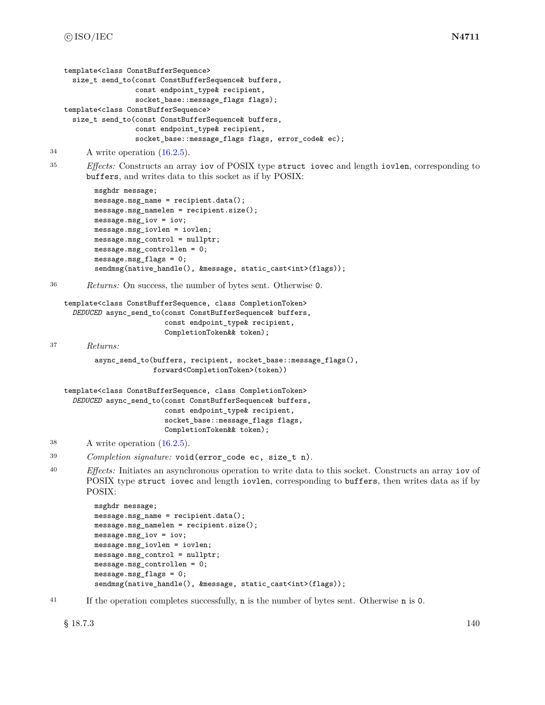```
template<class ConstBufferSequence>
  size_t send_to(const ConstBufferSequence& buffers,
                 const endpoint_type& recipient,
                 socket_base::message_flags flags);
template<class ConstBufferSequence>
  size_t send_to(const ConstBufferSequence& buffers,
                 const endpoint_type& recipient,
                 socket_base::message_flags flags, error_code& ec);
```

```
34 A write operation (16.2.5).
```
<sup>35</sup> *Effects:* Constructs an array iov of POSIX type struct iovec and length iovlen, corresponding to buffers, and writes data to this socket as if by POSIX:

```
msghdr message;
message.msg_name = recipient.data();
message.msg_namelen = recipient.size();
message.msg_iov = iov;
message.msg_iovlen = iovlen;
message.msg_control = nullptr;
message.msg_controllen = 0;
message.msg_flags = 0;
sendmsg(native_handle(), &message, static_cast<int>(flags));
```

```
36 Returns: On success, the number of bytes sent. Otherwise 0.
```

```
template<class ConstBufferSequence, class CompletionToken>
  DEDUCED async_send_to(const ConstBufferSequence& buffers,
                        const endpoint_type& recipient,
                        CompletionToken&& token);
```
<sup>37</sup> *Returns:*

```
async_send_to(buffers, recipient, socket_base::message_flags(),
              forward<CompletionToken>(token))
```

```
template<class ConstBufferSequence, class CompletionToken>
  DEDUCED async_send_to(const ConstBufferSequence& buffers,
                        const endpoint_type& recipient,
                        socket_base::message_flags flags,
                        CompletionToken&& token);
```

```
38 A write operation (16.2.5).
```

```
39 Completion signature: void(error_code ec, size_t n).
```
<sup>40</sup> *Effects:* Initiates an asynchronous operation to write data to this socket. Constructs an array iov of POSIX type struct iovec and length iovlen, corresponding to buffers, then writes data as if by POSIX:

```
msghdr message;
message.msg_name = recipient.data();
message.msg_namelen = recipient.size();
message.msg_iov = iov;
message.msg_iovlen = iovlen;
message.msg_control = nullptr;
message.msg_controllen = 0;
message.msg_flags = 0;
sendmsg(native_handle(), &message, static_cast<int>(flags));
```
<sup>41</sup> If the operation completes successfully, n is the number of bytes sent. Otherwise n is 0.

 $\frac{140}{140}$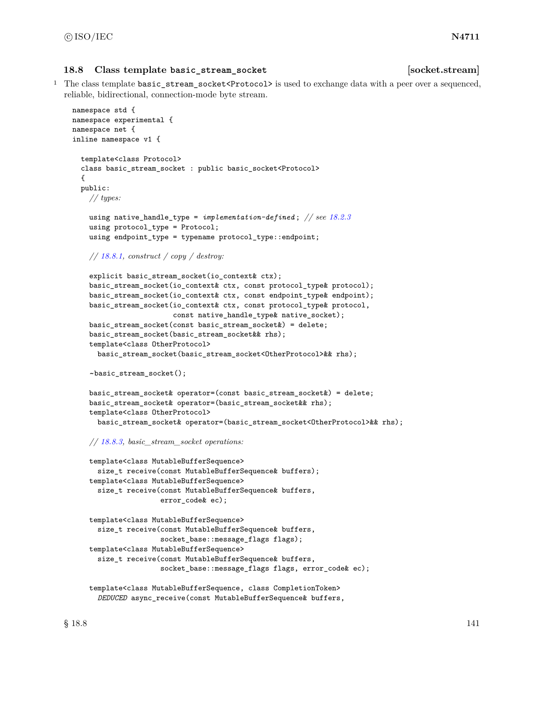#### **18.8 Class template basic\_stream\_socket [socket.stream]**

<sup>1</sup> The class template basic\_stream\_socket<Protocol> is used to exchange data with a peer over a sequenced, reliable, bidirectional, connection-mode byte stream.

```
namespace std {
namespace experimental {
namespace net {
inline namespace v1 {
  template<class Protocol>
  class basic_stream_socket : public basic_socket<Protocol>
  {
  public:
    // types:
    using native_handle_type = implementation-defined ; // see 18.2.3
    using protocol_type = Protocol;
    using endpoint_type = typename protocol_type::endpoint;
    // 18.8.1, construct / copy / destroy:
    explicit basic_stream_socket(io_context& ctx);
    basic_stream_socket(io_context& ctx, const protocol_type& protocol);
    basic_stream_socket(io_context& ctx, const endpoint_type& endpoint);
    basic_stream_socket(io_context& ctx, const protocol_type& protocol,
                        const native handle type& native socket);
    basic_stream_socket(const basic_stream_socket&) = delete;
    basic_stream_socket(basic_stream_socket&& rhs);
    template<class OtherProtocol>
      basic_stream_socket(basic_stream_socket<OtherProtocol>&& rhs);
    ~basic_stream_socket();
    basic_stream_socket& operator=(const basic_stream_socket&) = delete;
    basic_stream_socket& operator=(basic_stream_socket&& rhs);
    template<class OtherProtocol>
      basic_stream_socket& operator=(basic_stream_socket<OtherProtocol>&& rhs);
    // 18.8.3, basic_stream_socket operations:
    template<class MutableBufferSequence>
      size_t receive(const MutableBufferSequence& buffers);
    template<class MutableBufferSequence>
      size_t receive(const MutableBufferSequence& buffers,
                     error_code& ec);
    template<class MutableBufferSequence>
      size_t receive(const MutableBufferSequence& buffers,
                     socket_base::message_flags flags);
    template<class MutableBufferSequence>
      size_t receive(const MutableBufferSequence& buffers,
                     socket_base::message_flags flags, error_code& ec);
    template<class MutableBufferSequence, class CompletionToken>
      DEDUCED async_receive(const MutableBufferSequence& buffers,
```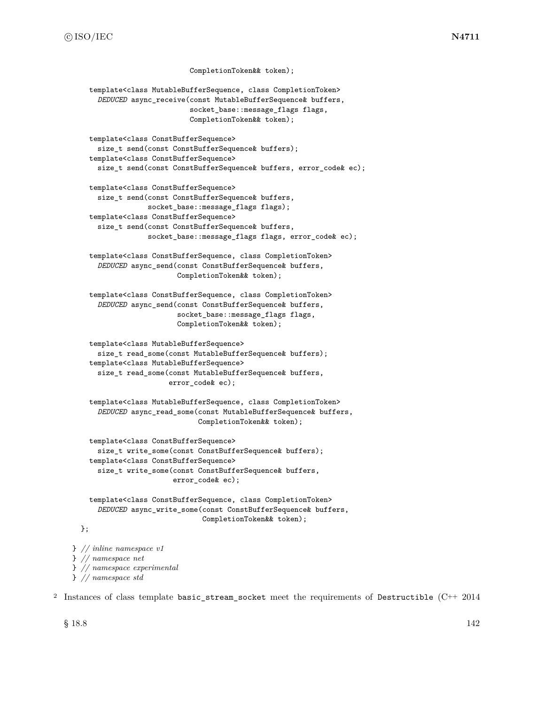```
CompletionToken&& token);
    template<class MutableBufferSequence, class CompletionToken>
      DEDUCED async_receive(const MutableBufferSequence& buffers,
                            socket_base::message_flags flags,
                            CompletionToken&& token);
    template<class ConstBufferSequence>
      size_t send(const ConstBufferSequence& buffers);
    template<class ConstBufferSequence>
      size_t send(const ConstBufferSequence& buffers, error_code& ec);
    template<class ConstBufferSequence>
      size_t send(const ConstBufferSequence& buffers,
                  socket_base::message_flags flags);
    template<class ConstBufferSequence>
      size_t send(const ConstBufferSequence& buffers,
                  socket_base::message_flags flags, error_code& ec);
    template<class ConstBufferSequence, class CompletionToken>
      DEDUCED async_send(const ConstBufferSequence& buffers,
                         CompletionToken&& token);
    template<class ConstBufferSequence, class CompletionToken>
      DEDUCED async_send(const ConstBufferSequence& buffers,
                         socket_base::message_flags flags,
                         CompletionToken&& token);
    template<class MutableBufferSequence>
      size_t read_some(const MutableBufferSequence& buffers);
    template<class MutableBufferSequence>
      size_t read_some(const MutableBufferSequence& buffers,
                       error_code& ec);
    template<class MutableBufferSequence, class CompletionToken>
      DEDUCED async_read_some(const MutableBufferSequence& buffers,
                              CompletionToken&& token);
    template<class ConstBufferSequence>
      size_t write_some(const ConstBufferSequence& buffers);
    template<class ConstBufferSequence>
      size_t write_some(const ConstBufferSequence& buffers,
                        error_code& ec);
    template<class ConstBufferSequence, class CompletionToken>
      DEDUCED async_write_some(const ConstBufferSequence& buffers,
                               CompletionToken&& token);
} // inline namespace v1
} // namespace net
} // namespace experimental
```
} *// namespace std*

<sup>2</sup> Instances of class template basic\_stream\_socket meet the requirements of Destructible (C++ 2014

 $\S 18.8$  18.8 18.8

};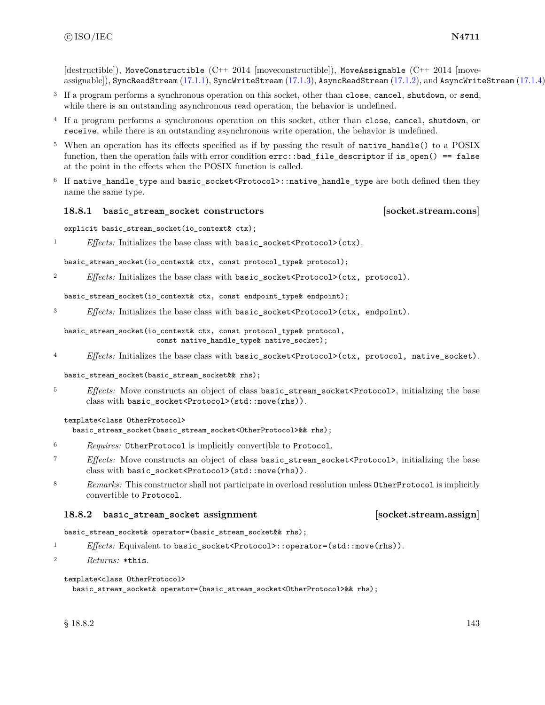$[{\rm destructible}]$ ), MoveConstructible  $(C^{++} 2014$  [moveconstructible]), MoveAssignable  $(C^{++} 2014$  [moveassignable]), SyncReadStream [\(17.1.1\)](#page-99-0), SyncWriteStream [\(17.1.3\)](#page-100-0), AsyncReadStream [\(17.1.2\)](#page-99-1), and AsyncWriteStream [\(17.1.4\)](#page-100-1).

- <sup>3</sup> If a program performs a synchronous operation on this socket, other than close, cancel, shutdown, or send, while there is an outstanding asynchronous read operation, the behavior is undefined.
- <sup>4</sup> If a program performs a synchronous operation on this socket, other than close, cancel, shutdown, or receive, while there is an outstanding asynchronous write operation, the behavior is undefined.
- <sup>5</sup> When an operation has its effects specified as if by passing the result of native\_handle() to a POSIX function, then the operation fails with error condition errc::bad\_file\_descriptor if is\_open() == false at the point in the effects when the POSIX function is called.
- <sup>6</sup> If native\_handle\_type and basic\_socket<Protocol>::native\_handle\_type are both defined then they name the same type.

## <span id="page-149-0"></span>**18.8.1 basic\_stream\_socket constructors [socket.stream.cons]**

explicit basic\_stream\_socket(io\_context& ctx);

<sup>1</sup> *Effects:* Initializes the base class with basic\_socket<Protocol>(ctx).

basic\_stream\_socket(io\_context& ctx, const protocol\_type& protocol);

<sup>2</sup> *Effects:* Initializes the base class with basic\_socket<Protocol>(ctx, protocol).

basic\_stream\_socket(io\_context& ctx, const endpoint\_type& endpoint);

<sup>3</sup> *Effects:* Initializes the base class with basic\_socket<Protocol>(ctx, endpoint).

# basic\_stream\_socket(io\_context& ctx, const protocol\_type& protocol, const native\_handle\_type& native\_socket);

<sup>4</sup> *Effects:* Initializes the base class with basic\_socket<Protocol>(ctx, protocol, native\_socket).

basic\_stream\_socket(basic\_stream\_socket&& rhs);

<sup>5</sup> *Effects:* Move constructs an object of class basic\_stream\_socket<Protocol>, initializing the base class with basic\_socket<Protocol>(std::move(rhs)).

## template<class OtherProtocol>

basic\_stream\_socket(basic\_stream\_socket<OtherProtocol>&& rhs);

- <sup>6</sup> *Requires:* OtherProtocol is implicitly convertible to Protocol.
- <sup>7</sup> *Effects:* Move constructs an object of class basic\_stream\_socket<Protocol>, initializing the base class with basic\_socket<Protocol>(std::move(rhs)).
- 8 *Remarks:* This constructor shall not participate in overload resolution unless OtherProtocol is implicitly convertible to Protocol.

# **18.8.2 basic\_stream\_socket assignment [socket.stream.assign]**

## basic\_stream\_socket& operator=(basic\_stream\_socket&& rhs);

- 1 *Effects:* Equivalent to basic\_socket<Protocol>::operator=(std::move(rhs)).
- <sup>2</sup> *Returns:* \*this.

## template<class OtherProtocol>

basic\_stream\_socket& operator=(basic\_stream\_socket<OtherProtocol>&& rhs);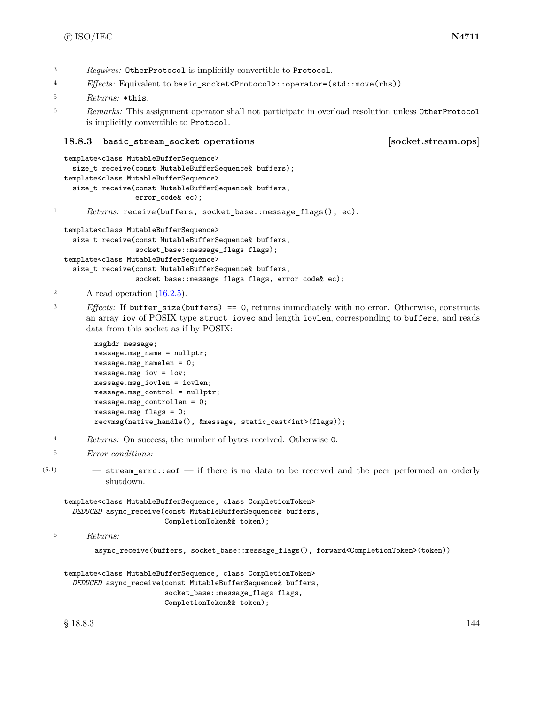<sup>3</sup> *Requires:* OtherProtocol is implicitly convertible to Protocol.

- <sup>4</sup> *Effects:* Equivalent to basic\_socket<Protocol>::operator=(std::move(rhs)).
- <sup>5</sup> *Returns:* \*this.
- <sup>6</sup> *Remarks:* This assignment operator shall not participate in overload resolution unless OtherProtocol is implicitly convertible to Protocol.

# <span id="page-150-0"></span>**18.8.3 basic\_stream\_socket operations [socket.stream.ops]**

```
template<class MutableBufferSequence>
    size_t receive(const MutableBufferSequence& buffers);
  template<class MutableBufferSequence>
    size t receive(const MutableBufferSequence& buffers,
                   error_code& ec);
1 Returns: receive(buffers, socket_base::message_flags(), ec).
  template<class MutableBufferSequence>
    size_t receive(const MutableBufferSequence& buffers,
                   socket_base::message_flags flags);
```

```
template<class MutableBufferSequence>
  size_t receive(const MutableBufferSequence& buffers,
                 socket_base::message_flags flags, error_code& ec);
```

```
2 A read operation (16.2.5).
```
<sup>3</sup> *Effects:* If buffer\_size(buffers) == 0, returns immediately with no error. Otherwise, constructs an array iov of POSIX type struct iovec and length iovlen, corresponding to buffers, and reads data from this socket as if by POSIX:

```
msghdr message;
message.msg_name = nullptr;
message.msg_namelen = 0;
message.msg_iov = iov;
message.msg_iovlen = iovlen;
message.msg_control = nullptr;
message.msg_controllen = 0;
message.msg_flags = 0;
recvmsg(native_handle(), &message, static_cast<int>(flags));
```
<sup>4</sup> *Returns:* On success, the number of bytes received. Otherwise 0.

```
5 Error conditions:
```
 $(5.1)$   $-$  stream errc::eof  $-$  if there is no data to be received and the peer performed an orderly shutdown.

```
template<class MutableBufferSequence, class CompletionToken>
  DEDUCED async_receive(const MutableBufferSequence& buffers,
                        CompletionToken&& token);
```

```
6 Returns:
```
async\_receive(buffers, socket\_base::message\_flags(), forward<CompletionToken>(token))

```
template<class MutableBufferSequence, class CompletionToken>
  DEDUCED async_receive(const MutableBufferSequence& buffers,
                        socket_base::message_flags flags,
                        CompletionToken&& token);
```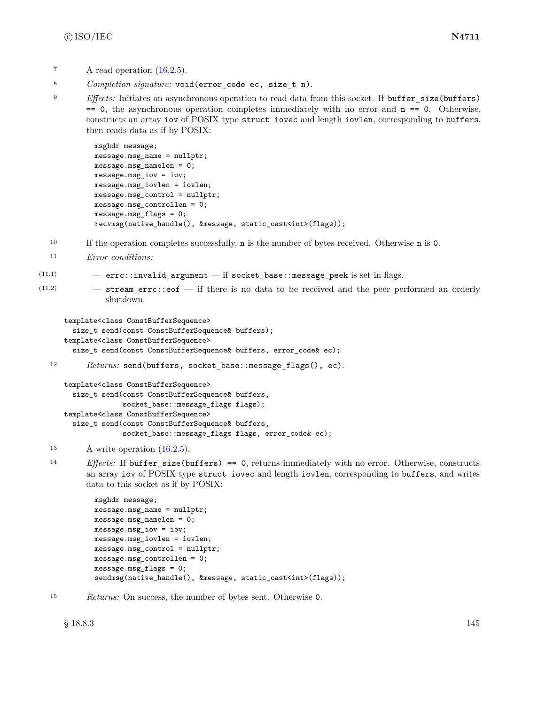- $\lambda$  read operation  $(16.2.5)$ .
- <sup>8</sup> *Completion signature:* void(error\_code ec, size\_t n).
- <sup>9</sup> *Effects:* Initiates an asynchronous operation to read data from this socket. If buffer\_size(buffers)  $== 0$ , the asynchronous operation completes immediately with no error and  $n == 0$ . Otherwise, constructs an array iov of POSIX type struct iovec and length iovlen, corresponding to buffers, then reads data as if by POSIX:

```
msghdr message;
message.msg_name = nullptr;
message.msg_namelen = 0;
message.msg_iov = iov;
message.msg_iovlen = iovlen;
message.msg_control = nullptr;
message.msg_controllen = 0;
message.msg_flags = 0;
recvmsg(native_handle(), &message, static_cast<int>(flags));
```
- <sup>10</sup> If the operation completes successfully, n is the number of bytes received. Otherwise n is 0.
- <sup>11</sup> *Error conditions:*
- (11.1) errc::invalid\_argument if socket\_base::message\_peek is set in flags.
- $(11.2)$  stream\_errc::eof if there is no data to be received and the peer performed an orderly shutdown.

```
template<class ConstBufferSequence>
  size_t send(const ConstBufferSequence& buffers);
template<class ConstBufferSequence>
  size_t send(const ConstBufferSequence& buffers, error_code& ec);
```

```
12 Returns: send(buffers, socket_base::message_flags(), ec).
```

```
template<class ConstBufferSequence>
  size_t send(const ConstBufferSequence& buffers,
              socket_base::message_flags flags);
template<class ConstBufferSequence>
  size_t send(const ConstBufferSequence& buffers,
              socket_base::message_flags flags, error_code& ec);
```
- <sup>13</sup> A write operation [\(16.2.5\)](#page-88-0).
- <sup>14</sup> *Effects:* If buffer\_size(buffers) == 0, returns immediately with no error. Otherwise, constructs an array iov of POSIX type struct iovec and length iovlen, corresponding to buffers, and writes data to this socket as if by POSIX:

```
msghdr message;
message.msg_name = nullptr;
message.msg_namelen = 0;
message.msg_iov = iov;
message.msg_iovlen = iovlen;
message.msg_control = nullptr;
message.msg_controllen = 0;
message.msg_flags = 0;
sendmsg(native_handle(), &message, static_cast<int>(flags));
```
<sup>15</sup> *Returns:* On success, the number of bytes sent. Otherwise 0.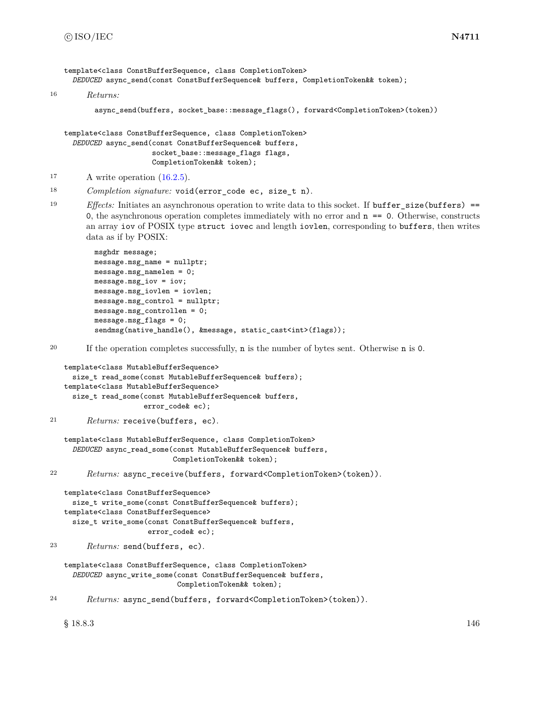```
template<class ConstBufferSequence, class CompletionToken>
     DEDUCED async_send(const ConstBufferSequence& buffers, CompletionToken&& token);
16 Returns:
          async_send(buffers, socket_base::message_flags(), forward<CompletionToken>(token))
   template<class ConstBufferSequence, class CompletionToken>
     DEDUCED async_send(const ConstBufferSequence& buffers,
                        socket_base::message_flags flags,
                        CompletionToken&& token);
<sup>17</sup> A write operation (16.2.5).
18 Completion signature: void(error_code ec, size_t n).
19 Effects: Initiates an asynchronous operation to write data to this socket. If buffer_size(buffers) ==
        0, the asynchronous operation completes immediately with no error and n = 0. Otherwise, constructs
        an array iov of POSIX type struct iovec and length iovlen, corresponding to buffers, then writes
        data as if by POSIX:
          msghdr message;
          message.msg_name = nullptr;
          message.msg_namelen = 0;
          message.msg_iov = iov;
          message.msg_iovlen = iovlen;
          message.msg_control = nullptr;
          message.msg_controllen = 0;
          message.msg_flags = 0;
          sendmsg(native_handle(), &message, static_cast<int>(flags));
20 If the operation completes successfully, n is the number of bytes sent. Otherwise n is 0.
   template<class MutableBufferSequence>
     size_t read_some(const MutableBufferSequence& buffers);
   template<class MutableBufferSequence>
     size_t read_some(const MutableBufferSequence& buffers,
                      error_code& ec);
21 Returns: receive(buffers, ec).
   template<class MutableBufferSequence, class CompletionToken>
     DEDUCED async_read_some(const MutableBufferSequence& buffers,
                             CompletionToken&& token);
22 Returns: async_receive(buffers, forward<CompletionToken>(token)).
   template<class ConstBufferSequence>
     size_t write_some(const ConstBufferSequence& buffers);
   template<class ConstBufferSequence>
     size t write some(const ConstBufferSequence& buffers,
                       error_code& ec);
23 Returns: send(buffers, ec).
   template<class ConstBufferSequence, class CompletionToken>
     DEDUCED async_write_some(const ConstBufferSequence& buffers,
                              CompletionToken&& token);
```
<sup>24</sup> *Returns:* async\_send(buffers, forward<CompletionToken>(token)).

 $§$  18.8.3 146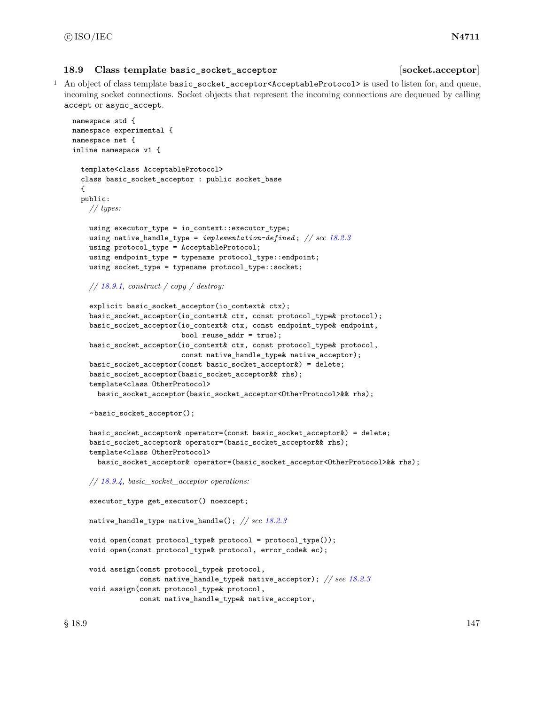### **18.9 Class template basic\_socket\_acceptor [socket.acceptor]**

<sup>1</sup> An object of class template basic\_socket\_acceptor<AcceptableProtocol> is used to listen for, and queue, incoming socket connections. Socket objects that represent the incoming connections are dequeued by calling accept or async\_accept.

```
namespace std {
namespace experimental {
namespace net {
inline namespace v1 {
  template<class AcceptableProtocol>
  class basic_socket_acceptor : public socket_base
  {
  public:
   // types:
    using executor_type = io_context::executor_type;
    using native_handle_type = implementation-defined ; // see 18.2.3
    using protocol_type = AcceptableProtocol;
    using endpoint_type = typename protocol_type::endpoint;
    using socket_type = typename protocol_type::socket;
    // 18.9.1, construct / copy / destroy:
    explicit basic_socket_acceptor(io_context& ctx);
    basic_socket_acceptor(io_context& ctx, const protocol_type& protocol);
    basic_socket_acceptor(io_context& ctx, const endpoint_type& endpoint,
                          bool reuse_addr = true);
    basic_socket_acceptor(io_context& ctx, const protocol_type& protocol,
                          const native_handle_type& native_acceptor);
    basic_socket_acceptor(const basic_socket_acceptor&) = delete;
    basic_socket_acceptor(basic_socket_acceptor&& rhs);
    template<class OtherProtocol>
      basic_socket_acceptor(basic_socket_acceptor<OtherProtocol>&& rhs);
    ~basic_socket_acceptor();
    basic_socket_acceptor& operator=(const basic_socket_acceptor&) = delete;
    basic_socket_acceptor& operator=(basic_socket_acceptor&& rhs);
    template<class OtherProtocol>
      basic_socket_acceptor& operator=(basic_socket_acceptor<OtherProtocol>&& rhs);
    // 18.9.4, basic_socket_acceptor operations:
    executor_type get_executor() noexcept;
    native_handle_type native_handle(); // see 18.2.3
    void open(const protocol_type& protocol = protocol_type());
    void open(const protocol_type& protocol, error_code& ec);
    void assign(const protocol_type& protocol,
                const native_handle_type& native_acceptor); // see 18.2.3
    void assign(const protocol_type& protocol,
                const native_handle_type& native_acceptor,
```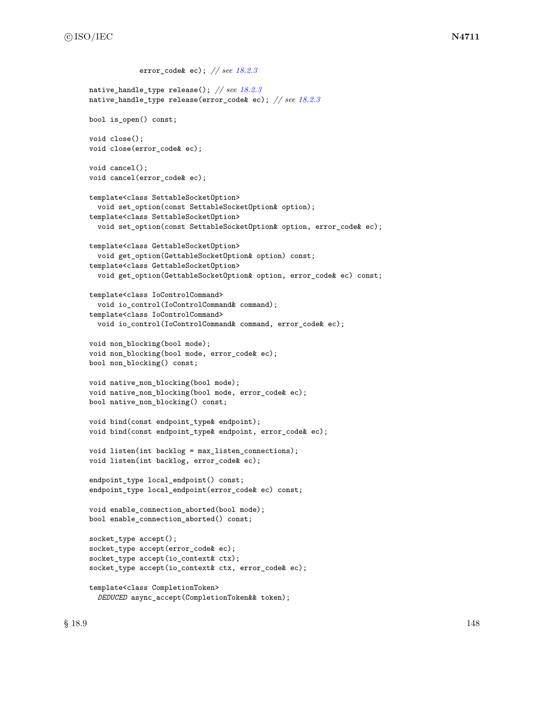```
error_code& ec); // see 18.2.3
native_handle_type release(); // see 18.2.3
native_handle_type release(error_code& ec); // see 18.2.3
bool is_open() const;
void close();
void close(error_code& ec);
void cancel();
void cancel(error_code& ec);
template<class SettableSocketOption>
  void set_option(const SettableSocketOption& option);
template<class SettableSocketOption>
 void set_option(const SettableSocketOption& option, error_code& ec);
template<class GettableSocketOption>
  void get_option(GettableSocketOption& option) const;
template<class GettableSocketOption>
 void get_option(GettableSocketOption& option, error_code& ec) const;
template<class IoControlCommand>
  void io_control(IoControlCommand& command);
template<class IoControlCommand>
  void io_control(IoControlCommand& command, error_code& ec);
void non_blocking(bool mode);
void non_blocking(bool mode, error_code& ec);
bool non_blocking() const;
void native_non_blocking(bool mode);
void native_non_blocking(bool mode, error_code& ec);
bool native_non_blocking() const;
void bind(const endpoint_type& endpoint);
void bind(const endpoint_type& endpoint, error_code& ec);
void listen(int backlog = max_listen_connections);
void listen(int backlog, error_code& ec);
endpoint_type local_endpoint() const;
endpoint_type local_endpoint(error_code& ec) const;
void enable_connection_aborted(bool mode);
bool enable_connection_aborted() const;
socket_type accept();
socket_type accept(error_code& ec);
socket_type accept(io_context& ctx);
socket_type accept(io_context& ctx, error_code& ec);
template<class CompletionToken>
```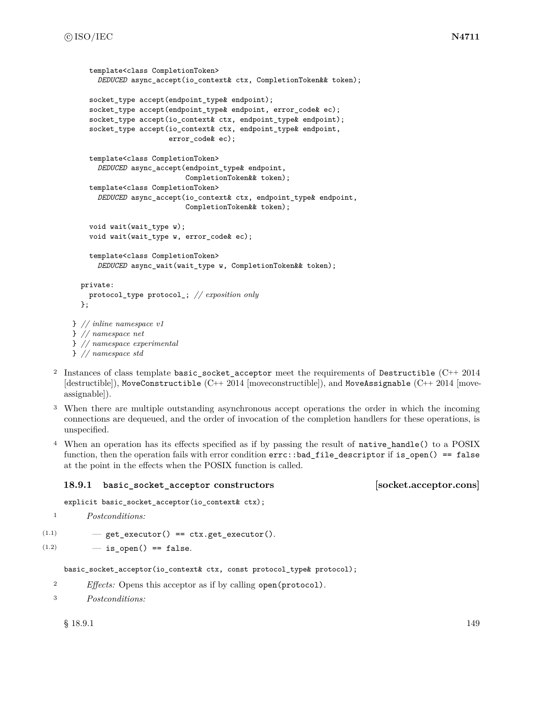```
template<class CompletionToken>
      DEDUCED async_accept(io_context& ctx, CompletionToken&& token);
    socket_type accept(endpoint_type& endpoint);
    socket_type accept(endpoint_type& endpoint, error_code& ec);
    socket_type accept(io_context& ctx, endpoint_type& endpoint);
    socket_type accept(io_context& ctx, endpoint_type& endpoint,
                       error_code& ec);
    template<class CompletionToken>
      DEDUCED async_accept(endpoint_type& endpoint,
                           CompletionToken&& token);
    template<class CompletionToken>
      DEDUCED async_accept(io_context& ctx, endpoint_type& endpoint,
                           CompletionToken&& token);
    void wait(wait_type w);
    void wait(wait_type w, error_code& ec);
    template<class CompletionToken>
      DEDUCED async_wait(wait_type w, CompletionToken&& token);
  private:
    protocol_type protocol_; // exposition only
  };
} // inline namespace v1
} // namespace net
} // namespace experimental
} // namespace std
```
- <sup>2</sup> Instances of class template basic\_socket\_acceptor meet the requirements of Destructible (C++ 2014 [destructible]), MoveConstructible (C++ 2014 [moveconstructible]), and MoveAssignable (C++ 2014 [moveassignable]).
- <sup>3</sup> When there are multiple outstanding asynchronous accept operations the order in which the incoming connections are dequeued, and the order of invocation of the completion handlers for these operations, is unspecified.
- <sup>4</sup> When an operation has its effects specified as if by passing the result of native\_handle() to a POSIX function, then the operation fails with error condition errc::bad\_file\_descriptor if is\_open() == false at the point in the effects when the POSIX function is called.

# <span id="page-155-0"></span>**18.9.1 basic\_socket\_acceptor constructors [socket.acceptor.cons]**

explicit basic\_socket\_acceptor(io\_context& ctx);

```
1 Postconditions:
```
- $(1.1)$   $-$  get\_executor() == ctx.get\_executor().
- $(1.2)$   $-$  is\_open() == false.

basic\_socket\_acceptor(io\_context& ctx, const protocol\_type& protocol);

- <sup>2</sup> *Effects:* Opens this acceptor as if by calling open(protocol).
- <sup>3</sup> *Postconditions:*

 $\S$  18.9.1 149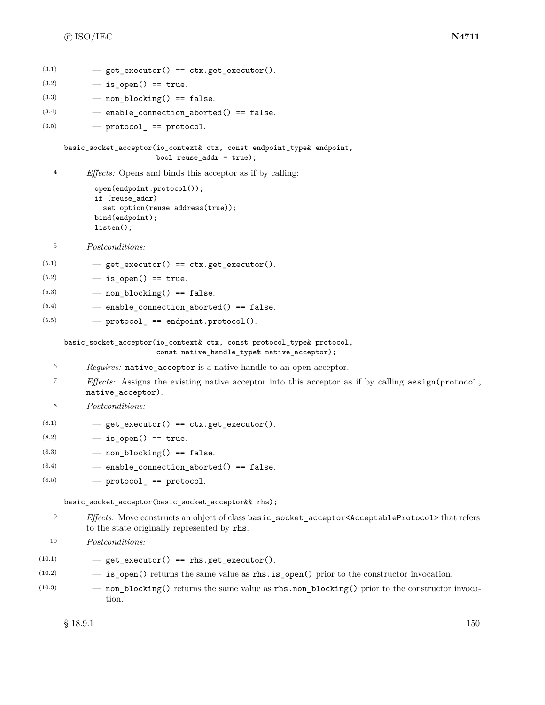```
(3.1) – get executor() == ctx.get executor().
```

```
(3.2) - is open() == true.
```

```
(3.3) — non_blocking() == false.
```

```
(3.4) – enable_connection_aborted() == false.
```

```
(3.5) \qquad \qquad protocol_ == protocol.
```
basic\_socket\_acceptor(io\_context& ctx, const endpoint\_type& endpoint, bool reuse\_addr = true);

<sup>4</sup> *Effects:* Opens and binds this acceptor as if by calling:

```
open(endpoint.protocol());
if (reuse_addr)
  set_option(reuse_address(true));
bind(endpoint);
listen();
```

```
5 Postconditions:
```
 $(5.1)$   $-$  get\_executor() == ctx.get\_executor().

```
(5.2) - is_open() == true.
```

```
(5.3) — non_blocking() == false.
```
- $(5.4)$  enable\_connection\_aborted() == false.
- $(5.5)$  protocol == endpoint.protocol().

basic\_socket\_acceptor(io\_context& ctx, const protocol\_type& protocol,

const native\_handle\_type& native\_acceptor);

- <sup>6</sup> *Requires:* native\_acceptor is a native handle to an open acceptor.
- <sup>7</sup> *Effects:* Assigns the existing native acceptor into this acceptor as if by calling assign(protocol, native\_acceptor).

```
8 Postconditions:
```
- $(8.1)$   $-$  get\_executor() == ctx.get\_executor().
- $(8.2)$   $-$  is open() == true.
- $(8.3)$  non blocking() == false.
- $(8.4)$  enable connection aborted() == false.

```
(8.5) - protocol<sub>_</sub> == protocol.
```
## basic\_socket\_acceptor(basic\_socket\_acceptor&& rhs);

- <sup>9</sup> *Effects:* Move constructs an object of class basic\_socket\_acceptor<AcceptableProtocol> that refers to the state originally represented by rhs.
- <sup>10</sup> *Postconditions:*

```
(10.1) - get_executor() == rhs.get_executor().
```
- $(10.2)$   $-$  **is\_open()** returns the same value as **rhs.is\_open()** prior to the constructor invocation.
- (10.3) non\_blocking() returns the same value as rhs.non\_blocking() prior to the constructor invocation.

 $\S$  18.9.1 150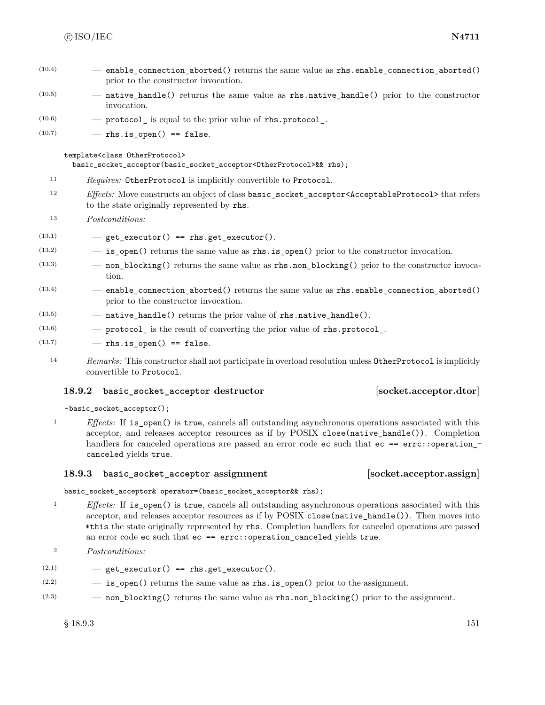- $(10.4)$  enable connection aborted() returns the same value as rhs.enable connection aborted() prior to the constructor invocation.
- (10.5) native\_handle() returns the same value as rhs.native\_handle() prior to the constructor invocation.
- $(10.6)$   $-$  protocol is equal to the prior value of rhs.protocol.
- $(10.7)$  rhs.is open() == false.

#### template<class OtherProtocol>

basic\_socket\_acceptor(basic\_socket\_acceptor<OtherProtocol>&& rhs);

- <sup>11</sup> *Requires:* OtherProtocol is implicitly convertible to Protocol.
- <sup>12</sup> *Effects:* Move constructs an object of class basic\_socket\_acceptor<AcceptableProtocol> that refers to the state originally represented by rhs.
- <sup>13</sup> *Postconditions:*
- $(13.1)$   $-$  get\_executor() == rhs.get\_executor().
- $(13.2)$  is open() returns the same value as rhs. is open() prior to the constructor invocation.
- (13.3) non\_blocking() returns the same value as rhs.non\_blocking() prior to the constructor invocation.
- $(13.4)$  enable\_connection\_aborted() returns the same value as rhs.enable\_connection\_aborted() prior to the constructor invocation.
- (13.5) native\_handle() returns the prior value of rhs.native\_handle().
- $(13.6)$  protocol is the result of converting the prior value of rhs.protocol.
- $(13.7)$  rhs.is\_open() == false.
	- <sup>14</sup> *Remarks:* This constructor shall not participate in overload resolution unless OtherProtocol is implicitly convertible to Protocol.

# **18.9.2 basic\_socket\_acceptor destructor [socket.acceptor.dtor]**

~basic\_socket\_acceptor();

<sup>1</sup> *Effects:* If is open() is true, cancels all outstanding asynchronous operations associated with this acceptor, and releases acceptor resources as if by POSIX close(native\_handle()). Completion handlers for canceled operations are passed an error code ec such that ec == errc::operation\_canceled yields true.

## **18.9.3 basic\_socket\_acceptor assignment [socket.acceptor.assign]**

basic\_socket\_acceptor& operator=(basic\_socket\_acceptor&& rhs);

- <sup>1</sup> *Effects:* If is open() is true, cancels all outstanding asynchronous operations associated with this acceptor, and releases acceptor resources as if by POSIX close(native\_handle()). Then moves into \*this the state originally represented by rhs. Completion handlers for canceled operations are passed an error code ec such that ec == errc::operation\_canceled yields true.
- <sup>2</sup> *Postconditions:*
- $(2.1)$   $-$  get\_executor() == rhs.get\_executor().
- $(2.2)$   $-$  is open() returns the same value as rhs.is open() prior to the assignment.
- (2.3) non\_blocking() returns the same value as rhs.non\_blocking() prior to the assignment.

 $§$  18.9.3 151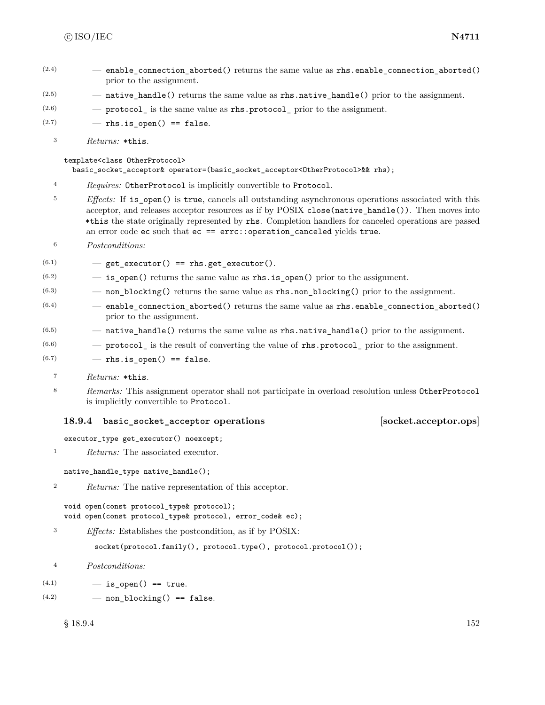- $(2.4)$  enable connection aborted() returns the same value as rhs.enable connection aborted() prior to the assignment.
- $(2.5)$  native\_handle() returns the same value as rhs.native\_handle() prior to the assignment.
- $(2.6)$  protocol\_ is the same value as rhs.protocol\_ prior to the assignment.
- $(2.7)$  rhs.is open() == false.
	- <sup>3</sup> *Returns:* \*this.

### template<class OtherProtocol>

basic\_socket\_acceptor& operator=(basic\_socket\_acceptor<OtherProtocol>&& rhs);

- <sup>4</sup> *Requires:* OtherProtocol is implicitly convertible to Protocol.
- <sup>5</sup> *Effects:* If is open() is true, cancels all outstanding asynchronous operations associated with this acceptor, and releases acceptor resources as if by POSIX close(native\_handle()). Then moves into \*this the state originally represented by rhs. Completion handlers for canceled operations are passed an error code ec such that ec == errc::operation\_canceled yields true.
- <sup>6</sup> *Postconditions:*
- $(6.1)$   $-$  get\_executor() == rhs.get\_executor().
- $(6.2)$   $-$  is open() returns the same value as rhs.is open() prior to the assignment.
- $(6.3)$  non\_blocking() returns the same value as rhs.non\_blocking() prior to the assignment.
- $(6.4)$  enable\_connection\_aborted() returns the same value as rhs.enable\_connection\_aborted() prior to the assignment.
- $(6.5)$   $-$  native\_handle() returns the same value as rhs.native\_handle() prior to the assignment.
- $(6.6)$  protocol is the result of converting the value of rhs.protocol prior to the assignment.

 $(6.7)$  – rhs.is open() == false.

- <sup>7</sup> *Returns:* \*this.
- <sup>8</sup> *Remarks:* This assignment operator shall not participate in overload resolution unless OtherProtocol is implicitly convertible to Protocol.

# <span id="page-158-0"></span>**18.9.4 basic\_socket\_acceptor operations [socket.acceptor.ops]**

executor\_type get\_executor() noexcept;

<sup>1</sup> *Returns:* The associated executor.

```
native_handle_type native_handle();
```
<sup>2</sup> *Returns:* The native representation of this acceptor.

```
void open(const protocol_type& protocol);
void open(const protocol_type& protocol, error_code& ec);
```
<sup>3</sup> *Effects:* Establishes the postcondition, as if by POSIX:

socket(protocol.family(), protocol.type(), protocol.protocol());

- <sup>4</sup> *Postconditions:*
- $(4.1)$   $-$  is open() == true.
- $(4.2)$  non\_blocking() == false.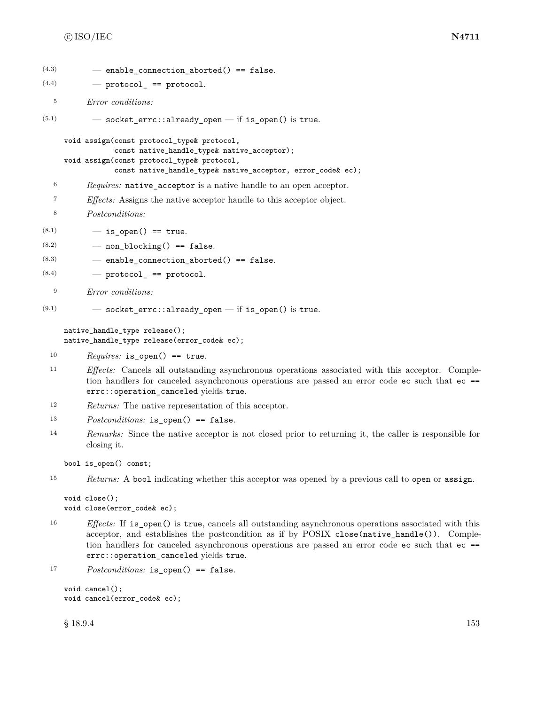```
(4.3) - enable connection aborted() == false.
(4.4) – protocol == protocol.
  5 Error conditions:
(5.1) — socket_errc::already_open — if is_open() is true.
    void assign(const protocol_type& protocol,
                const native_handle_type& native_acceptor);
    void assign(const protocol_type& protocol,
               const native_handle_type& native_acceptor, error_code& ec);
  6 Requires: native_acceptor is a native handle to an open acceptor.
  7 Effects: Assigns the native acceptor handle to this acceptor object.
  8 Postconditions:
(8.1) - is open() == true.
(8.2) — non_blocking() == false.
(8.3) - enable_connection_aborted() == false.
(8.4) – protocol_ == protocol.
  9 Error conditions:
(9.1) – socket errc::already open – if is open() is true.
    native_handle_type release();
    native_handle_type release(error_code& ec);
 10 Requires: is_open() == true.
 11 Effects: Cancels all outstanding asynchronous operations associated with this acceptor. Comple-
         tion handlers for canceled asynchronous operations are passed an error code ec such that ec ==
         errc::operation_canceled yields true.
 12 Returns: The native representation of this acceptor.
```
- <sup>13</sup> *Postconditions:* is\_open() == false.
- <sup>14</sup> *Remarks:* Since the native acceptor is not closed prior to returning it, the caller is responsible for closing it.

bool is\_open() const;

```
15 Returns: A bool indicating whether this acceptor was opened by a previous call to open or assign.
```

```
void close();
void close(error_code& ec);
```
<sup>16</sup> *Effects:* If is\_open() is true, cancels all outstanding asynchronous operations associated with this acceptor, and establishes the postcondition as if by POSIX close(native\_handle()). Completion handlers for canceled asynchronous operations are passed an error code ec such that ec == errc::operation\_canceled yields true.

```
17 Postconditions: is_open() == false.
```

```
void cancel();
void cancel(error_code& ec);
```
 $\S 18.9.4$  153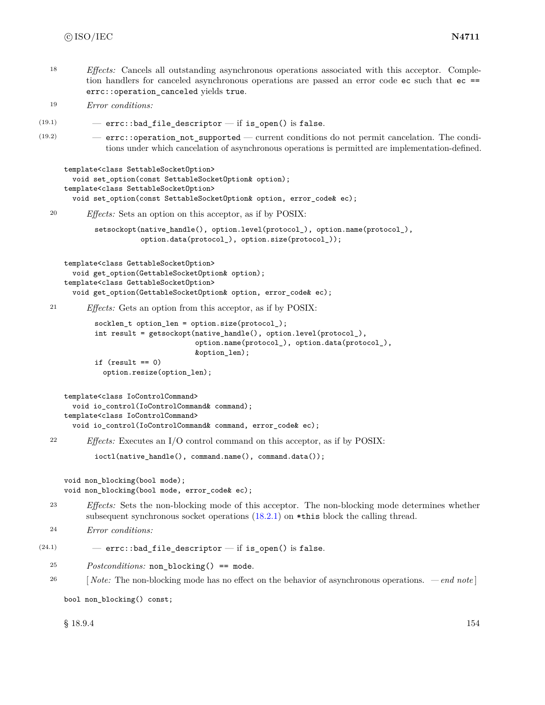<sup>18</sup> *Effects:* Cancels all outstanding asynchronous operations associated with this acceptor. Completion handlers for canceled asynchronous operations are passed an error code ec such that ec == errc::operation\_canceled yields true.

```
19 Error conditions:
```

```
(19.1) - errc::bad_file_descriptor -- if is_open() is false.
```
(19.2) — errc::operation\_not\_supported — current conditions do not permit cancelation. The conditions under which cancelation of asynchronous operations is permitted are implementation-defined.

```
template<class SettableSocketOption>
  void set_option(const SettableSocketOption& option);
template<class SettableSocketOption>
  void set_option(const SettableSocketOption& option, error_code& ec);
```
<sup>20</sup> *Effects:* Sets an option on this acceptor, as if by POSIX:

```
setsockopt(native_handle(), option.level(protocol_), option.name(protocol_),
           option.data(protocol_), option.size(protocol_));
```

```
template<class GettableSocketOption>
  void get_option(GettableSocketOption& option);
template<class GettableSocketOption>
  void get_option(GettableSocketOption& option, error_code& ec);
```

```
21 Effects: Gets an option from this acceptor, as if by POSIX:
```

```
socklen_t option_len = option.size(protocol_);
int result = getsockopt(native_handle(), option.level(protocol_),
                        option.name(protocol_), option.data(protocol_),
                        &option_len);
if (result == 0)
```

```
option.resize(option_len);
```

```
template<class IoControlCommand>
  void io_control(IoControlCommand& command);
template<class IoControlCommand>
  void io_control(IoControlCommand& command, error_code& ec);
```
<sup>22</sup> *Effects:* Executes an I/O control command on this acceptor, as if by POSIX:

```
ioctl(native_handle(), command.name(), command.data());
```

```
void non_blocking(bool mode);
void non_blocking(bool mode, error_code& ec);
```
<sup>23</sup> *Effects:* Sets the non-blocking mode of this acceptor. The non-blocking mode determines whether subsequent synchronous socket operations  $(18.2.1)$  on \*this block the calling thread.

```
24 Error conditions:
```

```
(24.1) – errc::bad_file_descriptor – if is_open() is false.
```
- <sup>25</sup> *Postconditions:* non\_blocking() == mode.
- <sup>26</sup> [ *Note:* The non-blocking mode has no effect on the behavior of asynchronous operations.  *end note* ]

bool non\_blocking() const;

 $\S 18.9.4$  154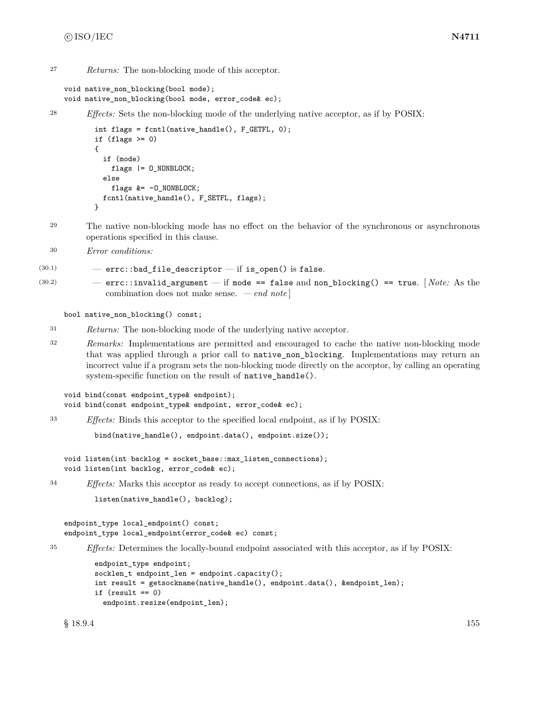<sup>27</sup> *Returns:* The non-blocking mode of this acceptor.

```
void native_non_blocking(bool mode);
void native_non_blocking(bool mode, error_code& ec);
```

```
28 Effects: Sets the non-blocking mode of the underlying native acceptor, as if by POSIX:
```

```
int flags = fcntl(native_handle(), F_GETFL, 0);
if (flags > = 0){
  if (mode)
    flags |= 0 NONBLOCK;
  else
    flags k = -0 NONBLOCK;
  fcntl(native_handle(), F_SETFL, flags);
}
```
- <sup>29</sup> The native non-blocking mode has no effect on the behavior of the synchronous or asynchronous operations specified in this clause.
- <sup>30</sup> *Error conditions:*

```
(30.1) – errc::bad_file_descriptor – if is_open() is false.
```
(30.2) — errc::invalid\_argument — if mode == false and non\_blocking() == true. [ *Note:* As the combination does not make sense. *— end note* ]

bool native\_non\_blocking() const;

- <sup>31</sup> *Returns:* The non-blocking mode of the underlying native acceptor.
- <sup>32</sup> *Remarks:* Implementations are permitted and encouraged to cache the native non-blocking mode that was applied through a prior call to native non blocking. Implementations may return an incorrect value if a program sets the non-blocking mode directly on the acceptor, by calling an operating system-specific function on the result of native\_handle().

```
void bind(const endpoint_type& endpoint);
void bind(const endpoint_type& endpoint, error_code& ec);
```
<sup>33</sup> *Effects:* Binds this acceptor to the specified local endpoint, as if by POSIX:

```
bind(native_handle(), endpoint.data(), endpoint.size());
```

```
void listen(int backlog = socket_base::max_listen_connections);
void listen(int backlog, error_code& ec);
```
<sup>34</sup> *Effects:* Marks this acceptor as ready to accept connections, as if by POSIX:

```
listen(native_handle(), backlog);
```

```
endpoint_type local_endpoint() const;
endpoint_type local_endpoint(error_code& ec) const;
```
<sup>35</sup> *Effects:* Determines the locally-bound endpoint associated with this acceptor, as if by POSIX:

```
endpoint_type endpoint;
socklen_t endpoint_len = endpoint.capacity();
int result = getsockname(native_handle(), endpoint.data(), &endpoint_len);
if (result == 0)
 endpoint.resize(endpoint_len);
```
 $\S 18.9.4$  155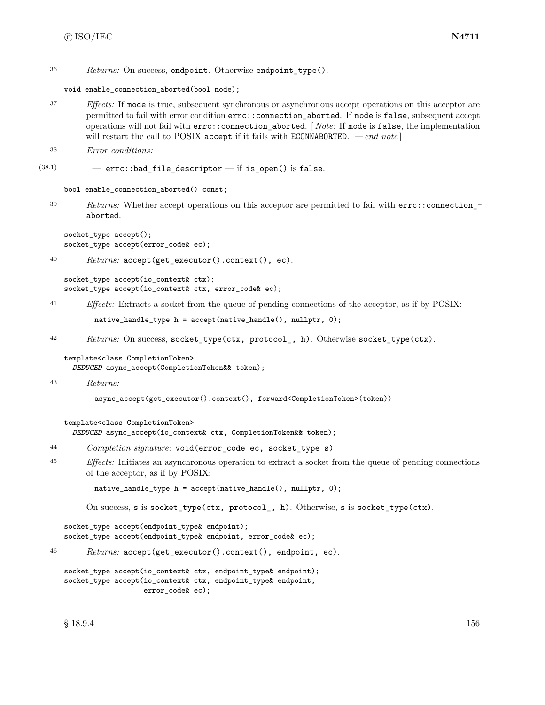```
36 Returns: On success, endpoint. Otherwise endpoint_type().
```
void enable\_connection\_aborted(bool mode);

<sup>37</sup> *Effects:* If mode is true, subsequent synchronous or asynchronous accept operations on this acceptor are permitted to fail with error condition errc::connection\_aborted. If mode is false, subsequent accept operations will not fail with errc::connection\_aborted. [ *Note:* If mode is false, the implementation will restart the call to POSIX accept if it fails with ECONNABORTED.  $\,-\,end\,note$ 

```
38 Error conditions:
```
 $(38.1)$  - errc::bad\_file\_descriptor - if is\_open() is false.

bool enable\_connection\_aborted() const;

<sup>39</sup> *Returns:* Whether accept operations on this acceptor are permitted to fail with errc::connection\_ aborted.

```
socket_type accept();
socket_type accept(error_code& ec);
```

```
40 Returns: accept(get_executor().context(), ec).
```

```
socket_type accept(io_context& ctx);
socket_type accept(io_context& ctx, error_code& ec);
```
<sup>41</sup> *Effects:* Extracts a socket from the queue of pending connections of the acceptor, as if by POSIX:

native\_handle\_type h = accept(native\_handle(), nullptr, 0);

<sup>42</sup> *Returns:* On success, socket\_type(ctx, protocol\_, h). Otherwise socket\_type(ctx).

template<class CompletionToken> *DEDUCED* async\_accept(CompletionToken&& token);

<sup>43</sup> *Returns:*

async\_accept(get\_executor().context(), forward<CompletionToken>(token))

```
template<class CompletionToken>
```
*DEDUCED* async\_accept(io\_context& ctx, CompletionToken&& token);

```
44 Completion signature: void(error_code ec, socket_type s).
```
<sup>45</sup> *Effects:* Initiates an asynchronous operation to extract a socket from the queue of pending connections of the acceptor, as if by POSIX:

native\_handle\_type h = accept(native\_handle(), nullptr, 0);

On success, s is socket\_type(ctx, protocol\_, h). Otherwise, s is socket\_type(ctx).

```
socket_type accept(endpoint_type& endpoint);
socket_type accept(endpoint_type& endpoint, error_code& ec);
```
<sup>46</sup> *Returns:* accept(get\_executor().context(), endpoint, ec).

```
socket_type accept(io_context& ctx, endpoint_type& endpoint);
socket_type accept(io_context& ctx, endpoint_type& endpoint,
                   error_code& ec);
```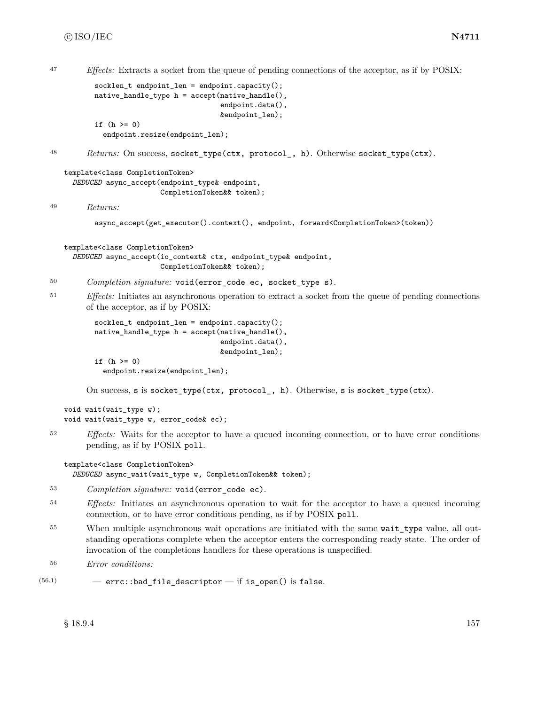<sup>47</sup> *Effects:* Extracts a socket from the queue of pending connections of the acceptor, as if by POSIX:

```
socklen_t endpoint_len = endpoint.capacity();
native_handle_type h = accept(native_handle(),
                              endpoint.data(),
                              &endpoint_len);
if (h \ge 0)
```
endpoint.resize(endpoint\_len);

```
48 Returns: On success, socket_type(ctx, protocol_, h). Otherwise socket_type(ctx).
```

```
template<class CompletionToken>
  DEDUCED async_accept(endpoint_type& endpoint,
                       CompletionToken&& token);
```
<sup>49</sup> *Returns:*

```
async_accept(get_executor().context(), endpoint, forward<CompletionToken>(token))
```

```
template<class CompletionToken>
  DEDUCED async_accept(io_context& ctx, endpoint_type& endpoint,
                       CompletionToken&& token);
```
- <sup>50</sup> *Completion signature:* void(error\_code ec, socket\_type s).
- <sup>51</sup> *Effects:* Initiates an asynchronous operation to extract a socket from the queue of pending connections of the acceptor, as if by POSIX:

```
socklen_t endpoint_len = endpoint.capacity();
native_handle_type h = accept(native_handle(),
                              endpoint.data(),
                              &endpoint_len);
if (h \ge 0)endpoint.resize(endpoint_len);
```
On success, s is socket\_type(ctx, protocol\_, h). Otherwise, s is socket\_type(ctx).

```
void wait(wait_type w);
void wait(wait_type w, error_code& ec);
```
<sup>52</sup> *Effects:* Waits for the acceptor to have a queued incoming connection, or to have error conditions pending, as if by POSIX poll.

```
template<class CompletionToken>
  DEDUCED async_wait(wait_type w, CompletionToken&& token);
```
- <sup>53</sup> *Completion signature:* void(error\_code ec).
- <sup>54</sup> *Effects:* Initiates an asynchronous operation to wait for the acceptor to have a queued incoming connection, or to have error conditions pending, as if by POSIX poll.
- <sup>55</sup> When multiple asynchronous wait operations are initiated with the same wait\_type value, all outstanding operations complete when the acceptor enters the corresponding ready state. The order of invocation of the completions handlers for these operations is unspecified.
- <sup>56</sup> *Error conditions:*
- $(56.1)$  errc::bad\_file\_descriptor if is\_open() is false.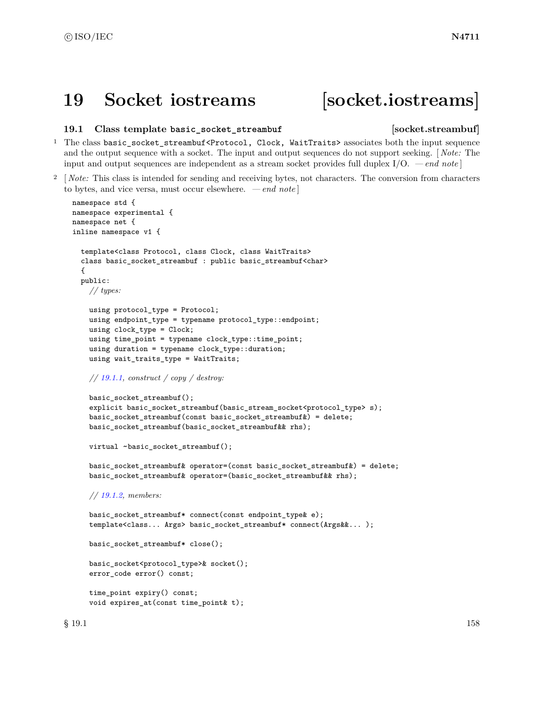# **19 Socket iostreams [socket.iostreams]**

# **19.1 Class template basic\_socket\_streambuf [socket.streambuf]**

- <sup>1</sup> The class basic\_socket\_streambuf<Protocol, Clock, WaitTraits> associates both the input sequence and the output sequence with a socket. The input and output sequences do not support seeking. [ *Note:* The input and output sequences are independent as a stream socket provides full duplex I/O. *— end note* ]
- <sup>2</sup> [ *Note:* This class is intended for sending and receiving bytes, not characters. The conversion from characters to bytes, and vice versa, must occur elsewhere. *— end note* ]

```
namespace std {
namespace experimental {
namespace net {
inline namespace v1 {
  template<class Protocol, class Clock, class WaitTraits>
  class basic_socket_streambuf : public basic_streambuf<char>
  {
  public:
    // types:
    using protocol_type = Protocol;
    using endpoint_type = typename protocol_type::endpoint;
    using clock_type = Clock;
    using time_point = typename clock_type::time_point;
    using duration = typename clock_type::duration;
    using wait_traits_type = WaitTraits;
    // 19.1.1, construct / copy / destroy:
    basic_socket_streambuf();
    explicit basic_socket_streambuf(basic_stream_socket<protocol_type> s);
    basic_socket_streambuf(const basic_socket_streambuf&) = delete;
    basic_socket_streambuf(basic_socket_streambuf&& rhs);
    virtual ~basic_socket_streambuf();
    basic_socket_streambuf& operator=(const basic_socket_streambuf&) = delete;
    basic_socket_streambuf& operator=(basic_socket_streambuf&& rhs);
    // 19.1.2, members:
    basic_socket_streambuf* connect(const endpoint_type& e);
    template<class... Args> basic_socket_streambuf* connect(Args&&... );
    basic_socket_streambuf* close();
    basic_socket<protocol_type>& socket();
    error_code error() const;
    time_point expiry() const;
    void expires_at(const time_point& t);
```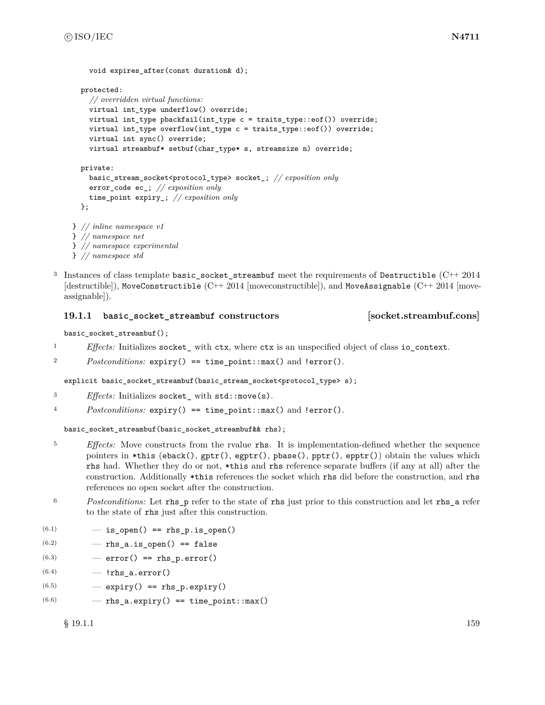```
protected:
    // overridden virtual functions:
    virtual int_type underflow() override;
    virtual int_type pbackfail(int_type c = traits_type::eof()) override;
    virtual int_type overflow(int_type c = \text{trails_type::eeof}()) override;
    virtual int sync() override;
    virtual streambuf* setbuf(char_type* s, streamsize n) override;
  private:
    basic_stream_socket<protocol_type> socket_; // exposition only
    error_code ec_; // exposition only
    time_point expiry_; // exposition only
  };
} // inline namespace v1
} // namespace net
} // namespace experimental
} // namespace std
```
<sup>3</sup> Instances of class template basic\_socket\_streambuf meet the requirements of Destructible (C++ 2014  $[{\rm destructible}]$ ), MoveConstructible  $(C^{++} 2014$  [moveconstructible]), and MoveAssignable  $(C^{++} 2014$  [moveassignable]).

# <span id="page-165-0"></span>**19.1.1 basic\_socket\_streambuf constructors [socket.streambuf.cons]**

void expires after(const duration& d);

```
basic_socket_streambuf();
```
- <sup>1</sup> *Effects:* Initializes socket\_ with ctx, where ctx is an unspecified object of class io\_context.
- <sup>2</sup> *Postconditions:* expiry() == time\_point::max() and !error().

explicit basic\_socket\_streambuf(basic\_stream\_socket<protocol\_type> s);

- <sup>3</sup> *Effects:* Initializes socket\_ with std::move(s).
- <sup>4</sup> *Postconditions:* expiry() == time\_point::max() and !error().

basic\_socket\_streambuf(basic\_socket\_streambuf&& rhs);

- <sup>5</sup> *Effects:* Move constructs from the rvalue rhs. It is implementation-defined whether the sequence pointers in \*this (eback(),  $gptr()$ , egptr(), pbase(), pptr(), epptr()) obtain the values which rhs had. Whether they do or not, \*this and rhs reference separate buffers (if any at all) after the construction. Additionally \*this references the socket which rhs did before the construction, and rhs references no open socket after the construction.
- <sup>6</sup> *Postconditions:* Let rhs\_p refer to the state of rhs just prior to this construction and let rhs\_a refer to the state of rhs just after this construction.
- $(6.1)$   $-$  is\_open() == rhs\_p.is\_open()
- $(6.2)$   $-$  rhs\_a.is\_open() == false
- $(6.3)$   $-$  error() == rhs\_p.error()
- $(6.4)$   $\lfloor$ rhs\_a.error()
- $(6.5)$   $-$  expiry() == rhs\_p.expiry()
- $(6.6)$   $-$  rhs\_a.expiry() == time\_point::max()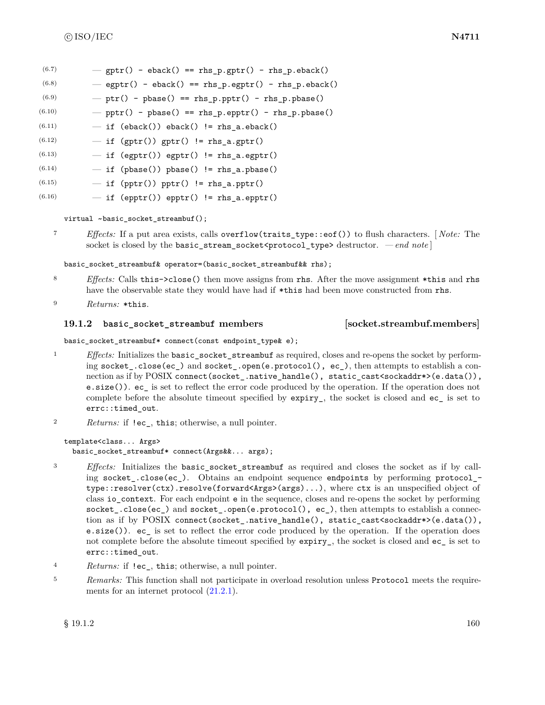| (6.7) |  |  |  | $-$ gptr() - eback() == rhs_p.gptr() - rhs_p.eback() |
|-------|--|--|--|------------------------------------------------------|
|-------|--|--|--|------------------------------------------------------|

- $(6.8)$   $-$  egptr() eback() == rhs\_p.egptr() rhs\_p.eback()
- $(6.9)$  ptr() pbase() == rhs\_p.pptr() rhs\_p.pbase()
- $(6.10)$  pptr() pbase() == rhs\_p.epptr() rhs\_p.pbase()
- $(6.11)$   $-$  if (eback()) eback() != rhs\_a.eback()
- $(6.12)$   $-$  if (gptr()) gptr() != rhs\_a.gptr()
- $(6.13)$   $-$  if (egptr()) egptr() != rhs\_a.egptr()
- $(6.14)$   $-$  if (pbase()) pbase() != rhs\_a.pbase()
- $(6.15)$   $-$  if (pptr()) pptr() != rhs\_a.pptr()
- $(6.16)$   $-$  if (epptr()) epptr() != rhs\_a.epptr()

virtual ~basic\_socket\_streambuf();

<sup>7</sup> *Effects:* If a put area exists, calls overflow(traits\_type::eof()) to flush characters. [ *Note:* The socket is closed by the basic\_stream\_socket<protocol\_type> destructor. *- end note* ]

basic\_socket\_streambuf& operator=(basic\_socket\_streambuf&& rhs);

- <sup>8</sup> *Effects:* Calls this->close() then move assigns from rhs. After the move assignment \*this and rhs have the observable state they would have had if  $*$ this had been move constructed from rhs.
- <sup>9</sup> *Returns:* \*this.

# <span id="page-166-0"></span>**19.1.2 basic\_socket\_streambuf members [socket.streambuf.members]**

basic\_socket\_streambuf\* connect(const endpoint\_type& e);

- <sup>1</sup> *Effects:* Initializes the basic\_socket\_streambuf as required, closes and re-opens the socket by performing socket\_.close(ec\_) and socket\_.open(e.protocol(), ec\_), then attempts to establish a connection as if by POSIX connect(socket\_.native\_handle(), static\_cast<sockaddr\*>(e.data()), e.size()). ec\_ is set to reflect the error code produced by the operation. If the operation does not complete before the absolute timeout specified by expiry\_, the socket is closed and ec\_ is set to errc::timed\_out.
- <sup>2</sup> *Returns:* if !ec\_, this; otherwise, a null pointer.

template<class... Args> basic\_socket\_streambuf\* connect(Args&&... args);

- <sup>3</sup> *Effects:* Initializes the basic\_socket\_streambuf as required and closes the socket as if by calling socket\_.close(ec\_). Obtains an endpoint sequence endpoints by performing protocol\_ type::resolver(ctx).resolve(forward<Args>(args)...), where ctx is an unspecified object of class io\_context. For each endpoint e in the sequence, closes and re-opens the socket by performing socket\_.close(ec\_) and socket\_.open(e.protocol(), ec\_), then attempts to establish a connection as if by POSIX connect(socket\_.native\_handle(), static\_cast<sockaddr\*>(e.data()), e.size()). ec\_ is set to reflect the error code produced by the operation. If the operation does not complete before the absolute timeout specified by  $\exp\{i\mathbf{r}_1\}$ , the socket is closed and  $\mathbf{e}_\mathbf{C}$  is set to errc::timed\_out.
- <sup>4</sup> *Returns:* if !ec\_, this; otherwise, a null pointer.
- <sup>5</sup> *Remarks:* This function shall not participate in overload resolution unless Protocol meets the requirements for an internet protocol [\(21.2.1\)](#page-178-0).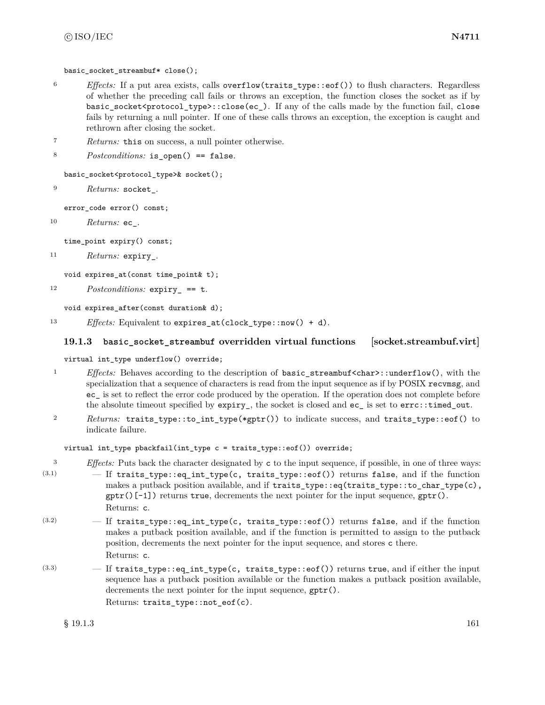basic socket streambuf\* close();

- <sup>6</sup> *Effects:* If a put area exists, calls overflow(traits\_type::eof()) to flush characters. Regardless of whether the preceding call fails or throws an exception, the function closes the socket as if by basic\_socket<protocol\_type>::close(ec\_). If any of the calls made by the function fail, close fails by returning a null pointer. If one of these calls throws an exception, the exception is caught and rethrown after closing the socket.
- <sup>7</sup> *Returns:* this on success, a null pointer otherwise.

```
8 Postconditions: is_open() == false.
```
basic\_socket<protocol\_type>& socket();

```
9 Returns: socket_.
```
error\_code error() const;

<sup>10</sup> *Returns:* ec\_.

time\_point expiry() const;

```
11 Returns: expiry_.
```

```
void expires_at(const time_point& t);
```

```
12 Postconditions: expiry_ == t.
```
void expires\_after(const duration& d);

<sup>13</sup> *Effects:* Equivalent to expires\_at(clock\_type::now() + d).

# **19.1.3 basic\_socket\_streambuf overridden virtual functions [socket.streambuf.virt]**

## virtual int\_type underflow() override;

- 1 *Effects:* Behaves according to the description of basic streambuf <char>::underflow(), with the specialization that a sequence of characters is read from the input sequence as if by POSIX recvmsg, and ec\_ is set to reflect the error code produced by the operation. If the operation does not complete before the absolute timeout specified by expiry\_, the socket is closed and ec\_ is set to errc::timed\_out.
- <sup>2</sup> *Returns:* traits\_type::to\_int\_type(\*gptr()) to indicate success, and traits\_type::eof() to indicate failure.

virtual int\_type pbackfail(int\_type c = traits\_type::eof()) override;

<sup>3</sup> *Effects:* Puts back the character designated by c to the input sequence, if possible, in one of three ways:

- (3.1) If traits\_type::eq\_int\_type(c, traits\_type::eof()) returns false, and if the function makes a putback position available, and if traits\_type::eq(traits\_type::to\_char\_type(c),  $gptr()[-1]$  returns true, decrements the next pointer for the input sequence,  $gptr()$ . Returns: c.
- $(3.2)$  If traits\_type::eq\_int\_type(c, traits\_type::eof()) returns false, and if the function makes a putback position available, and if the function is permitted to assign to the putback position, decrements the next pointer for the input sequence, and stores c there. Returns: c.
- $(3.3)$  If traits\_type::eq\_int\_type(c, traits\_type::eof()) returns true, and if either the input sequence has a putback position available or the function makes a putback position available, decrements the next pointer for the input sequence, gptr(). Returns: traits\_type::not\_eof(c).

 $\S$  19.1.3 161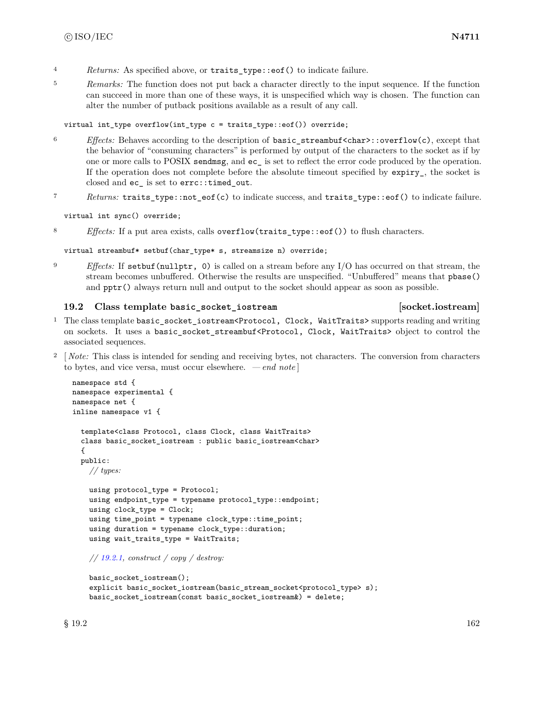- <sup>4</sup> *Returns:* As specified above, or traits\_type::eof() to indicate failure.
- <sup>5</sup> *Remarks:* The function does not put back a character directly to the input sequence. If the function can succeed in more than one of these ways, it is unspecified which way is chosen. The function can alter the number of putback positions available as a result of any call.

# virtual int\_type overflow(int\_type c = traits\_type::eof()) override;

- <sup>6</sup> *Effects:* Behaves according to the description of basic\_streambuf<char>::overflow(c), except that the behavior of "consuming characters" is performed by output of the characters to the socket as if by one or more calls to POSIX sendmsg, and ec\_ is set to reflect the error code produced by the operation. If the operation does not complete before the absolute timeout specified by  $\exp\{-y\}$ , the socket is closed and ec\_ is set to errc::timed\_out.
- <sup>7</sup> *Returns:* traits\_type::not\_eof(c) to indicate success, and traits\_type::eof() to indicate failure.

virtual int sync() override;

8 *Effects:* If a put area exists, calls overflow(traits\_type::eof()) to flush characters.

virtual streambuf\* setbuf(char\_type\* s, streamsize n) override;

<sup>9</sup> *Effects:* If setbuf(nullptr, 0) is called on a stream before any I/O has occurred on that stream, the stream becomes unbuffered. Otherwise the results are unspecified. "Unbuffered" means that pbase() and  $ppr()$  always return null and output to the socket should appear as soon as possible.

# **19.2 Class template basic\_socket\_iostream [socket.iostream]**

- <sup>1</sup> The class template basic\_socket\_iostream<Protocol, Clock, WaitTraits> supports reading and writing on sockets. It uses a basic\_socket\_streambuf<Protocol, Clock, WaitTraits> object to control the associated sequences.
- <sup>2</sup> [*Note:* This class is intended for sending and receiving bytes, not characters. The conversion from characters to bytes, and vice versa, must occur elsewhere. *— end note* ]

```
namespace std {
namespace experimental {
namespace net {
inline namespace v1 {
  template<class Protocol, class Clock, class WaitTraits>
  class basic_socket_iostream : public basic_iostream<char>
  {
  public:
    // types:
    using protocol_type = Protocol;
    using endpoint_type = typename protocol_type::endpoint;
    using clock_type = Clock;
    using time_point = typename clock_type::time_point;
    using duration = typename clock_type::duration;
    using wait_traits_type = WaitTraits;
```
*// [19.2.1,](#page-169-0) construct / copy / destroy:*

```
basic_socket_iostream();
explicit basic_socket_iostream(basic_stream_socket<protocol_type> s);
basic_socket_iostream(const basic_socket_iostream&) = delete;
```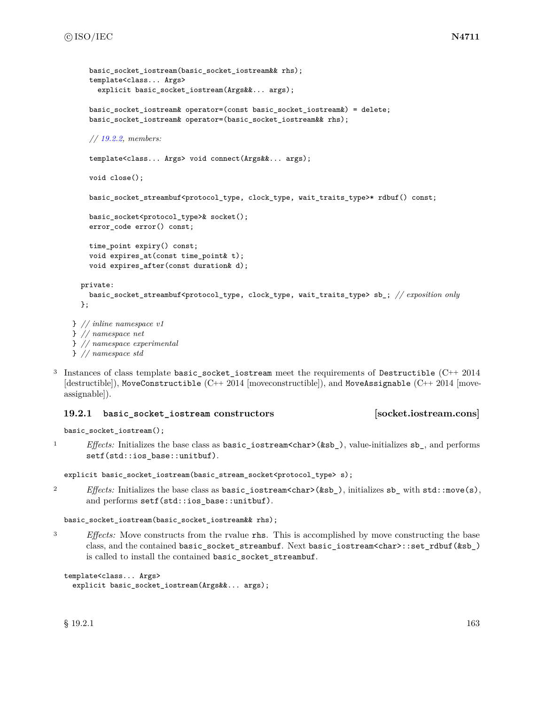```
basic socket iostream(basic socket iostream&& rhs);
    template<class... Args>
      explicit basic_socket_iostream(Args&&... args);
    basic_socket_iostream& operator=(const basic_socket_iostream&) = delete;
    basic_socket_iostream& operator=(basic_socket_iostream&& rhs);
    // 19.2.2, members:
    template<class... Args> void connect(Args&&... args);
    void close();
    basic_socket_streambuf<protocol_type, clock_type, wait_traits_type>* rdbuf() const;
    basic_socket<protocol_type>& socket();
    error_code error() const;
    time_point expiry() const;
    void expires_at(const time_point& t);
    void expires_after(const duration& d);
 private:
    basic_socket_streambuf<protocol_type, clock_type, wait_traits_type> sb_; // exposition only
  };
} // inline namespace v1
} // namespace net
```

```
} // namespace experimental
```

```
} // namespace std
```
<sup>3</sup> Instances of class template basic\_socket\_iostream meet the requirements of Destructible (C++ 2014 [destructible]), MoveConstructible (C++ 2014 [moveconstructible]), and MoveAssignable (C++ 2014 [moveassignable]).

# <span id="page-169-0"></span>**19.2.1 basic\_socket\_iostream constructors [socket.iostream.cons]**

```
basic_socket_iostream();
```
<sup>1</sup> *Effects:* Initializes the base class as basic\_iostream<char>(&sb\_), value-initializes sb\_, and performs setf(std::ios\_base::unitbuf).

```
explicit basic_socket_iostream(basic_stream_socket<protocol_type> s);
```
<sup>2</sup> *Effects:* Initializes the base class as **basic\_iostream<char>(&sb\_)**, initializes **sb\_** with **std::nove(s)**, and performs setf(std::ios\_base::unitbuf).

```
basic_socket_iostream(basic_socket_iostream&& rhs);
```
<sup>3</sup> *Effects:* Move constructs from the rvalue rhs. This is accomplished by move constructing the base class, and the contained basic\_socket\_streambuf. Next basic\_iostream<char>::set\_rdbuf(&sb\_) is called to install the contained basic\_socket\_streambuf.

```
template<class... Args>
  explicit basic_socket_iostream(Args&&... args);
```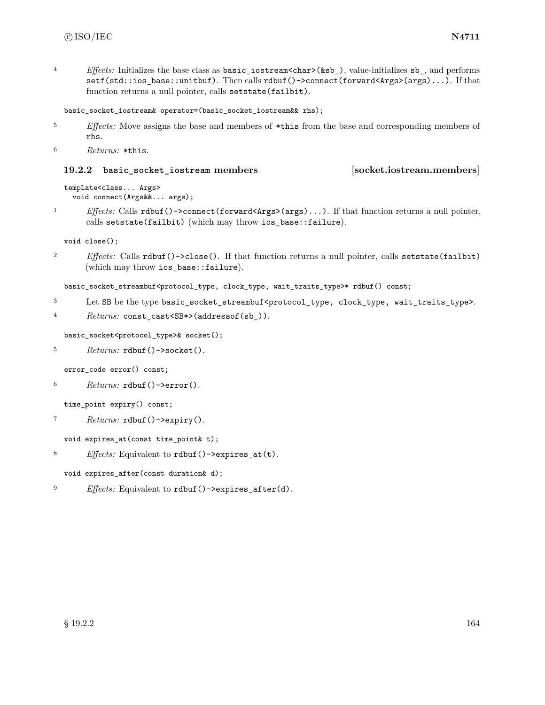<sup>4</sup> *Effects:* Initializes the base class as basic\_iostream<char>(&sb\_), value-initializes sb\_, and performs setf(std::ios\_base::unitbuf). Then calls rdbuf()->connect(forward<Args>(args)...). If that function returns a null pointer, calls setstate(failbit).

```
basic_socket_iostream& operator=(basic_socket_iostream&& rhs);
```
<sup>5</sup> *Effects:* Move assigns the base and members of \*this from the base and corresponding members of rhs.

```
6 Returns: *this.
```
# <span id="page-170-0"></span>**19.2.2 basic\_socket\_iostream members [socket.iostream.members]**

```
template<class... Args>
 void connect(Args&&... args);
```
<sup>1</sup> *Effects:* Calls rdbuf()->connect(forward<Args>(args)...). If that function returns a null pointer, calls setstate(failbit) (which may throw ios\_base::failure).

void close();

<sup>2</sup> *Effects:* Calls rdbuf()->close(). If that function returns a null pointer, calls setstate(failbit) (which may throw ios\_base::failure).

```
basic_socket_streambuf<protocol_type, clock_type, wait_traits_type>* rdbuf() const;
```
<sup>3</sup> Let SB be the type basic\_socket\_streambuf<protocol\_type, clock\_type, wait\_traits\_type>.

```
4 Returns: const_cast<SB*>(addressof(sb_)).
```
basic\_socket<protocol\_type>& socket();

```
5 Returns: rdbuf()->socket().
```
error code error() const;

<sup>6</sup> *Returns:* rdbuf()->error().

time\_point expiry() const;

<sup>7</sup> *Returns:* rdbuf()->expiry().

```
void expires_at(const time_point& t);
```
<sup>8</sup> *Effects:* Equivalent to rdbuf()->expires\_at(t).

void expires\_after(const duration& d);

<sup>9</sup> *Effects:* Equivalent to rdbuf()->expires\_after(d).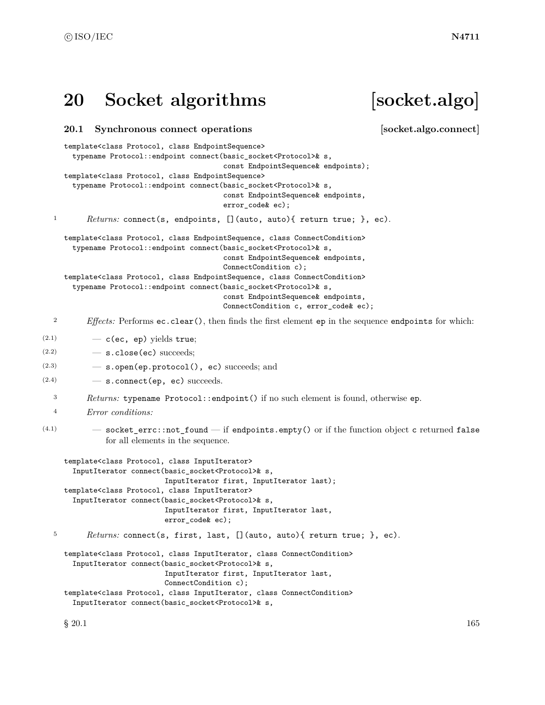# **20 Socket algorithms [socket.algo]**

template<class Protocol, class EndpointSequence>

# **20.1 Synchronous connect operations [socket.algo.connect]**

```
typename Protocol::endpoint connect(basic_socket<Protocol>& s,
                                          const EndpointSequence& endpoints);
     template<class Protocol, class EndpointSequence>
       typename Protocol::endpoint connect(basic_socket<Protocol>& s,
                                          const EndpointSequence& endpoints,
                                          error_code& ec);
  1 Returns: connect(s, endpoints, [](auto, auto){ return true; }, ec).
     template<class Protocol, class EndpointSequence, class ConnectCondition>
       typename Protocol::endpoint connect(basic_socket<Protocol>& s,
                                          const EndpointSequence& endpoints,
                                          ConnectCondition c);
     template<class Protocol, class EndpointSequence, class ConnectCondition>
       typename Protocol::endpoint connect(basic_socket<Protocol>& s,
                                          const EndpointSequence& endpoints,
                                          ConnectCondition c, error_code& ec);
  2 Effects: Performs ec.clear(), then finds the first element ep in the sequence endpoints for which:
(2.1) - c(ec, ep) yields true;
(2.2) - s.close(ec) succeeds;
(2.3) — s.open(ep.protocol(), ec) succeeds; and
(2.4) - s.connect (ep, ec) succeeds.
  3 Returns: typename Protocol::endpoint() if no such element is found, otherwise ep.
  4 Error conditions:
(4.1) - socket_errc::not_found - if endpoints.empty() or if the function object c returned false
              for all elements in the sequence.
     template<class Protocol, class InputIterator>
       InputIterator connect(basic_socket<Protocol>& s,
                            InputIterator first, InputIterator last);
     template<class Protocol, class InputIterator>
       InputIterator connect(basic_socket<Protocol>& s,
                            InputIterator first, InputIterator last,
                            error_code& ec);
  5 Returns: connect(s, first, last, [](auto, auto){ return true; }, ec).
     template<class Protocol, class InputIterator, class ConnectCondition>
       InputIterator connect(basic_socket<Protocol>& s,
                            InputIterator first, InputIterator last,
                            ConnectCondition c);
     template<class Protocol, class InputIterator, class ConnectCondition>
       InputIterator connect(basic_socket<Protocol>& s,
```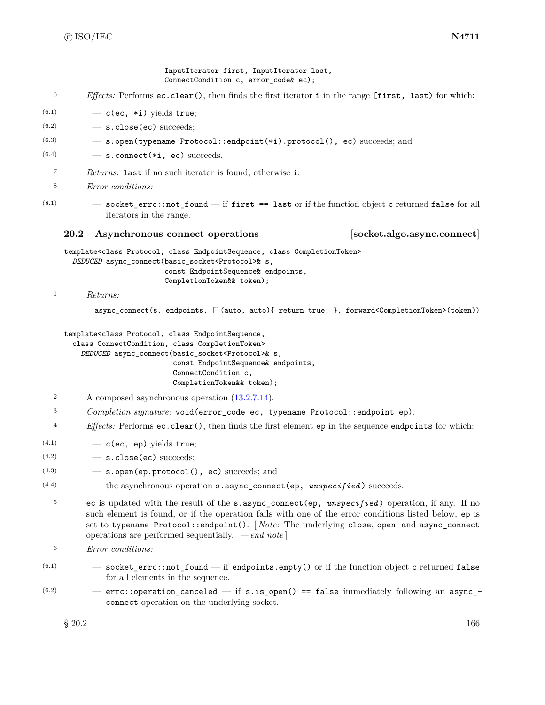InputIterator first, InputIterator last, ConnectCondition c, error\_code& ec);

- <sup>6</sup> *Effects:* Performs ec.clear(), then finds the first iterator i in the range [first, last) for which:
- $(6.1)$   $-$  c(ec, \*i) yields true;
- $(6.2)$   $-$  s.close(ec) succeeds;
- (6.3) s.open(typename Protocol::endpoint(\*i).protocol(), ec) succeeds; and
- $(6.4)$   $-$  s.connect (\*i, ec) succeeds.
- <sup>7</sup> *Returns:* last if no such iterator is found, otherwise i.
- <sup>8</sup> *Error conditions:*
- $(8.1)$   $-$  socket errc::not found  $-$  if first  $=$  last or if the function object c returned false for all iterators in the range.

## **20.2 Asynchronous connect operations [socket.algo.async.connect]**

template<class Protocol, class EndpointSequence, class CompletionToken> *DEDUCED* async\_connect(basic\_socket<Protocol>& s, const EndpointSequence& endpoints, CompletionToken&& token);

#### <sup>1</sup> *Returns:*

async connect(s, endpoints, [](auto, auto){ return true; }, forward<CompletionToken>(token))

template<class Protocol, class EndpointSequence,

class ConnectCondition, class CompletionToken> *DEDUCED* async\_connect(basic\_socket<Protocol>& s, const EndpointSequence& endpoints, ConnectCondition c, CompletionToken&& token);

- <sup>2</sup> A composed asynchronous operation [\(13.2.7.14\)](#page-33-0).
- <sup>3</sup> *Completion signature:* void(error\_code ec, typename Protocol::endpoint ep).
- <sup>4</sup> *Effects:* Performs ec.clear(), then finds the first element ep in the sequence endpoints for which:
- $(4.1)$   $-$  c(ec, ep) yields true;
- $(4.2)$   $-$  s.close(ec) succeeds;
- $(4.3)$   $-$  s.open(ep.protocol(), ec) succeeds; and
- $(4.4)$  the asynchronous operation **s**. async connect(ep, *unspecified*) succeeds.
	- <sup>5</sup> ec is updated with the result of the s.async\_connect(ep, *unspecified* ) operation, if any. If no such element is found, or if the operation fails with one of the error conditions listed below, ep is set to typename Protocol::endpoint(). [ *Note:* The underlying close, open, and async\_connect operations are performed sequentially. *— end note* ]
	- <sup>6</sup> *Error conditions:*
- $(6.1)$   $-$  socket\_errc::not\_found  $-$  if endpoints.empty() or if the function object c returned false for all elements in the sequence.
- $(6.2)$  errc::operation\_canceled if s.is\_open() == false immediately following an async\_connect operation on the underlying socket.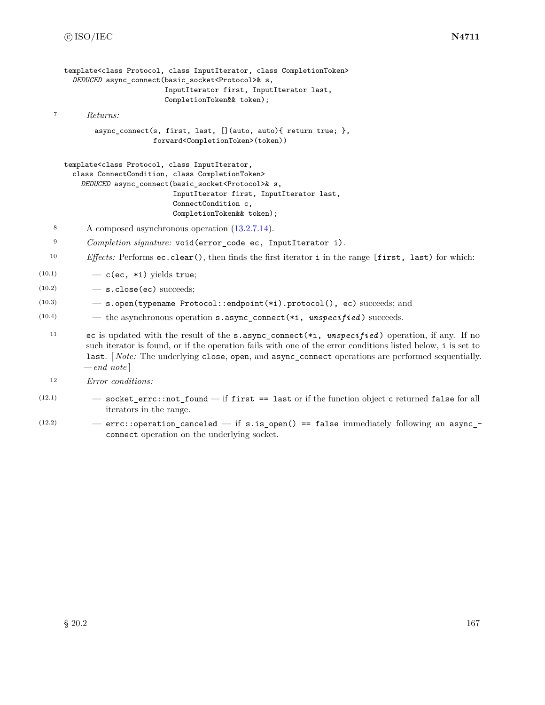```
template<class Protocol, class InputIterator, class CompletionToken>
        DEDUCED async_connect(basic_socket<Protocol>& s,
                             InputIterator first, InputIterator last,
                             CompletionToken&& token);
   7 Returns:
             async_connect(s, first, last, [](auto, auto){ return true; },
                          forward<CompletionToken>(token))
     template<class Protocol, class InputIterator,
        class ConnectCondition, class CompletionToken>
         DEDUCED async_connect(basic_socket<Protocol>& s,
                               InputIterator first, InputIterator last,
                               ConnectCondition c,
                               CompletionToken&& token);
   8 A composed asynchronous operation (13.2.7.14).
   9 Completion signature: void(error_code ec, InputIterator i).
  10 Effects: Performs ec.clear(), then finds the first iterator i in the range [first, last) for which:
(10.1) \qquad -c(\text{ec, *i}) yields true;
(10.2) - s.close(ec) succeeds;
(10.3) — s.open(typename Protocol::endpoint(*i).protocol(), ec) succeeds; and
(10.4) - the asynchronous operation s. async_connect(*i, unspecified) succeeds.
  11 ec is updated with the result of the s.async_connect(*i, unspecified ) operation, if any. If no
           such iterator is found, or if the operation fails with one of the error conditions listed below, i is set to
           last. [ Note: The underlying close, open, and async_connect operations are performed sequentially.
          — end note ]
  12 Error conditions:
```
- $(12.1)$   $-$  socket\_errc::not\_found  $-$  if first == last or if the function object c returned false for all iterators in the range.
- $(12.2)$  errc::operation\_canceled if s.is\_open() == false immediately following an async\_connect operation on the underlying socket.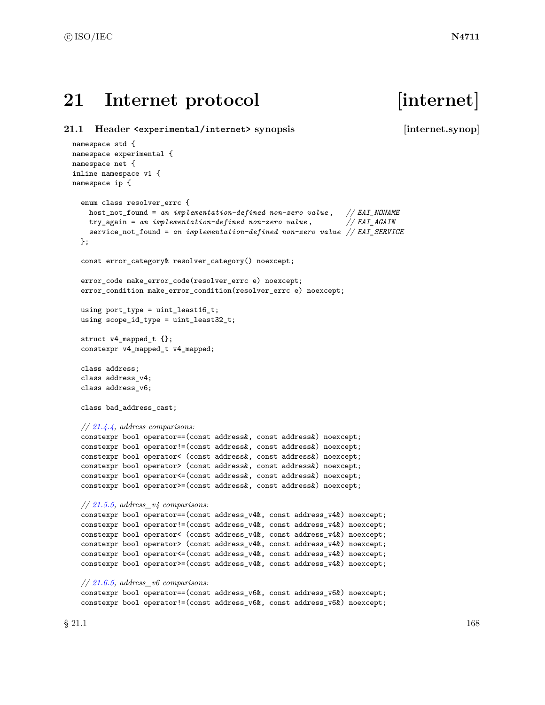# 21 Internet protocol [internet]

```
21.1 Header <experimental/internet> synopsis [internet.synop]
 namespace std {
 namespace experimental {
 namespace net {
 inline namespace v1 {
 namespace ip {
   enum class resolver_errc {
     host_not_found = an implementation-defined non-zero value , // EAI_NONAME
     try_again = an implementation-defined non-zero value , // EAI_AGAIN
     service_not_found = an implementation-defined non-zero value // EAI_SERVICE
   };
   const error_category& resolver_category() noexcept;
   error_code make_error_code(resolver_errc e) noexcept;
   error_condition make_error_condition(resolver_errc e) noexcept;
   using port_type = uint_least16_t;
   using scope_id_type = uint_least32_t;
   struct v4_mapped_t {};
   constexpr v4_mapped_t v4_mapped;
   class address;
   class address_v4;
   class address_v6;
   class bad_address_cast;
   // 21.4.4, address comparisons:
   constexpr bool operator==(const address&, const address&) noexcept;
   constexpr bool operator!=(const address&, const address&) noexcept;
   constexpr bool operator< (const address&, const address&) noexcept;
   constexpr bool operator> (const address&, const address&) noexcept;
   constexpr bool operator<=(const address&, const address&) noexcept;
   constexpr bool operator>=(const address&, const address&) noexcept;
   // 21.5.5, address_v4 comparisons:
   constexpr bool operator==(const address_v4&, const address_v4&) noexcept;
   constexpr bool operator!=(const address_v4&, const address_v4&) noexcept;
   constexpr bool operator< (const address_v4&, const address_v4&) noexcept;
   constexpr bool operator> (const address_v4&, const address_v4&) noexcept;
   constexpr bool operator<=(const address_v4&, const address_v4&) noexcept;
   constexpr bool operator>=(const address_v4&, const address_v4&) noexcept;
   // 21.6.5, address_v6 comparisons:
   constexpr bool operator==(const address_v6&, const address_v6&) noexcept;
   constexpr bool operator!=(const address_v6&, const address_v6&) noexcept;
```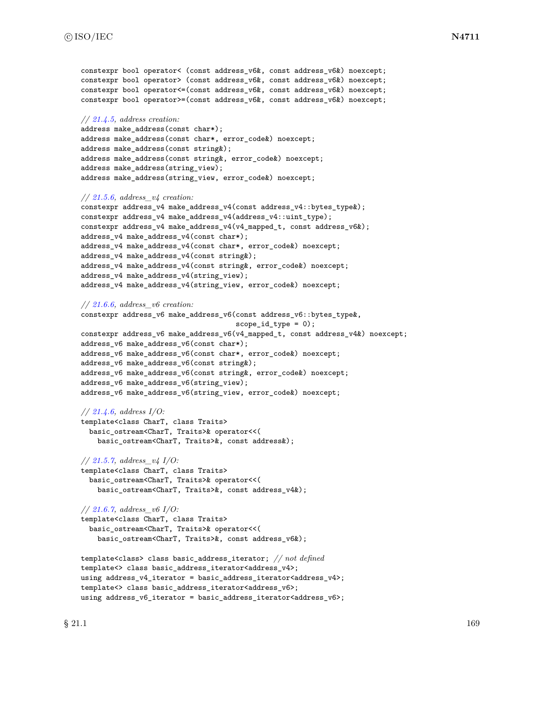```
constexpr bool operator< (const address v6&, const address v6&) noexcept;
constexpr bool operator> (const address_v6&, const address_v6&) noexcept;
constexpr bool operator<=(const address_v6&, const address_v6&) noexcept;
constexpr bool operator>=(const address_v6&, const address_v6&) noexcept;
// 21.4.5, address creation:
address make_address(const char*);
address make_address(const char*, error_code&) noexcept;
address make_address(const string&);
address make_address(const string&, error_code&) noexcept;
address make_address(string_view);
address make_address(string_view, error_code&) noexcept;
// 21.5.6, address_v4 creation:
constexpr address_v4 make_address_v4(const address_v4::bytes_type&);
constexpr address_v4 make_address_v4(address_v4::uint_type);
constexpr address_v4 make_address_v4(v4_mapped_t, const address_v6&);
address_v4 make_address_v4(const char*);
address_v4 make_address_v4(const char*, error_code&) noexcept;
address_v4 make_address_v4(const string&);
address_v4 make_address_v4(const string&, error_code&) noexcept;
address_v4 make_address_v4(string_view);
address_v4 make_address_v4(string_view, error_code&) noexcept;
// 21.6.6, address_v6 creation:
constexpr address_v6 make_address_v6(const address_v6::bytes_type&,
                                      scope_id_type = 0);constexpr address_v6 make_address_v6(v4_mapped_t, const address_v4&) noexcept;
address_v6 make_address_v6(const char*);
address_v6 make_address_v6(const char*, error_code&) noexcept;
address_v6 make_address_v6(const string&);
address_v6 make_address_v6(const string&, error_code&) noexcept;
address_v6 make_address_v6(string_view);
address_v6 make_address_v6(string_view, error_code&) noexcept;
// 21.4.6, address I/O:
template<class CharT, class Traits>
  basic_ostream<CharT, Traits>& operator<<(
    basic_ostream<CharT, Traits>&, const address&);
// 21.5.7, address_v4 I/O:
template<class CharT, class Traits>
  basic_ostream<CharT, Traits>& operator<<(
    basic_ostream<CharT, Traits>&, const address_v4&);
// 21.6.7, address_v6 I/O:
template<class CharT, class Traits>
  basic_ostream<CharT, Traits>& operator<<(
    basic_ostream<CharT, Traits>&, const address_v6&);
template<class> class basic_address_iterator; // not defined
```

```
template<> class basic_address_iterator<address_v4>;
using address_v4_iterator = basic_address_iterator<address_v4>;
template<> class basic_address_iterator<address_v6>;
using address_v6_iterator = basic_address_iterator<address_v6>;
```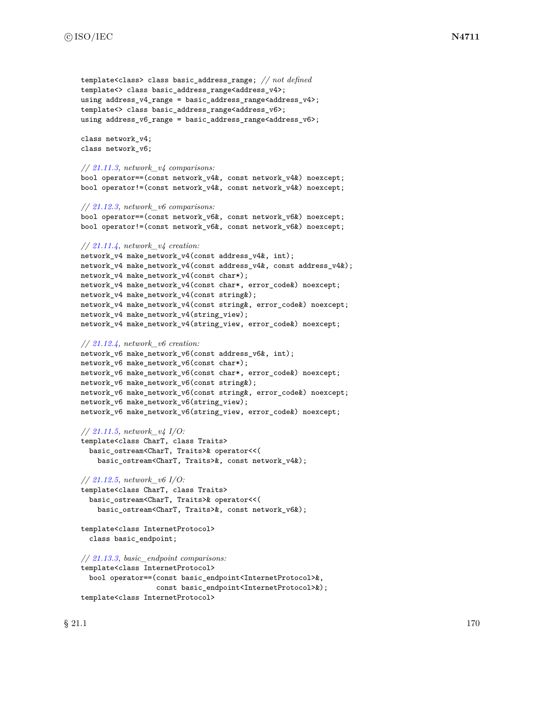```
template<class> class basic_address_range; // not defined
template<> class basic_address_range<address_v4>;
using address_v4_range = basic_address_range<address_v4>;
template<> class basic_address_range<address_v6>;
using address_v6_range = basic_address_range<address_v6>;
class network_v4;
class network_v6;
// 21.11.3, network_v4 comparisons:
bool operator==(const network_v4&, const network_v4&) noexcept;
bool operator!=(const network_v4&, const network_v4&) noexcept;
// 21.12.3, network_v6 comparisons:
bool operator==(const network_v6&, const network_v6&) noexcept;
bool operator!=(const network_v6&, const network_v6&) noexcept;
// 21.11.4, network_v4 creation:
network_v4 make_network_v4(const address_v4&, int);
network_v4 make_network_v4(const address_v4&, const address_v4&);
network_v4 make_network_v4(const char*);
network_v4 make_network_v4(const char*, error_code&) noexcept;
network_v4 make_network_v4(const string&);
network_v4 make_network_v4(const string&, error_code&) noexcept;
network_v4 make_network_v4(string_view);
network_v4 make_network_v4(string_view, error_code&) noexcept;
// 21.12.4, network_v6 creation:
network_v6 make_network_v6(const address_v6&, int);
network_v6 make_network_v6(const char*);
network_v6 make_network_v6(const char*, error_code&) noexcept;
network_v6 make_network_v6(const string&);
network_v6 make_network_v6(const string&, error_code&) noexcept;
network_v6 make_network_v6(string_view);
network_v6 make_network_v6(string_view, error_code&) noexcept;
// 21.11.5, network_v4 I/O:
template<class CharT, class Traits>
  basic_ostream<CharT, Traits>& operator<<(
    basic_ostream<CharT, Traits>&, const network_v4&);
// 21.12.5, network_v6 I/O:
template<class CharT, class Traits>
  basic_ostream<CharT, Traits>& operator<<(
    basic_ostream<CharT, Traits>&, const network_v6&);
template<class InternetProtocol>
  class basic_endpoint;
// 21.13.3, basic_endpoint comparisons:
template<class InternetProtocol>
  bool operator==(const basic_endpoint<InternetProtocol>&,
                  const basic_endpoint<InternetProtocol>&);
template<class InternetProtocol>
```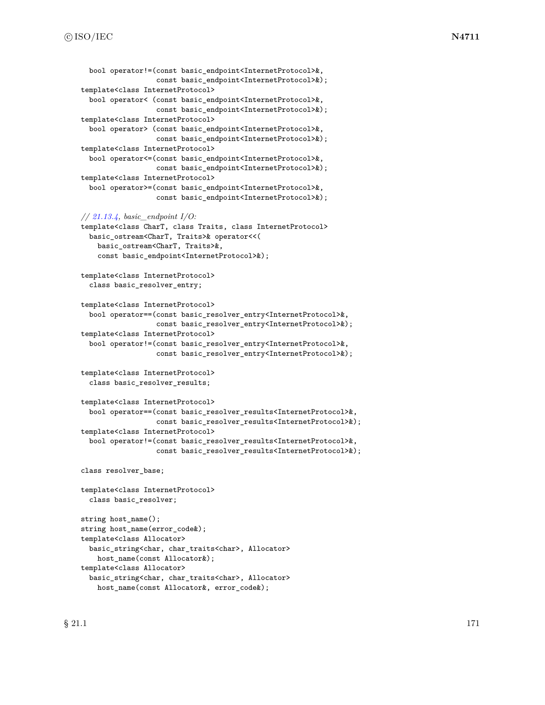```
bool operator!=(const basic_endpoint<InternetProtocol>&,
                  const basic_endpoint<InternetProtocol>&);
template<class InternetProtocol>
  bool operator< (const basic_endpoint<InternetProtocol>&,
                  const basic_endpoint<InternetProtocol>&);
template<class InternetProtocol>
  bool operator> (const basic_endpoint<InternetProtocol>&,
                  const basic_endpoint<InternetProtocol>&);
template<class InternetProtocol>
  bool operator<=(const basic_endpoint<InternetProtocol>&,
                  const basic_endpoint<InternetProtocol>&);
template<class InternetProtocol>
  bool operator>=(const basic_endpoint<InternetProtocol>&,
                  const basic_endpoint<InternetProtocol>&);
// 21.13.4, basic_endpoint I/O:
template<class CharT, class Traits, class InternetProtocol>
  basic_ostream<CharT, Traits>& operator<<(
    basic_ostream<CharT, Traits>&,
```

```
const basic_endpoint<InternetProtocol>&);
```

```
template<class InternetProtocol>
  class basic_resolver_entry;
```

```
template<class InternetProtocol>
  bool operator==(const basic_resolver_entry<InternetProtocol>&,
                  const basic_resolver_entry<InternetProtocol>&);
template<class InternetProtocol>
 bool operator!=(const basic_resolver_entry<InternetProtocol>&,
                  const basic_resolver_entry<InternetProtocol>&);
```

```
template<class InternetProtocol>
  class basic_resolver_results;
```

```
template<class InternetProtocol>
 bool operator==(const basic_resolver_results<InternetProtocol>&,
                  const basic_resolver_results<InternetProtocol>&);
template<class InternetProtocol>
  bool operator!=(const basic_resolver_results<InternetProtocol>&,
                  const basic_resolver_results<InternetProtocol>&);
```

```
class resolver_base;
```

```
template<class InternetProtocol>
 class basic_resolver;
```

```
string host_name();
string host_name(error_code&);
template<class Allocator>
  basic_string<char, char_traits<char>, Allocator>
    host_name(const Allocator&);
template<class Allocator>
  basic_string<char, char_traits<char>, Allocator>
    host_name(const Allocator&, error_code&);
```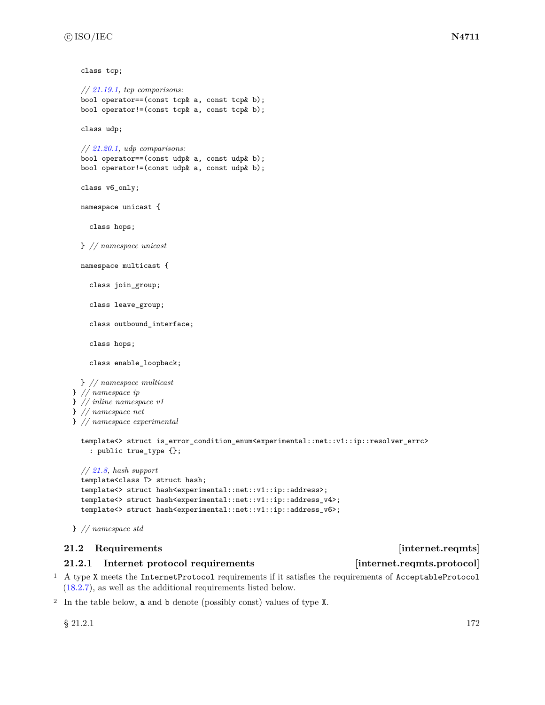class tcp;

```
// 21.19.1, tcp comparisons:
   bool operator==(const tcp& a, const tcp& b);
   bool operator!=(const tcp& a, const tcp& b);
   class udp;
   // 21.20.1, udp comparisons:
   bool operator==(const udp& a, const udp& b);
   bool operator!=(const udp& a, const udp& b);
   class v6_only;
   namespace unicast {
     class hops;
   } // namespace unicast
   namespace multicast {
     class join_group;
     class leave_group;
     class outbound_interface;
     class hops;
     class enable_loopback;
   } // namespace multicast
  } // namespace ip
 } // inline namespace v1
 } // namespace net
 } // namespace experimental
   template<> struct is_error_condition_enum<experimental::net::v1::ip::resolver_errc>
     : public true_type {};
   // 21.8, hash support
   template<class T> struct hash;
   template<> struct hash<experimental::net::v1::ip::address>;
   template<> struct hash<experimental::net::v1::ip::address_v4>;
   template<> struct hash<experimental::net::v1::ip::address_v6>;
 } // namespace std
21.2 Requirements internet.reqmts
```
# <span id="page-178-0"></span>**21.2.1 Internet protocol requirements [internet.reqmts.protocol]**

<sup>1</sup> A type X meets the InternetProtocol requirements if it satisfies the requirements of AcceptableProtocol [\(18.2.7\)](#page-117-0), as well as the additional requirements listed below.

<sup>2</sup> In the table below, a and b denote (possibly const) values of type X.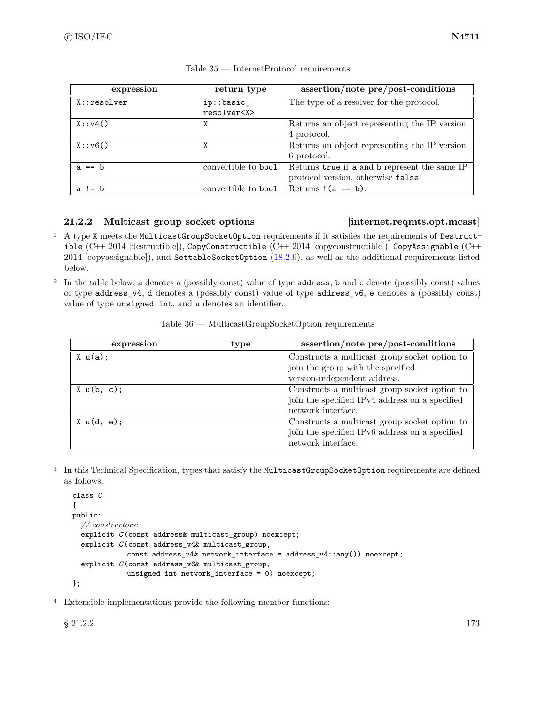| expression    | return type                     | assertion/note pre/post-conditions                                                  |
|---------------|---------------------------------|-------------------------------------------------------------------------------------|
| $X:$ resolver | ip::basic_-<br>resolver <x></x> | The type of a resolver for the protocol.                                            |
| X: y4()       | χ                               | Returns an object representing the IP version<br>4 protocol.                        |
| X: v6()       | χ                               | Returns an object representing the IP version<br>6 protocol.                        |
| a $==$ b      | convertible to bool             | Returns true if a and b represent the same IP<br>protocol version, otherwise false. |
| a != $b$      | convertible to bool             | Returns $(a == b)$ .                                                                |

# Table 35 — InternetProtocol requirements

# **21.2.2 Multicast group socket options [internet.reqmts.opt.mcast]**

- <sup>1</sup> A type X meets the MulticastGroupSocketOption requirements if it satisfies the requirements of Destructible (C++ 2014 [destructible]), CopyConstructible (C++ 2014 [copyconstructible]), CopyAssignable (C++ 2014 [copyassignable]), and SettableSocketOption [\(18.2.9\)](#page-118-0), as well as the additional requirements listed below.
- <sup>2</sup> In the table below, a denotes a (possibly const) value of type address, b and c denote (possibly const) values of type address\_v4, d denotes a (possibly const) value of type address\_v6, e denotes a (possibly const) value of type unsigned int, and u denotes an identifier.

| expression | type | assertion/note pre/post-conditions             |
|------------|------|------------------------------------------------|
| X u(a);    |      | Constructs a multicast group socket option to  |
|            |      | join the group with the specified              |
|            |      | version-independent address.                   |
| X u(b, c); |      | Constructs a multicast group socket option to  |
|            |      | join the specified IPv4 address on a specified |
|            |      | network interface.                             |
| X u(d, e); |      | Constructs a multicast group socket option to  |
|            |      | join the specified IPv6 address on a specified |
|            |      | network interface.                             |

Table 36 — MulticastGroupSocketOption requirements

<sup>3</sup> In this Technical Specification, types that satisfy the MulticastGroupSocketOption requirements are defined as follows.

```
class C
{
public:
  // constructors:
  explicit C (const address& multicast_group) noexcept;
  explicit C (const address_v4& multicast_group,
             const address_v4& network_interface = address_v4::any()) noexcept;
  explicit C (const address_v6& multicast_group,
             unsigned int network_interface = 0) noexcept;
```

```
};
```
<sup>4</sup> Extensible implementations provide the following member functions: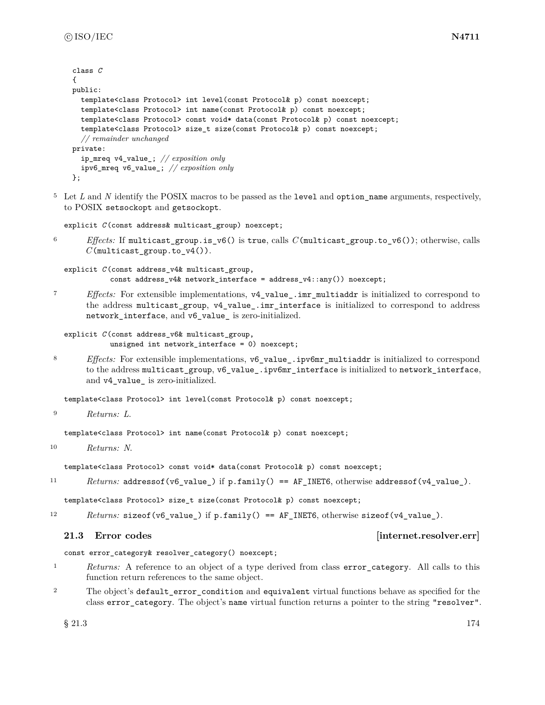```
class C
{
public:
  template<class Protocol> int level(const Protocol& p) const noexcept;
  template<class Protocol> int name(const Protocol& p) const noexcept;
  template<class Protocol> const void* data(const Protocol& p) const noexcept;
  template<class Protocol> size_t size(const Protocol& p) const noexcept;
  // remainder unchanged
private:
  ip_mreq v4_value_; // exposition only
  ipv6_mreq v6_value_; // exposition only
};
```
<sup>5</sup> Let *L* and *N* identify the POSIX macros to be passed as the level and option name arguments, respectively, to POSIX setsockopt and getsockopt.

```
explicit C (const address& multicast_group) noexcept;
```
<sup>6</sup> *Effects:* If multicast\_group.is\_v6() is true, calls *C*(multicast\_group.to\_v6()); otherwise, calls *C*(multicast group.to  $v4()$ ).

```
explicit C (const address_v4& multicast_group,
           const address_v4& network_interface = address_v4::any()) noexcept;
```
<sup>7</sup> *Effects:* For extensible implementations, v4\_value\_.imr\_multiaddr is initialized to correspond to the address multicast group, v4 value. imr interface is initialized to correspond to address network\_interface, and v6\_value\_ is zero-initialized.

```
explicit C (const address_v6& multicast_group,
           unsigned int network_interface = 0) noexcept;
```
8 *Effects:* For extensible implementations, v6 value .ipv6mr multiaddr is initialized to correspond to the address multicast\_group, v6\_value\_.ipv6mr\_interface is initialized to network\_interface, and v4\_value\_ is zero-initialized.

template<class Protocol> int level(const Protocol& p) const noexcept;

<sup>9</sup> *Returns: L*.

template<class Protocol> int name(const Protocol& p) const noexcept;

<sup>10</sup> *Returns: N*.

template<class Protocol> const void\* data(const Protocol& p) const noexcept;

11 Returns: addressof(v6\_value\_) if p.family() == AF\_INET6, otherwise addressof(v4\_value\_).

template<class Protocol> size\_t size(const Protocol& p) const noexcept;

12 *Returns:* sizeof(v6\_value\_) if p.family() == AF\_INET6, otherwise sizeof(v4\_value\_).

### **21.3** Error codes *internet.resolver.err*

const error\_category& resolver\_category() noexcept;

- <sup>1</sup> *Returns:* A reference to an object of a type derived from class error\_category. All calls to this function return references to the same object.
- <sup>2</sup> The object's default\_error\_condition and equivalent virtual functions behave as specified for the class error\_category. The object's name virtual function returns a pointer to the string "resolver".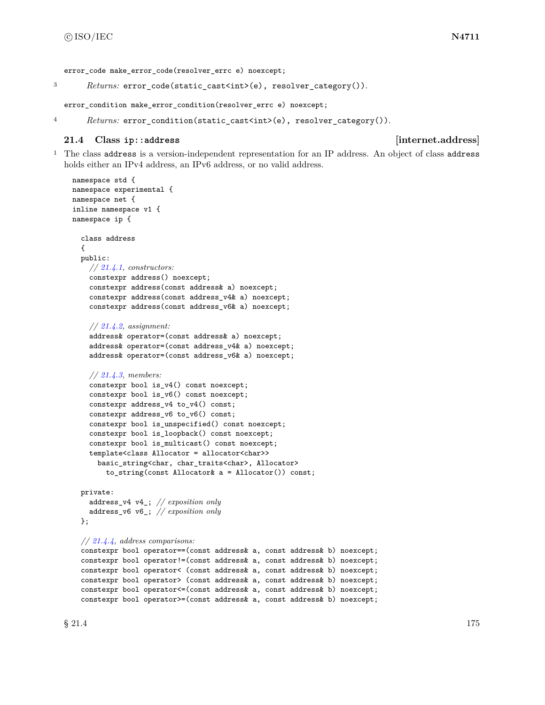error code make error code(resolver errc e) noexcept;

```
3 Returns: error_code(static_cast<int>(e), resolver_category()).
```
error\_condition make\_error\_condition(resolver\_errc e) noexcept;

4 *Returns:* error\_condition(static\_cast<int>(e), resolver\_category()).

### **21.4 Class ip::address [internet.address]**

<sup>1</sup> The class address is a version-independent representation for an IP address. An object of class address holds either an IPv4 address, an IPv6 address, or no valid address.

```
namespace std {
namespace experimental {
namespace net {
inline namespace v1 {
namespace ip {
  class address
  {
  public:
    // 21.4.1, constructors:
    constexpr address() noexcept;
    constexpr address(const address& a) noexcept;
    constexpr address(const address_v4& a) noexcept;
    constexpr address(const address_v6& a) noexcept;
    // 21.4.2, assignment:
    address& operator=(const address& a) noexcept;
    address& operator=(const address_v4& a) noexcept;
    address& operator=(const address_v6& a) noexcept;
    // 21.4.3, members:
    constexpr bool is_v4() const noexcept;
    constexpr bool is_v6() const noexcept;
    constexpr address_v4 to_v4() const;
    constexpr address_v6 to_v6() const;
    constexpr bool is_unspecified() const noexcept;
    constexpr bool is_loopback() const noexcept;
    constexpr bool is_multicast() const noexcept;
    template<class Allocator = allocator<char>>
      basic_string<char, char_traits<char>, Allocator>
        to_string(const Allocator& a = Allocator()) const;
  private:
    address_v4 v4_; // exposition only
    address_v6 v6_; // exposition only
  };
  // 21.4.4, address comparisons:
  constexpr bool operator==(const address& a, const address& b) noexcept;
  constexpr bool operator!=(const address& a, const address& b) noexcept;
  constexpr bool operator< (const address& a, const address& b) noexcept;
  constexpr bool operator> (const address& a, const address& b) noexcept;
  constexpr bool operator<=(const address& a, const address& b) noexcept;
  constexpr bool operator>=(const address& a, const address& b) noexcept;
```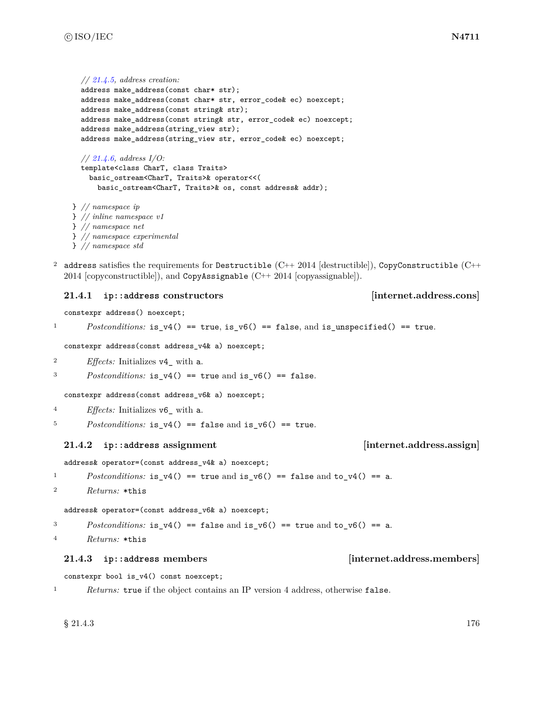```
// 21.4.5, address creation:
  address make_address(const char* str);
  address make_address(const char* str, error_code& ec) noexcept;
  address make_address(const string& str);
  address make_address(const string& str, error_code& ec) noexcept;
  address make_address(string_view str);
  address make_address(string_view str, error_code& ec) noexcept;
  // 21.4.6, address I/O:
  template<class CharT, class Traits>
    basic_ostream<CharT, Traits>& operator<<(
      basic_ostream<CharT, Traits>& os, const address& addr);
} // namespace ip
```

```
} // inline namespace v1
} // namespace net
} // namespace experimental
} // namespace std
```
<sup>2</sup> address satisfies the requirements for Destructible (C++ 2014 [destructible]), CopyConstructible (C++ 2014 [copyconstructible]), and CopyAssignable (C++ 2014 [copyassignable]).

### <span id="page-182-0"></span>**21.4.1 ip::address constructors [internet.address.cons]**

constexpr address() noexcept;

```
Postconditions: is_v4() == true, is_v6() == false, and is_unspecified() == true.
```
constexpr address(const address\_v4& a) noexcept;

```
2 Effects: Initializes v4_ with a.
```
<sup>3</sup> *Postconditions:* is\_v4() == true and is\_v6() == false.

constexpr address(const address\_v6& a) noexcept;

- <sup>4</sup> *Effects:* Initializes v6\_ with a.
- $Postconditions:$  is\_v4() == false and is\_v6() == true.

### <span id="page-182-1"></span>**21.4.2 ip::address assignment [internet.address.assign]**

### address& operator=(const address\_v4& a) noexcept;

1 *Postconditions:* is\_v4() == true and is\_v6() == false and to\_v4() == a.

```
2 Returns: *this
```
address& operator=(const address\_v6& a) noexcept;

3 *Postconditions:* is\_v4() == false and is\_v6() == true and to\_v6() == a.

<sup>4</sup> *Returns:* \*this

### <span id="page-182-2"></span>**21.4.3 ip::address members [internet.address.members]**

constexpr bool is\_v4() const noexcept;

<sup>1</sup> *Returns:* true if the object contains an IP version 4 address, otherwise false.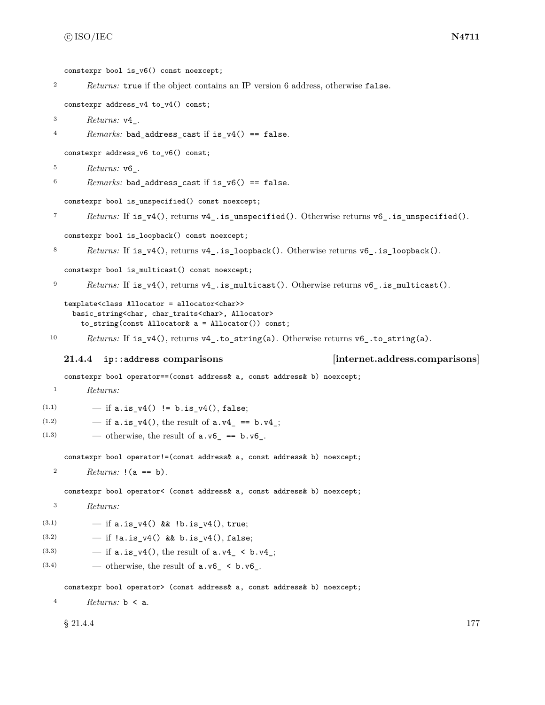constexpr bool is v6() const noexcept;

<sup>2</sup> *Returns:* true if the object contains an IP version 6 address, otherwise false.

```
constexpr address_v4 to_v4() const;
```
<sup>3</sup> *Returns:* v4\_.

```
4 Remarks: bad_address_cast if is_v4() == false.
```
constexpr address\_v6 to\_v6() const;

```
5 Returns: v6_.
```

```
6 Remarks: bad_address_cast if is_v6() == false.
```
constexpr bool is\_unspecified() const noexcept;

```
7 Returns: If is_v4(), returns v4_.is_unspecified(). Otherwise returns v6_.is_unspecified().
```
constexpr bool is\_loopback() const noexcept;

```
8 Returns: If is v4(), returns v4 . is loopback(). Otherwise returns v6 . is loopback().
```
constexpr bool is\_multicast() const noexcept;

```
9 Returns: If is_v4(), returns v4_.is_multicast(). Otherwise returns v6_.is_multicast().
```

```
template<class Allocator = allocator<char>>
  basic_string<char, char_traits<char>, Allocator>
    to_string(const Allocator& a = Allocator()) const;
```
10 *Returns:* If  $is_v4()$ , returns v4\_to\_string(a). Otherwise returns v6\_to\_string(a).

### <span id="page-183-0"></span>**21.4.4 ip::address comparisons [internet.address.comparisons]**

constexpr bool operator==(const address& a, const address& b) noexcept;

```
1 Returns:
```
- (1.1)  $-$  if a.is\_v4() != b.is\_v4(), false;
- (1.2)  $-$  if  $a.is_v4()$ , the result of  $a.v4 = b.v4$ ;
- $(1.3)$  otherwise, the result of  $a.v6$  ==  $b.v6$ .

constexpr bool operator!=(const address& a, const address& b) noexcept;

```
2 Returns: !(a == b).
```
constexpr bool operator< (const address& a, const address& b) noexcept;

```
3 Returns:
```
(3.1)  $-$  if a.is\_v4() && !b.is\_v4(), true;

(3.2)  $-$  if  $!a.is_v4()$  && b.is\_v4(), false;

- (3.3)  $-$  if  $a.is_v4()$ , the result of  $a.v4_c < b.v4_c$ ;
- (3.4) otherwise, the result of  $a.v6 \leq b.v6$ .

constexpr bool operator> (const address& a, const address& b) noexcept;

<sup>4</sup> *Returns:* b < a.

 $\S 21.4.4$  177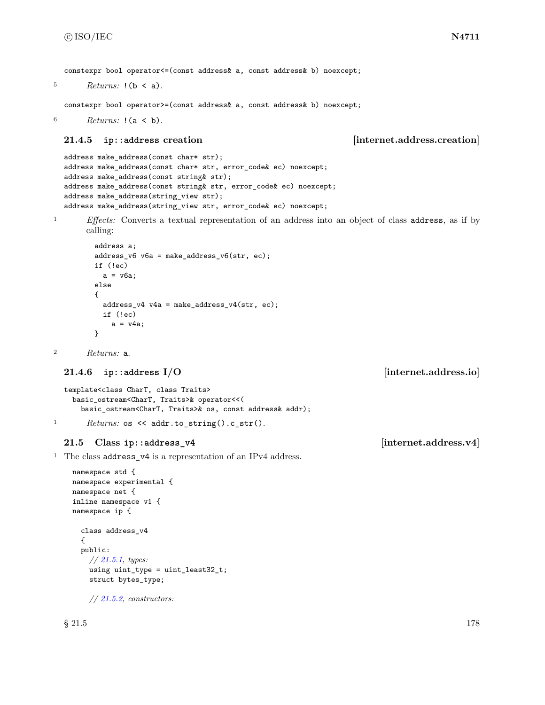constexpr bool operator<=(const address& a, const address& b) noexcept;

```
5 Returns: !(b \le a).
```
constexpr bool operator>=(const address& a, const address& b) noexcept;

<sup>6</sup> *Returns:* !(a < b).

### <span id="page-184-0"></span>**21.4.5 ip::address creation [internet.address.creation]**

```
address make_address(const char* str);
address make_address(const char* str, error_code& ec) noexcept;
address make_address(const string& str);
address make_address(const string& str, error_code& ec) noexcept;
address make_address(string_view str);
address make_address(string_view str, error_code& ec) noexcept;
```
<sup>1</sup> *Effects:* Converts a textual representation of an address into an object of class address, as if by calling:

```
address a;
address_v6 v6a = make_{address_v6}(str, ec);if (!ec)
 a = v6a;else
{
 address_v4 v4a = make_address_v4(str, ec);
 if (!ec)
   a = v4a;}
```
<sup>2</sup> *Returns:* a.

```
21.4.6 ip::address I/O [internet.address.io]
```

```
template<class CharT, class Traits>
    basic_ostream<CharT, Traits>& operator<<(
      basic_ostream<CharT, Traits>& os, const address& addr);
1 Returns: os << addr.to_string().c_str().
```
### **21.5 Class ip::address\_v4 [internet.address.v4]**

<sup>1</sup> The class **address\_v4** is a representation of an IPv4 address.

```
namespace std {
namespace experimental {
namespace net {
inline namespace v1 {
namespace ip {
  class address_v4
  {
  public:
    // 21.5.1, types:
    using uint_type = uint_least32_t;
    struct bytes_type;
```
*// [21.5.2,](#page-186-1) constructors:*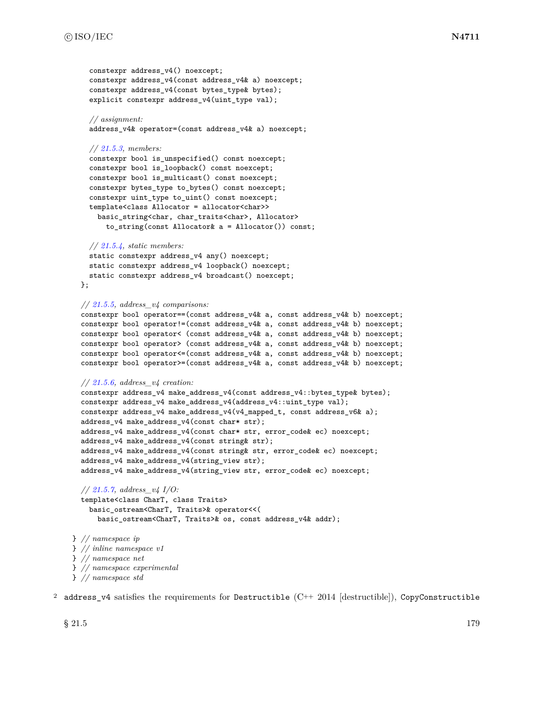```
constexpr address v4() noexcept;
    constexpr address_v4(const address_v4& a) noexcept;
    constexpr address_v4(const bytes_type& bytes);
    explicit constexpr address_v4(uint_type val);
    // assignment:
    address_v4& operator=(const address_v4& a) noexcept;
    // 21.5.3, members:
    constexpr bool is_unspecified() const noexcept;
    constexpr bool is_loopback() const noexcept;
    constexpr bool is_multicast() const noexcept;
    constexpr bytes_type to_bytes() const noexcept;
    constexpr uint_type to_uint() const noexcept;
    template<class Allocator = allocator<char>>
      basic_string<char, char_traits<char>, Allocator>
        to_string(const Allocator& a = Allocator()) const;
    // 21.5.4, static members:
    static constexpr address_v4 any() noexcept;
    static constexpr address_v4 loopback() noexcept;
    static constexpr address_v4 broadcast() noexcept;
  };
  // 21.5.5, address_v4 comparisons:
  constexpr bool operator==(const address_v4& a, const address_v4& b) noexcept;
  constexpr bool operator!=(const address_v4& a, const address_v4& b) noexcept;
  constexpr bool operator< (const address_v4& a, const address_v4& b) noexcept;
  constexpr bool operator> (const address_v4& a, const address_v4& b) noexcept;
  constexpr bool operator<=(const address_v4& a, const address_v4& b) noexcept;
  constexpr bool operator>=(const address_v4& a, const address_v4& b) noexcept;
  // 21.5.6, address_v4 creation:
  constexpr address_v4 make_address_v4(const address_v4::bytes_type& bytes);
  constexpr address_v4 make_address_v4(address_v4::uint_type val);
  constexpr address_v4 make_address_v4(v4_mapped_t, const address_v6& a);
  address_v4 make_address_v4(const char* str);
  address_v4 make_address_v4(const char* str, error_code& ec) noexcept;
  address_v4 make_address_v4(const string& str);
  address_v4 make_address_v4(const string& str, error_code& ec) noexcept;
 address_v4 make_address_v4(string_view str);
  address_v4 make_address_v4(string_view str, error_code& ec) noexcept;
  // 21.5.7, address_v4 I/O:
  template<class CharT, class Traits>
    basic_ostream<CharT, Traits>& operator<<(
      basic_ostream<CharT, Traits>& os, const address_v4& addr);
} // namespace ip
} // inline namespace v1
} // namespace net
```
} *// namespace experimental*

```
} // namespace std
```
2 address\_v4 satisfies the requirements for Destructible  $(C++ 2014$  [destructible]), CopyConstructible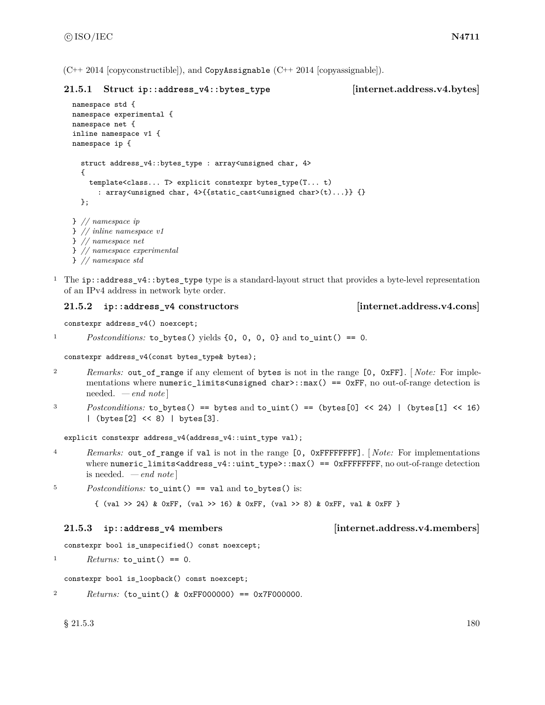$(C_{++} 2014$  [copyconstructible]), and CopyAssignable  $(C_{++} 2014$  [copyassignable]).

# <span id="page-186-0"></span>**21.5.1 Struct ip::address\_v4::bytes\_type [internet.address.v4.bytes]**

```
namespace std {
namespace experimental {
namespace net {
inline namespace v1 {
namespace ip {
  struct address_v4::bytes_type : array<unsigned char, 4>
  {
    template<class... T> explicit constexpr bytes_type(T... t)
      : array<unsigned char, 4>{{static_cast<unsigned char>(t)...}} {}
  };
} // namespace ip
} // inline namespace v1
} // namespace net
} // namespace experimental
} // namespace std
```
<sup>1</sup> The ip::address\_v4::bytes\_type type is a standard-layout struct that provides a byte-level representation of an IPv4 address in network byte order.

# <span id="page-186-1"></span>**21.5.2 ip::address\_v4 constructors [internet.address.v4.cons]**

constexpr address\_v4() noexcept;

```
1 Postconditions: to_bytes() yields {0, 0, 0, 0} and to_uint() == 0.
```
constexpr address\_v4(const bytes\_type& bytes);

- <sup>2</sup> *Remarks:* out\_of\_range if any element of bytes is not in the range [0, 0xFF]. [ *Note:* For implementations where numeric limits<unsigned char>::max() == 0xFF, no out-of-range detection is needed. *— end note* ]
- 3 Postconditions: to\_bytes() == bytes and to\_uint() == (bytes[0] << 24) | (bytes[1] << 16) | (bytes[2] << 8) | bytes[3].

explicit constexpr address\_v4(address\_v4::uint\_type val);

<sup>4</sup> *Remarks:* out\_of\_range if val is not in the range [0, 0xFFFFFFFF]. [ *Note:* For implementations where numeric\_limits<address\_v4::uint\_type>::max() == 0xFFFFFFFF, no out-of-range detection is needed. *— end note* ]

<sup>5</sup> *Postconditions:* to\_uint() == val and to\_bytes() is:

{ (val >> 24) & 0xFF, (val >> 16) & 0xFF, (val >> 8) & 0xFF, val & 0xFF }

# <span id="page-186-2"></span>**21.5.3 ip::address\_v4 members [internet.address.v4.members]**

constexpr bool is\_unspecified() const noexcept;

```
1 Returns: to uint() == 0.
```
constexpr bool is\_loopback() const noexcept;

<sup>2</sup> *Returns:* (to\_uint() & 0xFF000000) == 0x7F000000.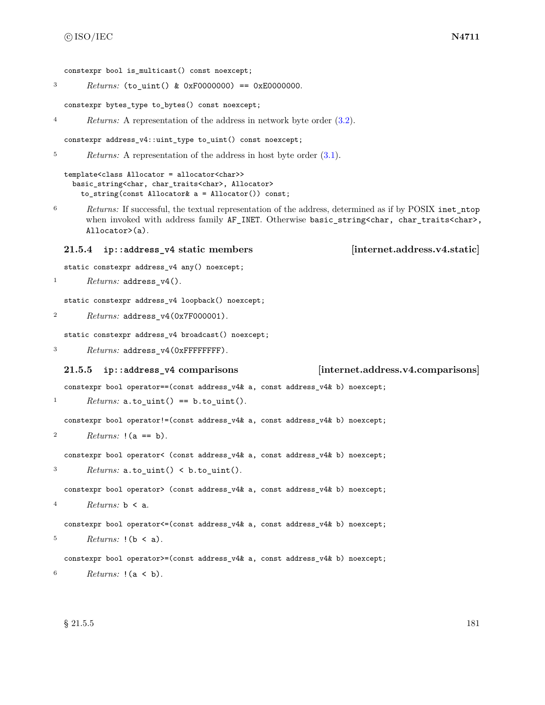- <sup>3</sup> *Returns:* (to\_uint() & 0xF0000000) == 0xE0000000.
	- constexpr bytes\_type to\_bytes() const noexcept;
- <sup>4</sup> *Returns:* A representation of the address in network byte order [\(3.2\)](#page-9-0).

```
constexpr address_v4::uint_type to_uint() const noexcept;
```
<sup>5</sup> *Returns:* A representation of the address in host byte order  $(3.1)$ .

```
template<class Allocator = allocator<char>>
 basic_string<char, char_traits<char>, Allocator>
    to_string(const Allocator& a = Allocator()) const;
```
<sup>6</sup> *Returns:* If successful, the textual representation of the address, determined as if by POSIX inet\_ntop when invoked with address family AF\_INET. Otherwise basic\_string<char, char\_traits<char>, Allocator>(a).

### <span id="page-187-0"></span>**21.5.4 ip::address\_v4 static members [internet.address.v4.static]**

static constexpr address\_v4 any() noexcept;

```
1 Returns: address_v4().
```
static constexpr address\_v4 loopback() noexcept;

```
2 Returns: address_v4(0x7F000001).
```
static constexpr address\_v4 broadcast() noexcept;

<sup>3</sup> *Returns:* address\_v4(0xFFFFFFFF).

### <span id="page-187-1"></span>**21.5.5 ip::address\_v4 comparisons [internet.address.v4.comparisons]**

constexpr bool operator==(const address\_v4& a, const address\_v4& b) noexcept;

```
1 Returns: a.to\_uint() == b.to\_uint().
```
constexpr bool operator!=(const address\_v4& a, const address\_v4& b) noexcept;

```
2 Returns: !(a == b).
```
constexpr bool operator< (const address\_v4& a, const address\_v4& b) noexcept;

 $3$  *Returns:*  $a.to\_uint() < b.to\_uint()$ .

constexpr bool operator> (const address\_v4& a, const address\_v4& b) noexcept;

```
4 Returns: b < a.
```
constexpr bool operator<=(const address\_v4& a, const address\_v4& b) noexcept;

```
5 Returns: !(b \le a).
```
constexpr bool operator>=(const address\_v4& a, const address\_v4& b) noexcept;

```
6 Returns: !(a < b).
```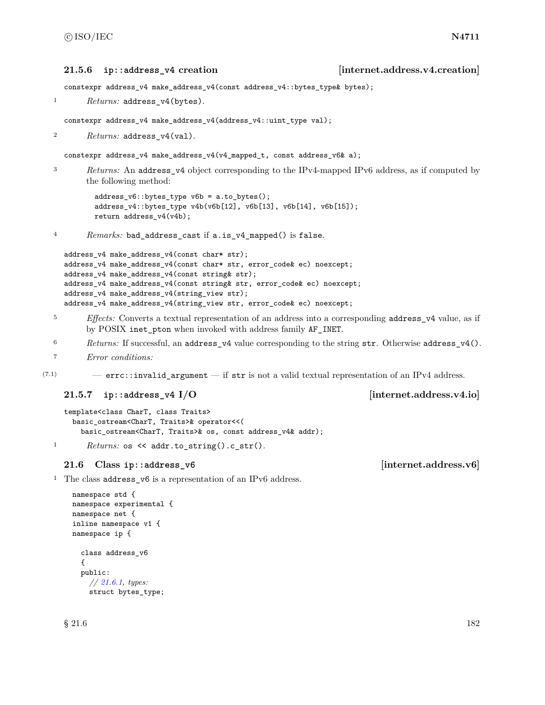### <span id="page-188-0"></span>**21.5.6 ip::address\_v4 creation [internet.address.v4.creation]**

constexpr address\_v4 make\_address\_v4(const address\_v4::bytes\_type& bytes);

<sup>1</sup> *Returns:* address\_v4(bytes).

constexpr address\_v4 make\_address\_v4(address\_v4::uint\_type val);

<sup>2</sup> *Returns:* address\_v4(val).

constexpr address\_v4 make\_address\_v4(v4\_mapped\_t, const address\_v6& a);

<sup>3</sup> *Returns:* An address\_v4 object corresponding to the IPv4-mapped IPv6 address, as if computed by the following method:

> address\_v6::bytes\_type v6b = a.to\_bytes(); address\_v4::bytes\_type v4b(v6b[12], v6b[13], v6b[14], v6b[15]); return address\_v4(v4b);

<sup>4</sup> *Remarks:* bad\_address\_cast if a.is\_v4\_mapped() is false.

```
address_v4 make_address_v4(const char* str);
address_v4 make_address_v4(const char* str, error_code& ec) noexcept;
address_v4 make_address_v4(const string& str);
address_v4 make_address_v4(const string& str, error_code& ec) noexcept;
address_v4 make_address_v4(string_view str);
address_v4 make_address_v4(string_view str, error_code& ec) noexcept;
```
- <sup>5</sup> *Effects:* Converts a textual representation of an address into a corresponding address\_v4 value, as if by POSIX inet pton when invoked with address family AF\_INET.
- <sup>6</sup> *Returns:* If successful, an address\_v4 value corresponding to the string str. Otherwise address\_v4().
- <sup>7</sup> *Error conditions:*

 $(7.1)$  – errc::invalid\_argument — if str is not a valid textual representation of an IPv4 address.

### <span id="page-188-1"></span>**21.5.7 ip::address\_v4 I/O imternet.address.v4.io**

```
template<class CharT, class Traits>
 basic_ostream<CharT, Traits>& operator<<(
    basic_ostream<CharT, Traits>& os, const address_v4& addr);
```
1 *Returns:* os << addr.to\_string().c\_str().

### **21.6 Class ip::address\_v6 [internet.address.v6]**

<sup>1</sup> The class address\_v6 is a representation of an IPv6 address.

```
namespace std {
namespace experimental {
namespace net {
inline namespace v1 {
namespace ip {
  class address_v6
  {
  public:
    // 21.6.1, types:
    struct bytes_type;
```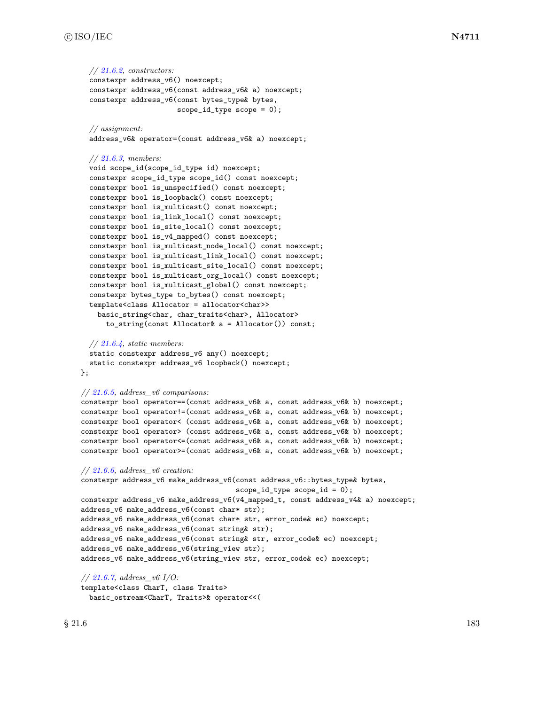```
// 21.6.2, constructors:
  constexpr address_v6() noexcept;
  constexpr address_v6(const address_v6& a) noexcept;
  constexpr address_v6(const bytes_type& bytes,
                       scope_id_type scope = 0);
  // assignment:
  address_v6& operator=(const address_v6& a) noexcept;
  // 21.6.3, members:
  void scope_id(scope_id_type id) noexcept;
  constexpr scope_id_type scope_id() const noexcept;
  constexpr bool is_unspecified() const noexcept;
  constexpr bool is_loopback() const noexcept;
  constexpr bool is_multicast() const noexcept;
  constexpr bool is_link_local() const noexcept;
  constexpr bool is_site_local() const noexcept;
  constexpr bool is_v4_mapped() const noexcept;
  constexpr bool is_multicast_node_local() const noexcept;
  constexpr bool is_multicast_link_local() const noexcept;
  constexpr bool is_multicast_site_local() const noexcept;
  constexpr bool is_multicast_org_local() const noexcept;
  constexpr bool is_multicast_global() const noexcept;
  constexpr bytes_type to_bytes() const noexcept;
  template<class Allocator = allocator<char>>
    basic_string<char, char_traits<char>, Allocator>
      to_string(const Allocator& a = Allocator()) const;
  // 21.6.4, static members:
  static constexpr address_v6 any() noexcept;
  static constexpr address_v6 loopback() noexcept;
};
// 21.6.5, address_v6 comparisons:
constexpr bool operator==(const address_v6& a, const address_v6& b) noexcept;
constexpr bool operator!=(const address_v6& a, const address_v6& b) noexcept;
constexpr bool operator< (const address_v6& a, const address_v6& b) noexcept;
constexpr bool operator> (const address_v6& a, const address_v6& b) noexcept;
constexpr bool operator<=(const address_v6& a, const address_v6& b) noexcept;
constexpr bool operator>=(const address_v6& a, const address_v6& b) noexcept;
// 21.6.6, address_v6 creation:
constexpr address_v6 make_address_v6(const address_v6::bytes_type& bytes,
                                     scope_id_type scope_id = 0);
constexpr address_v6 make_address_v6(v4_mapped_t, const address_v4& a) noexcept;
address_v6 make_address_v6(const char* str);
address_v6 make_address_v6(const char* str, error_code& ec) noexcept;
address_v6 make_address_v6(const string& str);
address_v6 make_address_v6(const string& str, error_code& ec) noexcept;
address_v6 make_address_v6(string_view str);
address_v6 make_address_v6(string_view str, error_code& ec) noexcept;
// 21.6.7, address_v6 I/O:
```
template<class CharT, class Traits> basic\_ostream<CharT, Traits>& operator<<(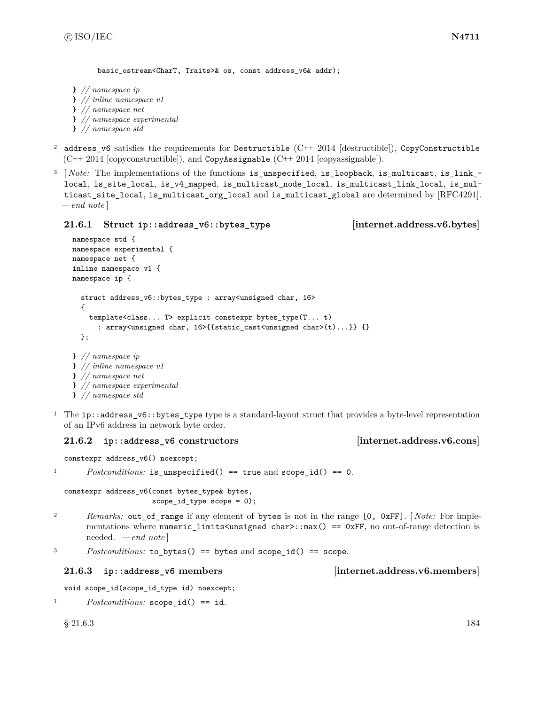```
basic ostream<CharT, Traits>& os, const address v6& addr);
```

```
} // namespace ip
} // inline namespace v1
} // namespace net
} // namespace experimental
} // namespace std
```
- <sup>2</sup> address v6 satisfies the requirements for Destructible (C++ 2014 [destructible]), CopyConstructible (C++ 2014 [copyconstructible]), and CopyAssignable (C++ 2014 [copyassignable]).
- <sup>3</sup> [*Note:* The implementations of the functions is unspecified, is loopback, is multicast, is link local, is\_site\_local, is\_v4\_mapped, is\_multicast\_node\_local, is\_multicast\_link\_local, is\_multicast\_site\_local, is\_multicast\_org\_local and is\_multicast\_global are determined by [RFC4291]. *— end note* ]

<span id="page-190-0"></span>**21.6.1 Struct ip::address\_v6::bytes\_type [internet.address.v6.bytes]**

```
namespace std {
namespace experimental {
namespace net {
inline namespace v1 {
namespace ip {
  struct address_v6::bytes_type : array<unsigned char, 16>
  {
    template<class... T> explicit constexpr bytes_type(T... t)
      : array<unsigned char, 16>{{static_cast<unsigned char>(t)...}} {}
  };
} // namespace ip
} // inline namespace v1
} // namespace net
```
- } *// namespace experimental*
- } *// namespace std*
- <sup>1</sup> The ip::address\_v6::bytes\_type type is a standard-layout struct that provides a byte-level representation of an IPv6 address in network byte order.

# <span id="page-190-1"></span>**21.6.2 ip::address\_v6 constructors [internet.address.v6.cons]**

constexpr address\_v6() noexcept;

```
1 Postconditions: is_unspecified() == true and scope_id() == 0.
```
constexpr address v6(const bytes type& bytes, scope\_id\_type scope =  $0$ );

<sup>2</sup> *Remarks:* out\_of\_range if any element of bytes is not in the range [0, 0xFF]. [ *Note:* For implementations where numeric\_limits<unsigned char>::max() == 0xFF, no out-of-range detection is needed. *— end note* ]

<sup>3</sup> *Postconditions:* to\_bytes() == bytes and scope\_id() == scope.

# <span id="page-190-2"></span>**21.6.3 ip::address\_v6 members [internet.address.v6.members]**

```
void scope_id(scope_id_type id) noexcept;
```

```
1 Postconditions: scope_id() == id.
```
 $\S 21.6.3$  184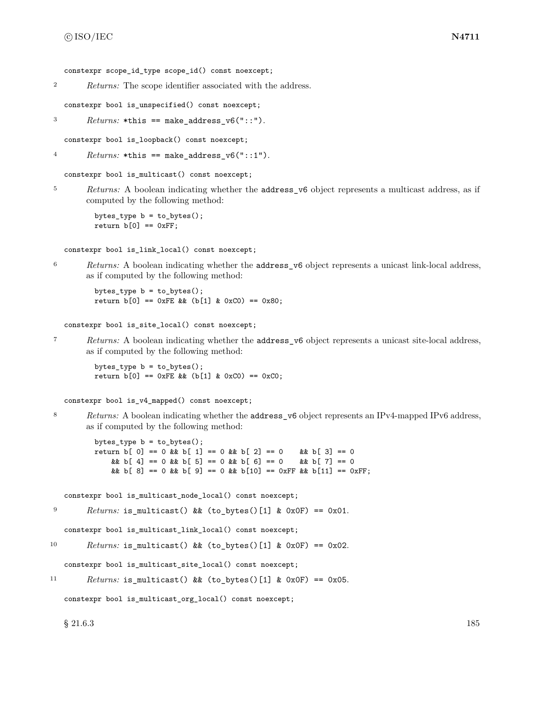constexpr scope\_id\_type scope\_id() const noexcept;

<sup>2</sup> *Returns:* The scope identifier associated with the address.

constexpr bool is\_unspecified() const noexcept;

 $3$  *Returns:* \*this == make\_address\_v6("::").

constexpr bool is\_loopback() const noexcept;

```
4 Returns: *this == make\_address_v6("::1").
```
constexpr bool is\_multicast() const noexcept;

<sup>5</sup> *Returns:* A boolean indicating whether the **address** v6 object represents a multicast address, as if computed by the following method:

```
bytes_type b = to_bytes();
return b[0] == 0xFF;
```
constexpr bool is\_link\_local() const noexcept;

<sup>6</sup> *Returns:* A boolean indicating whether the address\_v6 object represents a unicast link-local address, as if computed by the following method:

bytes\_type  $b = to_b$ ytes(); return  $b[0] == 0xFE$  &  $(b[1] & 0xC0) == 0x80;$ 

constexpr bool is\_site\_local() const noexcept;

<sup>7</sup> *Returns:* A boolean indicating whether the address\_v6 object represents a unicast site-local address, as if computed by the following method:

bytes\_type b = to\_bytes(); return  $b[0] == 0xFE & (b[1] & 0xCO) == 0xCO;$ 

constexpr bool is\_v4\_mapped() const noexcept;

8 *Returns:* A boolean indicating whether the **address\_v6** object represents an IPv4-mapped IPv6 address, as if computed by the following method:

```
bytes_type b = to_bytes();
return b[ 0] == 0 & & b[ 1] == 0 & & b[ 2] == 0 \&b b[ 3] == 0
    && b[ 4] == 0 && b[ 5] == 0 && b[ 6] == 0 \&b{b} b[ 7] == 0
    && b[ 8] == 0 && b[ 9] == 0 && b[10] == 0xFF && b[11] == 0xFF;
```
constexpr bool is\_multicast\_node\_local() const noexcept;

```
P<sup>9</sup> Returns: is_multicast() && (to_bytes()[1] & 0x0F) == 0x01.
```
constexpr bool is\_multicast\_link\_local() const noexcept;

<sup>10</sup> *Returns:* is\_multicast() && (to\_bytes()[1] & 0x0F) == 0x02.

constexpr bool is\_multicast\_site\_local() const noexcept;

<sup>11</sup> *Returns:* is\_multicast() && (to\_bytes()[1] & 0x0F) == 0x05.

constexpr bool is\_multicast\_org\_local() const noexcept;

 $\S 21.6.3$  185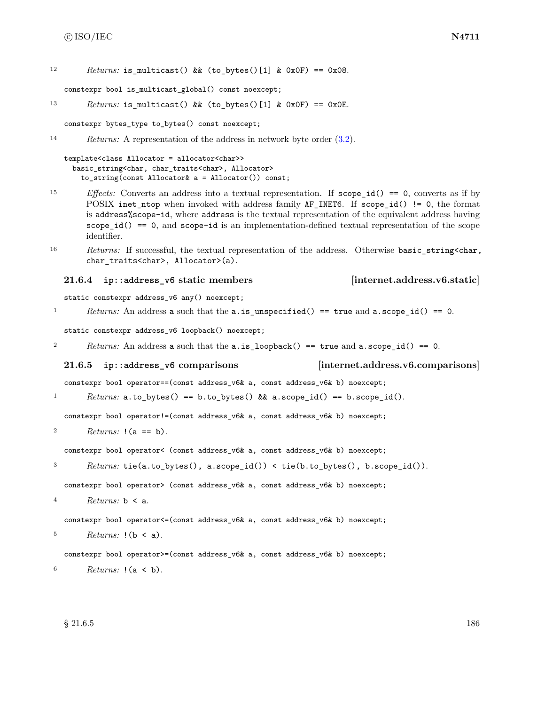12  $Returns:$  is multicast() && (to bytes()[1] & 0x0F) == 0x08.

constexpr bool is\_multicast\_global() const noexcept;

```
13 Returns: is_multicast() && (to_bytes()[1] & 0x0F) == 0x0E.
```
constexpr bytes\_type to\_bytes() const noexcept;

```
14 Returns: A representation of the address in network byte order (3.2).
```

```
template<class Allocator = allocator<char>>
  basic_string<char, char_traits<char>, Allocator>
    to_string(const Allocator& a = Allocator()) const;
```
- <sup>15</sup> *Effects:* Converts an address into a textual representation. If scope\_id() == 0, converts as if by POSIX inet\_ntop when invoked with address family AF\_INET6. If scope\_id() != 0, the format is address%scope-id, where address is the textual representation of the equivalent address having  $scope_id() == 0$ , and  $scope-id$  is an implementation-defined textual representation of the scope identifier.
- 16 *Returns:* If successful, the textual representation of the address. Otherwise basic\_string<char, char\_traits<char>, Allocator>(a).

### <span id="page-192-0"></span>**21.6.4 ip::address\_v6 static members [internet.address.v6.static]**

static constexpr address\_v6 any() noexcept;

1 *Returns:* An address a such that the a.is\_unspecified() == true and a.scope\_id() == 0.

static constexpr address\_v6 loopback() noexcept;

<sup>2</sup> *Returns:* An address a such that the a.is\_loopback() == true and a.scope\_id() == 0.

<span id="page-192-1"></span>**21.6.5 ip::address\_v6 comparisons [internet.address.v6.comparisons]**

constexpr bool operator==(const address\_v6& a, const address\_v6& b) noexcept;

1 *Returns:* a.to\_bytes() == b.to\_bytes() && a.scope\_id() == b.scope\_id().

constexpr bool operator!=(const address\_v6& a, const address\_v6& b) noexcept;

2  $Returns: !(a == b).$ 

constexpr bool operator< (const address\_v6& a, const address\_v6& b) noexcept;

<sup>3</sup> *Returns:* tie(a.to\_bytes(), a.scope\_id()) < tie(b.to\_bytes(), b.scope\_id()).

constexpr bool operator> (const address\_v6& a, const address\_v6& b) noexcept;

<sup>4</sup> *Returns:* b < a.

constexpr bool operator<=(const address\_v6& a, const address\_v6& b) noexcept;

```
5 Returns: ! (b < a).
```
constexpr bool operator>=(const address\_v6& a, const address\_v6& b) noexcept;

<sup>6</sup> *Returns:* !(a < b).

 $\S 21.6.5$  186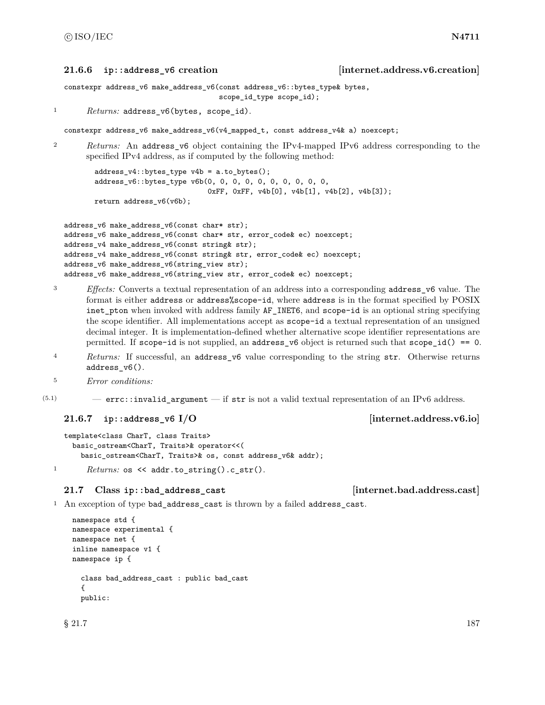### <span id="page-193-0"></span>**21.6.6 ip::address\_v6 creation [internet.address.v6.creation]**

```
constexpr address_v6 make_address_v6(const address_v6::bytes_type& bytes,
                                     scope_id_type scope_id);
```

```
1 Returns: address_v6(bytes, scope_id).
```
constexpr address\_v6 make\_address\_v6(v4\_mapped\_t, const address\_v4& a) noexcept;

<sup>2</sup> *Returns:* An address v6 object containing the IPv4-mapped IPv6 address corresponding to the specified IPv4 address, as if computed by the following method:

address\_v4::bytes\_type v4b = a.to\_bytes(); address\_v6::bytes\_type v6b(0, 0, 0, 0, 0, 0, 0, 0, 0, 0, 0xFF, 0xFF, v4b[0], v4b[1], v4b[2], v4b[3]); return address\_v6(v6b);

```
address_v6 make_address_v6(const char* str);
address_v6 make_address_v6(const char* str, error_code& ec) noexcept;
address_v4 make_address_v6(const string& str);
address_v4 make_address_v6(const string& str, error_code& ec) noexcept;
address_v6 make_address_v6(string_view str);
address_v6 make_address_v6(string_view str, error_code& ec) noexcept;
```
- <sup>3</sup> *Effects:* Converts a textual representation of an address into a corresponding address\_v6 value. The format is either address or address%scope-id, where address is in the format specified by POSIX inet\_pton when invoked with address family AF\_INET6, and scope-id is an optional string specifying the scope identifier. All implementations accept as scope-id a textual representation of an unsigned decimal integer. It is implementation-defined whether alternative scope identifier representations are permitted. If  $scope-id$  is not supplied, an  $address_y6$  object is returned such that  $scope_id() == 0$ .
- <sup>4</sup> *Returns:* If successful, an address\_v6 value corresponding to the string str. Otherwise returns address\_v6().
- <sup>5</sup> *Error conditions:*
- $(5.1)$  errc::invalid argument if str is not a valid textual representation of an IPv6 address.

### <span id="page-193-1"></span>**21.6.7 ip::address\_v6 I/O [internet.address.v6.io]**

```
template<class CharT, class Traits>
 basic_ostream<CharT, Traits>& operator<<(
    basic_ostream<CharT, Traits>& os, const address_v6& addr);
```
1 *Returns:* os << addr.to\_string().c\_str().

### **21.7 Class ip::bad\_address\_cast [internet.bad.address.cast]**

```
<sup>1</sup> An exception of type bad_address_cast is thrown by a failed address_cast.
```

```
namespace std {
namespace experimental {
namespace net {
inline namespace v1 {
namespace ip {
  class bad_address_cast : public bad_cast
  {
  public:
```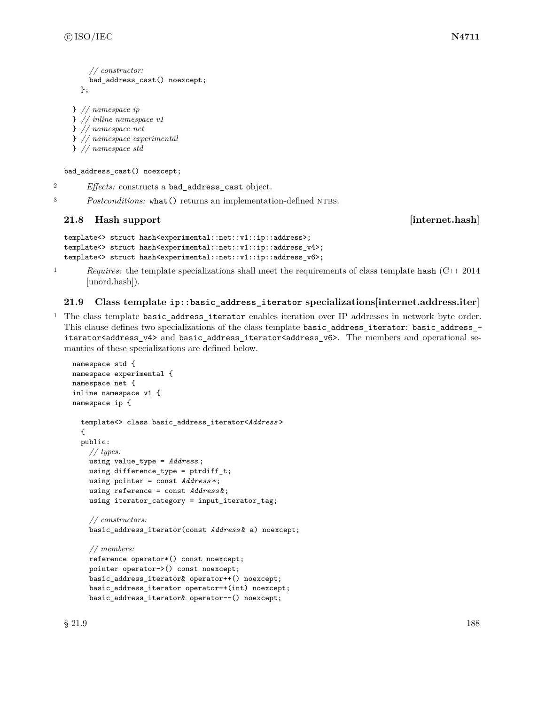```
// constructor:
    bad_address_cast() noexcept;
  };
} // namespace ip
```
} *// inline namespace v1* } *// namespace net*

} *// namespace experimental*

```
} // namespace std
```
bad\_address\_cast() noexcept;

<sup>2</sup> *Effects:* constructs a bad\_address\_cast object.

<sup>3</sup> *Postconditions:* what () returns an implementation-defined NTBS.

# **21.8 Hash support contract internet.hash**

```
template<> struct hash<experimental::net::v1::ip::address>;
template<> struct hash<experimental::net::v1::ip::address_v4>;
template<> struct hash<experimental::net::v1::ip::address_v6>;
```
<sup>1</sup> *Requires:* the template specializations shall meet the requirements of class template hash (C++ 2014) [unord.hash]).

# **21.9 Class template ip::basic\_address\_iterator specializations[internet.address.iter]**

<sup>1</sup> The class template basic\_address\_iterator enables iteration over IP addresses in network byte order. This clause defines two specializations of the class template basic\_address\_iterator: basic\_address\_ iterator<address\_v4> and basic\_address\_iterator<address\_v6>. The members and operational semantics of these specializations are defined below.

```
namespace std {
namespace experimental {
namespace net {
inline namespace v1 {
namespace ip {
  template<> class basic_address_iterator<Address >
  {
  public:
    // types:
    using value_type = Address ;
    using difference_type = ptrdiff_t;
    using pointer = const Address *;
    using reference = const Address &;
    using iterator_category = input_iterator_tag;
    // constructors:
    basic_address_iterator(const Address & a) noexcept;
    // members:
    reference operator*() const noexcept;
    pointer operator->() const noexcept;
    basic_address_iterator& operator++() noexcept;
    basic_address_iterator operator++(int) noexcept;
    basic_address_iterator& operator--() noexcept;
```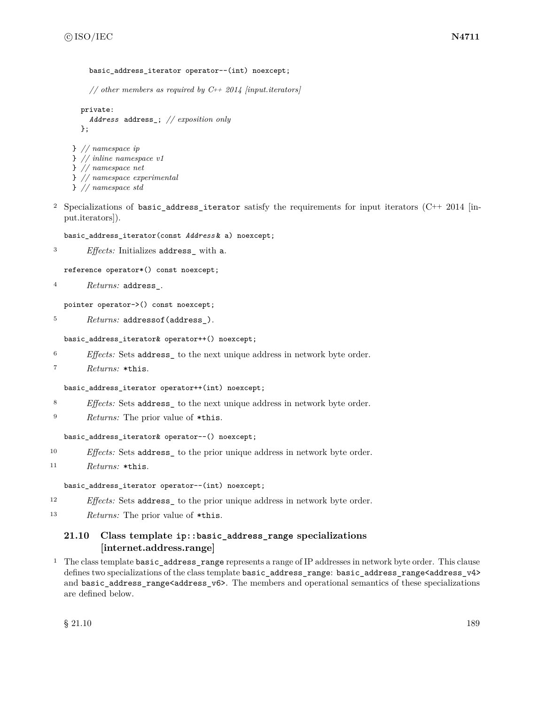```
basic address iterator operator--(int) noexcept;
```
*// other members as required by C++ 2014 [input.iterators]*

```
private:
  Address address_; // exposition only
};
```

```
} // namespace ip
} // inline namespace v1
} // namespace net
} // namespace experimental
```
- } *// namespace std*
- <sup>2</sup> Specializations of basic address iterator satisfy the requirements for input iterators (C++ 2014 [input.iterators]).

basic\_address\_iterator(const *Address* & a) noexcept;

<sup>3</sup> *Effects:* Initializes address\_ with a.

reference operator\*() const noexcept;

<sup>4</sup> *Returns:* address\_.

pointer operator->() const noexcept;

<sup>5</sup> *Returns:* addressof(address\_).

basic\_address\_iterator& operator++() noexcept;

<sup>6</sup> *Effects:* Sets address\_ to the next unique address in network byte order.

```
7 Returns: *this.
```
basic\_address\_iterator operator++(int) noexcept;

- <sup>8</sup> *Effects:* Sets address\_ to the next unique address in network byte order.
- <sup>9</sup> *Returns:* The prior value of \*this.

basic\_address\_iterator& operator--() noexcept;

- <sup>10</sup> *Effects:* Sets address\_ to the prior unique address in network byte order.
- <sup>11</sup> *Returns:* \*this.

basic\_address\_iterator operator--(int) noexcept;

- <sup>12</sup> *Effects:* Sets address<sub>\_</sub> to the prior unique address in network byte order.
- <sup>13</sup> *Returns:* The prior value of \*this.

# **21.10 Class template ip::basic\_address\_range specializations [internet.address.range]**

<sup>1</sup> The class template basic\_address\_range represents a range of IP addresses in network byte order. This clause defines two specializations of the class template basic\_address\_range: basic\_address\_range<address\_v4> and basic\_address\_range<address\_v6>. The members and operational semantics of these specializations are defined below.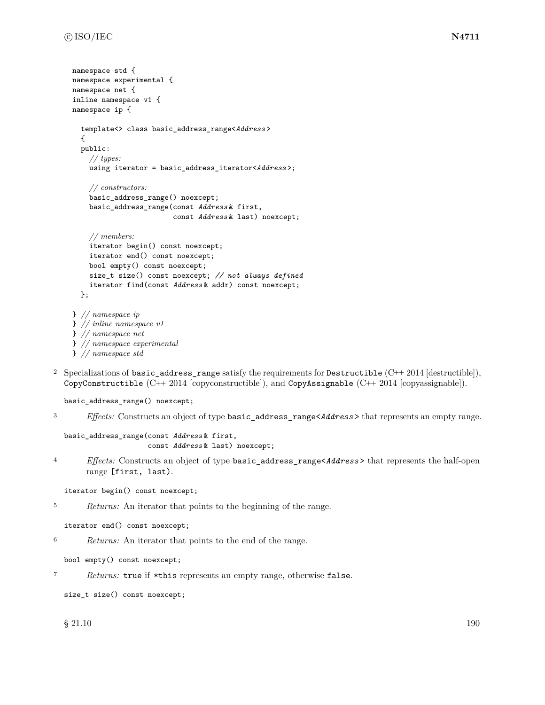```
namespace std {
namespace experimental {
namespace net {
inline namespace v1 {
namespace ip {
  template<> class basic_address_range<Address >
  {
  public:
    // types:
    using iterator = basic_address_iterator<Address >;
    // constructors:
    basic_address_range() noexcept;
    basic_address_range(const Address & first,
                         const Address & last) noexcept;
    // members:
    iterator begin() const noexcept;
    iterator end() const noexcept;
    bool empty() const noexcept;
    size_t size() const noexcept; // not always defined
    iterator find(const Address & addr) const noexcept;
  };
} // namespace ip
} // inline namespace v1
} // namespace net
} // namespace experimental
```

```
} // namespace std
```
2 Specializations of basic\_address\_range satisfy the requirements for Destructible  $(C++ 2014$  [destructible]), CopyConstructible (C++ 2014 [copyconstructible]), and CopyAssignable (C++ 2014 [copyassignable]).

basic\_address\_range() noexcept;

<sup>3</sup> *Effects:* Constructs an object of type basic\_address\_range<*Address* > that represents an empty range.

```
basic_address_range(const Address & first,
                    const Address & last) noexcept;
```
<sup>4</sup> *Effects:* Constructs an object of type basic\_address\_range<*Address* > that represents the half-open range [first, last).

iterator begin() const noexcept;

```
5 Returns: An iterator that points to the beginning of the range.
```

```
iterator end() const noexcept;
```
<sup>6</sup> *Returns:* An iterator that points to the end of the range.

```
bool empty() const noexcept;
```

```
7 Returns: true if *this represents an empty range, otherwise false.
```

```
size_t size() const noexcept;
```
 $\frac{190}{21.10}$  5 21.10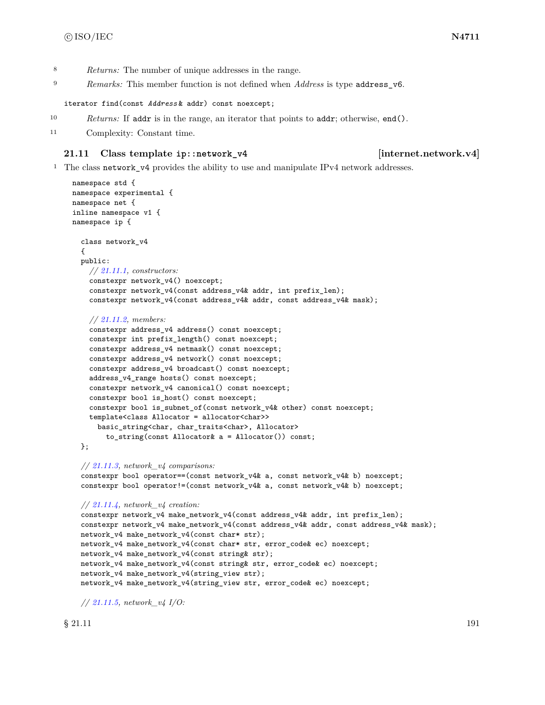- <sup>8</sup> *Returns:* The number of unique addresses in the range.
- <sup>9</sup> *Remarks:* This member function is not defined when *Address* is type address\_v6.

iterator find(const *Address* & addr) const noexcept;

- <sup>10</sup> *Returns:* If addr is in the range, an iterator that points to addr; otherwise, end().
- <sup>11</sup> Complexity: Constant time.

### **21.11 Class template ip::network\_v4 [internet.network.v4]**

<sup>1</sup> The class network\_v4 provides the ability to use and manipulate IPv4 network addresses.

```
namespace std {
namespace experimental {
namespace net {
inline namespace v1 {
namespace ip {
  class network_v4
  {
 public:
    // 21.11.1, constructors:
    constexpr network_v4() noexcept;
    constexpr network_v4(const address_v4& addr, int prefix_len);
    constexpr network_v4(const address_v4& addr, const address_v4& mask);
    // 21.11.2, members:
    constexpr address_v4 address() const noexcept;
    constexpr int prefix_length() const noexcept;
    constexpr address_v4 netmask() const noexcept;
    constexpr address_v4 network() const noexcept;
    constexpr address_v4 broadcast() const noexcept;
    address_v4_range hosts() const noexcept;
    constexpr network_v4 canonical() const noexcept;
    constexpr bool is_host() const noexcept;
    constexpr bool is_subnet_of(const network_v4& other) const noexcept;
    template<class Allocator = allocator<char>>
      basic_string<char, char_traits<char>, Allocator>
        to_string(const Allocator& a = Allocator()) const;
  };
  // 21.11.3, network_v4 comparisons:
  constexpr bool operator==(const network_v4& a, const network_v4& b) noexcept;
  constexpr bool operator!=(const network_v4& a, const network_v4& b) noexcept;
 // 21.11.4, network_v4 creation:
  constexpr network_v4 make_network_v4(const address_v4& addr, int prefix_len);
  constexpr network_v4 make_network_v4(const address_v4& addr, const address_v4& mask);
  network_v4 make_network_v4(const char* str);
  network_v4 make_network_v4(const char* str, error_code& ec) noexcept;
  network_v4 make_network_v4(const string& str);
  network_v4 make_network_v4(const string& str, error_code& ec) noexcept;
  network_v4 make_network_v4(string_view str);
  network_v4 make_network_v4(string_view str, error_code& ec) noexcept;
```
*// [21.11.5,](#page-200-0) network\_v4 I/O:*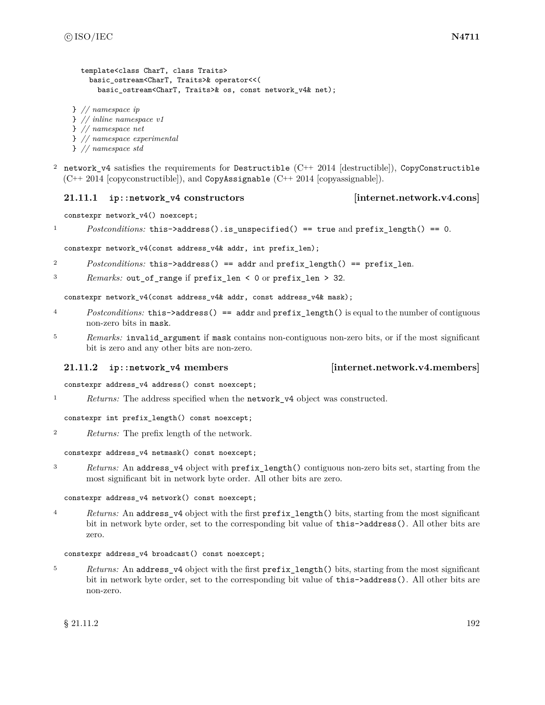```
template<class CharT, class Traits>
    basic_ostream<CharT, Traits>& operator<<(
      basic_ostream<CharT, Traits>& os, const network_v4& net);
} // namespace ip
} // inline namespace v1
} // namespace net
} // namespace experimental
```
- } *// namespace std*
- <sup>2</sup> network v4 satisfies the requirements for Destructible (C++ 2014 [destructible]), CopyConstructible (C++ 2014 [copyconstructible]), and CopyAssignable (C++ 2014 [copyassignable]).

### <span id="page-198-0"></span>**21.11.1 ip::network\_v4 constructors [internet.network.v4.cons]**

constexpr network\_v4() noexcept;

1 *Postconditions:* this->address().is\_unspecified() == true and prefix\_length() == 0.

constexpr network\_v4(const address\_v4& addr, int prefix\_len);

- <sup>2</sup> *Postconditions:* this->address() == addr and prefix\_length() == prefix\_len.
- <sup>3</sup> *Remarks:* out\_of\_range if prefix\_len < 0 or prefix\_len > 32.

constexpr network\_v4(const address\_v4& addr, const address\_v4& mask);

- <sup>4</sup> *Postconditions:* this->address() == addr and prefix\_length() is equal to the number of contiguous non-zero bits in mask.
- <sup>5</sup> *Remarks:* invalid\_argument if mask contains non-contiguous non-zero bits, or if the most significant bit is zero and any other bits are non-zero.

### <span id="page-198-1"></span>**21.11.2 ip::network\_v4 members [internet.network.v4.members]**

constexpr address\_v4 address() const noexcept;

<sup>1</sup> *Returns:* The address specified when the network\_v4 object was constructed.

constexpr int prefix\_length() const noexcept;

<sup>2</sup> *Returns:* The prefix length of the network.

constexpr address\_v4 netmask() const noexcept;

<sup>3</sup> *Returns:* An address\_v4 object with prefix\_length() contiguous non-zero bits set, starting from the most significant bit in network byte order. All other bits are zero.

### constexpr address\_v4 network() const noexcept;

<sup>4</sup> *Returns:* An address\_v4 object with the first prefix\_length() bits, starting from the most significant bit in network byte order, set to the corresponding bit value of this->address(). All other bits are zero.

### constexpr address\_v4 broadcast() const noexcept;

<sup>5</sup> *Returns:* An address\_v4 object with the first prefix\_length() bits, starting from the most significant bit in network byte order, set to the corresponding bit value of this->address(). All other bits are non-zero.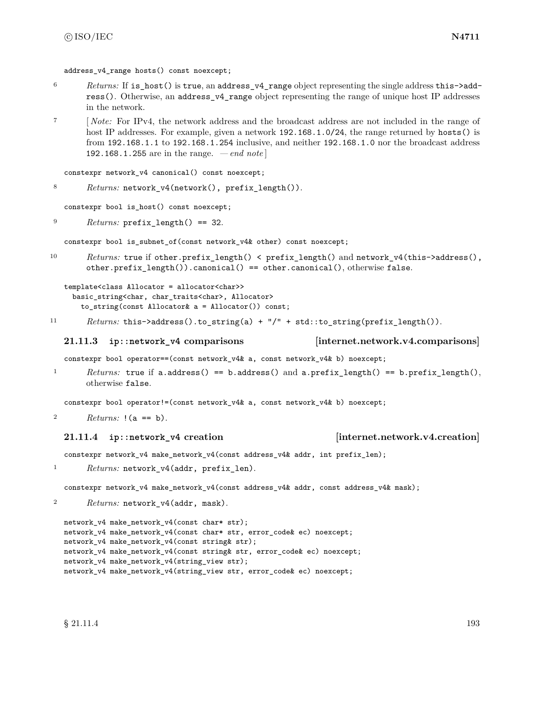address  $v4$  range hosts() const noexcept;

- <sup>6</sup> *Returns:* If is\_host() is true, an address\_v4\_range object representing the single address this->address(). Otherwise, an address\_v4\_range object representing the range of unique host IP addresses in the network.
- <sup>7</sup> [ *Note:* For IPv4, the network address and the broadcast address are not included in the range of host IP addresses. For example, given a network 192.168.1.0/24, the range returned by hosts() is from 192.168.1.1 to 192.168.1.254 inclusive, and neither 192.168.1.0 nor the broadcast address 192.168.1.255 are in the range. *— end note* ]

```
constexpr network_v4 canonical() const noexcept;
```

```
8 Returns: network_v4(network(), prefix_length()).
```
constexpr bool is\_host() const noexcept;

```
9 Returns: prefix_length() == 32.
```
constexpr bool is\_subnet\_of(const network\_v4& other) const noexcept;

10 *Returns:* true if other.prefix\_length() < prefix\_length() and network\_v4(this->address(), other.prefix\_length()).canonical() == other.canonical(), otherwise false.

```
template<class Allocator = allocator<char>>
  basic_string<char, char_traits<char>, Allocator>
    to_string(const Allocator& a = Allocator()) const;
```
11 *Returns:* this->address().to\_string(a) + "/" + std::to\_string(prefix\_length()).

### <span id="page-199-0"></span>**21.11.3 ip::network\_v4 comparisons [internet.network.v4.comparisons]**

constexpr bool operator==(const network\_v4& a, const network\_v4& b) noexcept;

<sup>1</sup> *Returns:* true if a.address() == b.address() and a.prefix\_length() == b.prefix\_length(), otherwise false.

constexpr bool operator!=(const network\_v4& a, const network\_v4& b) noexcept;

```
2 Returns: !(a == b).
```
# <span id="page-199-1"></span>**21.11.4 ip::network\_v4 creation [internet.network.v4.creation]**

constexpr network\_v4 make\_network\_v4(const address\_v4& addr, int prefix\_len);

1 Returns: network\_v4(addr, prefix\_len).

constexpr network\_v4 make\_network\_v4(const address\_v4& addr, const address\_v4& mask);

<sup>2</sup> *Returns:* network\_v4(addr, mask).

```
network_v4 make_network_v4(const char* str);
network_v4 make_network_v4(const char* str, error_code& ec) noexcept;
network_v4 make_network_v4(const string& str);
network_v4 make_network_v4(const string& str, error_code& ec) noexcept;
network_v4 make_network_v4(string_view str);
network_v4 make_network_v4(string_view str, error_code& ec) noexcept;
```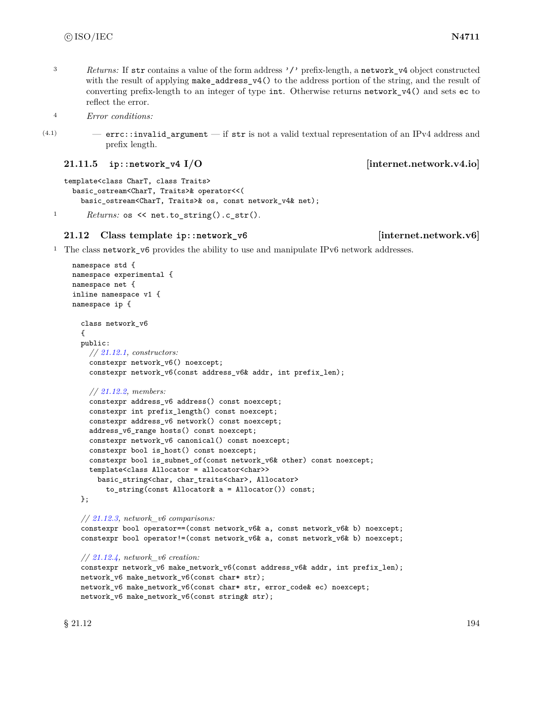<sup>3</sup> *Returns:* If str contains a value of the form address '/' prefix-length, a network v4 object constructed with the result of applying make\_address\_v4() to the address portion of the string, and the result of converting prefix-length to an integer of type int. Otherwise returns network\_v4() and sets ec to reflect the error.

<sup>4</sup> *Error conditions:*

(4.1) — errc::invalid\_argument — if str is not a valid textual representation of an IPv4 address and prefix length.

<span id="page-200-0"></span>**21.11.5 ip::network\_v4 I/O** [internet.network.v4.io]

```
template<class CharT, class Traits>
  basic_ostream<CharT, Traits>& operator<<(
    basic_ostream<CharT, Traits>& os, const network_v4& net);
```
1 *Returns:* os << net.to\_string().c\_str().

# **21.12 Class template ip::network\_v6 [internet.network.v6]**

<sup>1</sup> The class network\_v6 provides the ability to use and manipulate IPv6 network addresses.

```
namespace std {
namespace experimental {
namespace net {
inline namespace v1 {
namespace ip {
  class network_v6
  {
  public:
    // 21.12.1, constructors:
    constexpr network_v6() noexcept;
    constexpr network_v6(const address_v6& addr, int prefix_len);
    // 21.12.2, members:
    constexpr address_v6 address() const noexcept;
    constexpr int prefix_length() const noexcept;
    constexpr address_v6 network() const noexcept;
    address_v6_range hosts() const noexcept;
    constexpr network_v6 canonical() const noexcept;
    constexpr bool is_host() const noexcept;
    constexpr bool is_subnet_of(const network_v6& other) const noexcept;
    template<class Allocator = allocator<char>>
      basic_string<char, char_traits<char>, Allocator>
        to_string(const Allocator& a = Allocator()) const;
  };
  // 21.12.3, network_v6 comparisons:
  constexpr bool operator==(const network_v6& a, const network_v6& b) noexcept;
  constexpr bool operator!=(const network_v6& a, const network_v6& b) noexcept;
  // 21.12.4, network_v6 creation:
  constexpr network_v6 make_network_v6(const address_v6& addr, int prefix_len);
```

```
network_v6 make_network_v6(const char* str);
network_v6 make_network_v6(const char* str, error_code& ec) noexcept;
network_v6 make_network_v6(const string& str);
```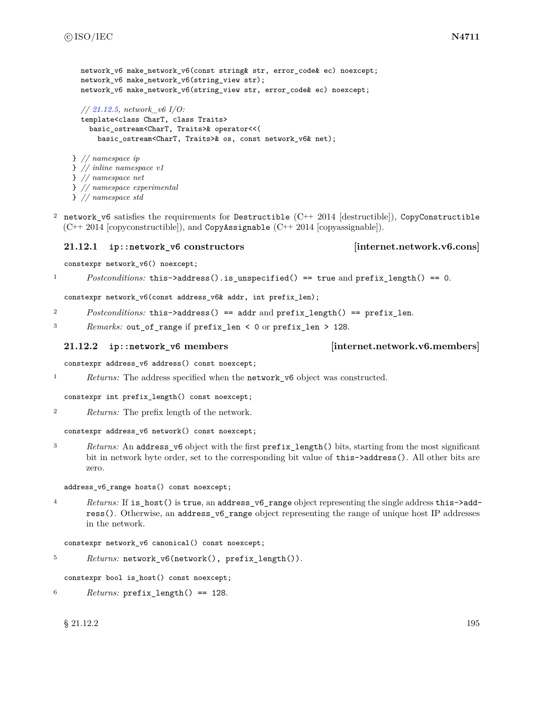```
network v6 make network v6(const string& str, error code& ec) noexcept;
  network_v6 make_network_v6(string_view str);
  network_v6 make_network_v6(string_view str, error_code& ec) noexcept;
  // 21.12.5, network_v6 I/O:
  template<class CharT, class Traits>
    basic_ostream<CharT, Traits>& operator<<(
      basic_ostream<CharT, Traits>& os, const network_v6& net);
} // namespace ip
} // inline namespace v1
} // namespace net
} // namespace experimental
} // namespace std
```
<sup>2</sup> network\_v6 satisfies the requirements for Destructible  $(C^{++} 2014$  [destructible]), CopyConstructible  $(C_{++}$  2014 [copyconstructible]), and CopyAssignable  $(C_{++}$  2014 [copyassignable]).

### <span id="page-201-0"></span>**21.12.1 ip::network\_v6 constructors [internet.network.v6.cons]**

constexpr network\_v6() noexcept;

<sup>1</sup> *Postconditions:* this->address().is\_unspecified() == true and prefix\_length() == 0.

constexpr network\_v6(const address\_v6& addr, int prefix\_len);

<sup>2</sup> *Postconditions:* this->address() == addr and prefix\_length() == prefix\_len.

<sup>3</sup> *Remarks:* out\_of\_range if prefix\_len < 0 or prefix\_len > 128.

### <span id="page-201-1"></span>**21.12.2 ip::network\_v6 members [internet.network.v6.members]**

constexpr address\_v6 address() const noexcept;

<sup>1</sup> *Returns:* The address specified when the **network\_v6** object was constructed.

constexpr int prefix\_length() const noexcept;

<sup>2</sup> *Returns:* The prefix length of the network.

constexpr address\_v6 network() const noexcept;

<sup>3</sup> *Returns:* An address\_v6 object with the first prefix\_length() bits, starting from the most significant bit in network byte order, set to the corresponding bit value of this- $\geq$ address(). All other bits are zero.

address\_v6\_range hosts() const noexcept;

<sup>4</sup> *Returns:* If is\_host() is true, an address\_v6\_range object representing the single address this->address(). Otherwise, an address\_v6\_range object representing the range of unique host IP addresses in the network.

constexpr network\_v6 canonical() const noexcept;

<sup>5</sup> *Returns:* network\_v6(network(), prefix\_length()).

constexpr bool is\_host() const noexcept;

<sup>6</sup> *Returns:* prefix\_length() == 128.

# $\S$  21.12.2 195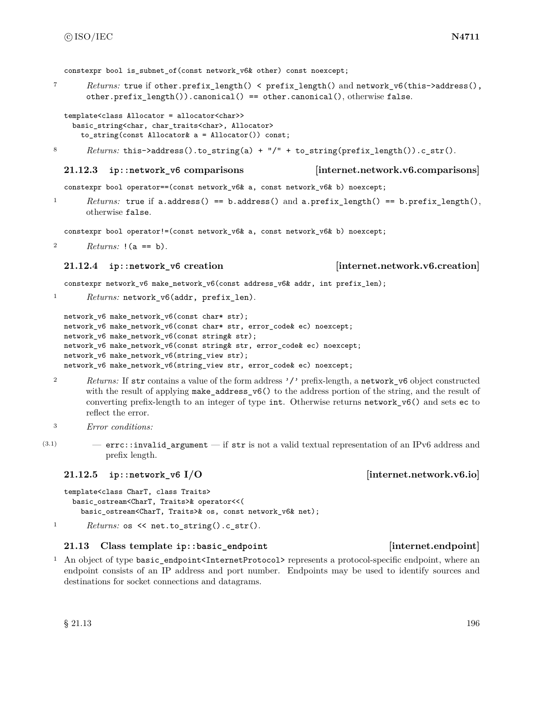constexpr bool is subnet of(const network v6& other) const noexcept;

<sup>7</sup> *Returns:* true if other.prefix\_length() < prefix\_length() and network\_v6(this->address(), other.prefix  $l$ ength()).canonical() == other.canonical(), otherwise false.

```
template<class Allocator = allocator<char>>
 basic_string<char, char_traits<char>, Allocator>
   to_string(const Allocator& a = Allocator()) const;
```
8 *Returns:* this->address().to\_string(a) + "/" + to\_string(prefix\_length()).c\_str().

### **21.12.3 ip::network\_v6 comparisons [internet.network.v6.comparisons]**

constexpr bool operator==(const network\_v6& a, const network\_v6& b) noexcept;

<sup>1</sup> *Returns:* true if a.address() == b.address() and a.prefix\_length() == b.prefix\_length(), otherwise false.

constexpr bool operator!=(const network\_v6& a, const network\_v6& b) noexcept;

<sup>2</sup> *Returns:* !(a == b).

### <span id="page-202-1"></span>**21.12.4 ip::network\_v6 creation [internet.network.v6.creation]**

constexpr network\_v6 make\_network\_v6(const address\_v6& addr, int prefix\_len);

1 Returns: network\_v6(addr, prefix\_len).

```
network_v6 make_network_v6(const char* str);
network_v6 make_network_v6(const char* str, error_code& ec) noexcept;
network_v6 make_network_v6(const string& str);
network_v6 make_network_v6(const string& str, error_code& ec) noexcept;
network_v6 make_network_v6(string_view str);
network_v6 make_network_v6(string_view str, error_code& ec) noexcept;
```
- <sup>2</sup> *Returns:* If str contains a value of the form address '/' prefix-length, a network\_v6 object constructed with the result of applying make\_address\_v6() to the address portion of the string, and the result of converting prefix-length to an integer of type int. Otherwise returns network\_v6() and sets ec to reflect the error.
- <sup>3</sup> *Error conditions:*
- $(3.1)$  errc::invalid\_argument if str is not a valid textual representation of an IPv6 address and prefix length.

# <span id="page-202-2"></span>**21.12.5 ip::network\_v6 I/O [internet.network.v6.io]**

```
template<class CharT, class Traits>
    basic_ostream<CharT, Traits>& operator<<(
      basic_ostream<CharT, Traits>& os, const network_v6& net);
1 Returns: os \le net.to_string().c_str().
```
### **21.13 Class template ip::basic\_endpoint [internet.endpoint]**

<sup>1</sup> An object of type basic\_endpoint<InternetProtocol> represents a protocol-specific endpoint, where an endpoint consists of an IP address and port number. Endpoints may be used to identify sources and destinations for socket connections and datagrams.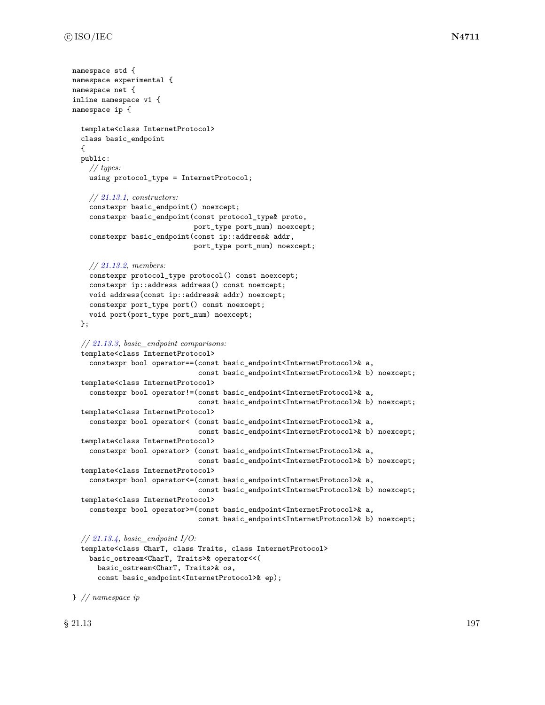```
namespace std {
namespace experimental {
namespace net {
inline namespace v1 {
namespace ip {
  template<class InternetProtocol>
  class basic_endpoint
  {
  public:
    // types:
    using protocol_type = InternetProtocol;
    // 21.13.1, constructors:
    constexpr basic_endpoint() noexcept;
    constexpr basic_endpoint(const protocol_type& proto,
                             port_type port_num) noexcept;
    constexpr basic_endpoint(const ip::address& addr,
                             port_type port_num) noexcept;
    // 21.13.2, members:
    constexpr protocol_type protocol() const noexcept;
    constexpr ip::address address() const noexcept;
    void address(const ip::address& addr) noexcept;
    constexpr port_type port() const noexcept;
    void port(port_type port_num) noexcept;
  };
  // 21.13.3, basic_endpoint comparisons:
  template<class InternetProtocol>
    constexpr bool operator==(const basic_endpoint<InternetProtocol>& a,
                              const basic_endpoint<InternetProtocol>& b) noexcept;
  template<class InternetProtocol>
    constexpr bool operator!=(const basic_endpoint<InternetProtocol>& a,
                              const basic_endpoint<InternetProtocol>& b) noexcept;
  template<class InternetProtocol>
    constexpr bool operator< (const basic_endpoint<InternetProtocol>& a,
                              const basic_endpoint<InternetProtocol>& b) noexcept;
  template<class InternetProtocol>
    constexpr bool operator> (const basic_endpoint<InternetProtocol>& a,
                              const basic_endpoint<InternetProtocol>& b) noexcept;
  template<class InternetProtocol>
    constexpr bool operator<=(const basic_endpoint<InternetProtocol>& a,
                              const basic_endpoint<InternetProtocol>& b) noexcept;
  template<class InternetProtocol>
    constexpr bool operator>=(const basic_endpoint<InternetProtocol>& a,
                              const basic_endpoint<InternetProtocol>& b) noexcept;
  // 21.13.4, basic_endpoint I/O:
  template<class CharT, class Traits, class InternetProtocol>
    basic_ostream<CharT, Traits>& operator<<(
```
} *// namespace ip*

basic\_ostream<CharT, Traits>& os,

const basic\_endpoint<InternetProtocol>& ep);

 $\S$  21.13 197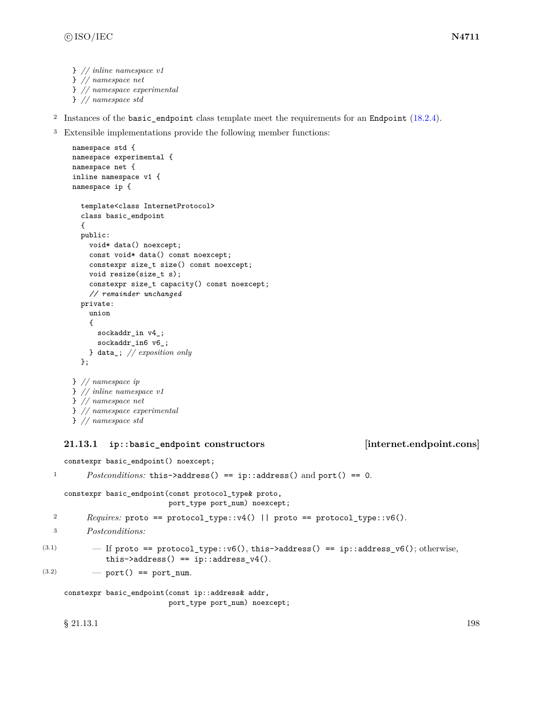```
} // inline namespace v1
} // namespace net
} // namespace experimental
} // namespace std
```
- <sup>2</sup> Instances of the basic\_endpoint class template meet the requirements for an Endpoint [\(18.2.4\)](#page-114-0).
- <sup>3</sup> Extensible implementations provide the following member functions:

```
namespace std {
namespace experimental {
namespace net {
inline namespace v1 {
namespace ip {
  template<class InternetProtocol>
  class basic_endpoint
  {
  public:
    void* data() noexcept;
    const void* data() const noexcept;
    constexpr size_t size() const noexcept;
    void resize(size_t s);
    constexpr size_t capacity() const noexcept;
    // remainder unchanged
  private:
    union
    {
      sockaddr_in v4_;
      sockaddr_in6 v6_;
    } data_; // exposition only
  };
} // namespace ip
} // inline namespace v1
} // namespace net
} // namespace experimental
} // namespace std
```
# <span id="page-204-0"></span>**21.13.1 ip::basic\_endpoint constructors [internet.endpoint.cons]**

constexpr basic\_endpoint() noexcept;

```
1 Postconditions: this->address() == ip::address() and port() == 0.
```

```
constexpr basic_endpoint(const protocol_type& proto,
                         port_type port_num) noexcept;
```

```
2 Requires: proto == protocol_type::v4() || proto == protocol_type::v6().
```

```
3 Postconditions:
```

```
(3.1) - If proto == protocol_type::v6(), this->address() == ip::address_v6(); otherwise,
             this->address() == ip::address v4().
```

```
(3.2) \qquad \qquad - port() == port_num.
```

```
constexpr basic_endpoint(const ip::address& addr,
                         port_type port_num) noexcept;
```
 $\S$  21.13.1 198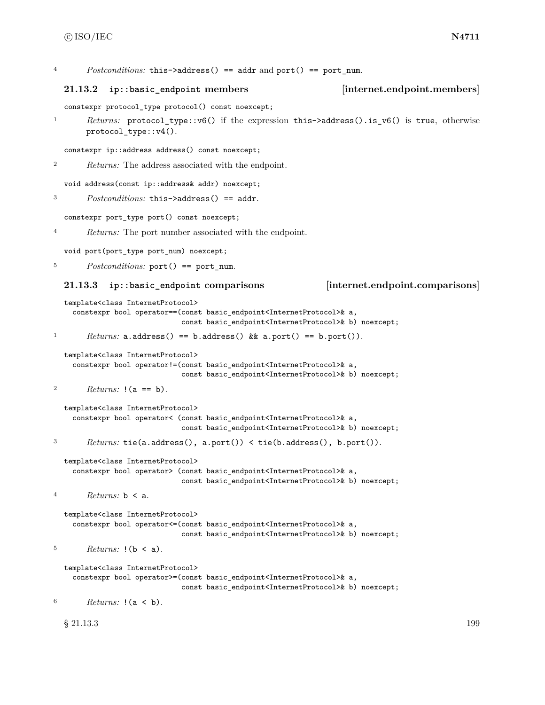<sup>4</sup> *Postconditions:* this->address() == addr and port() == port\_num.

### <span id="page-205-0"></span>**21.13.2 ip::basic\_endpoint members [internet.endpoint.members]**

constexpr protocol\_type protocol() const noexcept;

<sup>1</sup> *Returns:* protocol\_type::v6() if the expression this->address().is\_v6() is true, otherwise protocol\_type::v4().

```
constexpr ip::address address() const noexcept;
```
<sup>2</sup> *Returns:* The address associated with the endpoint.

```
void address(const ip::address& addr) noexcept;
```

```
3 Postconditions: this->address() == addr.
```
constexpr port\_type port() const noexcept;

<sup>4</sup> *Returns:* The port number associated with the endpoint.

void port(port\_type port\_num) noexcept;

<sup>5</sup> *Postconditions:* port() == port num.

### <span id="page-205-1"></span>**21.13.3 ip::basic\_endpoint comparisons [internet.endpoint.comparisons]**

```
template<class InternetProtocol>
    constexpr bool operator==(const basic_endpoint<InternetProtocol>& a,
                             const basic_endpoint<InternetProtocol>& b) noexcept;
1 Returns: a.address() == b.address() && a.port() == b.port()).
  template<class InternetProtocol>
    constexpr bool operator!=(const basic_endpoint<InternetProtocol>& a,
                             const basic_endpoint<InternetProtocol>& b) noexcept;
```

```
2 Returns: !(a == b).
```

```
template<class InternetProtocol>
    constexpr bool operator< (const basic_endpoint<InternetProtocol>& a,
                             const basic_endpoint<InternetProtocol>& b) noexcept;
3 Returns: tie(a.address(), a.port()) < tie(b.address(), b.port()).
```

```
template<class InternetProtocol>
```

```
constexpr bool operator> (const basic_endpoint<InternetProtocol>& a,
                         const basic_endpoint<InternetProtocol>& b) noexcept;
```

```
4 Returns: b < a.
```

```
template<class InternetProtocol>
  constexpr bool operator<=(const basic_endpoint<InternetProtocol>& a,
                            const basic_endpoint<InternetProtocol>& b) noexcept;
```

```
5 Returns: !(b < a).
```

```
template<class InternetProtocol>
  constexpr bool operator>=(const basic_endpoint<InternetProtocol>& a,
                            const basic_endpoint<InternetProtocol>& b) noexcept;
```

```
6 Returns: !(a < b).
```
 $\S$  21.13.3 199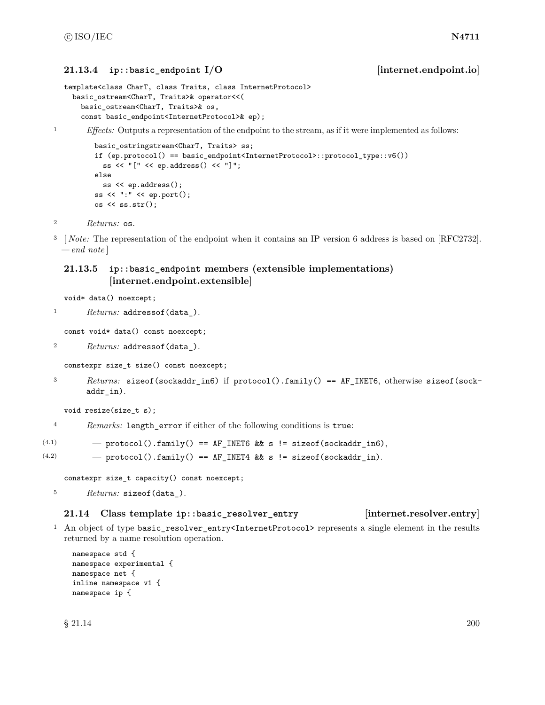### <span id="page-206-0"></span>**21.13.4 ip::basic\_endpoint I/O [internet.endpoint.io]**

```
template<class CharT, class Traits, class InternetProtocol>
 basic_ostream<CharT, Traits>& operator<<(
    basic_ostream<CharT, Traits>& os,
    const basic_endpoint<InternetProtocol>& ep);
```
<sup>1</sup> *Effects:* Outputs a representation of the endpoint to the stream, as if it were implemented as follows:

```
basic_ostringstream<CharT, Traits> ss;
if (ep.protocol() == basic_endpoint<InternetProtocol>::protocol_type::v6())
 ss << "[" << ep.address() << "]";
else
 ss << ep.address();
ss << ":" << ep.port();
os << ss.str();
```

```
2 Returns: os.
```
<sup>3</sup> [*Note:* The representation of the endpoint when it contains an IP version 6 address is based on [RFC2732]. *— end note* ]

# **21.13.5 ip::basic\_endpoint members (extensible implementations) [internet.endpoint.extensible]**

void\* data() noexcept;

<sup>1</sup> *Returns:* addressof(data\_).

const void\* data() const noexcept;

```
2 Returns: addressof(data_).
```

```
constexpr size_t size() const noexcept;
```
<sup>3</sup> *Returns:* sizeof(sockaddr\_in6) if protocol().family() == AF\_INET6, otherwise sizeof(sockaddr\_in).

```
void resize(size_t s);
```
<sup>4</sup> *Remarks:* length\_error if either of the following conditions is true:

```
(4.1) - protocol().family() == AF_INET6 && s != sizeof(sockaddr_in6),
```
 $(4.2)$  - protocol().family() == AF\_INET4 && s != sizeof(sockaddr\_in).

constexpr size\_t capacity() const noexcept;

```
5 Returns: sizeof(data_).
```
# **21.14 Class template ip::basic\_resolver\_entry [internet.resolver.entry]**

<sup>1</sup> An object of type basic\_resolver\_entry<InternetProtocol> represents a single element in the results returned by a name resolution operation.

```
namespace std {
namespace experimental {
namespace net {
inline namespace v1 {
namespace ip {
```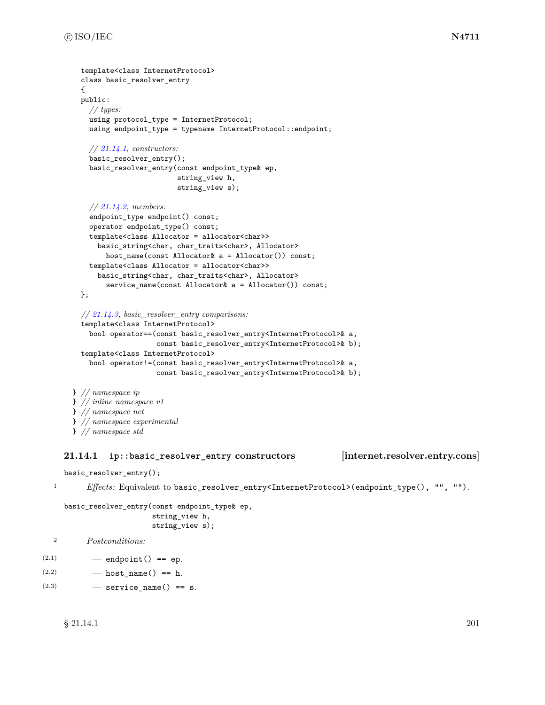```
template<class InternetProtocol>
  class basic_resolver_entry
  {
 public:
    // types:
    using protocol_type = InternetProtocol;
    using endpoint_type = typename InternetProtocol::endpoint;
    // 21.14.1, constructors:
    basic_resolver_entry();
    basic_resolver_entry(const endpoint_type& ep,
                         string_view h,
                         string_view s);
    // 21.14.2, members:
    endpoint_type endpoint() const;
    operator endpoint_type() const;
    template<class Allocator = allocator<char>>
      basic_string<char, char_traits<char>, Allocator>
        host_name(const Allocator& a = Allocator()) const;
    template<class Allocator = allocator<char>>
      basic_string<char, char_traits<char>, Allocator>
        service_name(const Allocator& a = Allocator()) const;
  };
  // 21.14.3, basic_resolver_entry comparisons:
  template<class InternetProtocol>
    bool operator==(const basic_resolver_entry<InternetProtocol>& a,
                    const basic_resolver_entry<InternetProtocol>& b);
  template<class InternetProtocol>
    bool operator!=(const basic_resolver_entry<InternetProtocol>& a,
                    const basic_resolver_entry<InternetProtocol>& b);
} // namespace ip
} // inline namespace v1
} // namespace net
} // namespace experimental
```

```
} // namespace std
```
### <span id="page-207-0"></span>**21.14.1 ip::basic\_resolver\_entry constructors [internet.resolver.entry.cons]**

basic\_resolver\_entry();

<sup>1</sup> *Effects:* Equivalent to basic\_resolver\_entry<InternetProtocol>(endpoint\_type(), "", "").

```
basic_resolver_entry(const endpoint_type& ep,
```

```
string_view h,
string_view s);
```

```
2 Postconditions:
```

```
(2.1) - endpoint () == ep.
```

```
(2.2) - host_name() == h.
```
 $(2.3)$   $\qquad$   $\qquad$  service\_name() == s.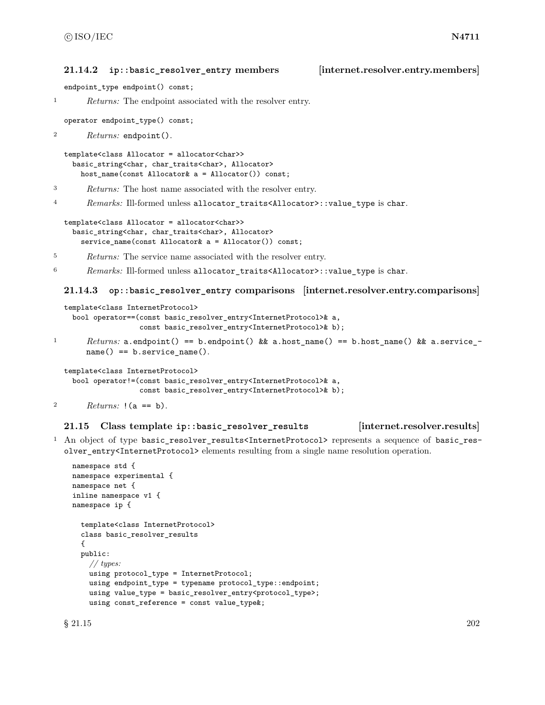### <span id="page-208-0"></span>**21.14.2 ip::basic\_resolver\_entry members [internet.resolver.entry.members]**

endpoint\_type endpoint() const;

<sup>1</sup> *Returns:* The endpoint associated with the resolver entry.

operator endpoint\_type() const;

<sup>2</sup> *Returns:* endpoint().

```
template<class Allocator = allocator<char>>
 basic_string<char, char_traits<char>, Allocator>
    host_name(const Allocator& a = Allocator()) const;
```
<sup>3</sup> *Returns:* The host name associated with the resolver entry.

<sup>4</sup> *Remarks:* Ill-formed unless allocator\_traits<Allocator>::value\_type is char.

```
template<class Allocator = allocator<char>>
 basic_string<char, char_traits<char>, Allocator>
    service_name(const Allocator& a = Allocator()) const;
```
<sup>5</sup> *Returns:* The service name associated with the resolver entry.

<sup>6</sup> *Remarks:* Ill-formed unless allocator\_traits<Allocator>::value\_type is char.

### <span id="page-208-1"></span>**21.14.3 op::basic\_resolver\_entry comparisons [internet.resolver.entry.comparisons]**

```
template<class InternetProtocol>
    bool operator==(const basic_resolver_entry<InternetProtocol>& a,
                   const basic_resolver_entry<InternetProtocol>& b);
1 Returns: a.endpoint() == b.endpoint() && a.host_name() == b.host_name() && a.service_-
       name() == b.setvice_name().template<class InternetProtocol>
```

```
bool operator!=(const basic_resolver_entry<InternetProtocol>& a,
                const basic_resolver_entry<InternetProtocol>& b);
```

```
2 Returns: !(a == b).
```
## **21.15 Class template ip::basic\_resolver\_results [internet.resolver.results]**

<sup>1</sup> An object of type basic\_resolver\_results<InternetProtocol> represents a sequence of basic\_resolver\_entry<InternetProtocol> elements resulting from a single name resolution operation.

```
namespace std {
namespace experimental {
namespace net {
inline namespace v1 {
namespace ip {
  template<class InternetProtocol>
  class basic_resolver_results
  {
  public:
    // types:
    using protocol_type = InternetProtocol;
    using endpoint_type = typename protocol_type::endpoint;
    using value_type = basic_resolver_entry<protocol_type>;
    using const_reference = const value_type&;
```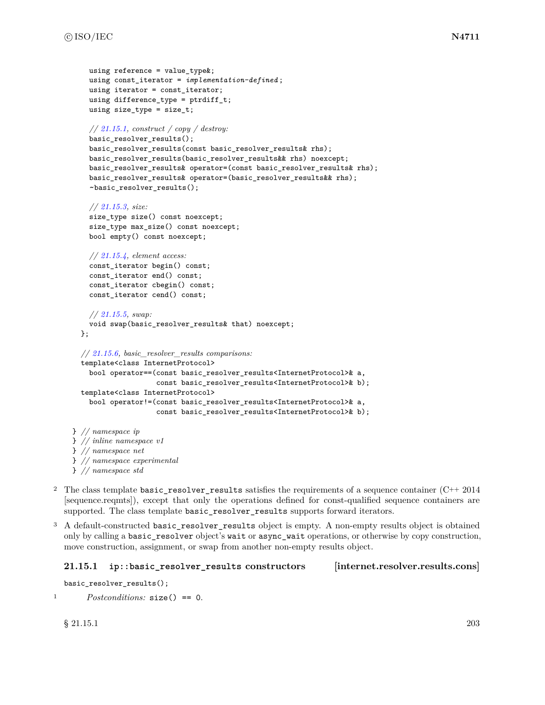```
using reference = value type;
    using const_iterator = implementation-defined ;
    using iterator = const_iterator;
    using difference_type = ptrdiff_t;
    using size_type = size_t;
    // 21.15.1, construct / copy / destroy:
    basic resolver results();
    basic_resolver_results(const basic_resolver_results& rhs);
    basic_resolver_results(basic_resolver_results&& rhs) noexcept;
    basic_resolver_results& operator=(const basic_resolver_results& rhs);
    basic_resolver_results& operator=(basic_resolver_results&& rhs);
    ~basic_resolver_results();
    // 21.15.3, size:
    size_type size() const noexcept;
    size_type max_size() const noexcept;
    bool empty() const noexcept;
    // 21.15.4, element access:
    const_iterator begin() const;
    const_iterator end() const;
    const_iterator cbegin() const;
    const_iterator cend() const;
    // 21.15.5, swap:
    void swap(basic_resolver_results& that) noexcept;
  };
  // 21.15.6, basic_resolver_results comparisons:
  template<class InternetProtocol>
   bool operator==(const basic_resolver_results<InternetProtocol>& a,
                    const basic_resolver_results<InternetProtocol>& b);
  template<class InternetProtocol>
    bool operator!=(const basic_resolver_results<InternetProtocol>& a,
                    const basic_resolver_results<InternetProtocol>& b);
} // namespace ip
} // inline namespace v1
} // namespace net
} // namespace experimental
} // namespace std
```
- <sup>2</sup> The class template basic\_resolver\_results satisfies the requirements of a sequence container (C++ 2014 [sequence.reqmts]), except that only the operations defined for const-qualified sequence containers are supported. The class template basic\_resolver\_results supports forward iterators.
- <sup>3</sup> A default-constructed basic\_resolver\_results object is empty. A non-empty results object is obtained only by calling a basic\_resolver object's wait or async\_wait operations, or otherwise by copy construction, move construction, assignment, or swap from another non-empty results object.

### <span id="page-209-0"></span>**21.15.1 ip::basic\_resolver\_results constructors [internet.resolver.results.cons]**

```
basic_resolver_results();
```

```
1 Postconditions: size() == 0.
```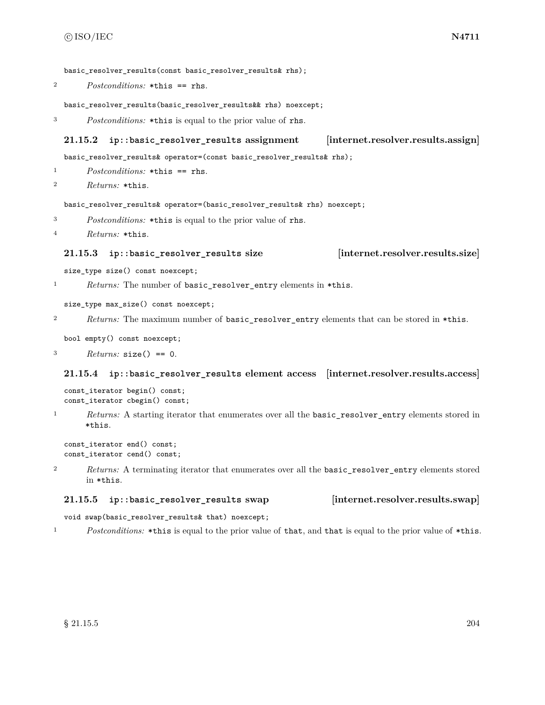basic resolver results(const basic resolver results& rhs);

<sup>2</sup> *Postconditions:* \*this == rhs.

basic\_resolver\_results(basic\_resolver\_results&& rhs) noexcept;

```
3 Postconditions: *this is equal to the prior value of rhs.
```
### **21.15.2 ip::basic\_resolver\_results assignment [internet.resolver.results.assign]**

basic\_resolver\_results& operator=(const basic\_resolver\_results& rhs);

<sup>1</sup> *Postconditions:* \*this == rhs.

<sup>2</sup> *Returns:* \*this.

basic\_resolver\_results& operator=(basic\_resolver\_results& rhs) noexcept;

- <sup>3</sup> *Postconditions:* \*this is equal to the prior value of rhs.
- <sup>4</sup> *Returns:* \*this.

### <span id="page-210-0"></span>**21.15.3 ip::basic\_resolver\_results size [internet.resolver.results.size]**

size\_type size() const noexcept;

<sup>1</sup> *Returns:* The number of basic\_resolver\_entry elements in \*this.

size\_type max\_size() const noexcept;

- <sup>2</sup> *Returns:* The maximum number of basic resolver entry elements that can be stored in \*this.
	- bool empty() const noexcept;

<sup>3</sup> *Returns:* size() == 0.

### <span id="page-210-1"></span>**21.15.4 ip::basic\_resolver\_results element access [internet.resolver.results.access]**

```
const_iterator begin() const;
const_iterator cbegin() const;
```
<sup>1</sup> *Returns:* A starting iterator that enumerates over all the basic\_resolver\_entry elements stored in \*this.

```
const iterator end() const;
const_iterator cend() const;
```
<sup>2</sup> *Returns:* A terminating iterator that enumerates over all the basic\_resolver\_entry elements stored in \*this.

### <span id="page-210-2"></span>**21.15.5 ip::basic\_resolver\_results swap [internet.resolver.results.swap]**

void swap(basic\_resolver\_results& that) noexcept;

<sup>1</sup> *Postconditions:* \*this is equal to the prior value of that, and that is equal to the prior value of \*this.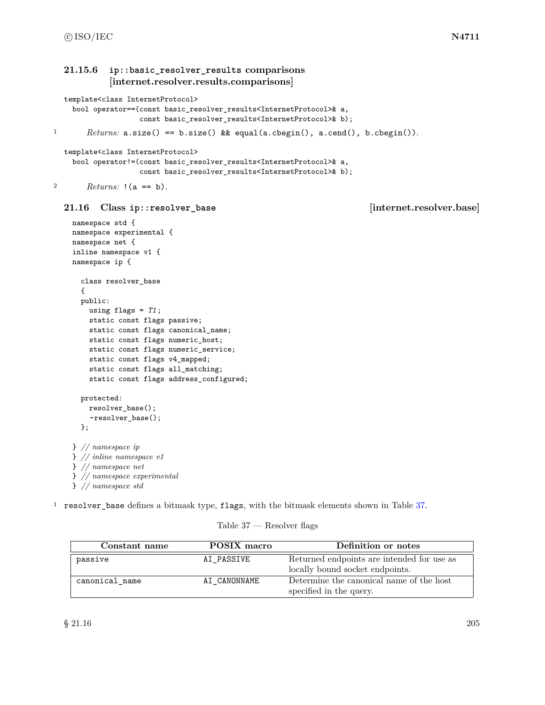```
21.15.6 ip::basic_resolver_results comparisons
            [internet.resolver.results.comparisons]
  template<class InternetProtocol>
    bool operator==(const basic_resolver_results<InternetProtocol>& a,
                   const basic_resolver_results<InternetProtocol>& b);
1 Returns: a.size() == b.size() && equal(a.cbegin(), a.cend(), b.cbegin()).
  template<class InternetProtocol>
    bool operator!=(const basic_resolver_results<InternetProtocol>& a,
                   const basic_resolver_results<InternetProtocol>& b);
2 Returns: !(a == b).
  21.16 Class ip::resolver_base [internet.resolver.base]
    namespace std {
    namespace experimental {
    namespace net {
    inline namespace v1 {
    namespace ip {
      class resolver_base
      {
      public:
       using flags = T1;
       static const flags passive;
       static const flags canonical_name;
        static const flags numeric_host;
        static const flags numeric_service;
        static const flags v4_mapped;
        static const flags all_matching;
        static const flags address_configured;
      protected:
        resolver_base();
        ~resolver_base();
      };
    } // namespace ip
    } // inline namespace v1
    } // namespace net
    } // namespace experimental
    } // namespace std
1 resolver_base defines a bitmask type, flags, with the bitmask elements shown in Table 37.
```
### Table 37 — Resolver flags

<span id="page-211-1"></span>

| Constant name  | POSIX macro  | Definition or notes                                                           |
|----------------|--------------|-------------------------------------------------------------------------------|
| passive        | AI PASSIVE   | Returned endpoints are intended for use as<br>locally bound socket endpoints. |
| canonical_name | AI CANONNAME | Determine the canonical name of the host<br>specified in the query.           |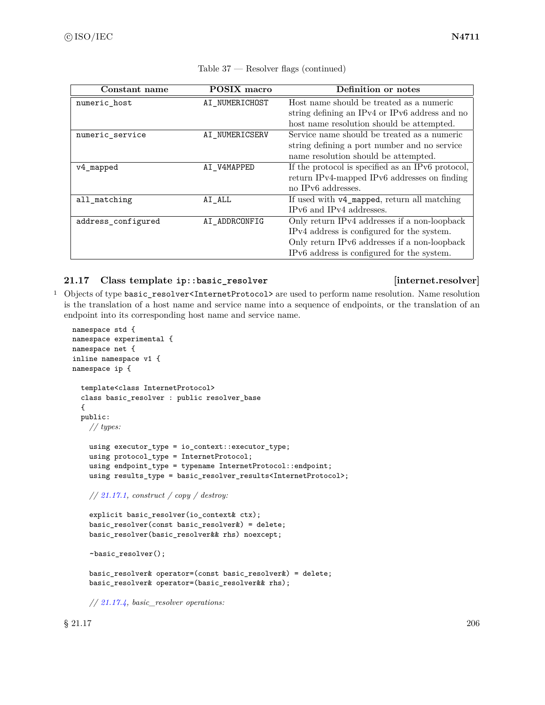| Constant name      | <b>POSIX</b> macro | Definition or notes                               |
|--------------------|--------------------|---------------------------------------------------|
| numeric host       | AI_NUMERICHOST     | Host name should be treated as a numeric          |
|                    |                    | string defining an IPv4 or IPv6 address and no    |
|                    |                    | host name resolution should be attempted.         |
| numeric service    | AI NUMERICSERV     | Service name should be treated as a numeric       |
|                    |                    | string defining a port number and no service      |
|                    |                    | name resolution should be attempted.              |
| v4_mapped          | AI V4MAPPED        | If the protocol is specified as an IPv6 protocol, |
|                    |                    | return IPv4-mapped IPv6 addresses on finding      |
|                    |                    | no IPv6 addresses.                                |
| all matching       | $AI$ $ALL$         | If used with v4_mapped, return all matching       |
|                    |                    | IPv6 and IPv4 addresses.                          |
| address_configured | AI ADDRCONFIG      | Only return IPv4 addresses if a non-loopback      |
|                    |                    | IPv4 address is configured for the system.        |
|                    |                    | Only return IPv6 addresses if a non-loopback      |
|                    |                    | IPv6 address is configured for the system.        |

### Table 37 — Resolver flags (continued)

# **21.17 Class template ip::basic\_resolver [internet.resolver]**

<sup>1</sup> Objects of type basic\_resolver<InternetProtocol> are used to perform name resolution. Name resolution is the translation of a host name and service name into a sequence of endpoints, or the translation of an endpoint into its corresponding host name and service name.

```
namespace std {
namespace experimental {
namespace net {
inline namespace v1 {
namespace ip {
  template<class InternetProtocol>
  class basic_resolver : public resolver_base
  {
  public:
    // types:
    using executor_type = io_context::executor_type;
    using protocol_type = InternetProtocol;
    using endpoint_type = typename InternetProtocol::endpoint;
    using results_type = basic_resolver_results<InternetProtocol>;
    // 21.17.1, construct / copy / destroy:
    explicit basic_resolver(io_context& ctx);
    basic_resolver(const basic_resolver&) = delete;
    basic_resolver(basic_resolver&& rhs) noexcept;
    ~basic_resolver();
```

```
basic_resolver& operator=(const basic_resolver&) = delete;
basic_resolver& operator=(basic_resolver&& rhs);
```
*// [21.17.4,](#page-214-1) basic\_resolver operations:*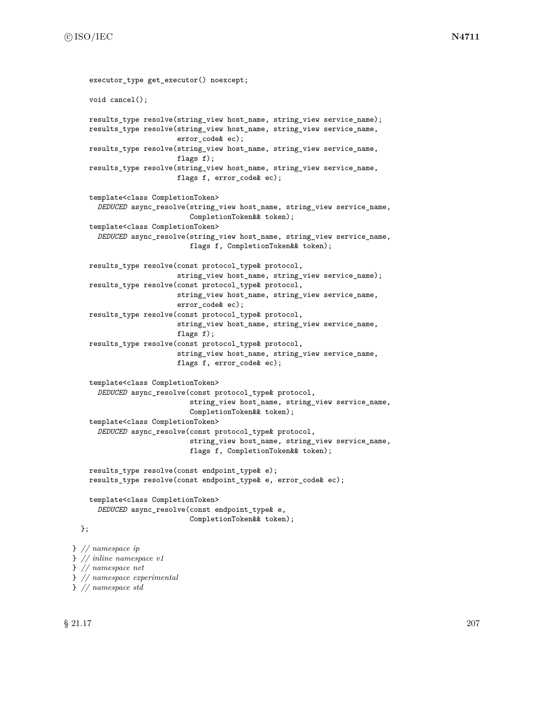```
executor_type get_executor() noexcept;
    void cancel();
    results_type resolve(string_view host_name, string_view service_name);
    results_type resolve(string_view host_name, string_view service_name,
                         error_code& ec);
   results_type resolve(string_view host_name, string_view service_name,
                         flags f);
    results_type resolve(string_view host_name, string_view service_name,
                         flags f, error_code& ec);
    template<class CompletionToken>
      DEDUCED async_resolve(string_view host_name, string_view service_name,
                            CompletionToken&& token);
    template<class CompletionToken>
      DEDUCED async_resolve(string_view host_name, string_view service_name,
                            flags f, CompletionToken&& token);
   results_type resolve(const protocol_type& protocol,
                         string_view host_name, string_view service_name);
    results_type resolve(const protocol_type& protocol,
                         string_view host_name, string_view service_name,
                         error_code& ec);
    results_type resolve(const protocol_type& protocol,
                         string_view host_name, string_view service_name,
                         flags f);
    results_type resolve(const protocol_type& protocol,
                         string_view host_name, string_view service_name,
                         flags f, error_code& ec);
    template<class CompletionToken>
      DEDUCED async_resolve(const protocol_type& protocol,
                            string_view host_name, string_view service_name,
                            CompletionToken&& token);
    template<class CompletionToken>
      DEDUCED async_resolve(const protocol_type& protocol,
                            string_view host_name, string_view service_name,
                            flags f, CompletionToken&& token);
    results_type resolve(const endpoint_type& e);
    results_type resolve(const endpoint_type& e, error_code& ec);
    template<class CompletionToken>
      DEDUCED async_resolve(const endpoint_type& e,
                            CompletionToken&& token);
  };
} // namespace ip
} // inline namespace v1
} // namespace net
} // namespace experimental
```
} *// namespace std*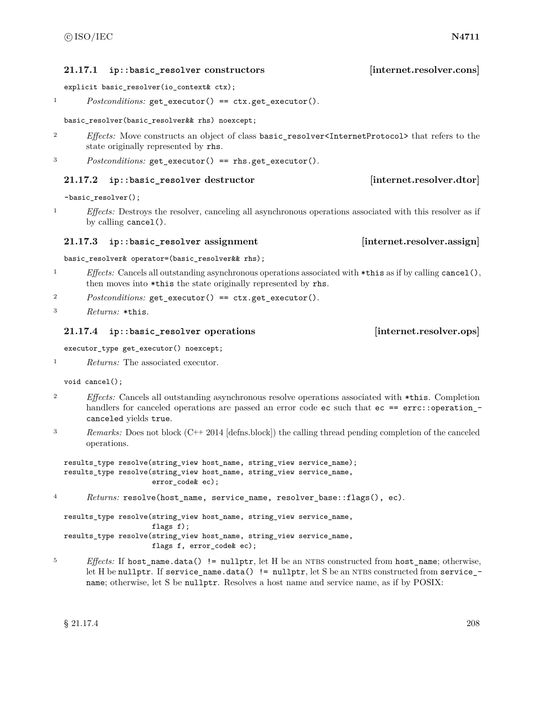### <span id="page-214-0"></span>**21.17.1 ip::basic\_resolver constructors [internet.resolver.cons]**

explicit basic\_resolver(io\_context& ctx);

<sup>1</sup> *Postconditions:* get\_executor() == ctx.get\_executor().

### basic\_resolver(basic\_resolver&& rhs) noexcept;

- <sup>2</sup> *Effects:* Move constructs an object of class basic\_resolver<InternetProtocol> that refers to the state originally represented by rhs.
- <sup>3</sup> *Postconditions:* get\_executor() == rhs.get\_executor().

### **21.17.2 ip::basic\_resolver destructor [internet.resolver.dtor]**

~basic\_resolver();

<sup>1</sup> *Effects:* Destroys the resolver, canceling all asynchronous operations associated with this resolver as if by calling cancel().

### **21.17.3 ip::basic\_resolver assignment [internet.resolver.assign]**

basic\_resolver& operator=(basic\_resolver&& rhs);

- <sup>1</sup> *Effects:* Cancels all outstanding asynchronous operations associated with \*this as if by calling cancel(), then moves into \*this the state originally represented by rhs.
- <sup>2</sup> *Postconditions:* get\_executor() == ctx.get\_executor().

```
3 Returns: *this.
```
### <span id="page-214-1"></span>**21.17.4 ip::basic\_resolver operations [internet.resolver.ops]**

executor\_type get\_executor() noexcept;

```
1 Returns: The associated executor.
```
void cancel();

- <sup>2</sup> *Effects:* Cancels all outstanding asynchronous resolve operations associated with \*this. Completion handlers for canceled operations are passed an error code ec such that ec == errc::operation\_canceled yields true.
- <sup>3</sup> *Remarks:* Does not block (C++ 2014 [defns.block]) the calling thread pending completion of the canceled operations.

```
results_type resolve(string_view host_name, string_view service_name);
results_type resolve(string_view host_name, string_view service_name,
                     error_code& ec);
```
<sup>4</sup> *Returns:* resolve(host\_name, service\_name, resolver\_base::flags(), ec).

results\_type resolve(string\_view host\_name, string\_view service\_name, flags f); results\_type resolve(string\_view host\_name, string\_view service\_name, flags f, error\_code& ec);

<sup>5</sup> *Effects:* If host\_name.data() != nullptr, let H be an NTBS constructed from host\_name; otherwise, let H be nullptr. If service\_name.data() != nullptr, let S be an NTBS constructed from service\_name; otherwise, let S be nullptr. Resolves a host name and service name, as if by POSIX: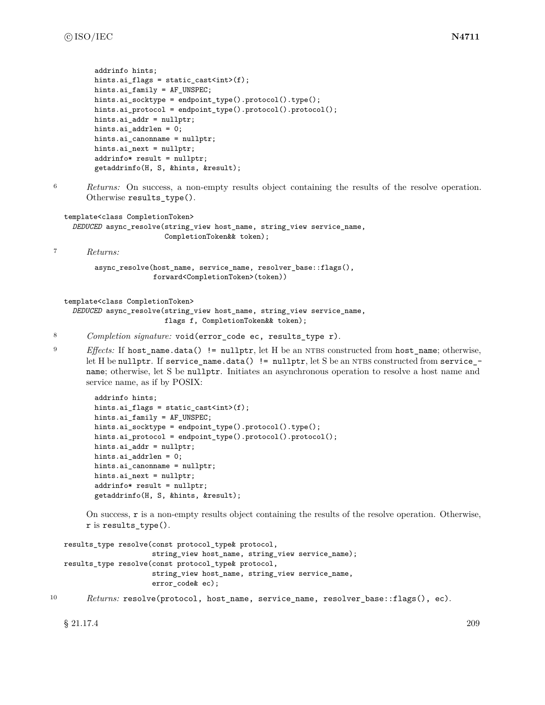```
addrinfo hints;
hints.ai_flags = static_cast<int>(f);
hints.ai_family = AF_UNSPEC;
hints.ai_socktype = endpoint_type().protocol().type();
hints.ai_protocol = endpoint_type().protocol().protocol();
hints.ai_addr = nullptr;
hints.ai_addrlen = 0;
hints.ai_canonname = nullptr;
hints.ai_next = nullptr;
addrinfo* result = nullptr;
getaddrinfo(H, S, &hints, &result);
```
<sup>6</sup> *Returns:* On success, a non-empty results object containing the results of the resolve operation. Otherwise results\_type().

```
template<class CompletionToken>
 DEDUCED async_resolve(string_view host_name, string_view service_name,
                        CompletionToken&& token);
```
<sup>7</sup> *Returns:*

```
async_resolve(host_name, service_name, resolver_base::flags(),
              forward<CompletionToken>(token))
```

```
template<class CompletionToken>
  DEDUCED async_resolve(string_view host_name, string_view service_name,
                        flags f, CompletionToken&& token);
```
- <sup>8</sup> *Completion signature:* void(error\_code ec, results\_type r).
- <sup>9</sup> *Effects:* If host\_name.data() != nullptr, let H be an NTBS constructed from host\_name; otherwise, let H be nullptr. If service\_name.data() != nullptr, let S be an NTBS constructed from service\_name; otherwise, let S be nullptr. Initiates an asynchronous operation to resolve a host name and service name, as if by POSIX:

```
addrinfo hints;
hints.ai_flags = static_cast<int>(f);
hints.ai_family = AF_UNSPEC;
hints.ai_socktype = endpoint_type().protocol().type();
hints.ai_protocol = endpoint_type().protocol().protocol();
hints.ai_addr = nullptr;
hints.ai_addrlen = 0;
hints.ai_canonname = nullptr;
hints.ai_next = nullptr;
addrinfo* result = nullptr;
getaddrinfo(H, S, &hints, &result);
```
On success, r is a non-empty results object containing the results of the resolve operation. Otherwise, r is results\_type().

```
results_type resolve(const protocol_type& protocol,
                     string_view host_name, string_view service_name);
results_type resolve(const protocol_type& protocol,
                     string_view host_name, string_view service_name,
                     error_code& ec);
```

```
10 Returns: resolve(protocol, host name, service name, resolver base::flags(), ec).
```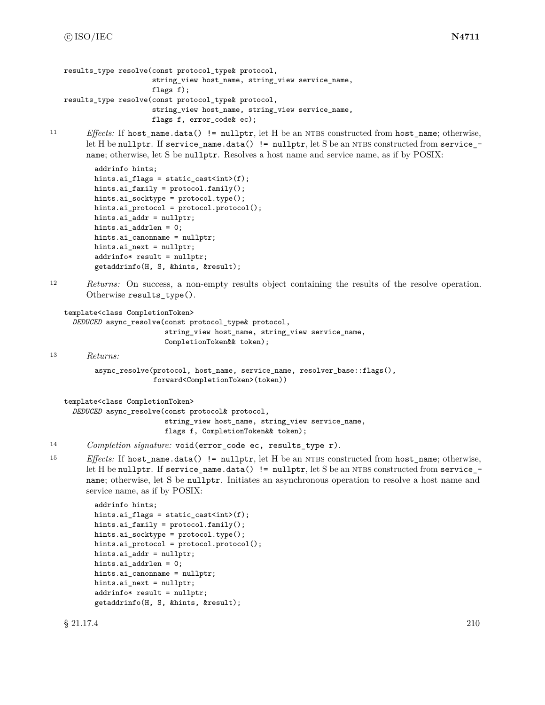```
results type resolve(const protocol type& protocol,
                     string_view host_name, string_view service_name,
                     flags f);
results_type resolve(const protocol_type& protocol,
                     string_view host_name, string_view service_name,
                     flags f, error_code& ec);
```
11 *Effects:* If host name.data() != nullptr, let H be an NTBS constructed from host name; otherwise, let H be nullptr. If service\_name.data() != nullptr, let S be an NTBS constructed from service\_name; otherwise, let S be nullptr. Resolves a host name and service name, as if by POSIX:

```
addrinfo hints;
hints.ai_flags = static_cast<int>(f);
hints.ai_family = protocol.family();
hints.ai_socktype = protocol.type();
hints.ai_protocol = protocol.protocol();
hints.ai_addr = nullptr;
hints.ai_addrlen = 0;
hints.ai_canonname = nullptr;
hints.ai_next = nullptr;
addrinfo* result = nullptr;
getaddrinfo(H, S, &hints, &result);
```
<sup>12</sup> *Returns:* On success, a non-empty results object containing the results of the resolve operation. Otherwise results\_type().

```
template<class CompletionToken>
```

```
DEDUCED async_resolve(const protocol_type& protocol,
                      string_view host_name, string_view service_name,
                      CompletionToken&& token);
```
<sup>13</sup> *Returns:*

```
async_resolve(protocol, host_name, service_name, resolver_base::flags(),
              forward<CompletionToken>(token))
```
template<class CompletionToken>

```
DEDUCED async_resolve(const protocol& protocol,
                      string_view host_name, string_view service_name,
                      flags f, CompletionToken&& token);
```
- <sup>14</sup> *Completion signature:* void(error\_code ec, results\_type r).
- 15 *Effects:* If host\_name.data() != nullptr, let H be an NTBS constructed from host\_name; otherwise, let H be nullptr. If service\_name.data() != nullptr, let S be an NTBS constructed from service\_name; otherwise, let S be nullptr. Initiates an asynchronous operation to resolve a host name and service name, as if by POSIX:

```
addrinfo hints;
hints.ai_flags = static_cast<int>(f);
hints.ai_family = protocol.family();
hints.ai_socktype = protocol.type();
hints.ai_protocol = protocol.protocol();
hints.ai_addr = nullptr;
hints.ai_addrlen = 0;
hints.ai_canonname = nullptr;
hints.ai_next = nullptr;
addrinfo* result = nullptr;
getaddrinfo(H, S, &hints, &result);
```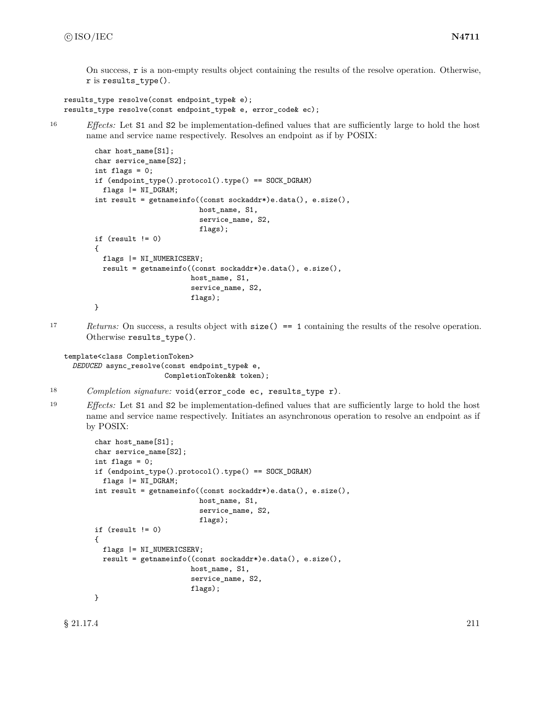<span id="page-217-0"></span>On success, r is a non-empty results object containing the results of the resolve operation. Otherwise, r is results\_type().

```
results_type resolve(const endpoint_type& e);
results_type resolve(const endpoint_type& e, error_code& ec);
```
<sup>16</sup> *Effects:* Let S1 and S2 be implementation-defined values that are sufficiently large to hold the host name and service name respectively. Resolves an endpoint as if by POSIX:

```
char host_name[S1];
char service_name[S2];
int flags = 0;
if (endpoint_type().protocol().type() == SOCK_DGRAM)
 flags |= NI_DGRAM;
int result = getnameinfo((const sockaddr*)e.data(), e.size(),
                         host_name, S1,
                         service_name, S2,
                         flags);
if (result != 0)
{
 flags |= NI_NUMERICSERV;
 result = getnameinfo((const sockaddr*)e.data(), e.size(),
                       host_name, S1,
                       service_name, S2,
                       flags);
}
```
17 *Returns:* On success, a results object with size() == 1 containing the results of the resolve operation. Otherwise results\_type().

template<class CompletionToken> *DEDUCED* async\_resolve(const endpoint\_type& e, CompletionToken&& token);

- <sup>18</sup> *Completion signature:* void(error\_code ec, results\_type r).
- <sup>19</sup> *Effects:* Let S1 and S2 be implementation-defined values that are sufficiently large to hold the host name and service name respectively. Initiates an asynchronous operation to resolve an endpoint as if by POSIX:

```
char host_name[S1];
char service_name[S2];
int flags = 0;
if (endpoint_type().protocol().type() == SOCK_DGRAM)
 flags |= NI_DGRAM;
int result = getnameinfo((const sockaddr*)e.data(), e.size(),
                         host_name, S1,
                         service_name, S2,
                         flags);
if (result != 0){
 flags |= NI_NUMERICSERV;
 result = getnameinfo((const sockaddr*)e.data(), e.size(),
                       host_name, S1,
                       service_name, S2,
                       flags);
}
```
 $\S 21.17.4$  211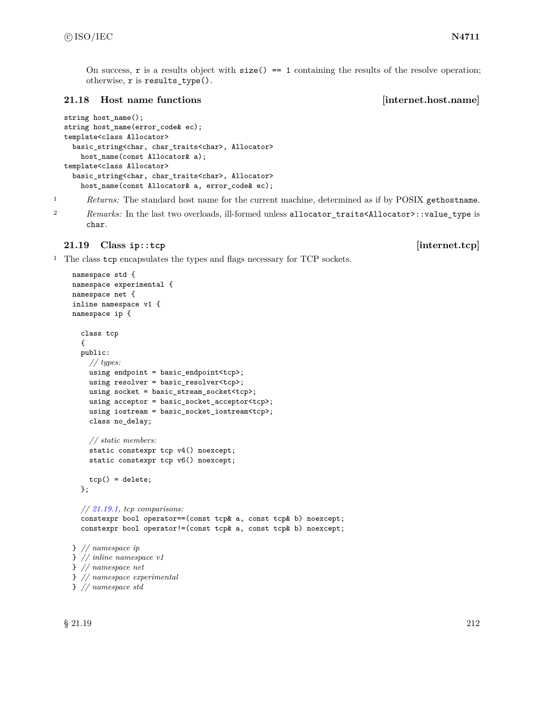<span id="page-218-0"></span>On success,  $\bf{r}$  is a results object with  $\bf{size}() == 1$  containing the results of the resolve operation; otherwise, r is results\_type().

### **21.18 Host name functions [internet.host.name]**

```
string host_name();
string host_name(error_code& ec);
template<class Allocator>
 basic_string<char, char_traits<char>, Allocator>
   host_name(const Allocator& a);
template<class Allocator>
 basic_string<char, char_traits<char>, Allocator>
   host_name(const Allocator& a, error_code& ec);
```
<sup>1</sup> *Returns:* The standard host name for the current machine, determined as if by POSIX gethostname.

<sup>2</sup> *Remarks:* In the last two overloads, ill-formed unless allocator\_traits<Allocator>::value\_type is char.

## **21.19 Class ip::tcp [internet.tcp]**

<sup>1</sup> The class tcp encapsulates the types and flags necessary for TCP sockets.

```
namespace std {
namespace experimental {
namespace net {
inline namespace v1 {
namespace ip {
  class tcp
  {
  public:
   // types:
    using endpoint = basic_endpoint<tcp>;
    using resolver = basic_resolver<tcp>;
    using socket = basic_stream_socket<tcp>;
    using acceptor = basic_socket_acceptor<tcp>;
    using iostream = basic_socket_iostream<tcp>;
    class no_delay;
    // static members:
    static constexpr tcp v4() noexcept;
    static constexpr tcp v6() noexcept;
    tcp() = delete;};
  // 21.19.1, tcp comparisons:
  constexpr bool operator==(const tcp& a, const tcp& b) noexcept;
  constexpr bool operator!=(const tcp& a, const tcp& b) noexcept;
} // namespace ip
} // inline namespace v1
} // namespace net
} // namespace experimental
} // namespace std
```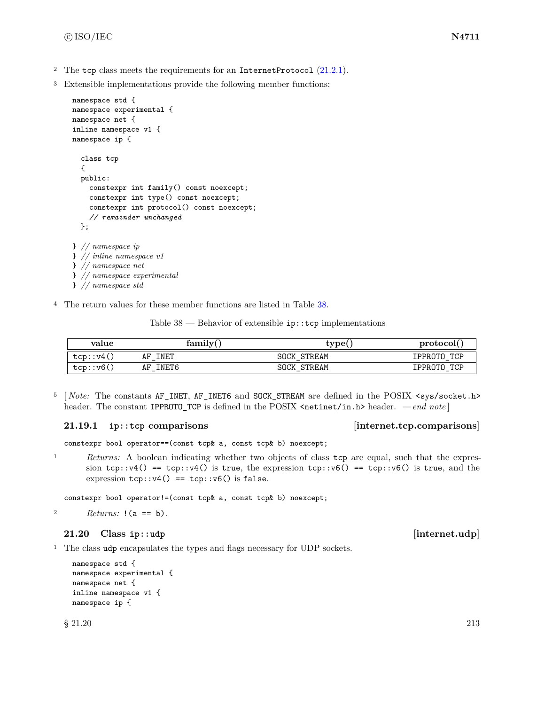- <span id="page-219-2"></span><sup>2</sup> The tcp class meets the requirements for an InternetProtocol  $(21.2.1)$ .
- <sup>3</sup> Extensible implementations provide the following member functions:

```
namespace std {
namespace experimental {
namespace net {
inline namespace v1 {
namespace ip {
  class tcp
  {
  public:
    constexpr int family() const noexcept;
    constexpr int type() const noexcept;
    constexpr int protocol() const noexcept;
    // remainder unchanged
  };
} // namespace ip
} // inline namespace v1
} // namespace net
} // namespace experimental
} // namespace std
```
<sup>4</sup> The return values for these member functions are listed in Table [38.](#page-219-1)

Table  $38$  — Behavior of extensible  $ip::top$  implementations

<span id="page-219-1"></span>

| value     | family(     | tvpe(              | protocol              |  |
|-----------|-------------|--------------------|-----------------------|--|
| tcp::v4() | INET<br>AF  | <b>SOCK STREAM</b> | TCP<br><b>IPPROTO</b> |  |
| tcp::v6(  | INET6<br>AF | <b>SOCK STREAM</b> | TCP<br>IPPROTO        |  |

<sup>5</sup> [*Note:* The constants AF\_INET, AF\_INET6 and SOCK\_STREAM are defined in the POSIX <sys/socket.h> header. The constant IPPROTO\_TCP is defined in the POSIX <netinet/in.h> header. *— end note* ]

### <span id="page-219-0"></span>**21.19.1 ip::tcp comparisons [internet.tcp.comparisons]**

constexpr bool operator==(const tcp& a, const tcp& b) noexcept;

<sup>1</sup> *Returns:* A boolean indicating whether two objects of class tcp are equal, such that the expression tcp::v4() == tcp::v4() is true, the expression tcp::v6() == tcp::v6() is true, and the expression  $\text{tcp::} \text{v4()}$  ==  $\text{tcp::} \text{v6()}$  is false.

constexpr bool operator!=(const tcp& a, const tcp& b) noexcept;

<sup>2</sup> *Returns:* !(a == b).

# **21.20 Class ip::udp [internet.udp]**

<sup>1</sup> The class udp encapsulates the types and flags necessary for UDP sockets.

```
namespace std {
namespace experimental {
namespace net {
inline namespace v1 {
namespace ip {
```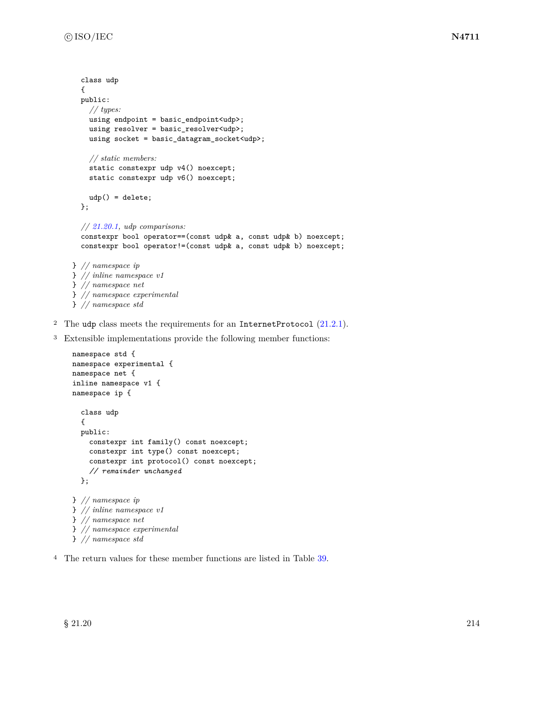```
class udp
  {
  public:
    // types:
    using endpoint = basic_endpoint<udp>;
    using resolver = basic_resolver<udp>;
    using socket = basic_datagram_socket<udp>;
    // static members:
    static constexpr udp v4() noexcept;
    static constexpr udp v6() noexcept;
    udp() = delete;
  };
  // 21.20.1, udp comparisons:
  constexpr bool operator==(const udp& a, const udp& b) noexcept;
  constexpr bool operator!=(const udp& a, const udp& b) noexcept;
} // namespace ip
} // inline namespace v1
} // namespace net
} // namespace experimental
} // namespace std
```
- <sup>2</sup> The udp class meets the requirements for an InternetProtocol  $(21.2.1)$ .
- <sup>3</sup> Extensible implementations provide the following member functions:

```
namespace std {
namespace experimental {
namespace net {
inline namespace v1 {
namespace ip {
  class udp
  {
  public:
    constexpr int family() const noexcept;
    constexpr int type() const noexcept;
    constexpr int protocol() const noexcept;
    // remainder unchanged
  };
} // namespace ip
} // inline namespace v1
} // namespace net
} // namespace experimental
} // namespace std
```
<sup>4</sup> The return values for these member functions are listed in Table [39.](#page-221-1)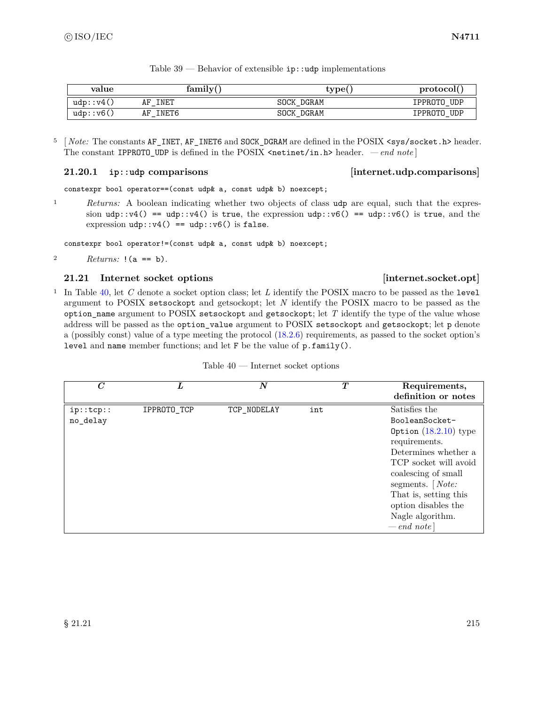<span id="page-221-1"></span>

| value          | family(     | type(             | protocol(   |
|----------------|-------------|-------------------|-------------|
| $udp$ : $vd()$ | INET<br>AF  | SOCK DGRAM        | IPPROTO UDP |
| udp: v6()      | INET6<br>AF | <b>SOCK DGRAM</b> | IPPROTO UDP |

- Table  $39$  Behavior of extensible  $ip::udp$  implementations
- <sup>5</sup> [*Note:* The constants AF\_INET, AF\_INET6 and SOCK\_DGRAM are defined in the POSIX <sys/socket.h> header. The constant IPPROTO\_UDP is defined in the POSIX  $\epsilon$ netinet/in.h> header. *— end note* ]

## <span id="page-221-0"></span>**21.20.1 ip::udp comparisons [internet.udp.comparisons]**

constexpr bool operator==(const udp& a, const udp& b) noexcept;

<sup>1</sup> *Returns:* A boolean indicating whether two objects of class udp are equal, such that the expression udp::v4() == udp::v4() is true, the expression udp::v6() == udp::v6() is true, and the expression  $udp::v4() == udp::v6()$  is false.

constexpr bool operator!=(const udp& a, const udp& b) noexcept;

2  $Returns: !(a == b).$ 

## **21.21 Internet socket options [internet.socket.opt]**

<sup>1</sup> In Table [40,](#page-221-2) let *C* denote a socket option class; let *L* identify the POSIX macro to be passed as the level argument to POSIX setsockopt and getsockopt; let *N* identify the POSIX macro to be passed as the option\_name argument to POSIX setsockopt and getsockopt; let *T* identify the type of the value whose address will be passed as the option\_value argument to POSIX setsockopt and getsockopt; let p denote a (possibly const) value of a type meeting the protocol [\(18.2.6\)](#page-116-0) requirements, as passed to the socket option's level and name member functions; and let F be the value of p.family().

<span id="page-221-2"></span>

| $\overline{C}$        | L           | $\boldsymbol{N}$ | $\bm{T}$ | Requirements,<br>definition or notes                                                                                                                                                                                                                           |
|-----------------------|-------------|------------------|----------|----------------------------------------------------------------------------------------------------------------------------------------------------------------------------------------------------------------------------------------------------------------|
| ip::top::<br>no_delay | IPPROTO_TCP | TCP_NODELAY      | int      | Satisfies the<br>BooleanSocket-<br>Option $(18.2.10)$ type<br>requirements.<br>Determines whether a<br>TCP socket will avoid<br>coalescing of small<br>segments. $[Note:$<br>That is, setting this<br>option disables the<br>Nagle algorithm.<br>$-$ end note] |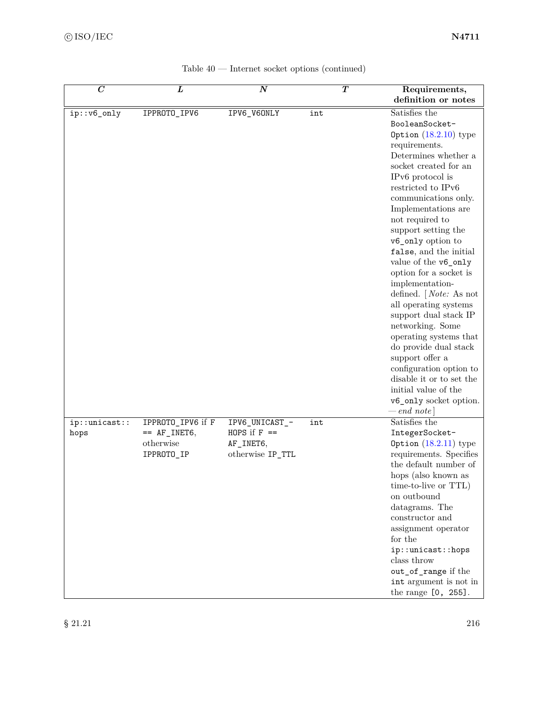<span id="page-222-0"></span>

| $\overline{C}$         | L                                                              | $\overline{N}$                                                   | $\overline{\bm{T}}$ | Requirements,<br>definition or notes                                                                                                                                                                                                                                                                                                                                                                                                                                                                                                                                                                                                                                                   |
|------------------------|----------------------------------------------------------------|------------------------------------------------------------------|---------------------|----------------------------------------------------------------------------------------------------------------------------------------------------------------------------------------------------------------------------------------------------------------------------------------------------------------------------------------------------------------------------------------------------------------------------------------------------------------------------------------------------------------------------------------------------------------------------------------------------------------------------------------------------------------------------------------|
| ip::v6_only            | IPPROTO_IPV6                                                   | IPV6_V60NLY                                                      | int                 | Satisfies the<br>BooleanSocket-<br>Option $(18.2.10)$ type<br>requirements.<br>Determines whether a<br>socket created for an<br>IPv6 protocol is<br>restricted to IPv6<br>communications only.<br>Implementations are<br>not required to<br>support setting the<br>v6_only option to<br>false, and the initial<br>value of the v6_only<br>option for a socket is<br>implementation-<br>defined. $[Note: As not]$<br>all operating systems<br>support dual stack IP<br>networking. Some<br>operating systems that<br>do provide dual stack<br>support offer a<br>configuration option to<br>disable it or to set the<br>initial value of the<br>v6_only socket option.<br>$-$ end note] |
| ip::unitcast::<br>hops | IPPROTO_IPV6 if F<br>$==$ AF INET6,<br>otherwise<br>IPPROTO_IP | IPV6_UNICAST_-<br>HOPS if $F =$<br>AF_INET6,<br>otherwise IP_TTL | int                 | Satisfies the<br>IntegerSocket-<br>Option $(18.2.11)$ type<br>requirements. Specifies<br>the default number of<br>hops (also known as<br>time-to-live or TTL)<br>on outbound<br>datagrams. The<br>constructor and<br>assignment operator<br>for the<br>ip::unicast::hops<br>class throw<br>out_of_range if the<br>int argument is not in<br>the range [0, 255].                                                                                                                                                                                                                                                                                                                        |

| Table $40$ — Internet socket options (continued) |  |  |  |
|--------------------------------------------------|--|--|--|
|                                                  |  |  |  |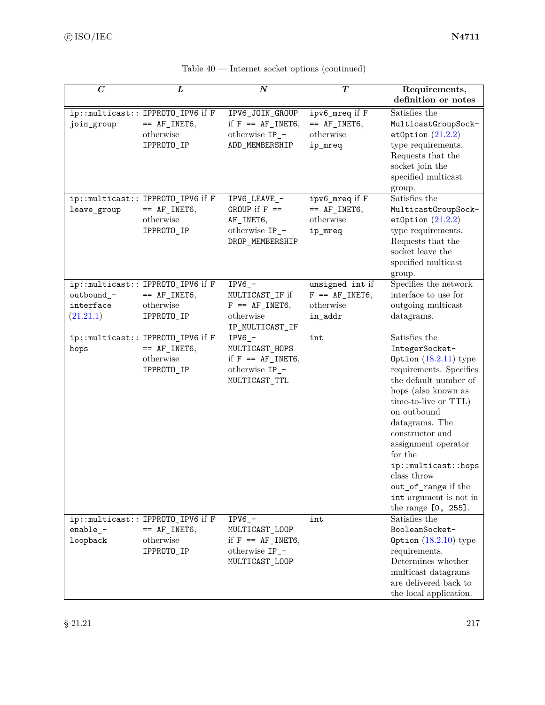| $\boldsymbol{C}$                     | L                                                                               | $\boldsymbol{N}$                                                                           | T                                                           | Requirements,<br>definition or notes                                                                                                                                                                                                                                                                                                                                 |
|--------------------------------------|---------------------------------------------------------------------------------|--------------------------------------------------------------------------------------------|-------------------------------------------------------------|----------------------------------------------------------------------------------------------------------------------------------------------------------------------------------------------------------------------------------------------------------------------------------------------------------------------------------------------------------------------|
| join_group                           | ip::multicast:: IPPROTO_IPV6 if F<br>$== AF_$ INET6,<br>otherwise<br>IPPROTO_IP | IPV6_JOIN_GROUP<br>if $F = AF$ INET6,<br>otherwise IP_-<br>ADD_MEMBERSHIP                  | ipv6_mreq if F<br>$== AF_INET6,$<br>otherwise<br>ip_mreq    | Satisfies the<br>MulticastGroupSock-<br>etOption $(21.2.2)$<br>type requirements.<br>Requests that the<br>socket join the<br>${\rm specified}$ multicast<br>group.                                                                                                                                                                                                   |
| leave_group                          | ip::multicast:: IPPROTO_IPV6 if F<br>$== AF_$ INET6,<br>otherwise<br>IPPROTO_IP | IPV6_LEAVE_-<br>GROUP if $F =$<br>AF_INET6,<br>otherwise IP_-<br>DROP_MEMBERSHIP           | ipv6_mreq if F<br>$== AF_INET6,$<br>otherwise<br>ip_mreq    | Satisfies the<br>MulticastGroupSock-<br>etOption $(21.2.2)$<br>type requirements.<br>Requests that the<br>socket leave the<br>specified multicast<br>group.                                                                                                                                                                                                          |
| outbound_-<br>interface<br>(21.21.1) | ip::multicast:: IPPROTO_IPV6 if F<br>$== AF_$ INET6,<br>otherwise<br>IPPROTO_IP | $IPV6$ <sup>-</sup><br>MULTICAST_IF if<br>$F = AF_$ INET6,<br>otherwise<br>IP_MULTICAST_IF | unsigned int if<br>$F = AF_$ INET6,<br>otherwise<br>in_addr | Specifies the network<br>interface to use for<br>outgoing multicast<br>datagrams.                                                                                                                                                                                                                                                                                    |
| hops                                 | ip::multicast:: IPPROTO_IPV6 if F<br>$== AF_INET6,$<br>otherwise<br>IPPROTO_IP  | $IPV6$ -<br>MULTICAST_HOPS<br>if $F = AF_$ INET6,<br>otherwise IP_-<br>MULTICAST_TTL       | int                                                         | Satisfies the<br>IntegerSocket-<br>Option $(18.2.11)$ type<br>requirements. Specifies<br>the default number of<br>hops (also known as<br>time-to-live or TTL)<br>on outbound<br>datagrams. The<br>constructor and<br>assignment operator<br>for the<br>ip::multicast::hops<br>class throw<br>out_of_range if the<br>int argument is not in<br>the range $[0, 255]$ . |
| enable_ $-$<br>loopback              | ip::multicast:: IPPROTO_IPV6 if F<br>$==$ AF_INET6,<br>otherwise<br>IPPROTO_IP  | $IPV6_$ -<br>MULTICAST_LOOP<br>if $F = AF_$ INET6,<br>otherwise IP_-<br>MULTICAST_LOOP     | int                                                         | Satisfies the<br>BooleanSocket-<br>Option $(18.2.10)$ type<br>requirements.<br>Determines whether<br>multicast datagrams<br>are delivered back to<br>the local application.                                                                                                                                                                                          |

| Table $40$ — Internet socket options (continued) |  |  |  |  |  |
|--------------------------------------------------|--|--|--|--|--|
|--------------------------------------------------|--|--|--|--|--|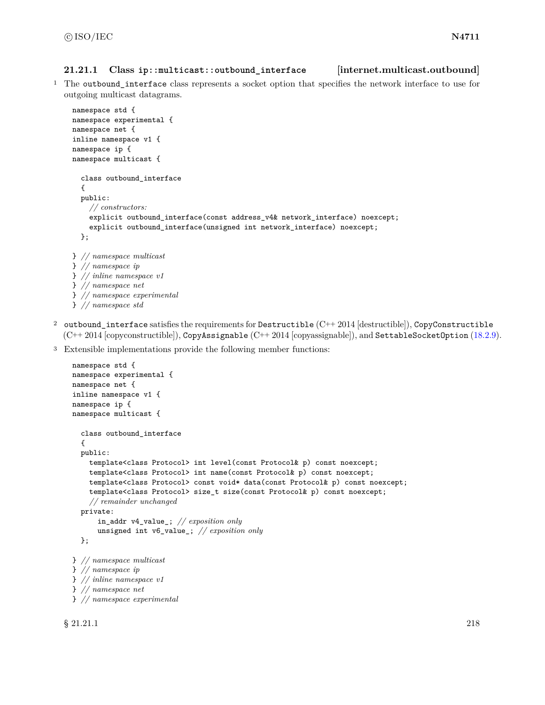### <span id="page-224-1"></span><span id="page-224-0"></span>**21.21.1 Class ip::multicast::outbound\_interface [internet.multicast.outbound]**

<sup>1</sup> The outbound\_interface class represents a socket option that specifies the network interface to use for outgoing multicast datagrams.

```
namespace std {
namespace experimental {
namespace net {
inline namespace v1 {
namespace ip {
namespace multicast {
  class outbound_interface
  {
  public:
    // constructors:
    explicit outbound_interface(const address_v4& network_interface) noexcept;
    explicit outbound_interface(unsigned int network_interface) noexcept;
  };
} // namespace multicast
} // namespace ip
} // inline namespace v1
} // namespace net
```
- } *// namespace experimental* } *// namespace std*
- 2 outbound interface satisfies the requirements for Destructible  $(C++ 2014$  [destructible]), CopyConstructible (C++ 2014 [copyconstructible]), CopyAssignable (C++ 2014 [copyassignable]), and SettableSocketOption [\(18.2.9\)](#page-118-1).
- <sup>3</sup> Extensible implementations provide the following member functions:

```
namespace std {
namespace experimental {
namespace net {
inline namespace v1 {
namespace ip {
namespace multicast {
  class outbound_interface
  {
  public:
    template<class Protocol> int level(const Protocol& p) const noexcept;
    template<class Protocol> int name(const Protocol& p) const noexcept;
    template<class Protocol> const void* data(const Protocol& p) const noexcept;
    template<class Protocol> size_t size(const Protocol& p) const noexcept;
    // remainder unchanged
  private:
      in_addr v4_value_; // exposition only
      unsigned int v6_value_; // exposition only
  };
} // namespace multicast
} // namespace ip
} // inline namespace v1
} // namespace net
} // namespace experimental
```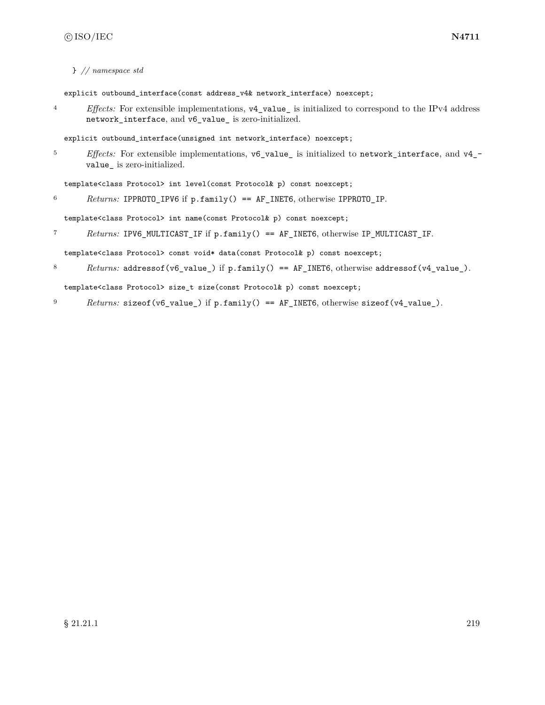} *// namespace std*

explicit outbound\_interface(const address\_v4& network\_interface) noexcept;

<sup>4</sup> *Effects:* For extensible implementations, v4\_value\_ is initialized to correspond to the IPv4 address network\_interface, and v6\_value\_ is zero-initialized.

explicit outbound\_interface(unsigned int network\_interface) noexcept;

<sup>5</sup> *Effects:* For extensible implementations, v6\_value\_ is initialized to network\_interface, and v4\_ value\_ is zero-initialized.

template<class Protocol> int level(const Protocol& p) const noexcept;

<sup>6</sup> *Returns:* IPPROTO\_IPV6 if p.family() == AF\_INET6, otherwise IPPROTO\_IP.

template<class Protocol> int name(const Protocol& p) const noexcept;

<sup>7</sup> *Returns:* IPV6\_MULTICAST\_IF if p.family() == AF\_INET6, otherwise IP\_MULTICAST\_IF.

template<class Protocol> const void\* data(const Protocol& p) const noexcept;

8 *Returns:* addressof(v6\_value\_) if p.family() == AF\_INET6, otherwise addressof(v4\_value\_).

template<class Protocol> size\_t size(const Protocol& p) const noexcept;

9 *Returns:* sizeof(v6\_value\_) if p.family() == AF\_INET6, otherwise sizeof(v4\_value\_).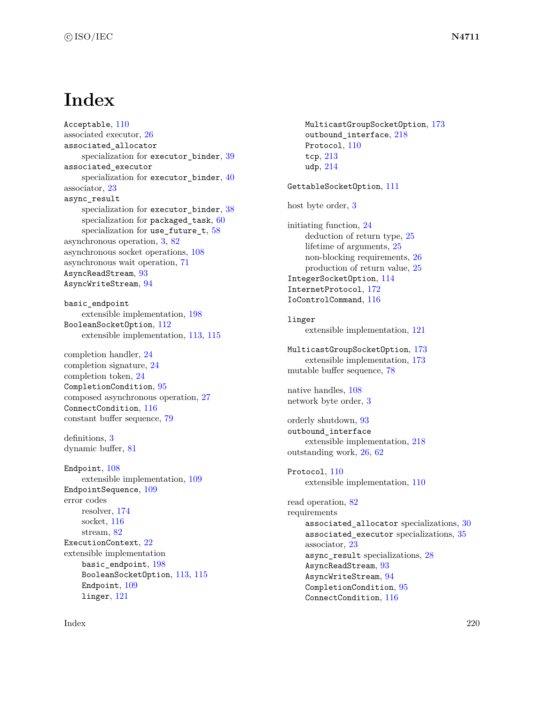# **Index**

Acceptable, [110](#page-116-1) associated executor, [26](#page-32-0) associated\_allocator specialization for executor\_binder, [39](#page-45-0) associated\_executor specialization for executor\_binder, [40](#page-46-0) associator, [23](#page-29-0) async\_result specialization for executor\_binder, [38](#page-44-0) specialization for packaged\_task, [60](#page-66-0) specialization for use\_future\_t, [58](#page-64-0) asynchronous operation, [3,](#page-9-0) [82](#page-88-0) asynchronous socket operations, [108](#page-114-0) asynchronous wait operation, [71](#page-77-0) AsyncReadStream, [93](#page-99-0) AsyncWriteStream, [94](#page-100-0)

basic\_endpoint extensible implementation, [198](#page-204-0) BooleanSocketOption, [112](#page-118-2) extensible implementation, [113,](#page-119-0) [115](#page-121-0)

completion handler, [24](#page-30-0) completion signature, [24](#page-30-0) completion token, [24](#page-30-0) CompletionCondition, [95](#page-101-0) composed asynchronous operation, [27](#page-33-0) ConnectCondition, [116](#page-122-0) constant buffer sequence, [79](#page-85-0)

definitions, [3](#page-9-0) dynamic buffer, [81](#page-87-0)

Endpoint, [108](#page-114-0) extensible implementation, [109](#page-115-0) EndpointSequence, [109](#page-115-0) error codes resolver, [174](#page-180-0) socket, [116](#page-122-0) stream, [82](#page-88-0) ExecutionContext, [22](#page-28-0) extensible implementation basic endpoint,  $198$ BooleanSocketOption, [113,](#page-119-0) [115](#page-121-0) Endpoint, [109](#page-115-0) linger, [121](#page-127-0)

MulticastGroupSocketOption, [173](#page-179-1) outbound\_interface, [218](#page-224-1) Protocol, [110](#page-116-1) tcp, [213](#page-219-2) udp, [214](#page-220-0) GettableSocketOption, [111](#page-117-0) host byte order, [3](#page-9-0) initiating function, [24](#page-30-0) deduction of return type, [25](#page-31-0) lifetime of arguments, [25](#page-31-0) non-blocking requirements, [26](#page-32-0) production of return value, [25](#page-31-0) IntegerSocketOption, [114](#page-120-1) InternetProtocol, [172](#page-178-1) IoControlCommand, [116](#page-122-0) linger extensible implementation, [121](#page-127-0) MulticastGroupSocketOption, [173](#page-179-1) extensible implementation, [173](#page-179-1) mutable buffer sequence, [78](#page-84-0) native handles, [108](#page-114-0) network byte order, [3](#page-9-0) orderly shutdown, [93](#page-99-0) outbound\_interface extensible implementation, [218](#page-224-1) outstanding work, [26,](#page-32-0) [62](#page-68-0) Protocol, [110](#page-116-1) extensible implementation, [110](#page-116-1) read operation, [82](#page-88-0) requirements associated\_allocator specializations, [30](#page-36-0) associated\_executor specializations, [35](#page-41-0) associator, [23](#page-29-0) async\_result specializations, [28](#page-34-0) AsyncReadStream, [93](#page-99-0) AsyncWriteStream, [94](#page-100-0) CompletionCondition, [95](#page-101-0) ConnectCondition, [116](#page-122-0)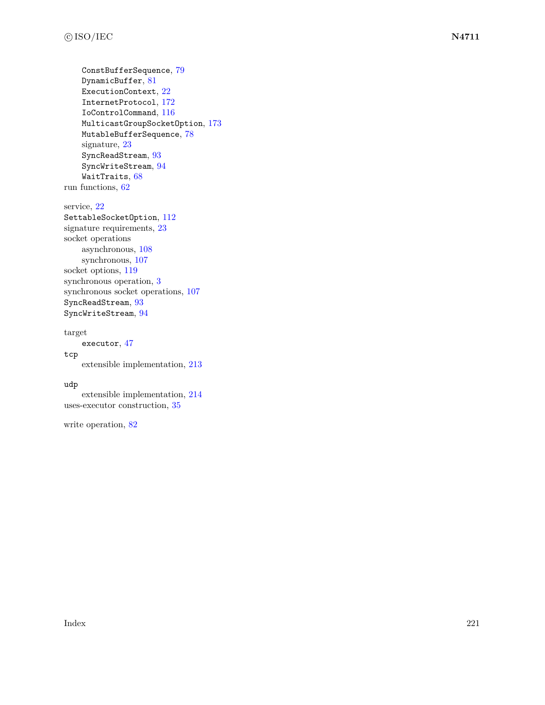```
ConstBufferSequence, 79
    DynamicBuffer, 81
    ExecutionContext, 22
    InternetProtocol, 172
    IoControlCommand, 116
    MulticastGroupSocketOption, 173
    MutableBufferSequence, 78
    signature, 23
    SyncReadStream, 93
    SyncWriteStream, 94
    WaitTraits, 68
run functions, 62
```
service, [22](#page-28-0) SettableSocketOption, [112](#page-118-2) signature requirements, [23](#page-29-0) socket operations asynchronous, [108](#page-114-0) synchronous, [107](#page-113-0) socket options, [119](#page-125-0) synchronous operation, [3](#page-9-0) synchronous socket operations, [107](#page-113-0) SyncReadStream, [93](#page-99-0) SyncWriteStream, [94](#page-100-0)

### target

executor, [47](#page-53-0)

extensible implementation, [213](#page-219-2)

### udp

tcp

extensible implementation, [214](#page-220-0) uses-executor construction, [35](#page-41-0)

write operation, [82](#page-88-0)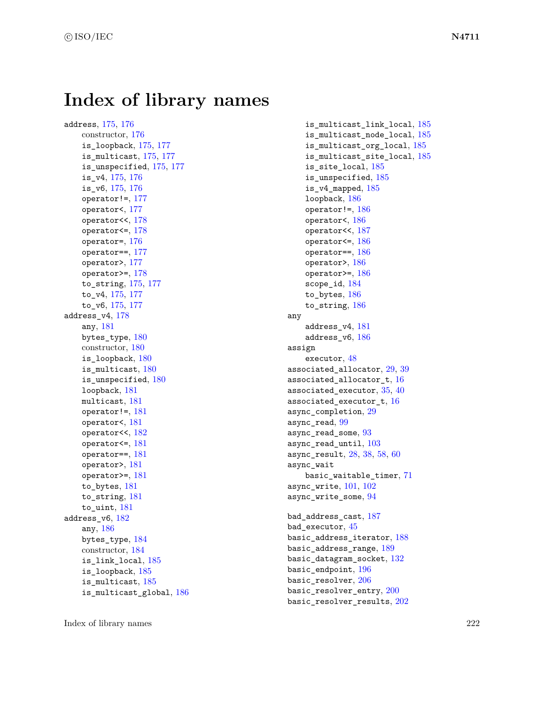# **Index of library names**

address, [175,](#page-181-0) [176](#page-182-0) constructor, [176](#page-182-0) is\_loopback, [175,](#page-181-0) [177](#page-183-0) is\_multicast, [175,](#page-181-0) [177](#page-183-0) is\_unspecified, [175,](#page-181-0) [177](#page-183-0) is\_v4, [175,](#page-181-0) [176](#page-182-0) is\_v6, [175,](#page-181-0) [176](#page-182-0) operator!=, [177](#page-183-0) operator<, [177](#page-183-0) operator<<, [178](#page-184-0) operator<=, [178](#page-184-0) operator=, [176](#page-182-0) operator==, [177](#page-183-0) operator>, [177](#page-183-0) operator>=, [178](#page-184-0) to\_string, [175,](#page-181-0) [177](#page-183-0) to\_v4, [175,](#page-181-0) [177](#page-183-0) to\_v6, [175,](#page-181-0) [177](#page-183-0) address\_v4, [178](#page-184-0) any, [181](#page-187-0) bytes\_type, [180](#page-186-0) constructor, [180](#page-186-0) is loopback,  $180$ is\_multicast, [180](#page-186-0) is\_unspecified, [180](#page-186-0) loopback, [181](#page-187-0) multicast, [181](#page-187-0) operator!=, [181](#page-187-0) operator<, [181](#page-187-0) operator<<, [182](#page-188-0) operator<=, [181](#page-187-0) operator==, [181](#page-187-0) operator>, [181](#page-187-0) operator>=, [181](#page-187-0) to bytes, [181](#page-187-0) to\_string, [181](#page-187-0) to uint, [181](#page-187-0) address\_v6, [182](#page-188-0) any, [186](#page-192-0) bytes\_type, [184](#page-190-0) constructor, [184](#page-190-0) is\_link\_local, [185](#page-191-0) is\_loopback, [185](#page-191-0) is\_multicast, [185](#page-191-0) is\_multicast\_global, [186](#page-192-0)

is multicast link local,  $185$ is\_multicast\_node\_local, [185](#page-191-0) is\_multicast\_org\_local, [185](#page-191-0) is\_multicast\_site\_local, [185](#page-191-0) is\_site\_local, [185](#page-191-0) is\_unspecified, [185](#page-191-0) is\_v4\_mapped, [185](#page-191-0) loopback, [186](#page-192-0) operator!=, [186](#page-192-0) operator<, [186](#page-192-0) operator<<, [187](#page-193-0) operator<=, [186](#page-192-0) operator==, [186](#page-192-0) operator>, [186](#page-192-0) operator>=, [186](#page-192-0) scope\_id, [184](#page-190-0) to\_bytes, [186](#page-192-0) to\_string, [186](#page-192-0) any address\_v4, [181](#page-187-0) address\_v6, [186](#page-192-0) assign executor, [48](#page-54-0) associated allocator, [29,](#page-35-0) [39](#page-45-0) associated\_allocator\_t, [16](#page-22-0) associated\_executor, [35,](#page-41-0) [40](#page-46-0) associated\_executor\_t, [16](#page-22-0) async\_completion, [29](#page-35-0) async\_read, [99](#page-105-0) async\_read\_some, [93](#page-99-0) async\_read\_until, [103](#page-109-0) async\_result, [28,](#page-34-0) [38,](#page-44-0) [58,](#page-64-0) [60](#page-66-0) async\_wait basic\_waitable\_timer, [71](#page-77-0) async write,  $101, 102$  $101, 102$  $101, 102$ async\_write\_some, [94](#page-100-0) bad\_address\_cast, [187](#page-193-0) bad\_executor, [45](#page-51-0) basic\_address\_iterator, [188](#page-194-0) basic\_address\_range, [189](#page-195-0) basic\_datagram\_socket, [132](#page-138-0) basic\_endpoint, [196](#page-202-0) basic resolver, [206](#page-212-0) basic\_resolver\_entry, [200](#page-206-0) basic\_resolver\_results, [202](#page-208-0)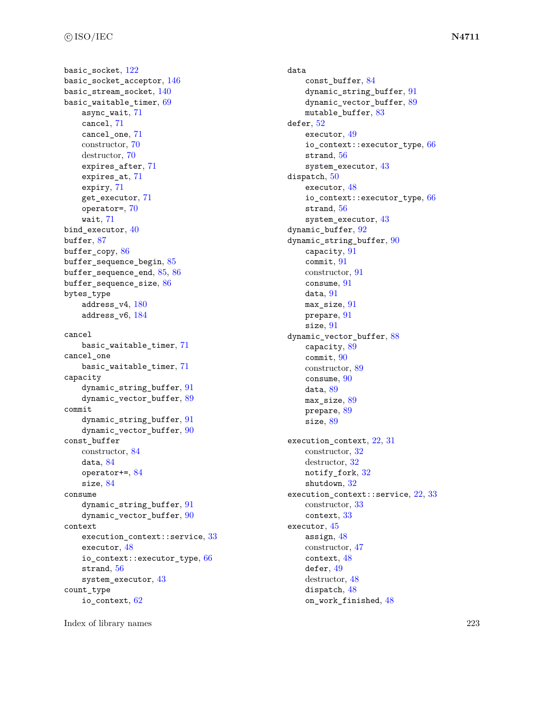basic socket, [122](#page-128-0) basic\_socket\_acceptor, [146](#page-152-0) basic stream socket,  $140$ basic\_waitable\_timer, [69](#page-75-0) async\_wait, [71](#page-77-0) cancel, [71](#page-77-0) cancel\_one, [71](#page-77-0) constructor, [70](#page-76-0) destructor, [70](#page-76-0) expires\_after, [71](#page-77-0) expires\_at, [71](#page-77-0) expiry, [71](#page-77-0) get\_executor, [71](#page-77-0) operator=, [70](#page-76-0) wait, [71](#page-77-0) bind\_executor, [40](#page-46-0) buffer, [87](#page-93-0) buffer copy, [86](#page-92-0) buffer\_sequence\_begin, [85](#page-91-0) buffer sequence end,  $85, 86$  $85, 86$  $85, 86$ buffer\_sequence\_size, [86](#page-92-0) bytes\_type address\_v4, [180](#page-186-0) address\_v6, [184](#page-190-0) cancel basic\_waitable\_timer, [71](#page-77-0) cancel\_one basic\_waitable\_timer, [71](#page-77-0) capacity dynamic string buffer, [91](#page-97-0) dynamic\_vector\_buffer, [89](#page-95-0) commit dynamic\_string\_buffer, [91](#page-97-0) dynamic\_vector\_buffer, [90](#page-96-0) const\_buffer constructor, [84](#page-90-0) data, [84](#page-90-0) operator+=, [84](#page-90-0) size, [84](#page-90-0) consume dynamic\_string\_buffer, [91](#page-97-0) dynamic\_vector\_buffer, [90](#page-96-0) context execution\_context::service, [33](#page-39-0) executor, [48](#page-54-0) io\_context::executor\_type, [66](#page-72-0) strand, [56](#page-62-0) system\_executor, [43](#page-49-0) count\_type io\_context, [62](#page-68-0)

data const\_buffer, [84](#page-90-0) dynamic string buffer, [91](#page-97-0) dynamic\_vector\_buffer, [89](#page-95-0) mutable\_buffer, [83](#page-89-0) defer, [52](#page-58-0) executor, [49](#page-55-0) io\_context::executor\_type, [66](#page-72-0) strand, [56](#page-62-0) system\_executor, [43](#page-49-0) dispatch, [50](#page-56-0) executor, [48](#page-54-0) io\_context::executor\_type, [66](#page-72-0) strand, [56](#page-62-0) system\_executor, [43](#page-49-0) dynamic\_buffer, [92](#page-98-0) dynamic\_string\_buffer, [90](#page-96-0) capacity, [91](#page-97-0) commit, [91](#page-97-0) constructor, [91](#page-97-0) consume, [91](#page-97-0) data, [91](#page-97-0) max\_size, [91](#page-97-0) prepare, [91](#page-97-0) size, [91](#page-97-0) dynamic\_vector\_buffer, [88](#page-94-0) capacity, [89](#page-95-0) commit, [90](#page-96-0) constructor, [89](#page-95-0) consume, [90](#page-96-0) data, [89](#page-95-0) max\_size, [89](#page-95-0) prepare, [89](#page-95-0) size, [89](#page-95-0) execution\_context, [22,](#page-28-0) [31](#page-37-0) constructor, [32](#page-38-0) destructor, [32](#page-38-0) notify\_fork, [32](#page-38-0) shutdown, [32](#page-38-0) execution\_context::service, [22,](#page-28-0) [33](#page-39-0) constructor, [33](#page-39-0) context, [33](#page-39-0) executor, [45](#page-51-0) assign, [48](#page-54-0) constructor, [47](#page-53-0) context, [48](#page-54-0) defer, [49](#page-55-0) destructor, [48](#page-54-0) dispatch, [48](#page-54-0) on\_work\_finished, [48](#page-54-0)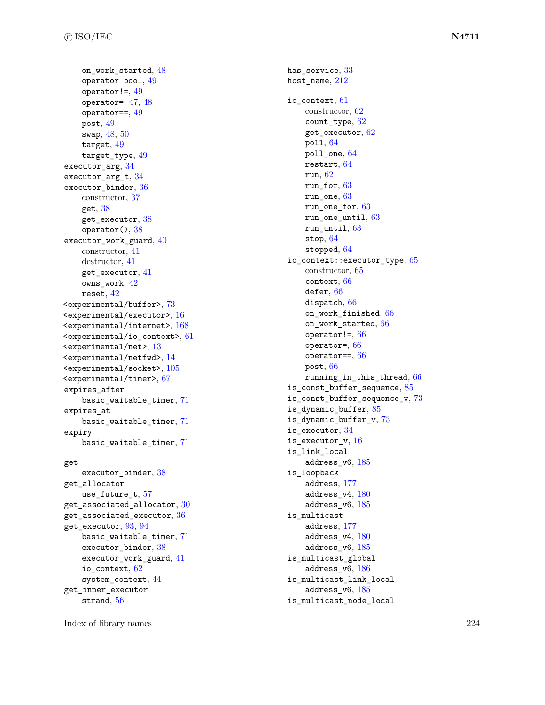on\_work\_started , [48](#page-54-0)  $o$ perator bool,  $49$  $operator:=$ , [49](#page-55-0) operator=, [47](#page-53-0), [48](#page-54-0)  $operator==, 49$  $operator==, 49$  ${\tt post},\,49$  ${\tt post},\,49$ swap , [48](#page-54-0) , [50](#page-56-0)  $\texttt{target}, \, 49$  $\texttt{target}, \, 49$ target\_type,  $49$ executor\_arg,  $34$ executor\_arg\_t,  $34$ executor\_binder, [36](#page-42-0) constructor, [37](#page-43-0) get,  $38$ get\_executor,  $38\,$  $38\,$  $\texttt{operator}() , 38$  $\texttt{operator}() , 38$ executor\_work\_guard, [40](#page-46-0) constructor, [41](#page-47-0) destructor, [41](#page-47-0) get\_executor , [41](#page-47-0) owns\_work , [42](#page-48-0)  ${\tt reset},\,42$  ${\tt reset},\,42$ <experimental/buffer> , [73](#page-79-0)  $\leq$ experimental/executor>, [16](#page-22-0) <experimental/internet> , [168](#page-174-0)  $\leq$ experimental/io\_context>,  $61$  $\verb||, 13$  $\verb||, 13$  $\le$ experimental/netfwd>,  $14$  $\leq$ experimental/socket>,  $105$ <experimental/timer> , [67](#page-73-0) expires\_after basic\_waitable\_timer , [71](#page-77-0) expires\_at basic\_waitable\_timer , [71](#page-77-0) expiry basic\_waitable\_timer , [71](#page-77-0) get executor\_binder, [38](#page-44-0) get\_allocator use\_future\_t , [57](#page-63-0)

```
has_service, 33212io_context
, 61
   constructor, 62
   count_type
, 62
   get_executor
, 62
   poll
, 64
   6464run
, 62
   run_for
, 63
   run_one
, 63
   run_one_for
, 63
   run_one_until
, 63
   run_until
, 63
   64stopped
, 64
65
   constructor, 65
   context
, 66
   6666on_work_finished
, 66
   on_work_started
, 66
   66operator =, 66\circperator==, 6666running_in_this_thread
, 66
is_const_buffer_sequence
, 85
is_const_buffer_sequence_v
, 73
is_dynamic_buffer
, 85
is_dynamic_buffer_v
, 73
is_executor
, 34
is_executor_v
, 16
is_link_local
   185is_loopback
   address
, 177
   180185is_multicast
   address
, 177
   180185is_multicast_global
   186is_multicast_link_local
   185is_multicast_node_local
```
Index of library names 224

get\_inner\_executor  $_{\rm{strand,~56}}$  $_{\rm{strand,~56}}$  $_{\rm{strand,~56}}$ 

 ${\tt get\_execution},\,93,\,94$  ${\tt get\_execution},\,93,\,94$  ${\tt get\_execution},\,93,\,94$  ${\tt get\_execution},\,93,\,94$ 

io\_context , [62](#page-68-0) system\_context , [44](#page-50-0)

 ${\tt get\_associated\_allocator}, \, 30$  ${\tt get\_associated\_allocator}, \, 30$  ${\tt get\_associated\_execution},\, 36$  ${\tt get\_associated\_execution},\, 36$ 

> basic\_waitable\_timer , [71](#page-77-0) executor\_binder, [38](#page-44-0) executor\_work\_guard , [41](#page-47-0)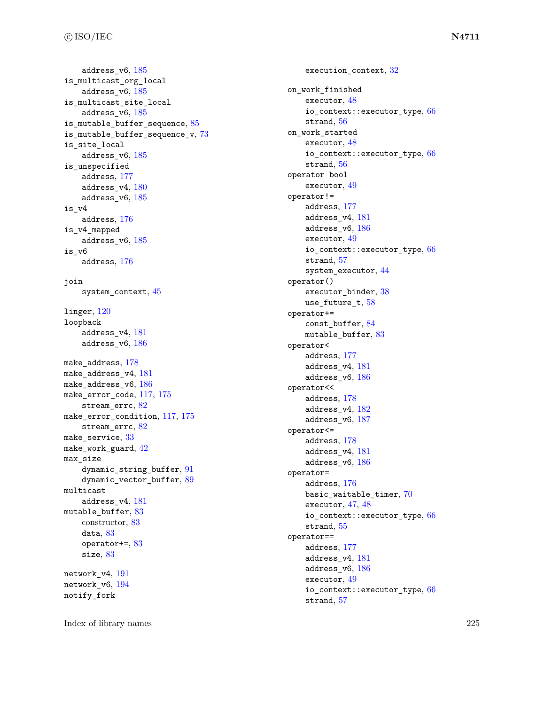```
185is_multicast_org_local
  185is_multicast_site_local
  185is_mutable_buffer_sequence
, 85
73is_site_local
  185is_unspecified
  address
, 177
  180185is_v4
  176is_v4_mapped
  185is_v6
  176join
  45linger
, 120
loopback
  address_v4
, 181
  186178make_address_v4
, 181
186make_error_code
, 117
, 175
  stream_errc, 82117175
  stream_errc, 82make_service, 33\,42max_size
  9189multicast
  address_v4
, 181
mutable_buffer, 83constructor, 83
  data, 83operator+=
, 83
  83network_v4
, 191
network_v6
, 194
notify_fork
```

```
32
on_work_finished
   executor
, 48
   66
   strand
, 56
on_work_started
   executor
, 48
   66
   56operator bool
   executor
, 49
operator!=
   address
, 177
   address_v4
, 181
   186executor
, 49
   66
   strand
, 57
   system_executor
, 44
operator()
   38
   use_future_t, 58operator+=
   const_buffer
, 84
   83operator<
   address
, 177
   address_v4
, 181
   186operator<<
   address
, 178
   182address_v6
, 187
operator<=
   address
, 178
   address_v4
, 181
   186operator=
   address
, 176
   70executor, 474866
   strand
, 55
operator==
   address
, 177
   address_v4
, 181
   186executor
, 49
   66
   strand
, 57
```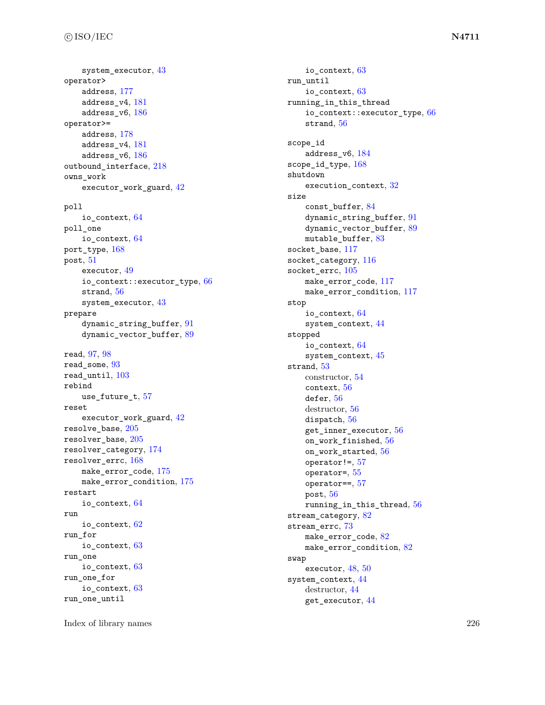system\_executor , [43](#page-49-0) operator> address , [177](#page-183-0) address\_v4 , [181](#page-187-0)  $\texttt{address\_v6},\,186$  $\texttt{address\_v6},\,186$ operator>=  $\mathrm{address},\,178$  $\mathrm{address},\,178$ address\_v4 , [181](#page-187-0)  $address\_v6, 186$  $address\_v6, 186$ outbound\_interface, [218](#page-224-1) owns\_work  $\tt{exector\_work\_guard, 42}$  $\tt{exector\_work\_guard, 42}$  $\tt{exector\_work\_guard, 42}$ poll io\_context , [64](#page-70-0) poll\_one  $\texttt{io\_context}, \, 64$  $\texttt{io\_context}, \, 64$  ${\tt port\_type},\,168$  ${\tt port\_type},\,168$  ${\tt post},\, 51$  ${\tt post},\, 51$ executor , [49](#page-55-0) io\_context::executor\_type, [66](#page-72-0)  $\texttt{strand},\,56$  $\texttt{strand},\,56$ system\_executor , [43](#page-49-0) prepare  ${\tt dynamic\_string\_buffer}, \, 91$  ${\tt dynamic\_string\_buffer}, \, 91$  ${\tt dynamic\_vector\_buffer}, 89$  ${\tt dynamic\_vector\_buffer}, 89$ read , [97](#page-103-0) , [98](#page-104-0) read\_some , [93](#page-99-0)  $\verb|read_matrix|, 103$  $\verb|read_matrix|, 103$ rebind use\_future\_t , [57](#page-63-0) reset  $\tt{exector\_work\_guard, 42}$  $\tt{exector\_work\_guard, 42}$  $\tt{exector\_work\_guard, 42}$  $\verb|resolve_base|, 205$  $\verb|resolve_base|, 205$  ${\tt resolver\_base},\,205$  ${\tt resolver\_base},\,205$  ${\tt resolver\_category},\,174$  ${\tt resolver\_category},\,174$ resolver\_errc , [168](#page-174-0)  ${\tt make\_error\_code},\,175$  ${\tt make\_error\_code},\,175$ make\_error\_condition , [175](#page-181-0) restart  $\texttt{io\_context}, \, 64$  $\texttt{io\_context}, \, 64$ run  $\,$ io\_context, $\,62$  $\,62$ run\_for io\_context , [63](#page-69-0) run\_one  $\texttt{io\_context},\,63$  $\texttt{io\_context},\,63$ run\_one\_for  $\texttt{io\_context},\,63$  $\texttt{io\_context},\,63$ run\_one\_until

io\_context , [63](#page-69-0) run\_until io\_context , [63](#page-69-0) running\_in\_this\_thread io\_context::executor\_type, [66](#page-72-0)  $strand, 56$  $strand, 56$ scope\_id address\_v6 , [184](#page-190-0) scope\_id\_type,  $168$ shutdown execution\_context , [32](#page-38-0) size const\_buffer , [84](#page-90-0) dynamic\_string\_buffer , [91](#page-97-0) dynamic\_vector\_buffer,  $89$  $mutable\_buffer, 83$  $mutable\_buffer, 83$ socket\_base , [117](#page-123-0)  ${\tt socket\_category},$   $116$  ${\tt socket\_errc, 105}$  ${\tt socket\_errc, 105}$  ${\tt socket\_errc, 105}$ make\_error\_code , [117](#page-123-0) make\_error\_condition,  $117$ stop io\_context , [64](#page-70-0) system\_context , [44](#page-50-0) stopped io\_context , [64](#page-70-0) system\_context , [45](#page-51-0) strand , [53](#page-59-0) constructor, [54](#page-60-0) context , [56](#page-62-0)  $\mathop{\mathsf{defer}}\nolimits, 56$  $\mathop{\mathsf{defer}}\nolimits, 56$ destructor, [56](#page-62-0) dispatch,  $56\,$  $56\,$  ${\tt get\_inner\_execution}, 56$  ${\tt get\_inner\_execution}, 56$ on\_work\_finished , [56](#page-62-0) on\_work\_started , [56](#page-62-0) operator!= , [57](#page-63-0) operator= , [55](#page-61-0) operator== , [57](#page-63-0)  ${\tt post},\,56$  ${\tt post},\,56$ running\_in\_this\_thread , [56](#page-62-0) stream\_category, [82](#page-88-0) stream\_errc , [73](#page-79-0)  ${\tt make\_error\_code},\,82$  ${\tt make\_error\_code},\,82$ make\_error\_condition,  $82$ swap  $\epsilon$ xecutor,  $48,50$  $48,50$  $48,50$ system\_context , [44](#page-50-0) destructor, [44](#page-50-0) get\_executor , [44](#page-50-0)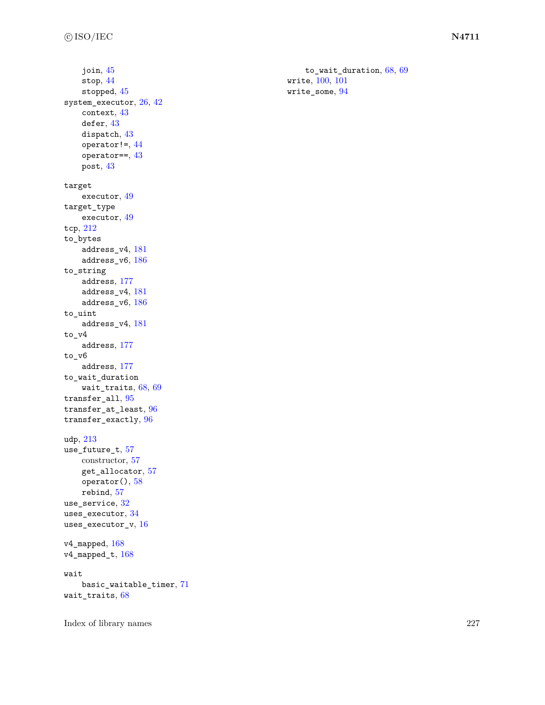```
join
, 45
   stop
, 44
   452642
   context
, 43
   4343}44
   4343target
   executor
, 49
target_type
   executor
, 49
tcp
, 212
to_bytes
   address_v4
, 181
   186to_string
   address
, 177
   address_v4
, 181
   186to_uint
   address_v4
, 181
to_v4
   address
, 177
to_v6
   address
, 177
to_wait_duration
   wait_traits, 6869transfer_all, 95transfer_at_least
, 96
transfer_exactly
, 96
udp
, 213
use_future_t, 57constructor, 57
   get_allocator
, 57
   58rebind
, 57
use_service, 32\,uses_executor, 34\,uses_executor_v, 16\,168168wait
   basic_waitable_timer
, 71
wait_traits, 68
```
Index of library names 227

to\_wait\_duration, [68](#page-74-0), [69](#page-75-0) write , [100](#page-106-0) , [101](#page-107-0)  $\texttt{write\_some},\,94$  $\texttt{write\_some},\,94$